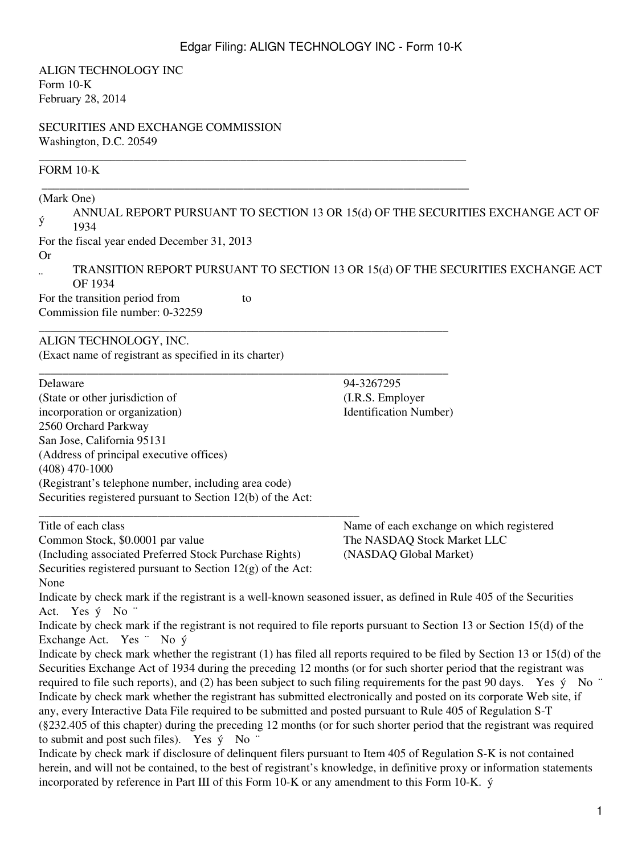\_\_\_\_\_\_\_\_\_\_\_\_\_\_\_\_\_\_\_\_\_\_\_\_\_\_\_\_\_\_\_\_\_\_\_\_\_\_\_\_\_\_\_\_\_\_\_\_\_\_\_\_\_\_\_\_\_\_\_\_\_\_\_\_\_\_\_\_\_\_\_\_

ALIGN TECHNOLOGY INC Form 10-K February 28, 2014

SECURITIES AND EXCHANGE COMMISSION Washington, D.C. 20549

# FORM 10-K

| (Mark One)                                                                                                                                                            | ANNUAL REPORT PURSUANT TO SECTION 13 OR 15(d) OF THE SECURITIES EXCHANGE ACT OF  |  |  |  |
|-----------------------------------------------------------------------------------------------------------------------------------------------------------------------|----------------------------------------------------------------------------------|--|--|--|
| ý<br>1934                                                                                                                                                             |                                                                                  |  |  |  |
| For the fiscal year ended December 31, 2013                                                                                                                           |                                                                                  |  |  |  |
| Or                                                                                                                                                                    |                                                                                  |  |  |  |
| OF 1934                                                                                                                                                               | TRANSITION REPORT PURSUANT TO SECTION 13 OR 15(d) OF THE SECURITIES EXCHANGE ACT |  |  |  |
| For the transition period from<br>to                                                                                                                                  |                                                                                  |  |  |  |
| Commission file number: 0-32259                                                                                                                                       |                                                                                  |  |  |  |
| ALIGN TECHNOLOGY, INC.                                                                                                                                                |                                                                                  |  |  |  |
| (Exact name of registrant as specified in its charter)                                                                                                                |                                                                                  |  |  |  |
| Delaware                                                                                                                                                              | 94-3267295                                                                       |  |  |  |
| (State or other jurisdiction of                                                                                                                                       | (I.R.S. Employer                                                                 |  |  |  |
| incorporation or organization)                                                                                                                                        | <b>Identification Number)</b>                                                    |  |  |  |
| 2560 Orchard Parkway                                                                                                                                                  |                                                                                  |  |  |  |
| San Jose, California 95131                                                                                                                                            |                                                                                  |  |  |  |
| (Address of principal executive offices)<br>$(408)$ 470-1000                                                                                                          |                                                                                  |  |  |  |
| (Registrant's telephone number, including area code)                                                                                                                  |                                                                                  |  |  |  |
| Securities registered pursuant to Section 12(b) of the Act:                                                                                                           |                                                                                  |  |  |  |
| Title of each class                                                                                                                                                   | Name of each exchange on which registered                                        |  |  |  |
| Common Stock, \$0.0001 par value                                                                                                                                      | The NASDAQ Stock Market LLC                                                      |  |  |  |
| (Including associated Preferred Stock Purchase Rights)                                                                                                                | (NASDAQ Global Market)                                                           |  |  |  |
| Securities registered pursuant to Section $12(g)$ of the Act:                                                                                                         |                                                                                  |  |  |  |
| None                                                                                                                                                                  |                                                                                  |  |  |  |
| Indicate by check mark if the registrant is a well-known seasoned issuer, as defined in Rule 405 of the Securities<br>Act. Yes ý No "                                 |                                                                                  |  |  |  |
| Indicate by check mark if the registrant is not required to file reports pursuant to Section 13 or Section 15(d) of the<br>Exchange Act. Yes " No $\acute{y}$         |                                                                                  |  |  |  |
| Indicate by check mark whether the registrant (1) has filed all reports required to be filed by Section 13 or 15(d) of the                                            |                                                                                  |  |  |  |
| Securities Exchange Act of 1934 during the preceding 12 months (or for such shorter period that the registrant was                                                    |                                                                                  |  |  |  |
| required to file such reports), and (2) has been subject to such filing requirements for the past 90 days. Yes ý No "                                                 |                                                                                  |  |  |  |
| Indicate by check mark whether the registrant has submitted electronically and posted on its corporate Web site, if                                                   |                                                                                  |  |  |  |
| any, every Interactive Data File required to be submitted and posted pursuant to Rule 405 of Regulation S-T                                                           |                                                                                  |  |  |  |
| (§232.405 of this chapter) during the preceding 12 months (or for such shorter period that the registrant was required                                                |                                                                                  |  |  |  |
| to submit and post such files). Yes $\circ$ No "<br>Indicate by check mark if disclosure of delinquent filers pursuant to Item 405 of Regulation S-K is not contained |                                                                                  |  |  |  |
| herein, and will not be contained, to the best of registrant's knowledge, in definitive proxy or information statements                                               |                                                                                  |  |  |  |
| incorporated by reference in Part III of this Form 10-K or any amendment to this Form 10-K. ý                                                                         |                                                                                  |  |  |  |
|                                                                                                                                                                       |                                                                                  |  |  |  |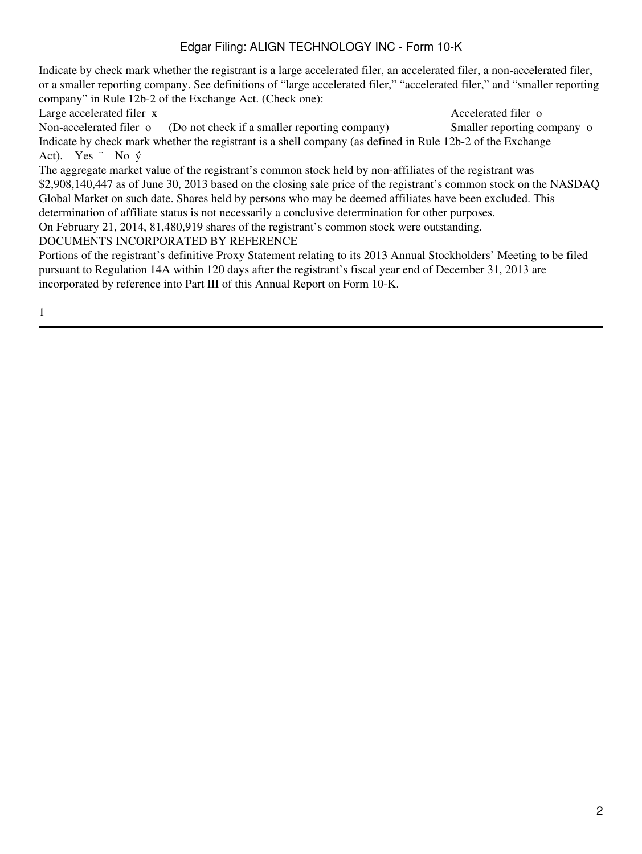Indicate by check mark whether the registrant is a large accelerated filer, an accelerated filer, a non-accelerated filer, or a smaller reporting company. See definitions of "large accelerated filer," "accelerated filer," and "smaller reporting company" in Rule 12b-2 of the Exchange Act. (Check one):

Large accelerated filer x Accelerated filer of Accelerated filer of Accelerated filer of Accelerated filer of Accelerated filer of Accelerated filer of Accelerated filer of Accelerated filer of Accelerated filer of Acceler

Non-accelerated filer o (Do not check if a smaller reporting company) Smaller reporting company o Indicate by check mark whether the registrant is a shell company (as defined in Rule 12b-2 of the Exchange Act). Yes  $\cdot$  No  $\circ$ 

The aggregate market value of the registrant's common stock held by non-affiliates of the registrant was \$2,908,140,447 as of June 30, 2013 based on the closing sale price of the registrant's common stock on the NASDAQ Global Market on such date. Shares held by persons who may be deemed affiliates have been excluded. This

determination of affiliate status is not necessarily a conclusive determination for other purposes.

On February 21, 2014, 81,480,919 shares of the registrant's common stock were outstanding.

DOCUMENTS INCORPORATED BY REFERENCE

Portions of the registrant's definitive Proxy Statement relating to its 2013 Annual Stockholders' Meeting to be filed pursuant to Regulation 14A within 120 days after the registrant's fiscal year end of December 31, 2013 are incorporated by reference into Part III of this Annual Report on Form 10-K.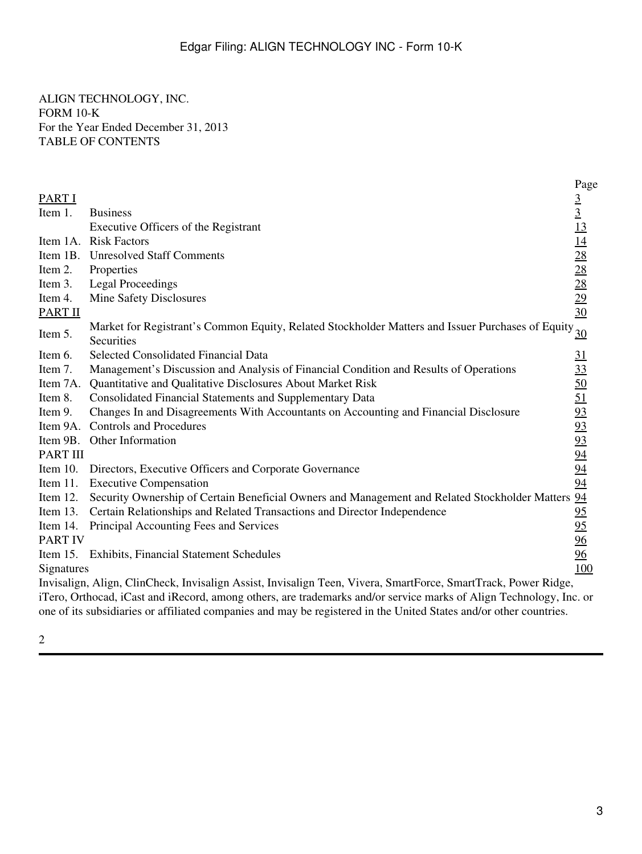ALIGN TECHNOLOGY, INC. FORM 10-K For the Year Ended December 31, 2013 TABLE OF CONTENTS

|                |                                                                                                                | Page                                                                                                         |
|----------------|----------------------------------------------------------------------------------------------------------------|--------------------------------------------------------------------------------------------------------------|
| <b>PART I</b>  |                                                                                                                |                                                                                                              |
| Item 1.        | <b>Business</b>                                                                                                | $\frac{3}{1}$<br>$\frac{13}{14}$<br>$\frac{14}{28}$<br>$\frac{28}{28}$<br>$\frac{29}{29}$<br>$\frac{30}{14}$ |
|                | Executive Officers of the Registrant                                                                           |                                                                                                              |
| Item 1A.       | <b>Risk Factors</b>                                                                                            |                                                                                                              |
|                | Item 1B. Unresolved Staff Comments                                                                             |                                                                                                              |
| Item 2.        | Properties                                                                                                     |                                                                                                              |
| Item 3.        | <b>Legal Proceedings</b>                                                                                       |                                                                                                              |
| Item 4.        | Mine Safety Disclosures                                                                                        |                                                                                                              |
| <b>PART II</b> |                                                                                                                |                                                                                                              |
| Item 5.        | Market for Registrant's Common Equity, Related Stockholder Matters and Issuer Purchases of Equity 30           |                                                                                                              |
|                | Securities                                                                                                     |                                                                                                              |
| Item 6.        | Selected Consolidated Financial Data                                                                           | <u>31</u>                                                                                                    |
| Item 7.        | Management's Discussion and Analysis of Financial Condition and Results of Operations                          | $\frac{33}{50}$<br>$\frac{51}{93}$                                                                           |
| Item 7A.       | Quantitative and Qualitative Disclosures About Market Risk                                                     |                                                                                                              |
| Item 8.        | Consolidated Financial Statements and Supplementary Data                                                       |                                                                                                              |
| Item 9.        | Changes In and Disagreements With Accountants on Accounting and Financial Disclosure                           |                                                                                                              |
|                | Item 9A. Controls and Procedures                                                                               |                                                                                                              |
|                | Item 9B. Other Information                                                                                     |                                                                                                              |
| PART III       |                                                                                                                | $\frac{93}{93}$<br>$\frac{94}{94}$                                                                           |
|                | Item 10. Directors, Executive Officers and Corporate Governance                                                |                                                                                                              |
|                | Item 11. Executive Compensation                                                                                | 94                                                                                                           |
| Item 12.       | Security Ownership of Certain Beneficial Owners and Management and Related Stockholder Matters 94              |                                                                                                              |
| Item $13.$     | Certain Relationships and Related Transactions and Director Independence                                       | <u>95</u>                                                                                                    |
| Item 14.       | Principal Accounting Fees and Services                                                                         | 95                                                                                                           |
| <b>PART IV</b> |                                                                                                                | 96                                                                                                           |
|                | Item 15. Exhibits, Financial Statement Schedules                                                               | 96                                                                                                           |
| Signatures     |                                                                                                                | 100                                                                                                          |
|                | Invisalign, Align, ClinCheck, Invisalign Assist, Invisalign Teen, Vivera, SmartForce, SmartTrack, Power Ridge, |                                                                                                              |

iTero, Orthocad, iCast and iRecord, among others, are trademarks and/or service marks of Align Technology, Inc. or one of its subsidiaries or affiliated companies and may be registered in the United States and/or other countries.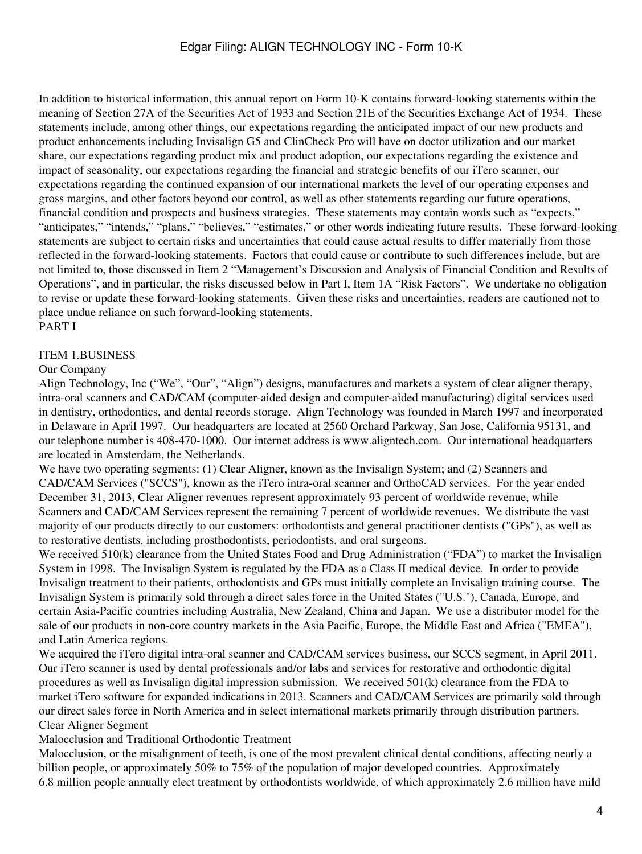In addition to historical information, this annual report on Form 10-K contains forward-looking statements within the meaning of Section 27A of the Securities Act of 1933 and Section 21E of the Securities Exchange Act of 1934. These statements include, among other things, our expectations regarding the anticipated impact of our new products and product enhancements including Invisalign G5 and ClinCheck Pro will have on doctor utilization and our market share, our expectations regarding product mix and product adoption, our expectations regarding the existence and impact of seasonality, our expectations regarding the financial and strategic benefits of our iTero scanner, our expectations regarding the continued expansion of our international markets the level of our operating expenses and gross margins, and other factors beyond our control, as well as other statements regarding our future operations, financial condition and prospects and business strategies. These statements may contain words such as "expects," "anticipates," "intends," "plans," "believes," "estimates," or other words indicating future results. These forward-looking statements are subject to certain risks and uncertainties that could cause actual results to differ materially from those reflected in the forward-looking statements. Factors that could cause or contribute to such differences include, but are not limited to, those discussed in Item 2 "Management's Discussion and Analysis of Financial Condition and Results of Operations", and in particular, the risks discussed below in Part I, Item 1A "Risk Factors". We undertake no obligation to revise or update these forward-looking statements. Given these risks and uncertainties, readers are cautioned not to place undue reliance on such forward-looking statements. PART I

# <span id="page-3-1"></span><span id="page-3-0"></span>ITEM 1.BUSINESS

### Our Company

Align Technology, Inc ("We", "Our", "Align") designs, manufactures and markets a system of clear aligner therapy, intra-oral scanners and CAD/CAM (computer-aided design and computer-aided manufacturing) digital services used in dentistry, orthodontics, and dental records storage. Align Technology was founded in March 1997 and incorporated in Delaware in April 1997. Our headquarters are located at 2560 Orchard Parkway, San Jose, California 95131, and our telephone number is 408-470-1000. Our internet address is www.aligntech.com. Our international headquarters are located in Amsterdam, the Netherlands.

We have two operating segments: (1) Clear Aligner, known as the Invisalign System; and (2) Scanners and CAD/CAM Services ("SCCS"), known as the iTero intra-oral scanner and OrthoCAD services. For the year ended December 31, 2013, Clear Aligner revenues represent approximately 93 percent of worldwide revenue, while Scanners and CAD/CAM Services represent the remaining 7 percent of worldwide revenues. We distribute the vast majority of our products directly to our customers: orthodontists and general practitioner dentists ("GPs"), as well as to restorative dentists, including prosthodontists, periodontists, and oral surgeons.

We received 510(k) clearance from the United States Food and Drug Administration ("FDA") to market the Invisalign System in 1998. The Invisalign System is regulated by the FDA as a Class II medical device. In order to provide Invisalign treatment to their patients, orthodontists and GPs must initially complete an Invisalign training course. The Invisalign System is primarily sold through a direct sales force in the United States ("U.S."), Canada, Europe, and certain Asia-Pacific countries including Australia, New Zealand, China and Japan. We use a distributor model for the sale of our products in non-core country markets in the Asia Pacific, Europe, the Middle East and Africa ("EMEA"), and Latin America regions.

We acquired the iTero digital intra-oral scanner and CAD/CAM services business, our SCCS segment, in April 2011. Our iTero scanner is used by dental professionals and/or labs and services for restorative and orthodontic digital procedures as well as Invisalign digital impression submission. We received 501(k) clearance from the FDA to market iTero software for expanded indications in 2013. Scanners and CAD/CAM Services are primarily sold through our direct sales force in North America and in select international markets primarily through distribution partners. Clear Aligner Segment

Malocclusion and Traditional Orthodontic Treatment

Malocclusion, or the misalignment of teeth, is one of the most prevalent clinical dental conditions, affecting nearly a billion people, or approximately 50% to 75% of the population of major developed countries. Approximately 6.8 million people annually elect treatment by orthodontists worldwide, of which approximately 2.6 million have mild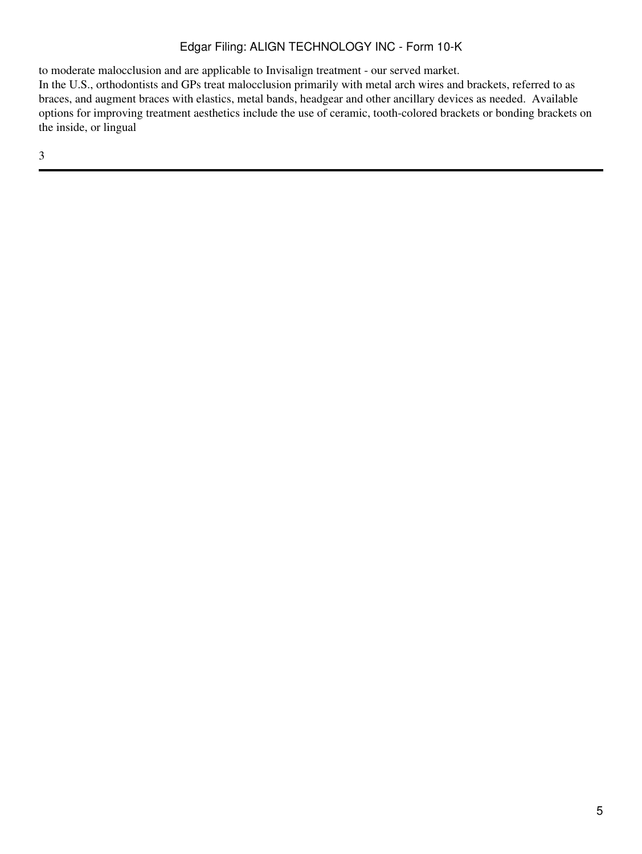to moderate malocclusion and are applicable to Invisalign treatment - our served market.

In the U.S., orthodontists and GPs treat malocclusion primarily with metal arch wires and brackets, referred to as braces, and augment braces with elastics, metal bands, headgear and other ancillary devices as needed. Available options for improving treatment aesthetics include the use of ceramic, tooth-colored brackets or bonding brackets on the inside, or lingual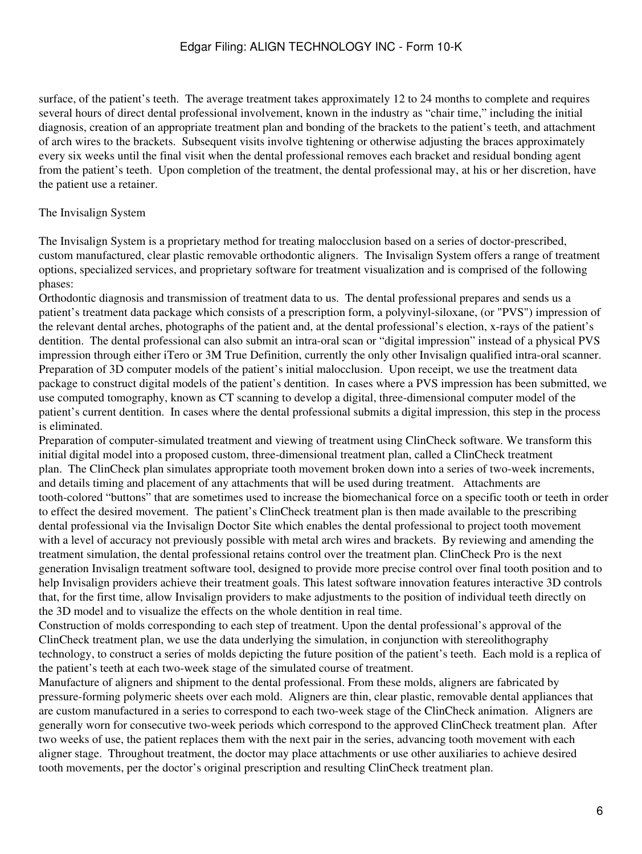surface, of the patient's teeth. The average treatment takes approximately 12 to 24 months to complete and requires several hours of direct dental professional involvement, known in the industry as "chair time," including the initial diagnosis, creation of an appropriate treatment plan and bonding of the brackets to the patient's teeth, and attachment of arch wires to the brackets. Subsequent visits involve tightening or otherwise adjusting the braces approximately every six weeks until the final visit when the dental professional removes each bracket and residual bonding agent from the patient's teeth. Upon completion of the treatment, the dental professional may, at his or her discretion, have the patient use a retainer.

### The Invisalign System

The Invisalign System is a proprietary method for treating malocclusion based on a series of doctor-prescribed, custom manufactured, clear plastic removable orthodontic aligners. The Invisalign System offers a range of treatment options, specialized services, and proprietary software for treatment visualization and is comprised of the following phases:

Orthodontic diagnosis and transmission of treatment data to us. The dental professional prepares and sends us a patient's treatment data package which consists of a prescription form, a polyvinyl-siloxane, (or "PVS") impression of the relevant dental arches, photographs of the patient and, at the dental professional's election, x-rays of the patient's dentition. The dental professional can also submit an intra-oral scan or "digital impression" instead of a physical PVS impression through either iTero or 3M True Definition, currently the only other Invisalign qualified intra-oral scanner. Preparation of 3D computer models of the patient's initial malocclusion. Upon receipt, we use the treatment data package to construct digital models of the patient's dentition. In cases where a PVS impression has been submitted, we use computed tomography, known as CT scanning to develop a digital, three-dimensional computer model of the patient's current dentition. In cases where the dental professional submits a digital impression, this step in the process is eliminated.

Preparation of computer-simulated treatment and viewing of treatment using ClinCheck software. We transform this initial digital model into a proposed custom, three-dimensional treatment plan, called a ClinCheck treatment plan. The ClinCheck plan simulates appropriate tooth movement broken down into a series of two-week increments, and details timing and placement of any attachments that will be used during treatment. Attachments are tooth-colored "buttons" that are sometimes used to increase the biomechanical force on a specific tooth or teeth in order to effect the desired movement. The patient's ClinCheck treatment plan is then made available to the prescribing dental professional via the Invisalign Doctor Site which enables the dental professional to project tooth movement with a level of accuracy not previously possible with metal arch wires and brackets. By reviewing and amending the treatment simulation, the dental professional retains control over the treatment plan. ClinCheck Pro is the next generation Invisalign treatment software tool, designed to provide more precise control over final tooth position and to help Invisalign providers achieve their treatment goals. This latest software innovation features interactive 3D controls that, for the first time, allow Invisalign providers to make adjustments to the position of individual teeth directly on the 3D model and to visualize the effects on the whole dentition in real time.

Construction of molds corresponding to each step of treatment. Upon the dental professional's approval of the ClinCheck treatment plan, we use the data underlying the simulation, in conjunction with stereolithography technology, to construct a series of molds depicting the future position of the patient's teeth. Each mold is a replica of the patient's teeth at each two-week stage of the simulated course of treatment.

Manufacture of aligners and shipment to the dental professional. From these molds, aligners are fabricated by pressure-forming polymeric sheets over each mold. Aligners are thin, clear plastic, removable dental appliances that are custom manufactured in a series to correspond to each two-week stage of the ClinCheck animation. Aligners are generally worn for consecutive two-week periods which correspond to the approved ClinCheck treatment plan. After two weeks of use, the patient replaces them with the next pair in the series, advancing tooth movement with each aligner stage. Throughout treatment, the doctor may place attachments or use other auxiliaries to achieve desired tooth movements, per the doctor's original prescription and resulting ClinCheck treatment plan.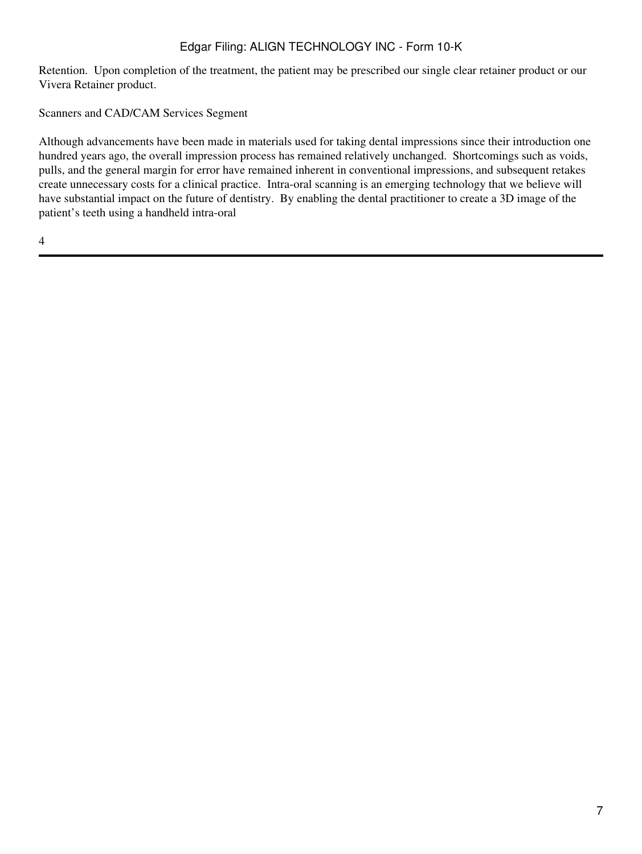Retention. Upon completion of the treatment, the patient may be prescribed our single clear retainer product or our Vivera Retainer product.

Scanners and CAD/CAM Services Segment

Although advancements have been made in materials used for taking dental impressions since their introduction one hundred years ago, the overall impression process has remained relatively unchanged. Shortcomings such as voids, pulls, and the general margin for error have remained inherent in conventional impressions, and subsequent retakes create unnecessary costs for a clinical practice. Intra-oral scanning is an emerging technology that we believe will have substantial impact on the future of dentistry. By enabling the dental practitioner to create a 3D image of the patient's teeth using a handheld intra-oral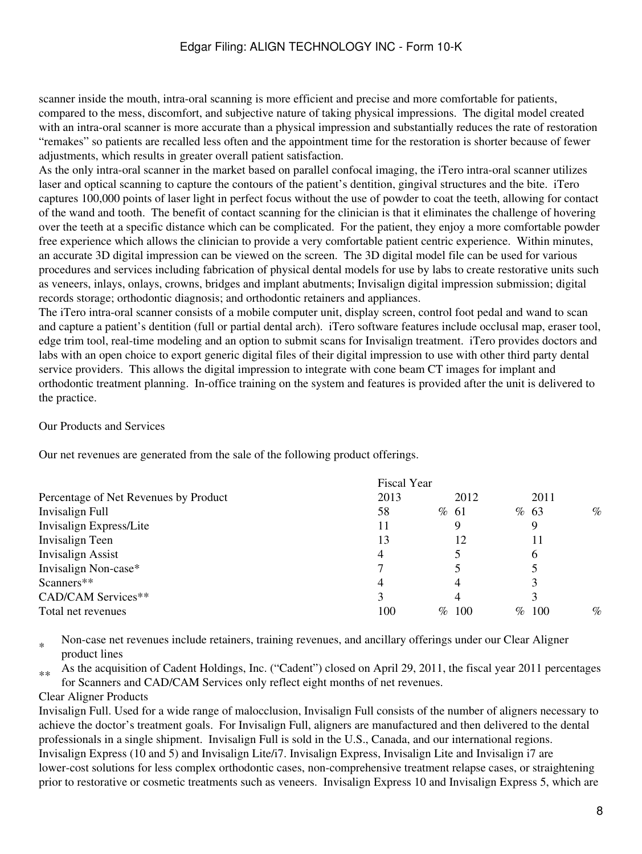scanner inside the mouth, intra-oral scanning is more efficient and precise and more comfortable for patients, compared to the mess, discomfort, and subjective nature of taking physical impressions. The digital model created with an intra-oral scanner is more accurate than a physical impression and substantially reduces the rate of restoration "remakes" so patients are recalled less often and the appointment time for the restoration is shorter because of fewer adjustments, which results in greater overall patient satisfaction.

As the only intra-oral scanner in the market based on parallel confocal imaging, the iTero intra-oral scanner utilizes laser and optical scanning to capture the contours of the patient's dentition, gingival structures and the bite. iTero captures 100,000 points of laser light in perfect focus without the use of powder to coat the teeth, allowing for contact of the wand and tooth. The benefit of contact scanning for the clinician is that it eliminates the challenge of hovering over the teeth at a specific distance which can be complicated. For the patient, they enjoy a more comfortable powder free experience which allows the clinician to provide a very comfortable patient centric experience. Within minutes, an accurate 3D digital impression can be viewed on the screen. The 3D digital model file can be used for various procedures and services including fabrication of physical dental models for use by labs to create restorative units such as veneers, inlays, onlays, crowns, bridges and implant abutments; Invisalign digital impression submission; digital records storage; orthodontic diagnosis; and orthodontic retainers and appliances.

The iTero intra-oral scanner consists of a mobile computer unit, display screen, control foot pedal and wand to scan and capture a patient's dentition (full or partial dental arch). iTero software features include occlusal map, eraser tool, edge trim tool, real-time modeling and an option to submit scans for Invisalign treatment. iTero provides doctors and labs with an open choice to export generic digital files of their digital impression to use with other third party dental service providers. This allows the digital impression to integrate with cone beam CT images for implant and orthodontic treatment planning. In-office training on the system and features is provided after the unit is delivered to the practice.

#### Our Products and Services

Our net revenues are generated from the sale of the following product offerings.

|                                       | Fiscal Year |      |             |              |
|---------------------------------------|-------------|------|-------------|--------------|
| Percentage of Net Revenues by Product | 2013        |      | 2012        | 2011         |
| Invisalign Full                       | 58          | % 61 |             | $\%$<br>% 63 |
| Invisalign Express/Lite               | 11          | 9    |             | 9            |
| Invisalign Teen                       | 13          |      | 12          | 11           |
| <b>Invisalign Assist</b>              | 4           |      |             | 6            |
| Invisalign Non-case*                  |             |      |             |              |
| Scanners**                            | 4           | 4    |             | 3            |
| CAD/CAM Services**                    |             | 4    |             | 3            |
| Total net revenues                    | 100         | $\%$ | 100<br>$\%$ | $\%$<br>100  |

\* Non-case net revenues include retainers, training revenues, and ancillary offerings under our Clear Aligner product lines

 $*$  As the acquisition of Cadent Holdings, Inc. ("Cadent") closed on April 29, 2011, the fiscal year 2011 percentages for Scanners and CAD/CAM Services only reflect eight months of net revenues.

#### Clear Aligner Products

Invisalign Full. Used for a wide range of malocclusion, Invisalign Full consists of the number of aligners necessary to achieve the doctor's treatment goals. For Invisalign Full, aligners are manufactured and then delivered to the dental professionals in a single shipment. Invisalign Full is sold in the U.S., Canada, and our international regions. Invisalign Express (10 and 5) and Invisalign Lite/i7. Invisalign Express, Invisalign Lite and Invisalign i7 are lower-cost solutions for less complex orthodontic cases, non-comprehensive treatment relapse cases, or straightening prior to restorative or cosmetic treatments such as veneers. Invisalign Express 10 and Invisalign Express 5, which are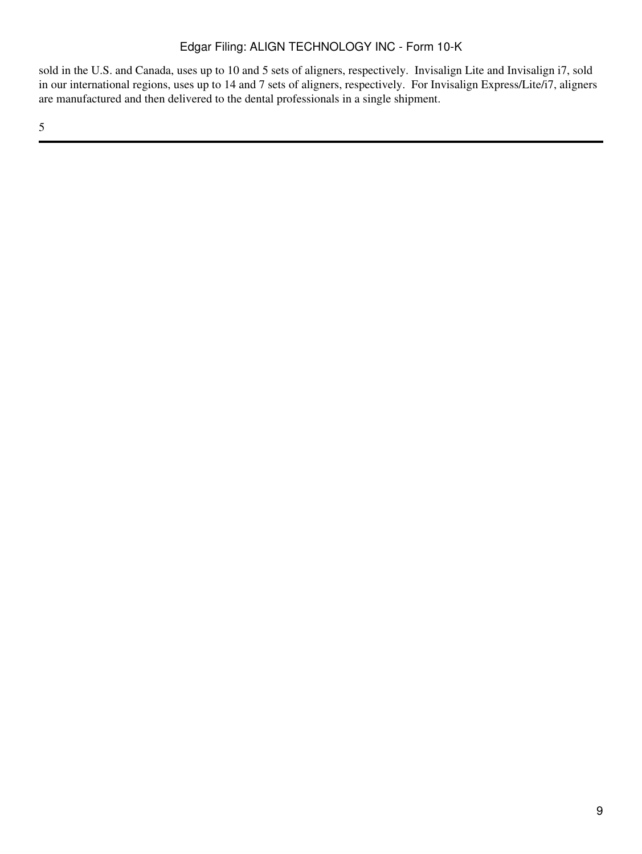sold in the U.S. and Canada, uses up to 10 and 5 sets of aligners, respectively. Invisalign Lite and Invisalign i7, sold in our international regions, uses up to 14 and 7 sets of aligners, respectively. For Invisalign Express/Lite/i7, aligners are manufactured and then delivered to the dental professionals in a single shipment.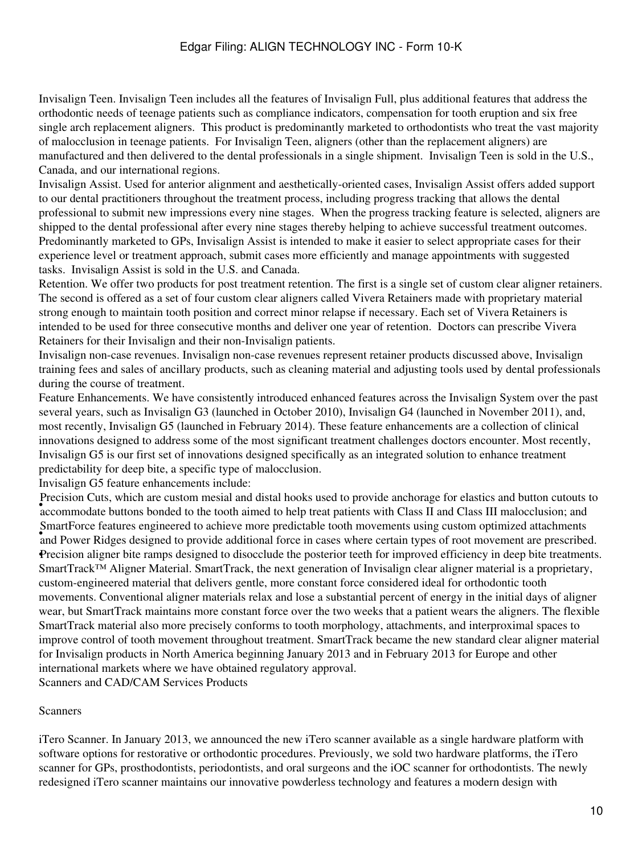Invisalign Teen. Invisalign Teen includes all the features of Invisalign Full, plus additional features that address the orthodontic needs of teenage patients such as compliance indicators, compensation for tooth eruption and six free single arch replacement aligners. This product is predominantly marketed to orthodontists who treat the vast majority of malocclusion in teenage patients. For Invisalign Teen, aligners (other than the replacement aligners) are manufactured and then delivered to the dental professionals in a single shipment. Invisalign Teen is sold in the U.S., Canada, and our international regions.

Invisalign Assist. Used for anterior alignment and aesthetically-oriented cases, Invisalign Assist offers added support to our dental practitioners throughout the treatment process, including progress tracking that allows the dental professional to submit new impressions every nine stages. When the progress tracking feature is selected, aligners are shipped to the dental professional after every nine stages thereby helping to achieve successful treatment outcomes. Predominantly marketed to GPs, Invisalign Assist is intended to make it easier to select appropriate cases for their experience level or treatment approach, submit cases more efficiently and manage appointments with suggested tasks. Invisalign Assist is sold in the U.S. and Canada.

Retention. We offer two products for post treatment retention. The first is a single set of custom clear aligner retainers. The second is offered as a set of four custom clear aligners called Vivera Retainers made with proprietary material strong enough to maintain tooth position and correct minor relapse if necessary. Each set of Vivera Retainers is intended to be used for three consecutive months and deliver one year of retention. Doctors can prescribe Vivera Retainers for their Invisalign and their non-Invisalign patients.

Invisalign non-case revenues. Invisalign non-case revenues represent retainer products discussed above, Invisalign training fees and sales of ancillary products, such as cleaning material and adjusting tools used by dental professionals during the course of treatment.

Feature Enhancements. We have consistently introduced enhanced features across the Invisalign System over the past several years, such as Invisalign G3 (launched in October 2010), Invisalign G4 (launched in November 2011), and, most recently, Invisalign G5 (launched in February 2014). These feature enhancements are a collection of clinical innovations designed to address some of the most significant treatment challenges doctors encounter. Most recently, Invisalign G5 is our first set of innovations designed specifically as an integrated solution to enhance treatment predictability for deep bite, a specific type of malocclusion.

Invisalign G5 feature enhancements include:

**Exercision** Cuts, which are eastern mesna and usual hooks used to provide anemologe for enasties and oution eatours accommodate buttons bonded to the tooth aimed to help treat patients with Class II and Class III malocclu Precision Cuts, which are custom mesial and distal hooks used to provide anchorage for elastics and button cutouts to and Power Ridges designed to provide additional force in cases where certain types of root movement are prescribed. SmartForce features engineered to achieve more predictable tooth movements using custom optimized attachments •Precision aligner bite ramps designed to disocclude the posterior teeth for improved efficiency in deep bite treatments. SmartTrack™ Aligner Material. SmartTrack, the next generation of Invisalign clear aligner material is a proprietary, custom-engineered material that delivers gentle, more constant force considered ideal for orthodontic tooth movements. Conventional aligner materials relax and lose a substantial percent of energy in the initial days of aligner wear, but SmartTrack maintains more constant force over the two weeks that a patient wears the aligners. The flexible SmartTrack material also more precisely conforms to tooth morphology, attachments, and interproximal spaces to improve control of tooth movement throughout treatment. SmartTrack became the new standard clear aligner material for Invisalign products in North America beginning January 2013 and in February 2013 for Europe and other international markets where we have obtained regulatory approval.

Scanners and CAD/CAM Services Products

#### Scanners

iTero Scanner. In January 2013, we announced the new iTero scanner available as a single hardware platform with software options for restorative or orthodontic procedures. Previously, we sold two hardware platforms, the iTero scanner for GPs, prosthodontists, periodontists, and oral surgeons and the iOC scanner for orthodontists. The newly redesigned iTero scanner maintains our innovative powderless technology and features a modern design with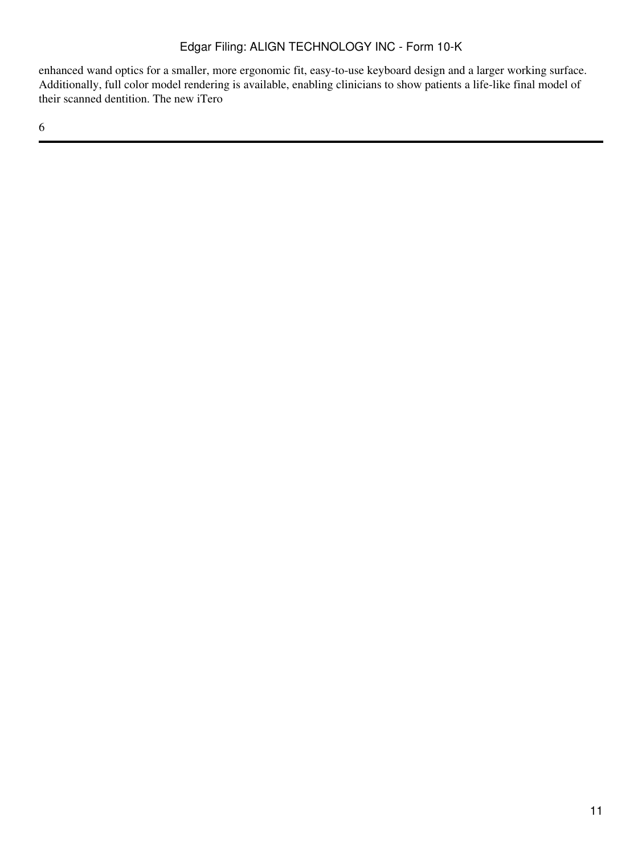enhanced wand optics for a smaller, more ergonomic fit, easy-to-use keyboard design and a larger working surface. Additionally, full color model rendering is available, enabling clinicians to show patients a life-like final model of their scanned dentition. The new iTero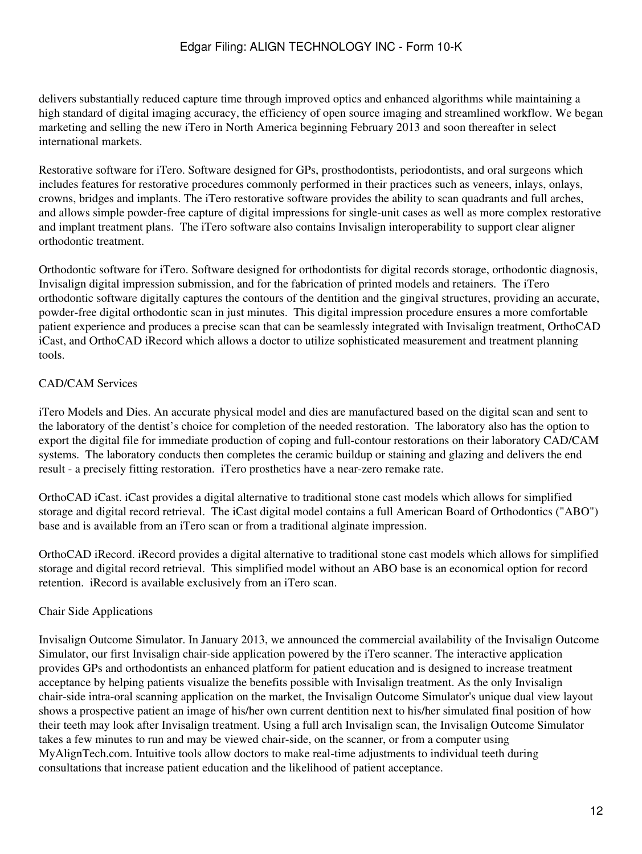delivers substantially reduced capture time through improved optics and enhanced algorithms while maintaining a high standard of digital imaging accuracy, the efficiency of open source imaging and streamlined workflow. We began marketing and selling the new iTero in North America beginning February 2013 and soon thereafter in select international markets.

Restorative software for iTero. Software designed for GPs, prosthodontists, periodontists, and oral surgeons which includes features for restorative procedures commonly performed in their practices such as veneers, inlays, onlays, crowns, bridges and implants. The iTero restorative software provides the ability to scan quadrants and full arches, and allows simple powder-free capture of digital impressions for single-unit cases as well as more complex restorative and implant treatment plans. The iTero software also contains Invisalign interoperability to support clear aligner orthodontic treatment.

Orthodontic software for iTero. Software designed for orthodontists for digital records storage, orthodontic diagnosis, Invisalign digital impression submission, and for the fabrication of printed models and retainers. The iTero orthodontic software digitally captures the contours of the dentition and the gingival structures, providing an accurate, powder-free digital orthodontic scan in just minutes. This digital impression procedure ensures a more comfortable patient experience and produces a precise scan that can be seamlessly integrated with Invisalign treatment, OrthoCAD iCast, and OrthoCAD iRecord which allows a doctor to utilize sophisticated measurement and treatment planning tools.

# CAD/CAM Services

iTero Models and Dies. An accurate physical model and dies are manufactured based on the digital scan and sent to the laboratory of the dentist's choice for completion of the needed restoration. The laboratory also has the option to export the digital file for immediate production of coping and full-contour restorations on their laboratory CAD/CAM systems. The laboratory conducts then completes the ceramic buildup or staining and glazing and delivers the end result - a precisely fitting restoration. iTero prosthetics have a near-zero remake rate.

OrthoCAD iCast. iCast provides a digital alternative to traditional stone cast models which allows for simplified storage and digital record retrieval. The iCast digital model contains a full American Board of Orthodontics ("ABO") base and is available from an iTero scan or from a traditional alginate impression.

OrthoCAD iRecord. iRecord provides a digital alternative to traditional stone cast models which allows for simplified storage and digital record retrieval. This simplified model without an ABO base is an economical option for record retention. iRecord is available exclusively from an iTero scan.

### Chair Side Applications

Invisalign Outcome Simulator. In January 2013, we announced the commercial availability of the Invisalign Outcome Simulator, our first Invisalign chair-side application powered by the iTero scanner. The interactive application provides GPs and orthodontists an enhanced platform for patient education and is designed to increase treatment acceptance by helping patients visualize the benefits possible with Invisalign treatment. As the only Invisalign chair-side intra-oral scanning application on the market, the Invisalign Outcome Simulator's unique dual view layout shows a prospective patient an image of his/her own current dentition next to his/her simulated final position of how their teeth may look after Invisalign treatment. Using a full arch Invisalign scan, the Invisalign Outcome Simulator takes a few minutes to run and may be viewed chair-side, on the scanner, or from a computer using MyAlignTech.com. Intuitive tools allow doctors to make real-time adjustments to individual teeth during consultations that increase patient education and the likelihood of patient acceptance.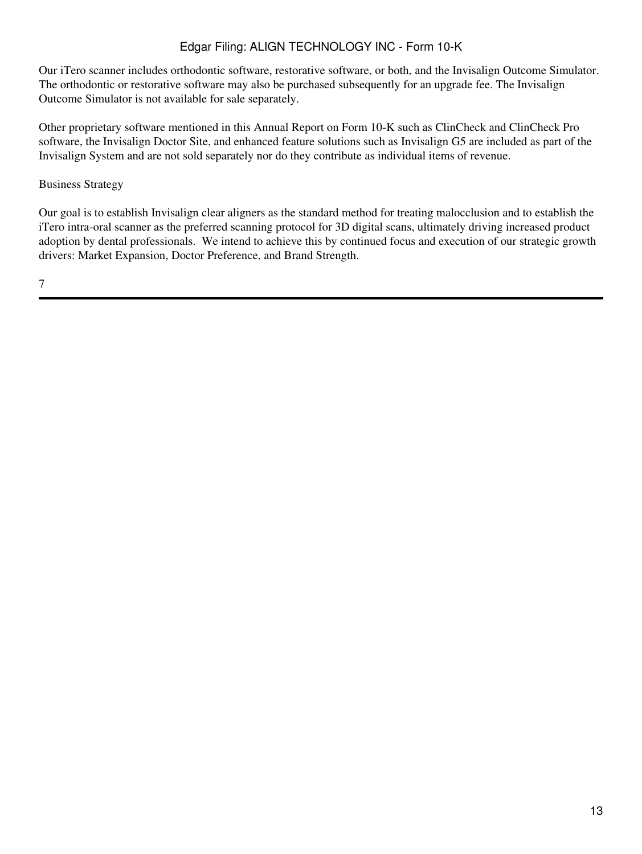Our iTero scanner includes orthodontic software, restorative software, or both, and the Invisalign Outcome Simulator. The orthodontic or restorative software may also be purchased subsequently for an upgrade fee. The Invisalign Outcome Simulator is not available for sale separately.

Other proprietary software mentioned in this Annual Report on Form 10-K such as ClinCheck and ClinCheck Pro software, the Invisalign Doctor Site, and enhanced feature solutions such as Invisalign G5 are included as part of the Invisalign System and are not sold separately nor do they contribute as individual items of revenue.

### Business Strategy

Our goal is to establish Invisalign clear aligners as the standard method for treating malocclusion and to establish the iTero intra-oral scanner as the preferred scanning protocol for 3D digital scans, ultimately driving increased product adoption by dental professionals. We intend to achieve this by continued focus and execution of our strategic growth drivers: Market Expansion, Doctor Preference, and Brand Strength.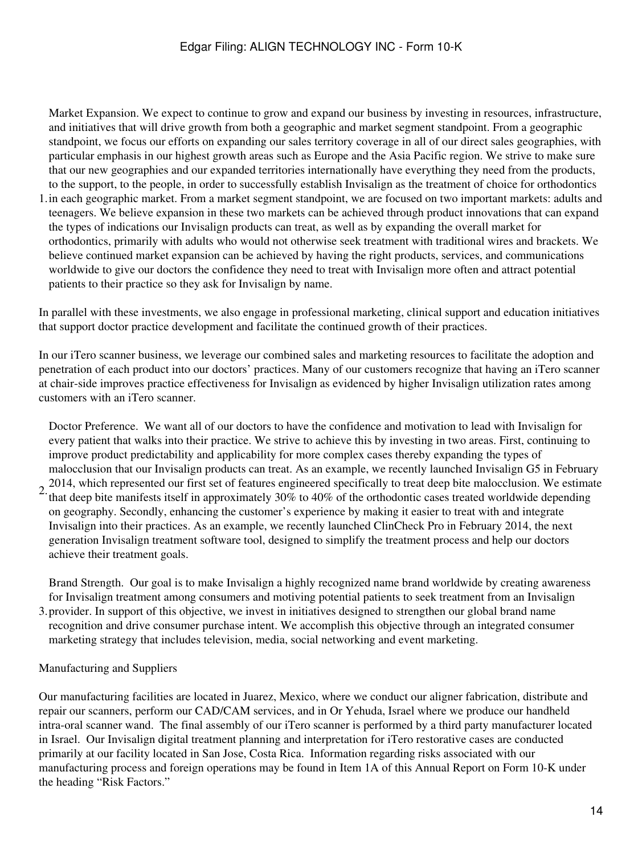Market Expansion. We expect to continue to grow and expand our business by investing in resources, infrastructure, and initiatives that will drive growth from both a geographic and market segment standpoint. From a geographic standpoint, we focus our efforts on expanding our sales territory coverage in all of our direct sales geographies, with particular emphasis in our highest growth areas such as Europe and the Asia Pacific region. We strive to make sure that our new geographies and our expanded territories internationally have everything they need from the products, to the support, to the people, in order to successfully establish Invisalign as the treatment of choice for orthodontics

1. in each geographic market. From a market segment standpoint, we are focused on two important markets: adults and teenagers. We believe expansion in these two markets can be achieved through product innovations that can expand the types of indications our Invisalign products can treat, as well as by expanding the overall market for orthodontics, primarily with adults who would not otherwise seek treatment with traditional wires and brackets. We believe continued market expansion can be achieved by having the right products, services, and communications worldwide to give our doctors the confidence they need to treat with Invisalign more often and attract potential patients to their practice so they ask for Invisalign by name.

In parallel with these investments, we also engage in professional marketing, clinical support and education initiatives that support doctor practice development and facilitate the continued growth of their practices.

In our iTero scanner business, we leverage our combined sales and marketing resources to facilitate the adoption and penetration of each product into our doctors' practices. Many of our customers recognize that having an iTero scanner at chair-side improves practice effectiveness for Invisalign as evidenced by higher Invisalign utilization rates among customers with an iTero scanner.

Doctor Preference. We want all of our doctors to have the confidence and motivation to lead with Invisalign for every patient that walks into their practice. We strive to achieve this by investing in two areas. First, continuing to improve product predictability and applicability for more complex cases thereby expanding the types of malocclusion that our Invisalign products can treat. As an example, we recently launched Invisalign G5 in February 2014, which represented our first set of features engineered specifically to treat deep bite malocclusion. We estimate

2. that deep bite manifests itself in approximately 30% to 40% of the orthodontic cases treated worldwide depending on geography. Secondly, enhancing the customer's experience by making it easier to treat with and integrate Invisalign into their practices. As an example, we recently launched ClinCheck Pro in February 2014, the next generation Invisalign treatment software tool, designed to simplify the treatment process and help our doctors achieve their treatment goals.

3. provider. In support of this objective, we invest in initiatives designed to strengthen our global brand name Brand Strength. Our goal is to make Invisalign a highly recognized name brand worldwide by creating awareness for Invisalign treatment among consumers and motiving potential patients to seek treatment from an Invisalign recognition and drive consumer purchase intent. We accomplish this objective through an integrated consumer marketing strategy that includes television, media, social networking and event marketing.

### Manufacturing and Suppliers

Our manufacturing facilities are located in Juarez, Mexico, where we conduct our aligner fabrication, distribute and repair our scanners, perform our CAD/CAM services, and in Or Yehuda, Israel where we produce our handheld intra-oral scanner wand. The final assembly of our iTero scanner is performed by a third party manufacturer located in Israel. Our Invisalign digital treatment planning and interpretation for iTero restorative cases are conducted primarily at our facility located in San Jose, Costa Rica. Information regarding risks associated with our manufacturing process and foreign operations may be found in Item 1A of this Annual Report on Form 10-K under the heading "Risk Factors."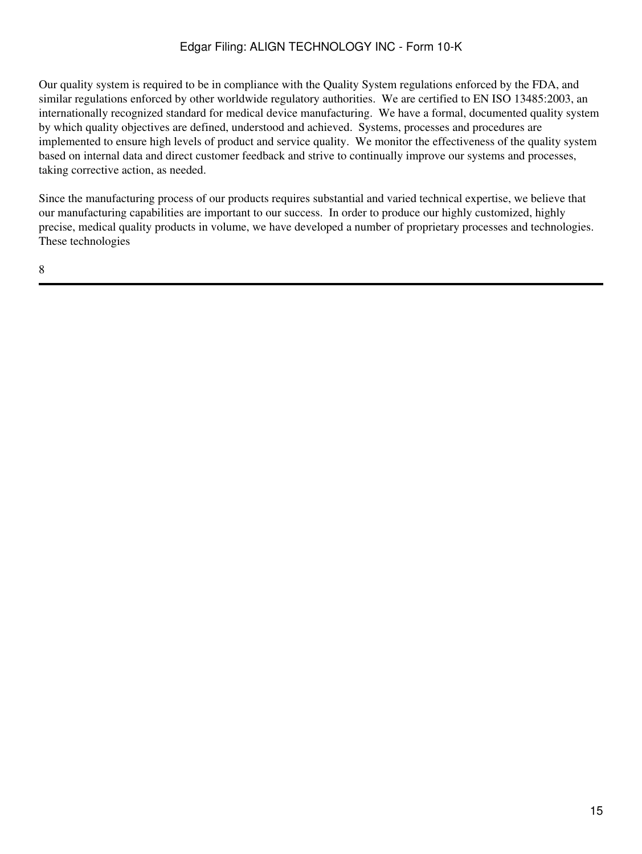Our quality system is required to be in compliance with the Quality System regulations enforced by the FDA, and similar regulations enforced by other worldwide regulatory authorities. We are certified to EN ISO 13485:2003, an internationally recognized standard for medical device manufacturing. We have a formal, documented quality system by which quality objectives are defined, understood and achieved. Systems, processes and procedures are implemented to ensure high levels of product and service quality. We monitor the effectiveness of the quality system based on internal data and direct customer feedback and strive to continually improve our systems and processes, taking corrective action, as needed.

Since the manufacturing process of our products requires substantial and varied technical expertise, we believe that our manufacturing capabilities are important to our success. In order to produce our highly customized, highly precise, medical quality products in volume, we have developed a number of proprietary processes and technologies. These technologies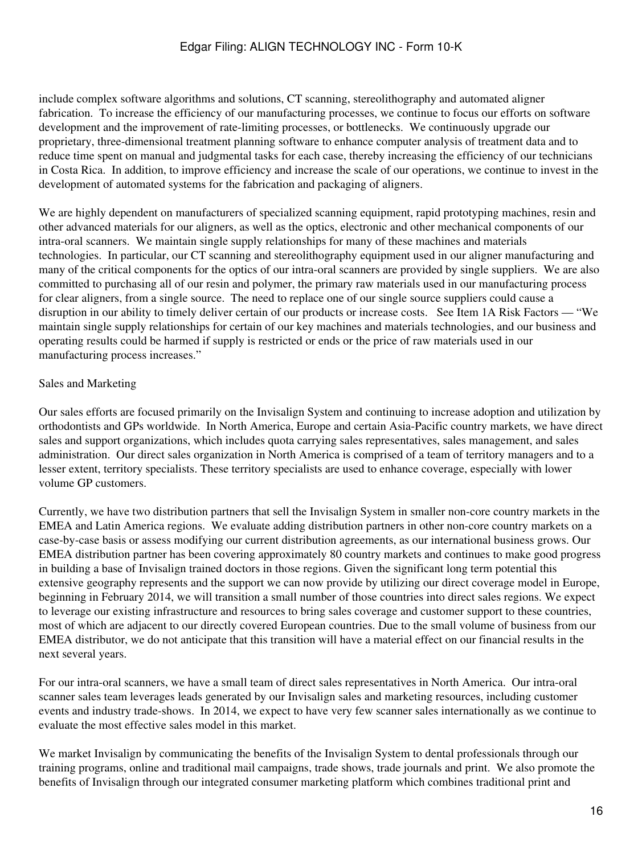include complex software algorithms and solutions, CT scanning, stereolithography and automated aligner fabrication. To increase the efficiency of our manufacturing processes, we continue to focus our efforts on software development and the improvement of rate-limiting processes, or bottlenecks. We continuously upgrade our proprietary, three-dimensional treatment planning software to enhance computer analysis of treatment data and to reduce time spent on manual and judgmental tasks for each case, thereby increasing the efficiency of our technicians in Costa Rica. In addition, to improve efficiency and increase the scale of our operations, we continue to invest in the development of automated systems for the fabrication and packaging of aligners.

We are highly dependent on manufacturers of specialized scanning equipment, rapid prototyping machines, resin and other advanced materials for our aligners, as well as the optics, electronic and other mechanical components of our intra-oral scanners. We maintain single supply relationships for many of these machines and materials technologies. In particular, our CT scanning and stereolithography equipment used in our aligner manufacturing and many of the critical components for the optics of our intra-oral scanners are provided by single suppliers. We are also committed to purchasing all of our resin and polymer, the primary raw materials used in our manufacturing process for clear aligners, from a single source. The need to replace one of our single source suppliers could cause a disruption in our ability to timely deliver certain of our products or increase costs. See Item 1A Risk Factors — "We maintain single supply relationships for certain of our key machines and materials technologies, and our business and operating results could be harmed if supply is restricted or ends or the price of raw materials used in our manufacturing process increases."

### Sales and Marketing

Our sales efforts are focused primarily on the Invisalign System and continuing to increase adoption and utilization by orthodontists and GPs worldwide. In North America, Europe and certain Asia-Pacific country markets, we have direct sales and support organizations, which includes quota carrying sales representatives, sales management, and sales administration. Our direct sales organization in North America is comprised of a team of territory managers and to a lesser extent, territory specialists. These territory specialists are used to enhance coverage, especially with lower volume GP customers.

Currently, we have two distribution partners that sell the Invisalign System in smaller non-core country markets in the EMEA and Latin America regions. We evaluate adding distribution partners in other non-core country markets on a case-by-case basis or assess modifying our current distribution agreements, as our international business grows. Our EMEA distribution partner has been covering approximately 80 country markets and continues to make good progress in building a base of Invisalign trained doctors in those regions. Given the significant long term potential this extensive geography represents and the support we can now provide by utilizing our direct coverage model in Europe, beginning in February 2014, we will transition a small number of those countries into direct sales regions. We expect to leverage our existing infrastructure and resources to bring sales coverage and customer support to these countries, most of which are adjacent to our directly covered European countries. Due to the small volume of business from our EMEA distributor, we do not anticipate that this transition will have a material effect on our financial results in the next several years.

For our intra-oral scanners, we have a small team of direct sales representatives in North America. Our intra-oral scanner sales team leverages leads generated by our Invisalign sales and marketing resources, including customer events and industry trade-shows. In 2014, we expect to have very few scanner sales internationally as we continue to evaluate the most effective sales model in this market.

We market Invisalign by communicating the benefits of the Invisalign System to dental professionals through our training programs, online and traditional mail campaigns, trade shows, trade journals and print. We also promote the benefits of Invisalign through our integrated consumer marketing platform which combines traditional print and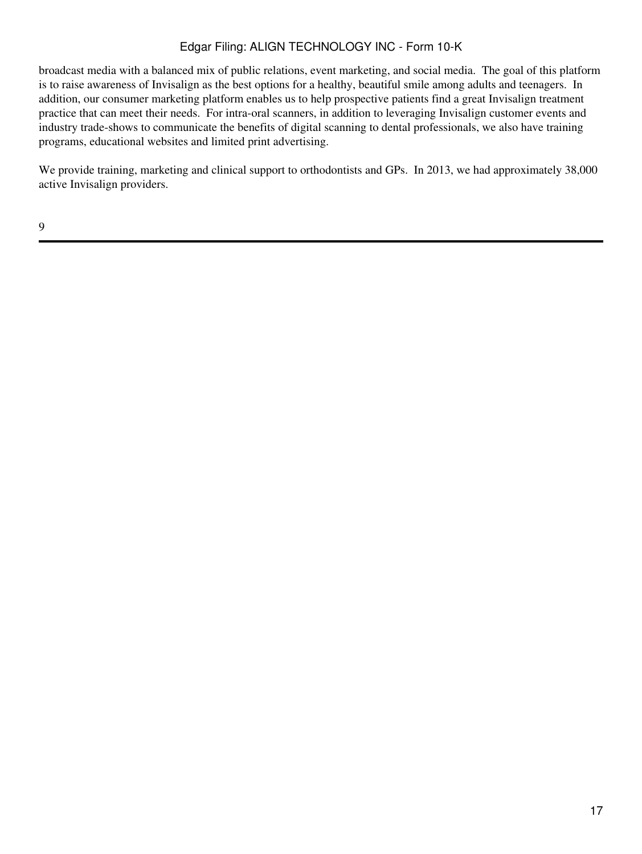broadcast media with a balanced mix of public relations, event marketing, and social media. The goal of this platform is to raise awareness of Invisalign as the best options for a healthy, beautiful smile among adults and teenagers. In addition, our consumer marketing platform enables us to help prospective patients find a great Invisalign treatment practice that can meet their needs. For intra-oral scanners, in addition to leveraging Invisalign customer events and industry trade-shows to communicate the benefits of digital scanning to dental professionals, we also have training programs, educational websites and limited print advertising.

We provide training, marketing and clinical support to orthodontists and GPs. In 2013, we had approximately 38,000 active Invisalign providers.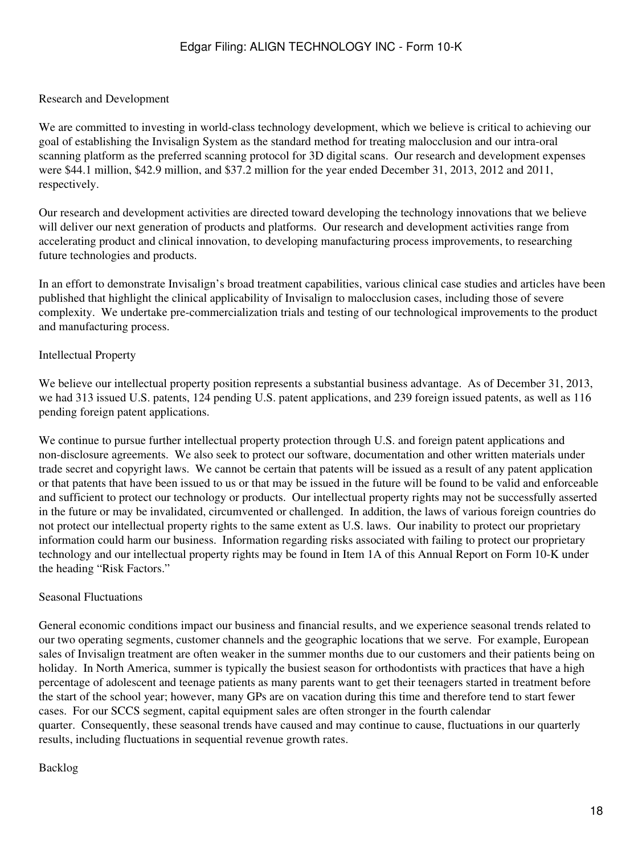#### Research and Development

We are committed to investing in world-class technology development, which we believe is critical to achieving our goal of establishing the Invisalign System as the standard method for treating malocclusion and our intra-oral scanning platform as the preferred scanning protocol for 3D digital scans. Our research and development expenses were \$44.1 million, \$42.9 million, and \$37.2 million for the year ended December 31, 2013, 2012 and 2011, respectively.

Our research and development activities are directed toward developing the technology innovations that we believe will deliver our next generation of products and platforms. Our research and development activities range from accelerating product and clinical innovation, to developing manufacturing process improvements, to researching future technologies and products.

In an effort to demonstrate Invisalign's broad treatment capabilities, various clinical case studies and articles have been published that highlight the clinical applicability of Invisalign to malocclusion cases, including those of severe complexity. We undertake pre-commercialization trials and testing of our technological improvements to the product and manufacturing process.

#### Intellectual Property

We believe our intellectual property position represents a substantial business advantage. As of December 31, 2013, we had 313 issued U.S. patents, 124 pending U.S. patent applications, and 239 foreign issued patents, as well as 116 pending foreign patent applications.

We continue to pursue further intellectual property protection through U.S. and foreign patent applications and non-disclosure agreements. We also seek to protect our software, documentation and other written materials under trade secret and copyright laws. We cannot be certain that patents will be issued as a result of any patent application or that patents that have been issued to us or that may be issued in the future will be found to be valid and enforceable and sufficient to protect our technology or products. Our intellectual property rights may not be successfully asserted in the future or may be invalidated, circumvented or challenged. In addition, the laws of various foreign countries do not protect our intellectual property rights to the same extent as U.S. laws. Our inability to protect our proprietary information could harm our business. Information regarding risks associated with failing to protect our proprietary technology and our intellectual property rights may be found in Item 1A of this Annual Report on Form 10-K under the heading "Risk Factors."

#### Seasonal Fluctuations

General economic conditions impact our business and financial results, and we experience seasonal trends related to our two operating segments, customer channels and the geographic locations that we serve. For example, European sales of Invisalign treatment are often weaker in the summer months due to our customers and their patients being on holiday. In North America, summer is typically the busiest season for orthodontists with practices that have a high percentage of adolescent and teenage patients as many parents want to get their teenagers started in treatment before the start of the school year; however, many GPs are on vacation during this time and therefore tend to start fewer cases. For our SCCS segment, capital equipment sales are often stronger in the fourth calendar quarter. Consequently, these seasonal trends have caused and may continue to cause, fluctuations in our quarterly results, including fluctuations in sequential revenue growth rates.

#### Backlog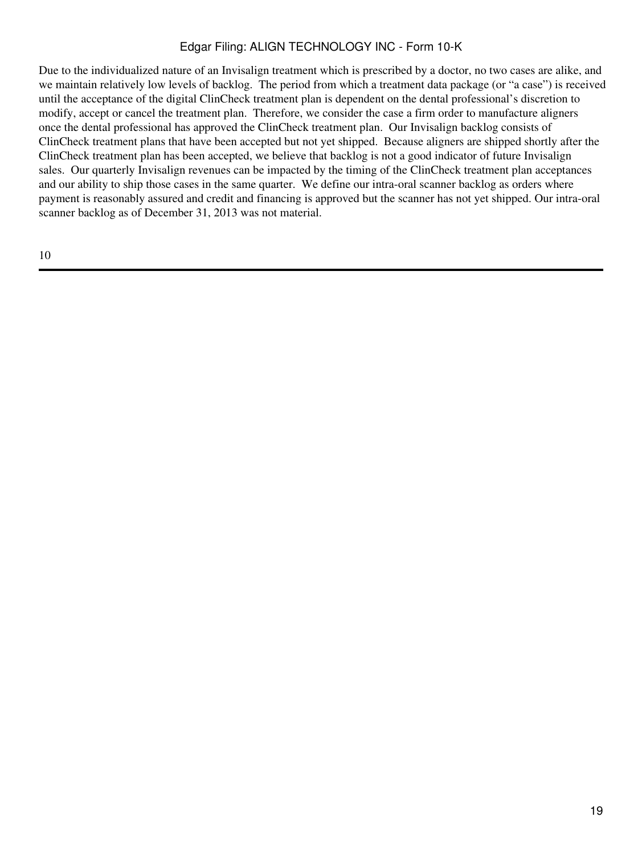Due to the individualized nature of an Invisalign treatment which is prescribed by a doctor, no two cases are alike, and we maintain relatively low levels of backlog. The period from which a treatment data package (or "a case") is received until the acceptance of the digital ClinCheck treatment plan is dependent on the dental professional's discretion to modify, accept or cancel the treatment plan. Therefore, we consider the case a firm order to manufacture aligners once the dental professional has approved the ClinCheck treatment plan. Our Invisalign backlog consists of ClinCheck treatment plans that have been accepted but not yet shipped. Because aligners are shipped shortly after the ClinCheck treatment plan has been accepted, we believe that backlog is not a good indicator of future Invisalign sales. Our quarterly Invisalign revenues can be impacted by the timing of the ClinCheck treatment plan acceptances and our ability to ship those cases in the same quarter. We define our intra-oral scanner backlog as orders where payment is reasonably assured and credit and financing is approved but the scanner has not yet shipped. Our intra-oral scanner backlog as of December 31, 2013 was not material.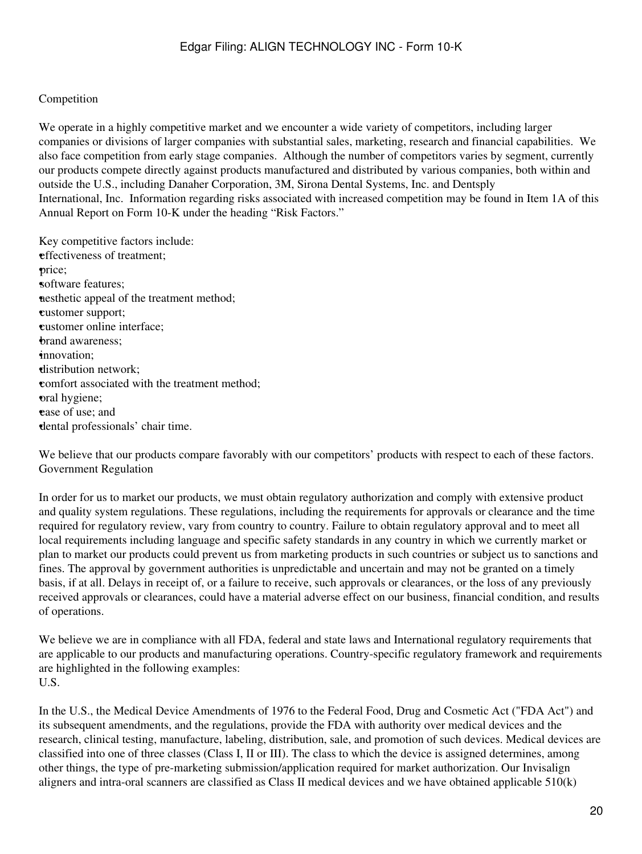#### Competition

We operate in a highly competitive market and we encounter a wide variety of competitors, including larger companies or divisions of larger companies with substantial sales, marketing, research and financial capabilities. We also face competition from early stage companies. Although the number of competitors varies by segment, currently our products compete directly against products manufactured and distributed by various companies, both within and outside the U.S., including Danaher Corporation, 3M, Sirona Dental Systems, Inc. and Dentsply International, Inc. Information regarding risks associated with increased competition may be found in Item 1A of this Annual Report on Form 10-K under the heading "Risk Factors."

Key competitive factors include: •effectiveness of treatment; •price; software features; **a**esthetic appeal of the treatment method; •customer support; •customer online interface; **brand awareness:** •innovation; •distribution network; •comfort associated with the treatment method; •oral hygiene; **ease** of use; and •dental professionals' chair time.

We believe that our products compare favorably with our competitors' products with respect to each of these factors. Government Regulation

In order for us to market our products, we must obtain regulatory authorization and comply with extensive product and quality system regulations. These regulations, including the requirements for approvals or clearance and the time required for regulatory review, vary from country to country. Failure to obtain regulatory approval and to meet all local requirements including language and specific safety standards in any country in which we currently market or plan to market our products could prevent us from marketing products in such countries or subject us to sanctions and fines. The approval by government authorities is unpredictable and uncertain and may not be granted on a timely basis, if at all. Delays in receipt of, or a failure to receive, such approvals or clearances, or the loss of any previously received approvals or clearances, could have a material adverse effect on our business, financial condition, and results of operations.

We believe we are in compliance with all FDA, federal and state laws and International regulatory requirements that are applicable to our products and manufacturing operations. Country-specific regulatory framework and requirements are highlighted in the following examples: U.S.

In the U.S., the Medical Device Amendments of 1976 to the Federal Food, Drug and Cosmetic Act ("FDA Act") and its subsequent amendments, and the regulations, provide the FDA with authority over medical devices and the research, clinical testing, manufacture, labeling, distribution, sale, and promotion of such devices. Medical devices are classified into one of three classes (Class I, II or III). The class to which the device is assigned determines, among other things, the type of pre-marketing submission/application required for market authorization. Our Invisalign aligners and intra-oral scanners are classified as Class II medical devices and we have obtained applicable 510(k)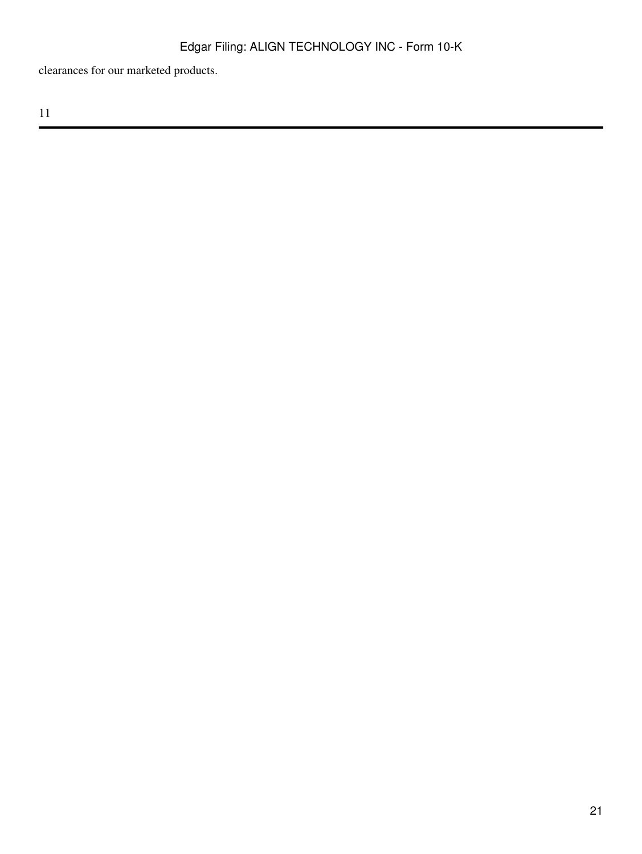clearances for our marketed products.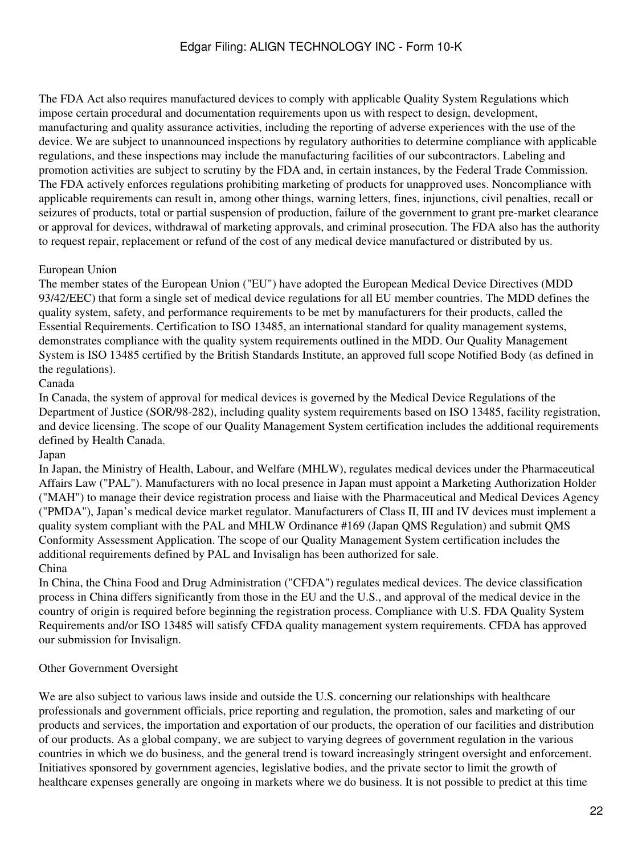The FDA Act also requires manufactured devices to comply with applicable Quality System Regulations which impose certain procedural and documentation requirements upon us with respect to design, development, manufacturing and quality assurance activities, including the reporting of adverse experiences with the use of the device. We are subject to unannounced inspections by regulatory authorities to determine compliance with applicable regulations, and these inspections may include the manufacturing facilities of our subcontractors. Labeling and promotion activities are subject to scrutiny by the FDA and, in certain instances, by the Federal Trade Commission. The FDA actively enforces regulations prohibiting marketing of products for unapproved uses. Noncompliance with applicable requirements can result in, among other things, warning letters, fines, injunctions, civil penalties, recall or seizures of products, total or partial suspension of production, failure of the government to grant pre-market clearance or approval for devices, withdrawal of marketing approvals, and criminal prosecution. The FDA also has the authority to request repair, replacement or refund of the cost of any medical device manufactured or distributed by us.

# European Union

The member states of the European Union ("EU") have adopted the European Medical Device Directives (MDD 93/42/EEC) that form a single set of medical device regulations for all EU member countries. The MDD defines the quality system, safety, and performance requirements to be met by manufacturers for their products, called the Essential Requirements. Certification to ISO 13485, an international standard for quality management systems, demonstrates compliance with the quality system requirements outlined in the MDD. Our Quality Management System is ISO 13485 certified by the British Standards Institute, an approved full scope Notified Body (as defined in the regulations).

# Canada

In Canada, the system of approval for medical devices is governed by the Medical Device Regulations of the Department of Justice (SOR/98-282), including quality system requirements based on ISO 13485, facility registration, and device licensing. The scope of our Quality Management System certification includes the additional requirements defined by Health Canada.

Japan

In Japan, the Ministry of Health, Labour, and Welfare (MHLW), regulates medical devices under the Pharmaceutical Affairs Law ("PAL"). Manufacturers with no local presence in Japan must appoint a Marketing Authorization Holder ("MAH") to manage their device registration process and liaise with the Pharmaceutical and Medical Devices Agency ("PMDA"), Japan's medical device market regulator. Manufacturers of Class II, III and IV devices must implement a quality system compliant with the PAL and MHLW Ordinance #169 (Japan QMS Regulation) and submit QMS Conformity Assessment Application. The scope of our Quality Management System certification includes the additional requirements defined by PAL and Invisalign has been authorized for sale. China

In China, the China Food and Drug Administration ("CFDA") regulates medical devices. The device classification process in China differs significantly from those in the EU and the U.S., and approval of the medical device in the country of origin is required before beginning the registration process. Compliance with U.S. FDA Quality System Requirements and/or ISO 13485 will satisfy CFDA quality management system requirements. CFDA has approved our submission for Invisalign.

### Other Government Oversight

We are also subject to various laws inside and outside the U.S. concerning our relationships with healthcare professionals and government officials, price reporting and regulation, the promotion, sales and marketing of our products and services, the importation and exportation of our products, the operation of our facilities and distribution of our products. As a global company, we are subject to varying degrees of government regulation in the various countries in which we do business, and the general trend is toward increasingly stringent oversight and enforcement. Initiatives sponsored by government agencies, legislative bodies, and the private sector to limit the growth of healthcare expenses generally are ongoing in markets where we do business. It is not possible to predict at this time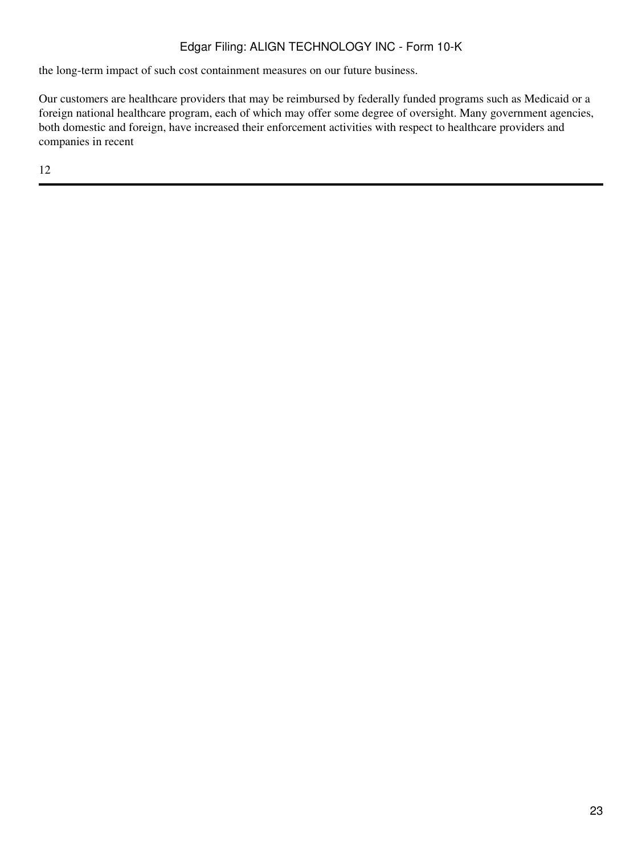the long-term impact of such cost containment measures on our future business.

Our customers are healthcare providers that may be reimbursed by federally funded programs such as Medicaid or a foreign national healthcare program, each of which may offer some degree of oversight. Many government agencies, both domestic and foreign, have increased their enforcement activities with respect to healthcare providers and companies in recent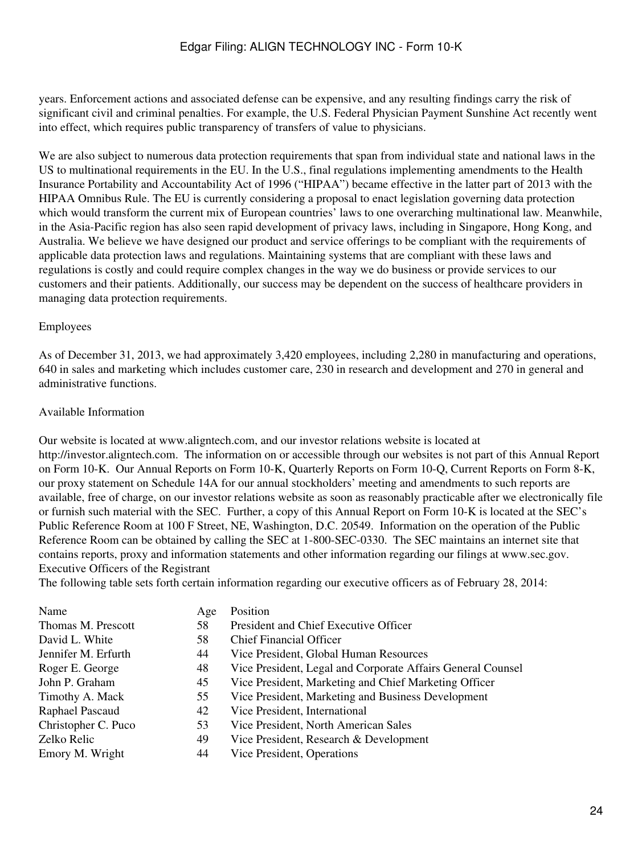years. Enforcement actions and associated defense can be expensive, and any resulting findings carry the risk of significant civil and criminal penalties. For example, the U.S. Federal Physician Payment Sunshine Act recently went into effect, which requires public transparency of transfers of value to physicians.

We are also subject to numerous data protection requirements that span from individual state and national laws in the US to multinational requirements in the EU. In the U.S., final regulations implementing amendments to the Health Insurance Portability and Accountability Act of 1996 ("HIPAA") became effective in the latter part of 2013 with the HIPAA Omnibus Rule. The EU is currently considering a proposal to enact legislation governing data protection which would transform the current mix of European countries' laws to one overarching multinational law. Meanwhile, in the Asia-Pacific region has also seen rapid development of privacy laws, including in Singapore, Hong Kong, and Australia. We believe we have designed our product and service offerings to be compliant with the requirements of applicable data protection laws and regulations. Maintaining systems that are compliant with these laws and regulations is costly and could require complex changes in the way we do business or provide services to our customers and their patients. Additionally, our success may be dependent on the success of healthcare providers in managing data protection requirements.

#### Employees

As of December 31, 2013, we had approximately 3,420 employees, including 2,280 in manufacturing and operations, 640 in sales and marketing which includes customer care, 230 in research and development and 270 in general and administrative functions.

#### Available Information

Our website is located at www.aligntech.com, and our investor relations website is located at http://investor.aligntech.com. The information on or accessible through our websites is not part of this Annual Report on Form 10-K. Our Annual Reports on Form 10-K, Quarterly Reports on Form 10-Q, Current Reports on Form 8-K, our proxy statement on Schedule 14A for our annual stockholders' meeting and amendments to such reports are available, free of charge, on our investor relations website as soon as reasonably practicable after we electronically file or furnish such material with the SEC. Further, a copy of this Annual Report on Form 10-K is located at the SEC's Public Reference Room at 100 F Street, NE, Washington, D.C. 20549. Information on the operation of the Public Reference Room can be obtained by calling the SEC at 1-800-SEC-0330. The SEC maintains an internet site that contains reports, proxy and information statements and other information regarding our filings at www.sec.gov. Executive Officers of the Registrant

<span id="page-23-0"></span>The following table sets forth certain information regarding our executive officers as of February 28, 2014:

| Name                | Age | Position                                                    |
|---------------------|-----|-------------------------------------------------------------|
| Thomas M. Prescott  | 58  | President and Chief Executive Officer                       |
| David L. White      | 58  | <b>Chief Financial Officer</b>                              |
| Jennifer M. Erfurth | 44  | Vice President, Global Human Resources                      |
| Roger E. George     | 48  | Vice President, Legal and Corporate Affairs General Counsel |
| John P. Graham      | 45  | Vice President, Marketing and Chief Marketing Officer       |
| Timothy A. Mack     | 55  | Vice President, Marketing and Business Development          |
| Raphael Pascaud     | 42  | Vice President, International                               |
| Christopher C. Puco | 53  | Vice President, North American Sales                        |
| Zelko Relic         | 49  | Vice President, Research & Development                      |
| Emory M. Wright     | 44  | Vice President, Operations                                  |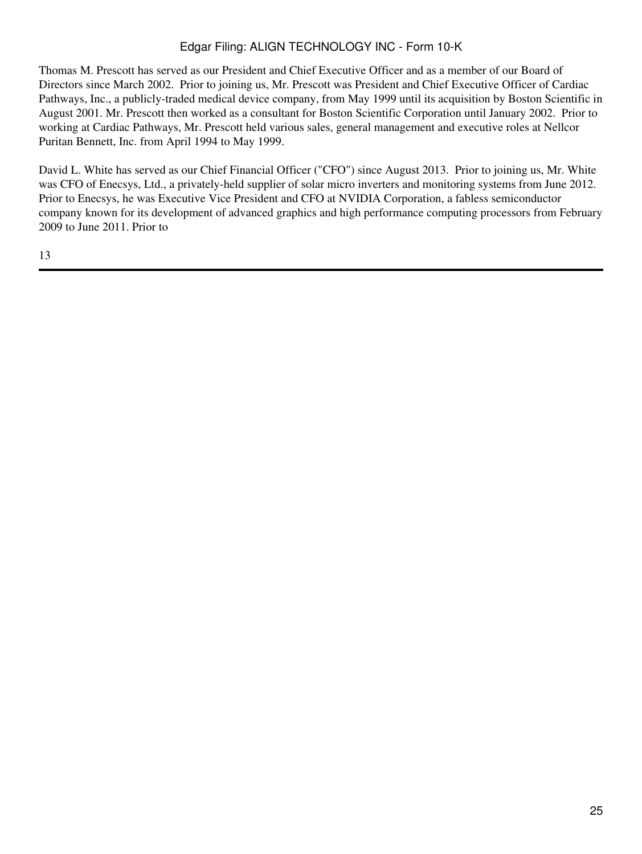Thomas M. Prescott has served as our President and Chief Executive Officer and as a member of our Board of Directors since March 2002. Prior to joining us, Mr. Prescott was President and Chief Executive Officer of Cardiac Pathways, Inc., a publicly-traded medical device company, from May 1999 until its acquisition by Boston Scientific in August 2001. Mr. Prescott then worked as a consultant for Boston Scientific Corporation until January 2002. Prior to working at Cardiac Pathways, Mr. Prescott held various sales, general management and executive roles at Nellcor Puritan Bennett, Inc. from April 1994 to May 1999.

David L. White has served as our Chief Financial Officer ("CFO") since August 2013. Prior to joining us, Mr. White was CFO of Enecsys, Ltd., a privately-held supplier of solar micro inverters and monitoring systems from June 2012. Prior to Enecsys, he was Executive Vice President and CFO at NVIDIA Corporation, a fabless semiconductor company known for its development of advanced graphics and high performance computing processors from February 2009 to June 2011. Prior to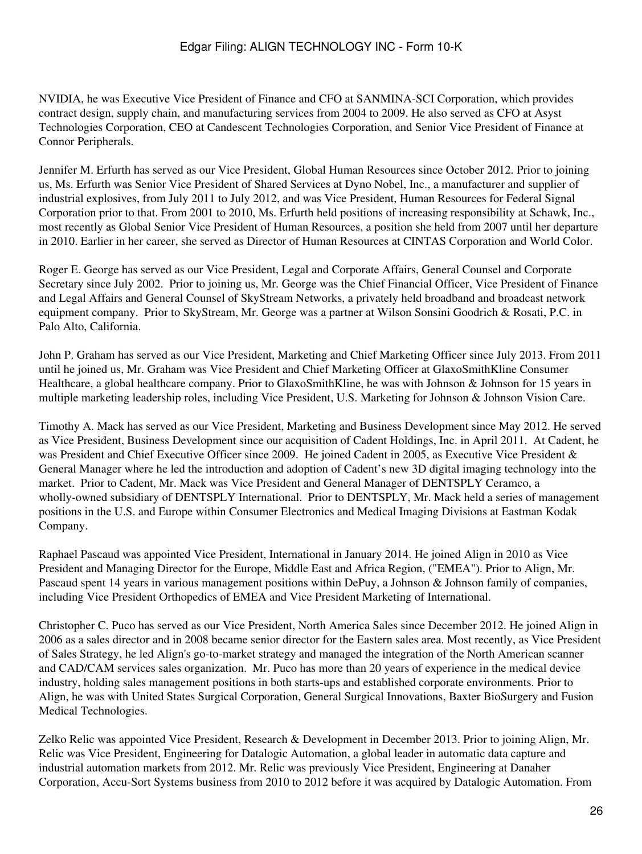NVIDIA, he was Executive Vice President of Finance and CFO at SANMINA-SCI Corporation, which provides contract design, supply chain, and manufacturing services from 2004 to 2009. He also served as CFO at Asyst Technologies Corporation, CEO at Candescent Technologies Corporation, and Senior Vice President of Finance at Connor Peripherals.

Jennifer M. Erfurth has served as our Vice President, Global Human Resources since October 2012. Prior to joining us, Ms. Erfurth was Senior Vice President of Shared Services at Dyno Nobel, Inc., a manufacturer and supplier of industrial explosives, from July 2011 to July 2012, and was Vice President, Human Resources for Federal Signal Corporation prior to that. From 2001 to 2010, Ms. Erfurth held positions of increasing responsibility at Schawk, Inc., most recently as Global Senior Vice President of Human Resources, a position she held from 2007 until her departure in 2010. Earlier in her career, she served as Director of Human Resources at CINTAS Corporation and World Color.

Roger E. George has served as our Vice President, Legal and Corporate Affairs, General Counsel and Corporate Secretary since July 2002. Prior to joining us, Mr. George was the Chief Financial Officer, Vice President of Finance and Legal Affairs and General Counsel of SkyStream Networks, a privately held broadband and broadcast network equipment company. Prior to SkyStream, Mr. George was a partner at Wilson Sonsini Goodrich & Rosati, P.C. in Palo Alto, California.

John P. Graham has served as our Vice President, Marketing and Chief Marketing Officer since July 2013. From 2011 until he joined us, Mr. Graham was Vice President and Chief Marketing Officer at GlaxoSmithKline Consumer Healthcare, a global healthcare company. Prior to GlaxoSmithKline, he was with Johnson & Johnson for 15 years in multiple marketing leadership roles, including Vice President, U.S. Marketing for Johnson & Johnson Vision Care.

Timothy A. Mack has served as our Vice President, Marketing and Business Development since May 2012. He served as Vice President, Business Development since our acquisition of Cadent Holdings, Inc. in April 2011. At Cadent, he was President and Chief Executive Officer since 2009. He joined Cadent in 2005, as Executive Vice President & General Manager where he led the introduction and adoption of Cadent's new 3D digital imaging technology into the market. Prior to Cadent, Mr. Mack was Vice President and General Manager of DENTSPLY Ceramco, a wholly-owned subsidiary of DENTSPLY International. Prior to DENTSPLY, Mr. Mack held a series of management positions in the U.S. and Europe within Consumer Electronics and Medical Imaging Divisions at Eastman Kodak Company.

Raphael Pascaud was appointed Vice President, International in January 2014. He joined Align in 2010 as Vice President and Managing Director for the Europe, Middle East and Africa Region, ("EMEA"). Prior to Align, Mr. Pascaud spent 14 years in various management positions within DePuy, a Johnson & Johnson family of companies, including Vice President Orthopedics of EMEA and Vice President Marketing of International.

Christopher C. Puco has served as our Vice President, North America Sales since December 2012. He joined Align in 2006 as a sales director and in 2008 became senior director for the Eastern sales area. Most recently, as Vice President of Sales Strategy, he led Align's go-to-market strategy and managed the integration of the North American scanner and CAD/CAM services sales organization. Mr. Puco has more than 20 years of experience in the medical device industry, holding sales management positions in both starts-ups and established corporate environments. Prior to Align, he was with United States Surgical Corporation, General Surgical Innovations, Baxter BioSurgery and Fusion Medical Technologies.

Zelko Relic was appointed Vice President, Research & Development in December 2013. Prior to joining Align, Mr. Relic was Vice President, Engineering for Datalogic Automation, a global leader in automatic data capture and industrial automation markets from 2012. Mr. Relic was previously Vice President, Engineering at Danaher Corporation, Accu-Sort Systems business from 2010 to 2012 before it was acquired by Datalogic Automation. From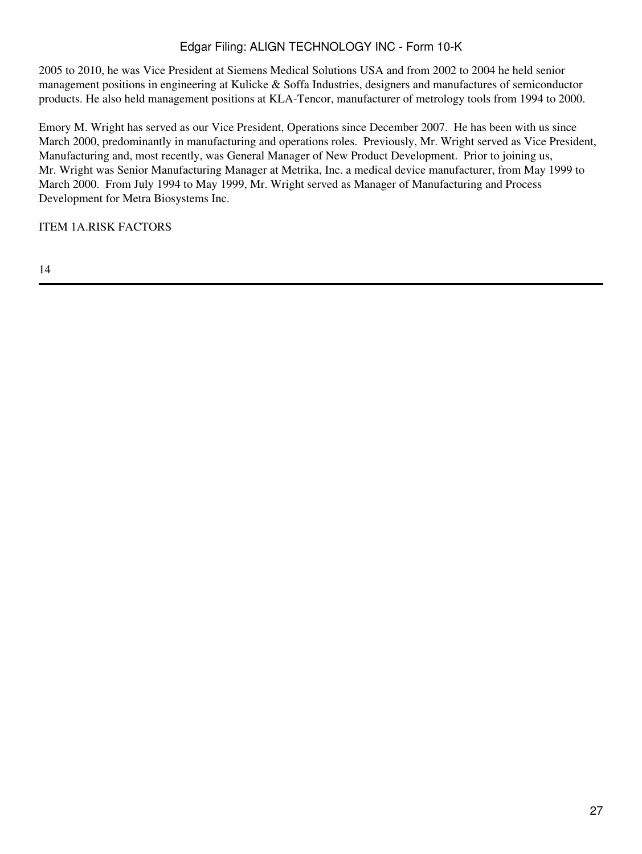2005 to 2010, he was Vice President at Siemens Medical Solutions USA and from 2002 to 2004 he held senior management positions in engineering at Kulicke & Soffa Industries, designers and manufactures of semiconductor products. He also held management positions at KLA-Tencor, manufacturer of metrology tools from 1994 to 2000.

Emory M. Wright has served as our Vice President, Operations since December 2007. He has been with us since March 2000, predominantly in manufacturing and operations roles. Previously, Mr. Wright served as Vice President, Manufacturing and, most recently, was General Manager of New Product Development. Prior to joining us, Mr. Wright was Senior Manufacturing Manager at Metrika, Inc. a medical device manufacturer, from May 1999 to March 2000. From July 1994 to May 1999, Mr. Wright served as Manager of Manufacturing and Process Development for Metra Biosystems Inc.

<span id="page-26-0"></span>ITEM 1A.RISK FACTORS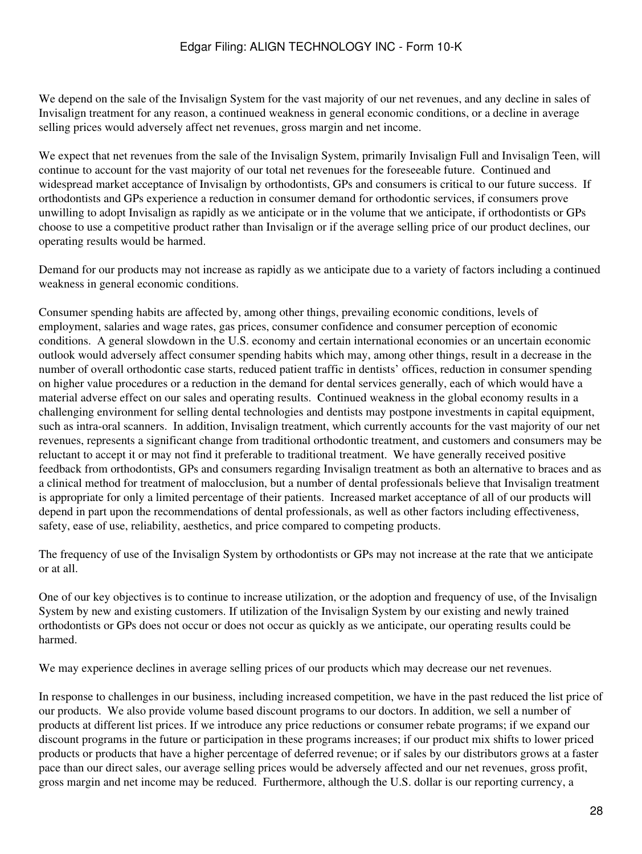We depend on the sale of the Invisalign System for the vast majority of our net revenues, and any decline in sales of Invisalign treatment for any reason, a continued weakness in general economic conditions, or a decline in average selling prices would adversely affect net revenues, gross margin and net income.

We expect that net revenues from the sale of the Invisalign System, primarily Invisalign Full and Invisalign Teen, will continue to account for the vast majority of our total net revenues for the foreseeable future. Continued and widespread market acceptance of Invisalign by orthodontists, GPs and consumers is critical to our future success. If orthodontists and GPs experience a reduction in consumer demand for orthodontic services, if consumers prove unwilling to adopt Invisalign as rapidly as we anticipate or in the volume that we anticipate, if orthodontists or GPs choose to use a competitive product rather than Invisalign or if the average selling price of our product declines, our operating results would be harmed.

Demand for our products may not increase as rapidly as we anticipate due to a variety of factors including a continued weakness in general economic conditions.

Consumer spending habits are affected by, among other things, prevailing economic conditions, levels of employment, salaries and wage rates, gas prices, consumer confidence and consumer perception of economic conditions. A general slowdown in the U.S. economy and certain international economies or an uncertain economic outlook would adversely affect consumer spending habits which may, among other things, result in a decrease in the number of overall orthodontic case starts, reduced patient traffic in dentists' offices, reduction in consumer spending on higher value procedures or a reduction in the demand for dental services generally, each of which would have a material adverse effect on our sales and operating results. Continued weakness in the global economy results in a challenging environment for selling dental technologies and dentists may postpone investments in capital equipment, such as intra-oral scanners. In addition, Invisalign treatment, which currently accounts for the vast majority of our net revenues, represents a significant change from traditional orthodontic treatment, and customers and consumers may be reluctant to accept it or may not find it preferable to traditional treatment. We have generally received positive feedback from orthodontists, GPs and consumers regarding Invisalign treatment as both an alternative to braces and as a clinical method for treatment of malocclusion, but a number of dental professionals believe that Invisalign treatment is appropriate for only a limited percentage of their patients. Increased market acceptance of all of our products will depend in part upon the recommendations of dental professionals, as well as other factors including effectiveness, safety, ease of use, reliability, aesthetics, and price compared to competing products.

The frequency of use of the Invisalign System by orthodontists or GPs may not increase at the rate that we anticipate or at all.

One of our key objectives is to continue to increase utilization, or the adoption and frequency of use, of the Invisalign System by new and existing customers. If utilization of the Invisalign System by our existing and newly trained orthodontists or GPs does not occur or does not occur as quickly as we anticipate, our operating results could be harmed.

We may experience declines in average selling prices of our products which may decrease our net revenues.

In response to challenges in our business, including increased competition, we have in the past reduced the list price of our products. We also provide volume based discount programs to our doctors. In addition, we sell a number of products at different list prices. If we introduce any price reductions or consumer rebate programs; if we expand our discount programs in the future or participation in these programs increases; if our product mix shifts to lower priced products or products that have a higher percentage of deferred revenue; or if sales by our distributors grows at a faster pace than our direct sales, our average selling prices would be adversely affected and our net revenues, gross profit, gross margin and net income may be reduced. Furthermore, although the U.S. dollar is our reporting currency, a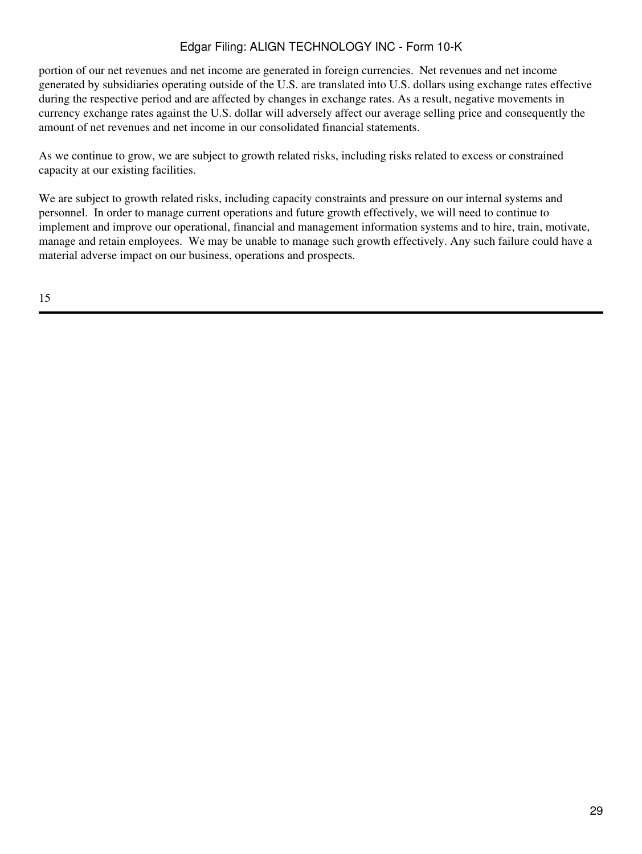portion of our net revenues and net income are generated in foreign currencies. Net revenues and net income generated by subsidiaries operating outside of the U.S. are translated into U.S. dollars using exchange rates effective during the respective period and are affected by changes in exchange rates. As a result, negative movements in currency exchange rates against the U.S. dollar will adversely affect our average selling price and consequently the amount of net revenues and net income in our consolidated financial statements.

As we continue to grow, we are subject to growth related risks, including risks related to excess or constrained capacity at our existing facilities.

We are subject to growth related risks, including capacity constraints and pressure on our internal systems and personnel. In order to manage current operations and future growth effectively, we will need to continue to implement and improve our operational, financial and management information systems and to hire, train, motivate, manage and retain employees. We may be unable to manage such growth effectively. Any such failure could have a material adverse impact on our business, operations and prospects.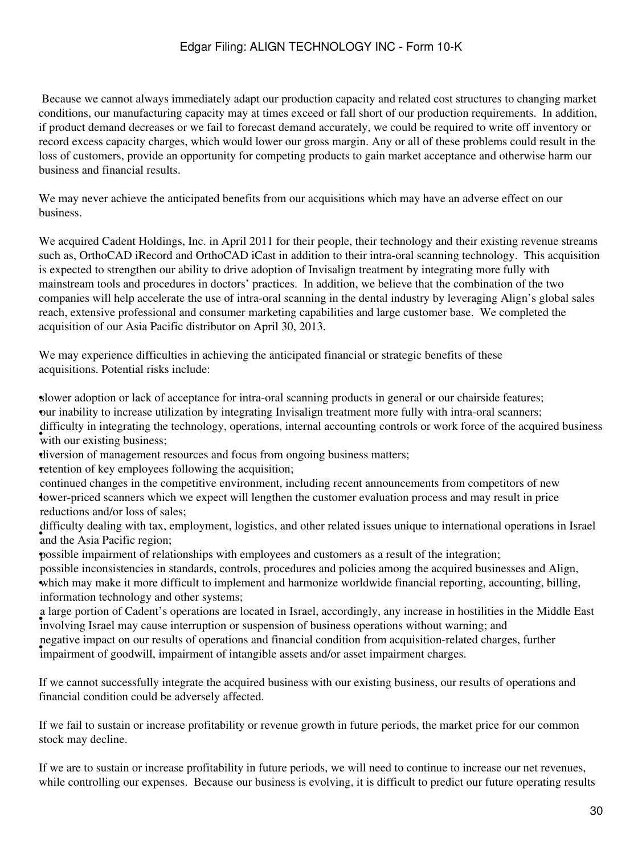Because we cannot always immediately adapt our production capacity and related cost structures to changing market conditions, our manufacturing capacity may at times exceed or fall short of our production requirements. In addition, if product demand decreases or we fail to forecast demand accurately, we could be required to write off inventory or record excess capacity charges, which would lower our gross margin. Any or all of these problems could result in the loss of customers, provide an opportunity for competing products to gain market acceptance and otherwise harm our business and financial results.

We may never achieve the anticipated benefits from our acquisitions which may have an adverse effect on our business.

We acquired Cadent Holdings, Inc. in April 2011 for their people, their technology and their existing revenue streams such as, OrthoCAD iRecord and OrthoCAD iCast in addition to their intra-oral scanning technology. This acquisition is expected to strengthen our ability to drive adoption of Invisalign treatment by integrating more fully with mainstream tools and procedures in doctors' practices. In addition, we believe that the combination of the two companies will help accelerate the use of intra-oral scanning in the dental industry by leveraging Align's global sales reach, extensive professional and consumer marketing capabilities and large customer base. We completed the acquisition of our Asia Pacific distributor on April 30, 2013.

We may experience difficulties in achieving the anticipated financial or strategic benefits of these acquisitions. Potential risks include:

•slower adoption or lack of acceptance for intra-oral scanning products in general or our chairside features; •our inability to increase utilization by integrating Invisalign treatment more fully with intra-oral scanners; with our existing business; difficulty in integrating the technology, operations, internal accounting controls or work force of the acquired business

•diversion of management resources and focus from ongoing business matters;

retention of key employees following the acquisition;

• lower-priced scanners which we expect will lengthen the customer evaluation process and may result in price continued changes in the competitive environment, including recent announcements from competitors of new reductions and/or loss of sales;

and the Asia Pacific region; difficulty dealing with tax, employment, logistics, and other related issues unique to international operations in Israel

•possible impairment of relationships with employees and customers as a result of the integration;

which may make it more difficult to implement and harmonize worldwide financial reporting, accounting, billing, possible inconsistencies in standards, controls, procedures and policies among the acquired businesses and Align, information technology and other systems;

involving Israel may cause interruption or suspension of business operations without warning; and involving Israel may cause interruption or suspension of business operations without warning; and a large portion of Cadent's operations are located in Israel, accordingly, any increase in hostilities in the Middle East • impairment of goodwill, impairment of intangible assets and/or asset impairment charges. negative impact on our results of operations and financial condition from acquisition-related charges, further

If we cannot successfully integrate the acquired business with our existing business, our results of operations and financial condition could be adversely affected.

If we fail to sustain or increase profitability or revenue growth in future periods, the market price for our common stock may decline.

If we are to sustain or increase profitability in future periods, we will need to continue to increase our net revenues, while controlling our expenses. Because our business is evolving, it is difficult to predict our future operating results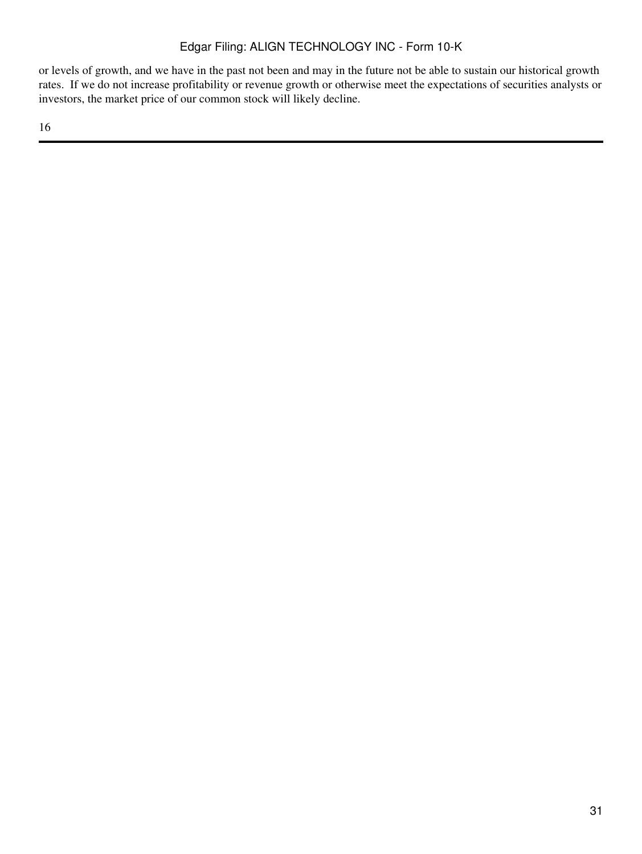or levels of growth, and we have in the past not been and may in the future not be able to sustain our historical growth rates. If we do not increase profitability or revenue growth or otherwise meet the expectations of securities analysts or investors, the market price of our common stock will likely decline.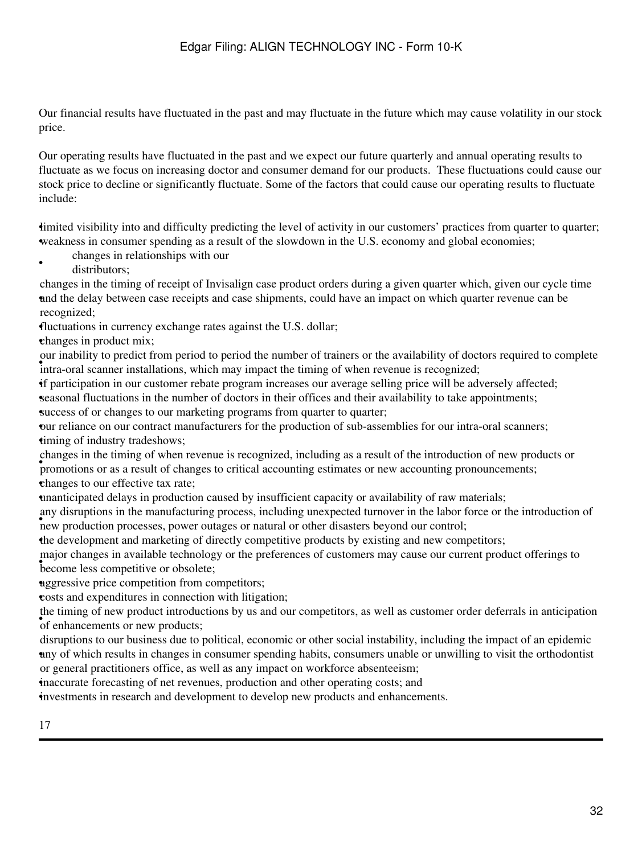Our financial results have fluctuated in the past and may fluctuate in the future which may cause volatility in our stock price.

Our operating results have fluctuated in the past and we expect our future quarterly and annual operating results to fluctuate as we focus on increasing doctor and consumer demand for our products. These fluctuations could cause our stock price to decline or significantly fluctuate. Some of the factors that could cause our operating results to fluctuate include:

imited visibility into and difficulty predicting the level of activity in our customers' practices from quarter to quarter; •weakness in consumer spending as a result of the slowdown in the U.S. economy and global economies;

- changes in relationships with our
- distributors;

•

and the delay between case receipts and case shipments, could have an impact on which quarter revenue can be changes in the timing of receipt of Invisalign case product orders during a given quarter which, given our cycle time recognized;

•fluctuations in currency exchange rates against the U.S. dollar;

•changes in product mix;

Intra-oral scanner installations, which may impact the timing of when revenue is recognized; our inability to predict from period to period the number of trainers or the availability of doctors required to complete

•if participation in our customer rebate program increases our average selling price will be adversely affected;

•seasonal fluctuations in the number of doctors in their offices and their availability to take appointments; •success of or changes to our marketing programs from quarter to quarter;

•our reliance on our contract manufacturers for the production of sub-assemblies for our intra-oral scanners; timing of industry tradeshows;

• promotions or as a result of changes to critical accounting estimates or new accounting pronouncements; changes in the timing of when revenue is recognized, including as a result of the introduction of new products or •changes to our effective tax rate;

•unanticipated delays in production caused by insufficient capacity or availability of raw materials;

new production processes, power outages or natural or other disasters beyond our control; any disruptions in the manufacturing process, including unexpected turnover in the labor force or the introduction of

•the development and marketing of directly competitive products by existing and new competitors;

become less competitive or obsolete; major changes in available technology or the preferences of customers may cause our current product offerings to

naggressive price competition from competitors;

•costs and expenditures in connection with litigation;

of enhancements or new products; the timing of new product introductions by us and our competitors, as well as customer order deferrals in anticipation

any of which results in changes in consumer spending habits, consumers unable or unwilling to visit the orthodontist disruptions to our business due to political, economic or other social instability, including the impact of an epidemic or general practitioners office, as well as any impact on workforce absenteeism;

•inaccurate forecasting of net revenues, production and other operating costs; and

•investments in research and development to develop new products and enhancements.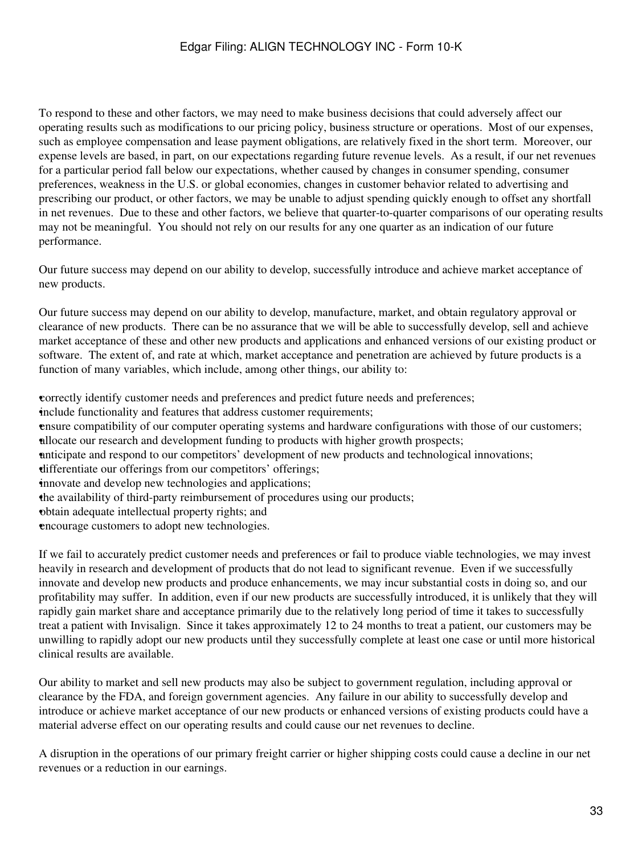To respond to these and other factors, we may need to make business decisions that could adversely affect our operating results such as modifications to our pricing policy, business structure or operations. Most of our expenses, such as employee compensation and lease payment obligations, are relatively fixed in the short term. Moreover, our expense levels are based, in part, on our expectations regarding future revenue levels. As a result, if our net revenues for a particular period fall below our expectations, whether caused by changes in consumer spending, consumer preferences, weakness in the U.S. or global economies, changes in customer behavior related to advertising and prescribing our product, or other factors, we may be unable to adjust spending quickly enough to offset any shortfall in net revenues. Due to these and other factors, we believe that quarter-to-quarter comparisons of our operating results may not be meaningful. You should not rely on our results for any one quarter as an indication of our future performance.

Our future success may depend on our ability to develop, successfully introduce and achieve market acceptance of new products.

Our future success may depend on our ability to develop, manufacture, market, and obtain regulatory approval or clearance of new products. There can be no assurance that we will be able to successfully develop, sell and achieve market acceptance of these and other new products and applications and enhanced versions of our existing product or software. The extent of, and rate at which, market acceptance and penetration are achieved by future products is a function of many variables, which include, among other things, our ability to:

•correctly identify customer needs and preferences and predict future needs and preferences; •include functionality and features that address customer requirements;

•ensure compatibility of our computer operating systems and hardware configurations with those of our customers; •allocate our research and development funding to products with higher growth prospects;

•anticipate and respond to our competitors' development of new products and technological innovations;

•differentiate our offerings from our competitors' offerings;

innovate and develop new technologies and applications;

•the availability of third-party reimbursement of procedures using our products;

•obtain adequate intellectual property rights; and

•encourage customers to adopt new technologies.

If we fail to accurately predict customer needs and preferences or fail to produce viable technologies, we may invest heavily in research and development of products that do not lead to significant revenue. Even if we successfully innovate and develop new products and produce enhancements, we may incur substantial costs in doing so, and our profitability may suffer. In addition, even if our new products are successfully introduced, it is unlikely that they will rapidly gain market share and acceptance primarily due to the relatively long period of time it takes to successfully treat a patient with Invisalign. Since it takes approximately 12 to 24 months to treat a patient, our customers may be unwilling to rapidly adopt our new products until they successfully complete at least one case or until more historical clinical results are available.

Our ability to market and sell new products may also be subject to government regulation, including approval or clearance by the FDA, and foreign government agencies. Any failure in our ability to successfully develop and introduce or achieve market acceptance of our new products or enhanced versions of existing products could have a material adverse effect on our operating results and could cause our net revenues to decline.

A disruption in the operations of our primary freight carrier or higher shipping costs could cause a decline in our net revenues or a reduction in our earnings.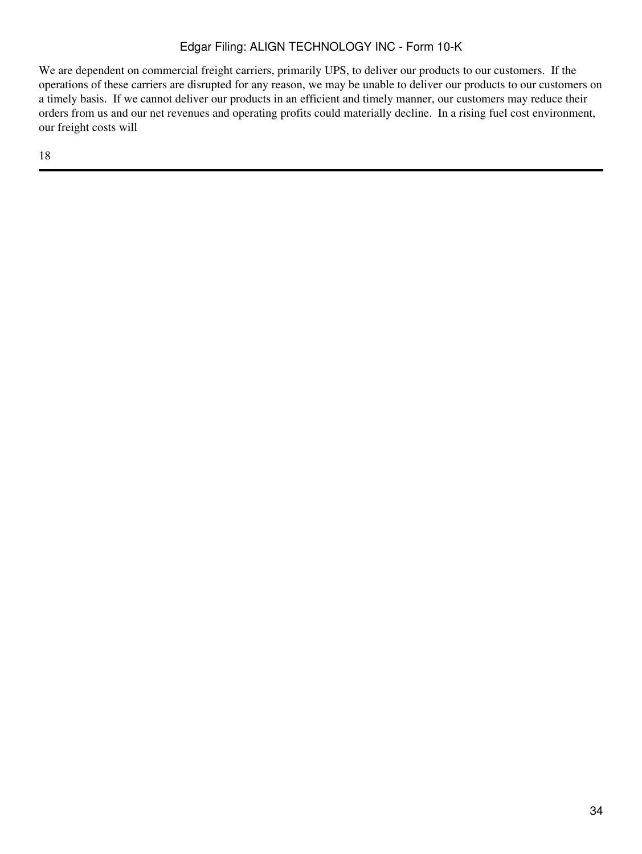We are dependent on commercial freight carriers, primarily UPS, to deliver our products to our customers. If the operations of these carriers are disrupted for any reason, we may be unable to deliver our products to our customers on a timely basis. If we cannot deliver our products in an efficient and timely manner, our customers may reduce their orders from us and our net revenues and operating profits could materially decline. In a rising fuel cost environment, our freight costs will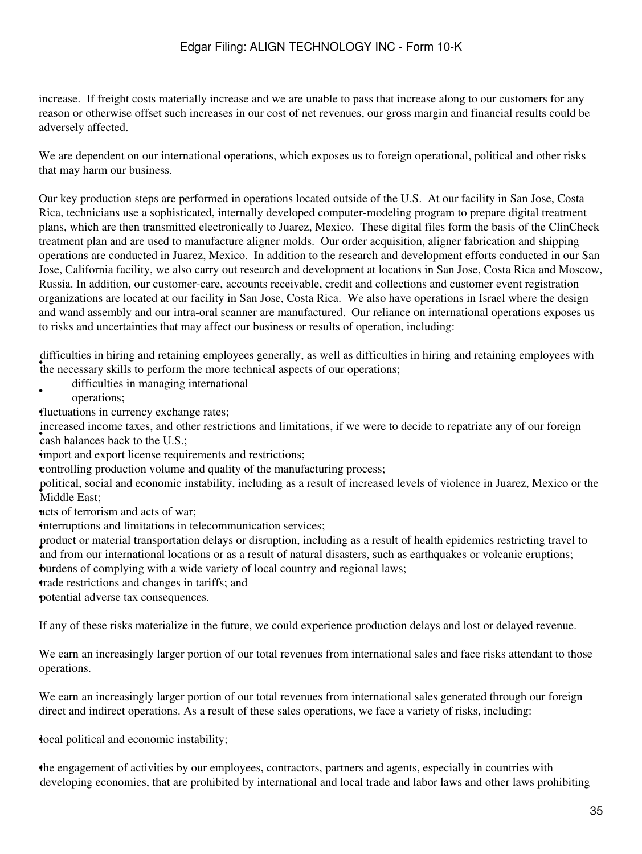increase. If freight costs materially increase and we are unable to pass that increase along to our customers for any reason or otherwise offset such increases in our cost of net revenues, our gross margin and financial results could be adversely affected.

We are dependent on our international operations, which exposes us to foreign operational, political and other risks that may harm our business.

Our key production steps are performed in operations located outside of the U.S. At our facility in San Jose, Costa Rica, technicians use a sophisticated, internally developed computer-modeling program to prepare digital treatment plans, which are then transmitted electronically to Juarez, Mexico. These digital files form the basis of the ClinCheck treatment plan and are used to manufacture aligner molds. Our order acquisition, aligner fabrication and shipping operations are conducted in Juarez, Mexico. In addition to the research and development efforts conducted in our San Jose, California facility, we also carry out research and development at locations in San Jose, Costa Rica and Moscow, Russia. In addition, our customer-care, accounts receivable, credit and collections and customer event registration organizations are located at our facility in San Jose, Costa Rica. We also have operations in Israel where the design and wand assembly and our intra-oral scanner are manufactured. Our reliance on international operations exposes us to risks and uncertainties that may affect our business or results of operation, including:

the necessary skills to perform the more technical aspects of our operations; difficulties in hiring and retaining employees generally, as well as difficulties in hiring and retaining employees with

- difficulties in managing international
- operations;

•fluctuations in currency exchange rates;

• cash balances back to the U.S.; increased income taxes, and other restrictions and limitations, if we were to decide to repatriate any of our foreign

import and export license requirements and restrictions;

•controlling production volume and quality of the manufacturing process;

• Middle East; political, social and economic instability, including as a result of increased levels of violence in Juarez, Mexico or the

nets of terrorism and acts of war;

interruptions and limitations in telecommunication services;

• and from our international locations or as a result of natural disasters, such as earthquakes or volcanic eruptions; product or material transportation delays or disruption, including as a result of health epidemics restricting travel to •burdens of complying with a wide variety of local country and regional laws;

•trade restrictions and changes in tariffs; and

•potential adverse tax consequences.

If any of these risks materialize in the future, we could experience production delays and lost or delayed revenue.

We earn an increasingly larger portion of our total revenues from international sales and face risks attendant to those operations.

We earn an increasingly larger portion of our total revenues from international sales generated through our foreign direct and indirect operations. As a result of these sales operations, we face a variety of risks, including:

•local political and economic instability;

•the engagement of activities by our employees, contractors, partners and agents, especially in countries with developing economies, that are prohibited by international and local trade and labor laws and other laws prohibiting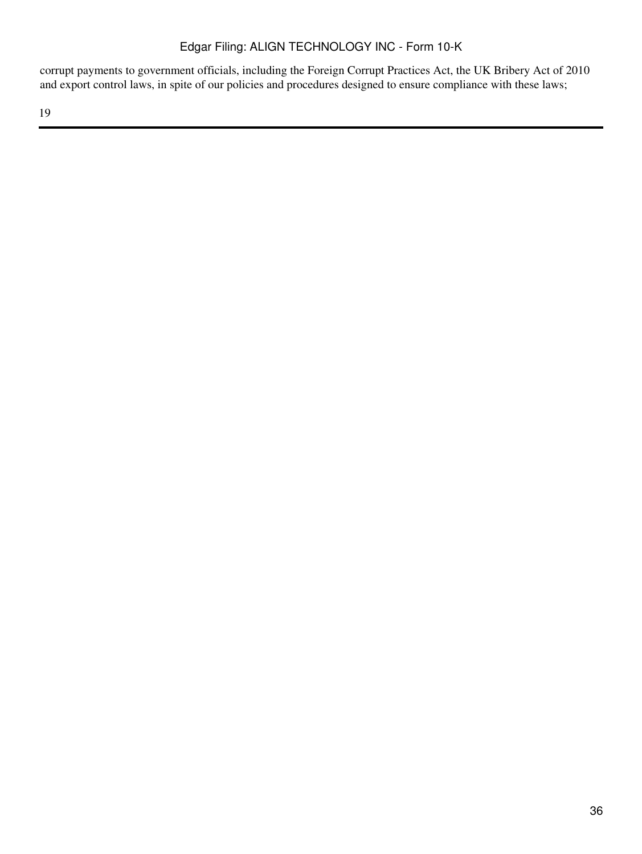corrupt payments to government officials, including the Foreign Corrupt Practices Act, the UK Bribery Act of 2010 and export control laws, in spite of our policies and procedures designed to ensure compliance with these laws;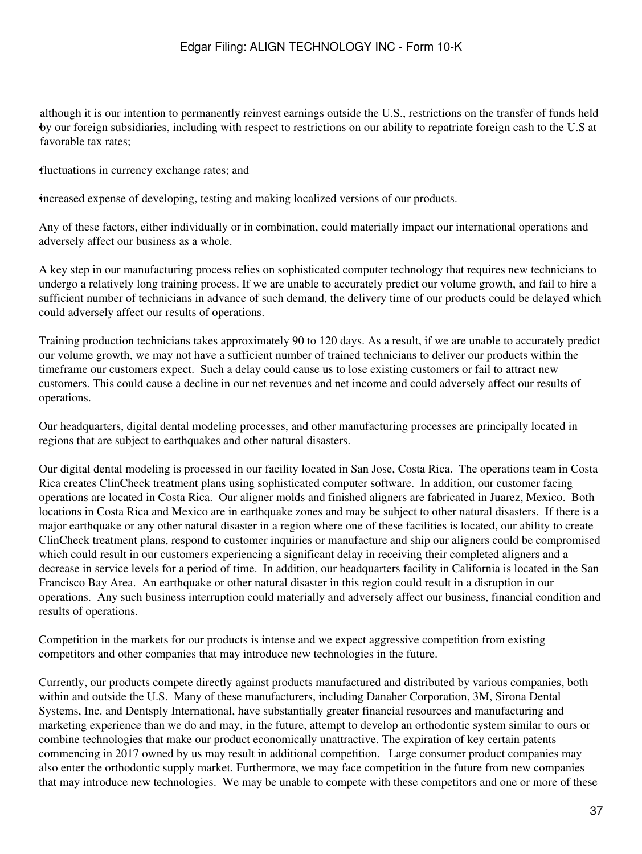• by our foreign subsidiaries, including with respect to restrictions on our ability to repatriate foreign cash to the U.S at although it is our intention to permanently reinvest earnings outside the U.S., restrictions on the transfer of funds held favorable tax rates;

•fluctuations in currency exchange rates; and

•increased expense of developing, testing and making localized versions of our products.

Any of these factors, either individually or in combination, could materially impact our international operations and adversely affect our business as a whole.

A key step in our manufacturing process relies on sophisticated computer technology that requires new technicians to undergo a relatively long training process. If we are unable to accurately predict our volume growth, and fail to hire a sufficient number of technicians in advance of such demand, the delivery time of our products could be delayed which could adversely affect our results of operations.

Training production technicians takes approximately 90 to 120 days. As a result, if we are unable to accurately predict our volume growth, we may not have a sufficient number of trained technicians to deliver our products within the timeframe our customers expect. Such a delay could cause us to lose existing customers or fail to attract new customers. This could cause a decline in our net revenues and net income and could adversely affect our results of operations.

Our headquarters, digital dental modeling processes, and other manufacturing processes are principally located in regions that are subject to earthquakes and other natural disasters.

Our digital dental modeling is processed in our facility located in San Jose, Costa Rica. The operations team in Costa Rica creates ClinCheck treatment plans using sophisticated computer software. In addition, our customer facing operations are located in Costa Rica. Our aligner molds and finished aligners are fabricated in Juarez, Mexico. Both locations in Costa Rica and Mexico are in earthquake zones and may be subject to other natural disasters. If there is a major earthquake or any other natural disaster in a region where one of these facilities is located, our ability to create ClinCheck treatment plans, respond to customer inquiries or manufacture and ship our aligners could be compromised which could result in our customers experiencing a significant delay in receiving their completed aligners and a decrease in service levels for a period of time. In addition, our headquarters facility in California is located in the San Francisco Bay Area. An earthquake or other natural disaster in this region could result in a disruption in our operations. Any such business interruption could materially and adversely affect our business, financial condition and results of operations.

Competition in the markets for our products is intense and we expect aggressive competition from existing competitors and other companies that may introduce new technologies in the future.

Currently, our products compete directly against products manufactured and distributed by various companies, both within and outside the U.S. Many of these manufacturers, including Danaher Corporation, 3M, Sirona Dental Systems, Inc. and Dentsply International, have substantially greater financial resources and manufacturing and marketing experience than we do and may, in the future, attempt to develop an orthodontic system similar to ours or combine technologies that make our product economically unattractive. The expiration of key certain patents commencing in 2017 owned by us may result in additional competition. Large consumer product companies may also enter the orthodontic supply market. Furthermore, we may face competition in the future from new companies that may introduce new technologies. We may be unable to compete with these competitors and one or more of these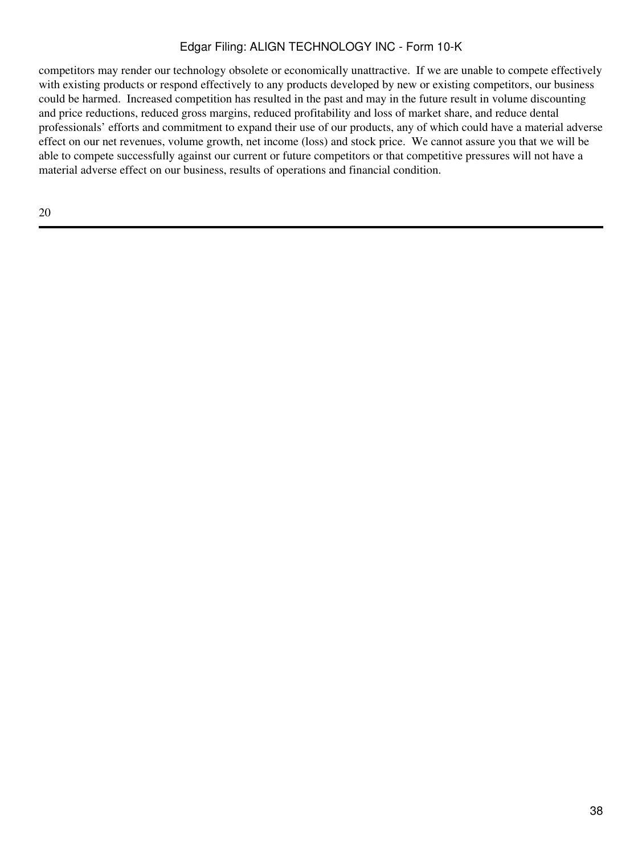competitors may render our technology obsolete or economically unattractive. If we are unable to compete effectively with existing products or respond effectively to any products developed by new or existing competitors, our business could be harmed. Increased competition has resulted in the past and may in the future result in volume discounting and price reductions, reduced gross margins, reduced profitability and loss of market share, and reduce dental professionals' efforts and commitment to expand their use of our products, any of which could have a material adverse effect on our net revenues, volume growth, net income (loss) and stock price. We cannot assure you that we will be able to compete successfully against our current or future competitors or that competitive pressures will not have a material adverse effect on our business, results of operations and financial condition.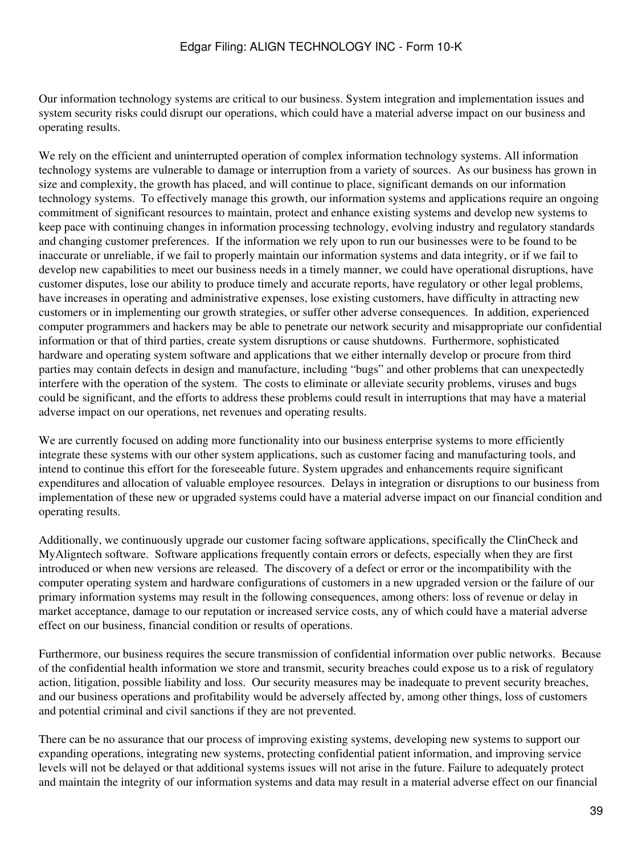Our information technology systems are critical to our business. System integration and implementation issues and system security risks could disrupt our operations, which could have a material adverse impact on our business and operating results.

We rely on the efficient and uninterrupted operation of complex information technology systems. All information technology systems are vulnerable to damage or interruption from a variety of sources. As our business has grown in size and complexity, the growth has placed, and will continue to place, significant demands on our information technology systems. To effectively manage this growth, our information systems and applications require an ongoing commitment of significant resources to maintain, protect and enhance existing systems and develop new systems to keep pace with continuing changes in information processing technology, evolving industry and regulatory standards and changing customer preferences. If the information we rely upon to run our businesses were to be found to be inaccurate or unreliable, if we fail to properly maintain our information systems and data integrity, or if we fail to develop new capabilities to meet our business needs in a timely manner, we could have operational disruptions, have customer disputes, lose our ability to produce timely and accurate reports, have regulatory or other legal problems, have increases in operating and administrative expenses, lose existing customers, have difficulty in attracting new customers or in implementing our growth strategies, or suffer other adverse consequences. In addition, experienced computer programmers and hackers may be able to penetrate our network security and misappropriate our confidential information or that of third parties, create system disruptions or cause shutdowns. Furthermore, sophisticated hardware and operating system software and applications that we either internally develop or procure from third parties may contain defects in design and manufacture, including "bugs" and other problems that can unexpectedly interfere with the operation of the system. The costs to eliminate or alleviate security problems, viruses and bugs could be significant, and the efforts to address these problems could result in interruptions that may have a material adverse impact on our operations, net revenues and operating results.

We are currently focused on adding more functionality into our business enterprise systems to more efficiently integrate these systems with our other system applications, such as customer facing and manufacturing tools, and intend to continue this effort for the foreseeable future. System upgrades and enhancements require significant expenditures and allocation of valuable employee resources. Delays in integration or disruptions to our business from implementation of these new or upgraded systems could have a material adverse impact on our financial condition and operating results.

Additionally, we continuously upgrade our customer facing software applications, specifically the ClinCheck and MyAligntech software. Software applications frequently contain errors or defects, especially when they are first introduced or when new versions are released. The discovery of a defect or error or the incompatibility with the computer operating system and hardware configurations of customers in a new upgraded version or the failure of our primary information systems may result in the following consequences, among others: loss of revenue or delay in market acceptance, damage to our reputation or increased service costs, any of which could have a material adverse effect on our business, financial condition or results of operations.

Furthermore, our business requires the secure transmission of confidential information over public networks. Because of the confidential health information we store and transmit, security breaches could expose us to a risk of regulatory action, litigation, possible liability and loss. Our security measures may be inadequate to prevent security breaches, and our business operations and profitability would be adversely affected by, among other things, loss of customers and potential criminal and civil sanctions if they are not prevented.

There can be no assurance that our process of improving existing systems, developing new systems to support our expanding operations, integrating new systems, protecting confidential patient information, and improving service levels will not be delayed or that additional systems issues will not arise in the future. Failure to adequately protect and maintain the integrity of our information systems and data may result in a material adverse effect on our financial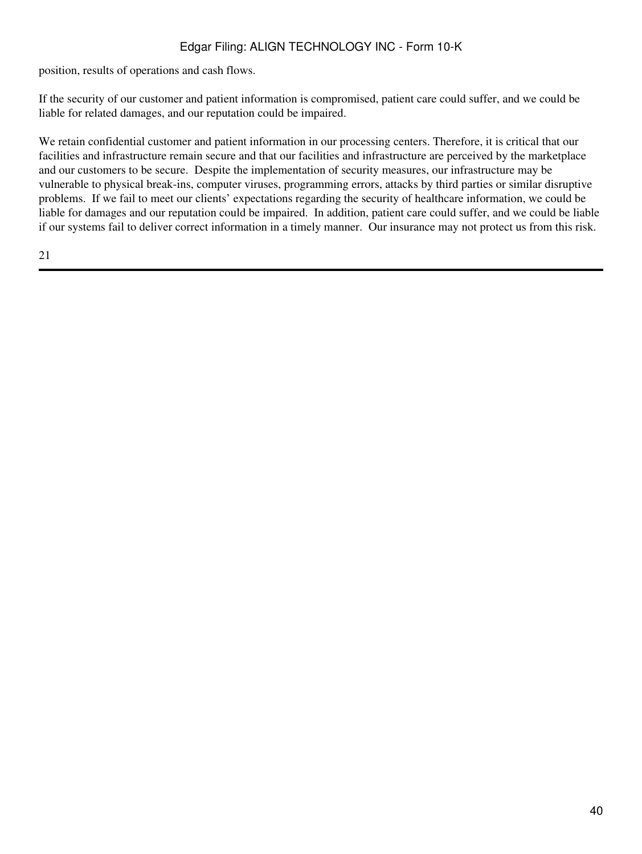position, results of operations and cash flows.

If the security of our customer and patient information is compromised, patient care could suffer, and we could be liable for related damages, and our reputation could be impaired.

We retain confidential customer and patient information in our processing centers. Therefore, it is critical that our facilities and infrastructure remain secure and that our facilities and infrastructure are perceived by the marketplace and our customers to be secure. Despite the implementation of security measures, our infrastructure may be vulnerable to physical break-ins, computer viruses, programming errors, attacks by third parties or similar disruptive problems. If we fail to meet our clients' expectations regarding the security of healthcare information, we could be liable for damages and our reputation could be impaired. In addition, patient care could suffer, and we could be liable if our systems fail to deliver correct information in a timely manner. Our insurance may not protect us from this risk.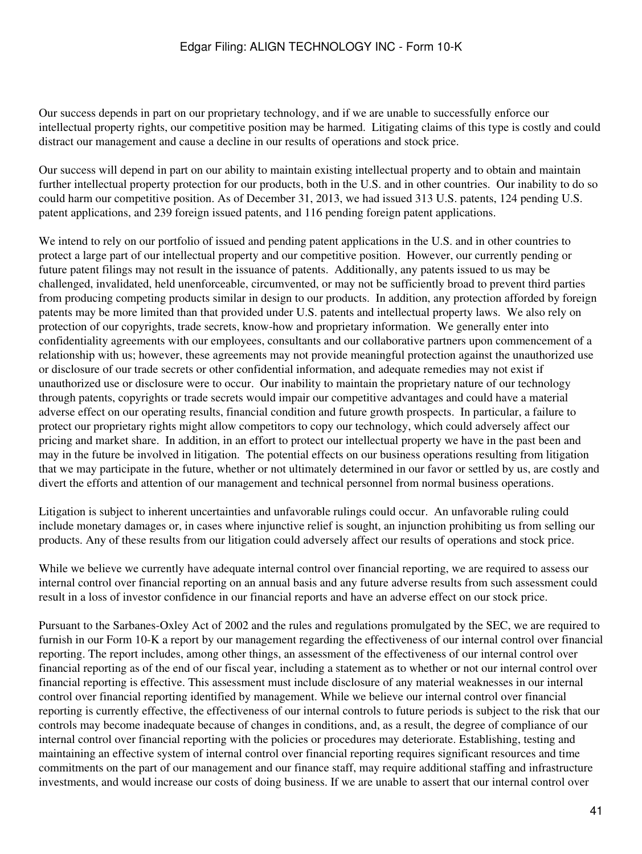Our success depends in part on our proprietary technology, and if we are unable to successfully enforce our intellectual property rights, our competitive position may be harmed. Litigating claims of this type is costly and could distract our management and cause a decline in our results of operations and stock price.

Our success will depend in part on our ability to maintain existing intellectual property and to obtain and maintain further intellectual property protection for our products, both in the U.S. and in other countries. Our inability to do so could harm our competitive position. As of December 31, 2013, we had issued 313 U.S. patents, 124 pending U.S. patent applications, and 239 foreign issued patents, and 116 pending foreign patent applications.

We intend to rely on our portfolio of issued and pending patent applications in the U.S. and in other countries to protect a large part of our intellectual property and our competitive position. However, our currently pending or future patent filings may not result in the issuance of patents. Additionally, any patents issued to us may be challenged, invalidated, held unenforceable, circumvented, or may not be sufficiently broad to prevent third parties from producing competing products similar in design to our products. In addition, any protection afforded by foreign patents may be more limited than that provided under U.S. patents and intellectual property laws. We also rely on protection of our copyrights, trade secrets, know-how and proprietary information. We generally enter into confidentiality agreements with our employees, consultants and our collaborative partners upon commencement of a relationship with us; however, these agreements may not provide meaningful protection against the unauthorized use or disclosure of our trade secrets or other confidential information, and adequate remedies may not exist if unauthorized use or disclosure were to occur. Our inability to maintain the proprietary nature of our technology through patents, copyrights or trade secrets would impair our competitive advantages and could have a material adverse effect on our operating results, financial condition and future growth prospects. In particular, a failure to protect our proprietary rights might allow competitors to copy our technology, which could adversely affect our pricing and market share. In addition, in an effort to protect our intellectual property we have in the past been and may in the future be involved in litigation. The potential effects on our business operations resulting from litigation that we may participate in the future, whether or not ultimately determined in our favor or settled by us, are costly and divert the efforts and attention of our management and technical personnel from normal business operations.

Litigation is subject to inherent uncertainties and unfavorable rulings could occur. An unfavorable ruling could include monetary damages or, in cases where injunctive relief is sought, an injunction prohibiting us from selling our products. Any of these results from our litigation could adversely affect our results of operations and stock price.

While we believe we currently have adequate internal control over financial reporting, we are required to assess our internal control over financial reporting on an annual basis and any future adverse results from such assessment could result in a loss of investor confidence in our financial reports and have an adverse effect on our stock price.

Pursuant to the Sarbanes-Oxley Act of 2002 and the rules and regulations promulgated by the SEC, we are required to furnish in our Form 10-K a report by our management regarding the effectiveness of our internal control over financial reporting. The report includes, among other things, an assessment of the effectiveness of our internal control over financial reporting as of the end of our fiscal year, including a statement as to whether or not our internal control over financial reporting is effective. This assessment must include disclosure of any material weaknesses in our internal control over financial reporting identified by management. While we believe our internal control over financial reporting is currently effective, the effectiveness of our internal controls to future periods is subject to the risk that our controls may become inadequate because of changes in conditions, and, as a result, the degree of compliance of our internal control over financial reporting with the policies or procedures may deteriorate. Establishing, testing and maintaining an effective system of internal control over financial reporting requires significant resources and time commitments on the part of our management and our finance staff, may require additional staffing and infrastructure investments, and would increase our costs of doing business. If we are unable to assert that our internal control over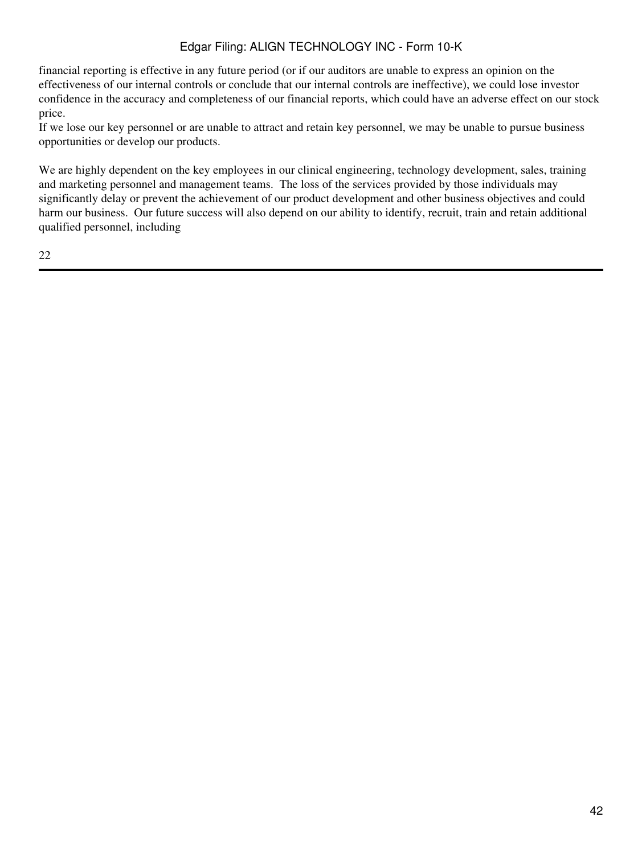financial reporting is effective in any future period (or if our auditors are unable to express an opinion on the effectiveness of our internal controls or conclude that our internal controls are ineffective), we could lose investor confidence in the accuracy and completeness of our financial reports, which could have an adverse effect on our stock price.

If we lose our key personnel or are unable to attract and retain key personnel, we may be unable to pursue business opportunities or develop our products.

We are highly dependent on the key employees in our clinical engineering, technology development, sales, training and marketing personnel and management teams. The loss of the services provided by those individuals may significantly delay or prevent the achievement of our product development and other business objectives and could harm our business. Our future success will also depend on our ability to identify, recruit, train and retain additional qualified personnel, including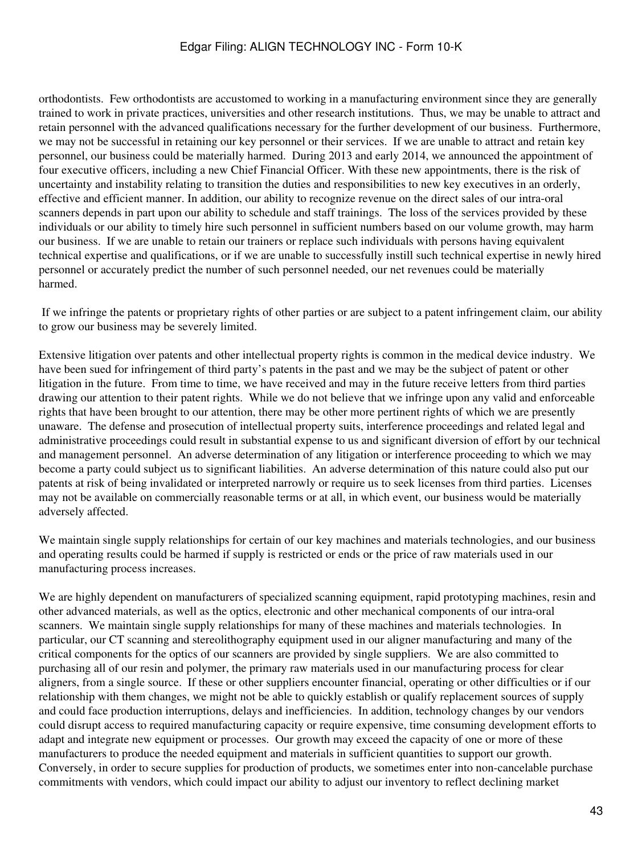orthodontists. Few orthodontists are accustomed to working in a manufacturing environment since they are generally trained to work in private practices, universities and other research institutions. Thus, we may be unable to attract and retain personnel with the advanced qualifications necessary for the further development of our business. Furthermore, we may not be successful in retaining our key personnel or their services. If we are unable to attract and retain key personnel, our business could be materially harmed. During 2013 and early 2014, we announced the appointment of four executive officers, including a new Chief Financial Officer. With these new appointments, there is the risk of uncertainty and instability relating to transition the duties and responsibilities to new key executives in an orderly, effective and efficient manner. In addition, our ability to recognize revenue on the direct sales of our intra-oral scanners depends in part upon our ability to schedule and staff trainings. The loss of the services provided by these individuals or our ability to timely hire such personnel in sufficient numbers based on our volume growth, may harm our business. If we are unable to retain our trainers or replace such individuals with persons having equivalent technical expertise and qualifications, or if we are unable to successfully instill such technical expertise in newly hired personnel or accurately predict the number of such personnel needed, our net revenues could be materially harmed.

 If we infringe the patents or proprietary rights of other parties or are subject to a patent infringement claim, our ability to grow our business may be severely limited.

Extensive litigation over patents and other intellectual property rights is common in the medical device industry. We have been sued for infringement of third party's patents in the past and we may be the subject of patent or other litigation in the future. From time to time, we have received and may in the future receive letters from third parties drawing our attention to their patent rights. While we do not believe that we infringe upon any valid and enforceable rights that have been brought to our attention, there may be other more pertinent rights of which we are presently unaware. The defense and prosecution of intellectual property suits, interference proceedings and related legal and administrative proceedings could result in substantial expense to us and significant diversion of effort by our technical and management personnel. An adverse determination of any litigation or interference proceeding to which we may become a party could subject us to significant liabilities. An adverse determination of this nature could also put our patents at risk of being invalidated or interpreted narrowly or require us to seek licenses from third parties. Licenses may not be available on commercially reasonable terms or at all, in which event, our business would be materially adversely affected.

We maintain single supply relationships for certain of our key machines and materials technologies, and our business and operating results could be harmed if supply is restricted or ends or the price of raw materials used in our manufacturing process increases.

We are highly dependent on manufacturers of specialized scanning equipment, rapid prototyping machines, resin and other advanced materials, as well as the optics, electronic and other mechanical components of our intra-oral scanners. We maintain single supply relationships for many of these machines and materials technologies. In particular, our CT scanning and stereolithography equipment used in our aligner manufacturing and many of the critical components for the optics of our scanners are provided by single suppliers. We are also committed to purchasing all of our resin and polymer, the primary raw materials used in our manufacturing process for clear aligners, from a single source. If these or other suppliers encounter financial, operating or other difficulties or if our relationship with them changes, we might not be able to quickly establish or qualify replacement sources of supply and could face production interruptions, delays and inefficiencies. In addition, technology changes by our vendors could disrupt access to required manufacturing capacity or require expensive, time consuming development efforts to adapt and integrate new equipment or processes. Our growth may exceed the capacity of one or more of these manufacturers to produce the needed equipment and materials in sufficient quantities to support our growth. Conversely, in order to secure supplies for production of products, we sometimes enter into non-cancelable purchase commitments with vendors, which could impact our ability to adjust our inventory to reflect declining market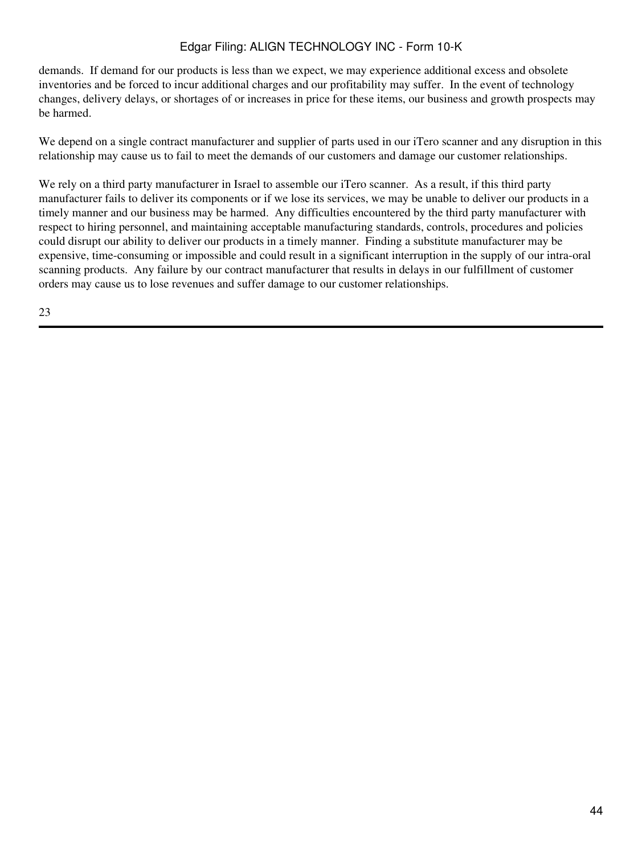demands. If demand for our products is less than we expect, we may experience additional excess and obsolete inventories and be forced to incur additional charges and our profitability may suffer. In the event of technology changes, delivery delays, or shortages of or increases in price for these items, our business and growth prospects may be harmed.

We depend on a single contract manufacturer and supplier of parts used in our iTero scanner and any disruption in this relationship may cause us to fail to meet the demands of our customers and damage our customer relationships.

We rely on a third party manufacturer in Israel to assemble our iTero scanner. As a result, if this third party manufacturer fails to deliver its components or if we lose its services, we may be unable to deliver our products in a timely manner and our business may be harmed. Any difficulties encountered by the third party manufacturer with respect to hiring personnel, and maintaining acceptable manufacturing standards, controls, procedures and policies could disrupt our ability to deliver our products in a timely manner. Finding a substitute manufacturer may be expensive, time-consuming or impossible and could result in a significant interruption in the supply of our intra-oral scanning products. Any failure by our contract manufacturer that results in delays in our fulfillment of customer orders may cause us to lose revenues and suffer damage to our customer relationships.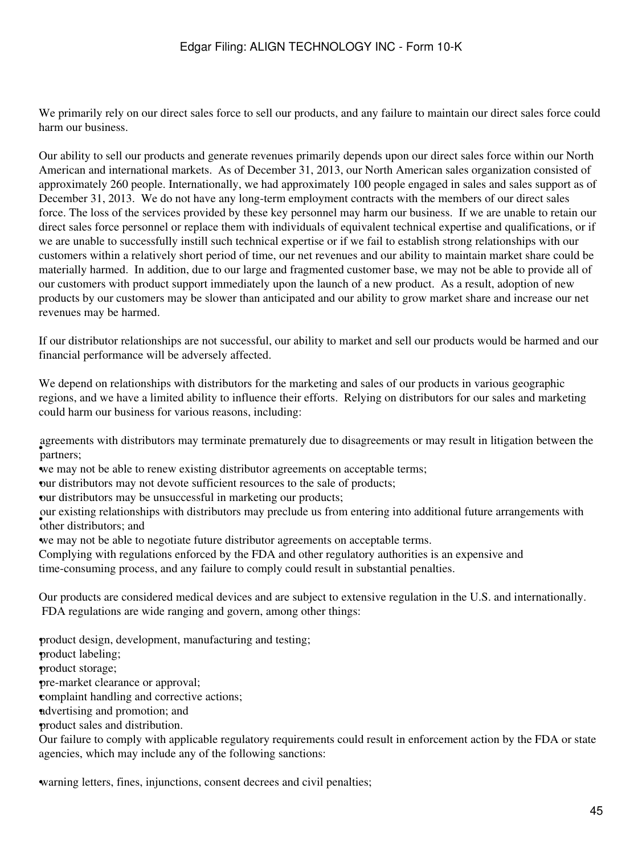We primarily rely on our direct sales force to sell our products, and any failure to maintain our direct sales force could harm our business.

Our ability to sell our products and generate revenues primarily depends upon our direct sales force within our North American and international markets. As of December 31, 2013, our North American sales organization consisted of approximately 260 people. Internationally, we had approximately 100 people engaged in sales and sales support as of December 31, 2013. We do not have any long-term employment contracts with the members of our direct sales force. The loss of the services provided by these key personnel may harm our business. If we are unable to retain our direct sales force personnel or replace them with individuals of equivalent technical expertise and qualifications, or if we are unable to successfully instill such technical expertise or if we fail to establish strong relationships with our customers within a relatively short period of time, our net revenues and our ability to maintain market share could be materially harmed. In addition, due to our large and fragmented customer base, we may not be able to provide all of our customers with product support immediately upon the launch of a new product. As a result, adoption of new products by our customers may be slower than anticipated and our ability to grow market share and increase our net revenues may be harmed.

If our distributor relationships are not successful, our ability to market and sell our products would be harmed and our financial performance will be adversely affected.

We depend on relationships with distributors for the marketing and sales of our products in various geographic regions, and we have a limited ability to influence their efforts. Relying on distributors for our sales and marketing could harm our business for various reasons, including:

espectively agreements with distributors may terminate prematurely due to disagreements or may result in litigation between the

•we may not be able to renew existing distributor agreements on acceptable terms;

•our distributors may not devote sufficient resources to the sale of products;

•our distributors may be unsuccessful in marketing our products;

• other distributors; and our existing relationships with distributors may preclude us from entering into additional future arrangements with

•we may not be able to negotiate future distributor agreements on acceptable terms.

Complying with regulations enforced by the FDA and other regulatory authorities is an expensive and time-consuming process, and any failure to comply could result in substantial penalties.

Our products are considered medical devices and are subject to extensive regulation in the U.S. and internationally. FDA regulations are wide ranging and govern, among other things:

•product design, development, manufacturing and testing; product labeling; •product storage; •pre-market clearance or approval; •complaint handling and corrective actions; •advertising and promotion; and •product sales and distribution. Our failure to comply with applicable regulatory requirements could result in enforcement action by the FDA or state agencies, which may include any of the following sanctions:

warning letters, fines, injunctions, consent decrees and civil penalties;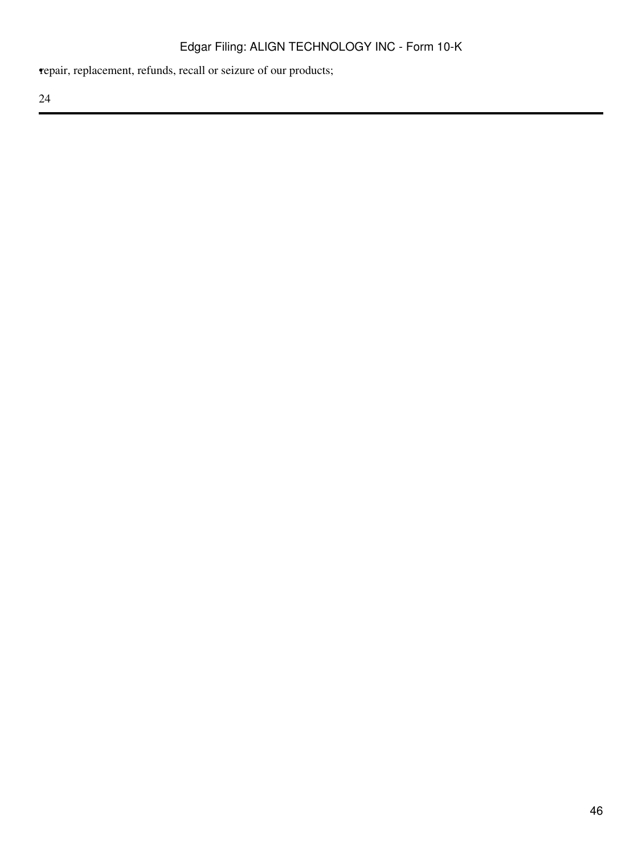•repair, replacement, refunds, recall or seizure of our products;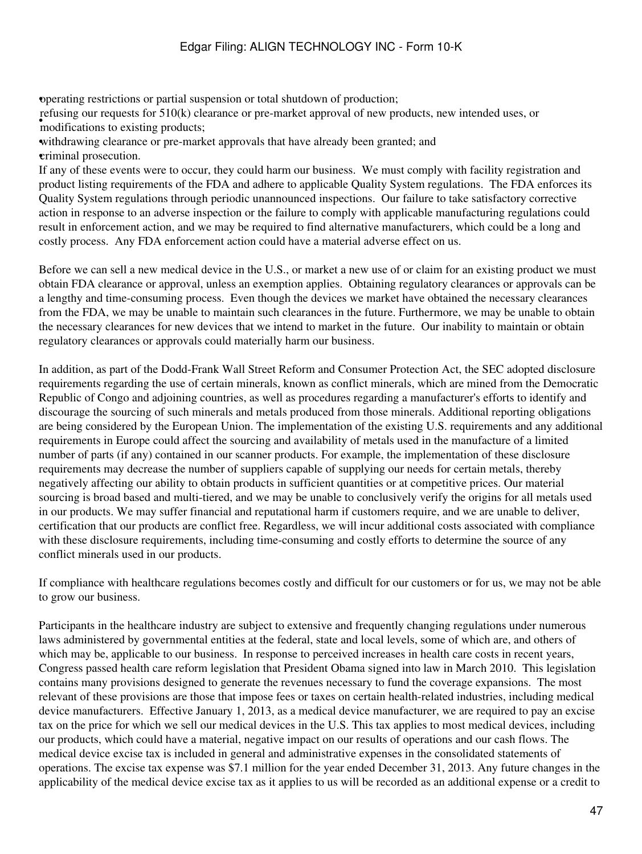•operating restrictions or partial suspension or total shutdown of production;

• classifications to existing products; refusing our requests for 510(k) clearance or pre-market approval of new products, new intended uses, or

withdrawing clearance or pre-market approvals that have already been granted; and •criminal prosecution.

If any of these events were to occur, they could harm our business. We must comply with facility registration and product listing requirements of the FDA and adhere to applicable Quality System regulations. The FDA enforces its Quality System regulations through periodic unannounced inspections. Our failure to take satisfactory corrective action in response to an adverse inspection or the failure to comply with applicable manufacturing regulations could result in enforcement action, and we may be required to find alternative manufacturers, which could be a long and costly process. Any FDA enforcement action could have a material adverse effect on us.

Before we can sell a new medical device in the U.S., or market a new use of or claim for an existing product we must obtain FDA clearance or approval, unless an exemption applies. Obtaining regulatory clearances or approvals can be a lengthy and time-consuming process. Even though the devices we market have obtained the necessary clearances from the FDA, we may be unable to maintain such clearances in the future. Furthermore, we may be unable to obtain the necessary clearances for new devices that we intend to market in the future. Our inability to maintain or obtain regulatory clearances or approvals could materially harm our business.

In addition, as part of the Dodd-Frank Wall Street Reform and Consumer Protection Act, the SEC adopted disclosure requirements regarding the use of certain minerals, known as conflict minerals, which are mined from the Democratic Republic of Congo and adjoining countries, as well as procedures regarding a manufacturer's efforts to identify and discourage the sourcing of such minerals and metals produced from those minerals. Additional reporting obligations are being considered by the European Union. The implementation of the existing U.S. requirements and any additional requirements in Europe could affect the sourcing and availability of metals used in the manufacture of a limited number of parts (if any) contained in our scanner products. For example, the implementation of these disclosure requirements may decrease the number of suppliers capable of supplying our needs for certain metals, thereby negatively affecting our ability to obtain products in sufficient quantities or at competitive prices. Our material sourcing is broad based and multi-tiered, and we may be unable to conclusively verify the origins for all metals used in our products. We may suffer financial and reputational harm if customers require, and we are unable to deliver, certification that our products are conflict free. Regardless, we will incur additional costs associated with compliance with these disclosure requirements, including time-consuming and costly efforts to determine the source of any conflict minerals used in our products.

If compliance with healthcare regulations becomes costly and difficult for our customers or for us, we may not be able to grow our business.

Participants in the healthcare industry are subject to extensive and frequently changing regulations under numerous laws administered by governmental entities at the federal, state and local levels, some of which are, and others of which may be, applicable to our business. In response to perceived increases in health care costs in recent years, Congress passed health care reform legislation that President Obama signed into law in March 2010. This legislation contains many provisions designed to generate the revenues necessary to fund the coverage expansions. The most relevant of these provisions are those that impose fees or taxes on certain health-related industries, including medical device manufacturers. Effective January 1, 2013, as a medical device manufacturer, we are required to pay an excise tax on the price for which we sell our medical devices in the U.S. This tax applies to most medical devices, including our products, which could have a material, negative impact on our results of operations and our cash flows. The medical device excise tax is included in general and administrative expenses in the consolidated statements of operations. The excise tax expense was \$7.1 million for the year ended December 31, 2013. Any future changes in the applicability of the medical device excise tax as it applies to us will be recorded as an additional expense or a credit to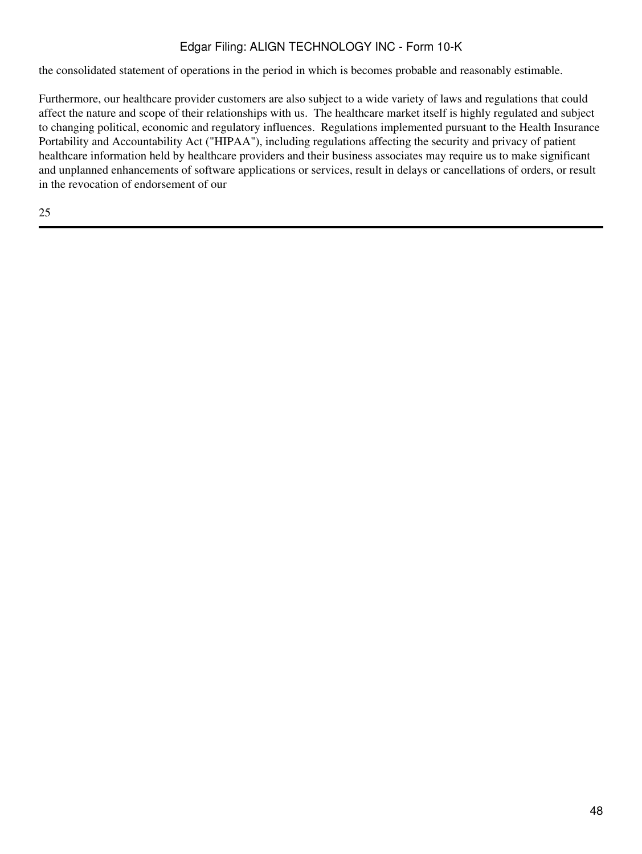the consolidated statement of operations in the period in which is becomes probable and reasonably estimable.

Furthermore, our healthcare provider customers are also subject to a wide variety of laws and regulations that could affect the nature and scope of their relationships with us. The healthcare market itself is highly regulated and subject to changing political, economic and regulatory influences. Regulations implemented pursuant to the Health Insurance Portability and Accountability Act ("HIPAA"), including regulations affecting the security and privacy of patient healthcare information held by healthcare providers and their business associates may require us to make significant and unplanned enhancements of software applications or services, result in delays or cancellations of orders, or result in the revocation of endorsement of our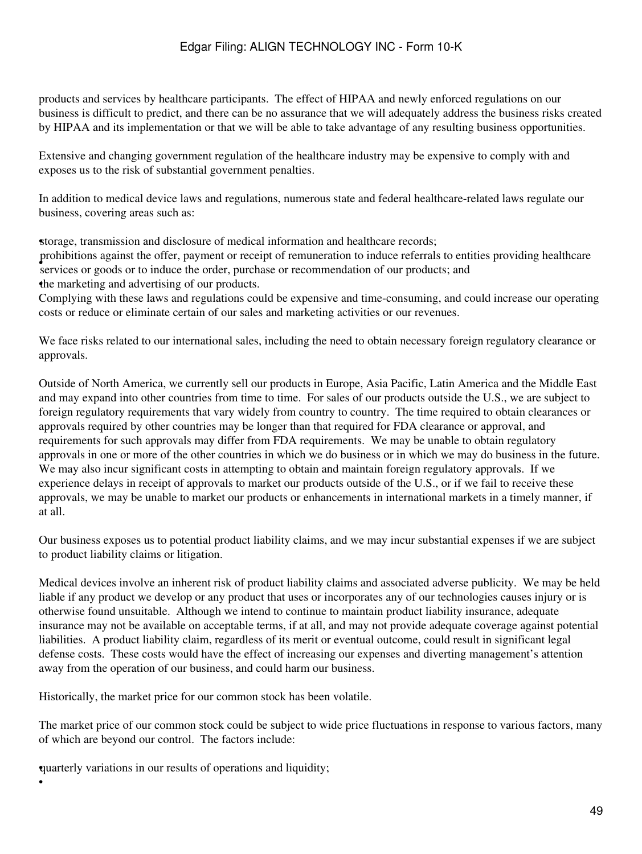products and services by healthcare participants. The effect of HIPAA and newly enforced regulations on our business is difficult to predict, and there can be no assurance that we will adequately address the business risks created by HIPAA and its implementation or that we will be able to take advantage of any resulting business opportunities.

Extensive and changing government regulation of the healthcare industry may be expensive to comply with and exposes us to the risk of substantial government penalties.

In addition to medical device laws and regulations, numerous state and federal healthcare-related laws regulate our business, covering areas such as:

•storage, transmission and disclosure of medical information and healthcare records;

• services or goods or to induce the order, purchase or recommendation of our products; and prohibitions against the offer, payment or receipt of remuneration to induce referrals to entities providing healthcare •the marketing and advertising of our products.

Complying with these laws and regulations could be expensive and time-consuming, and could increase our operating costs or reduce or eliminate certain of our sales and marketing activities or our revenues.

We face risks related to our international sales, including the need to obtain necessary foreign regulatory clearance or approvals.

Outside of North America, we currently sell our products in Europe, Asia Pacific, Latin America and the Middle East and may expand into other countries from time to time. For sales of our products outside the U.S., we are subject to foreign regulatory requirements that vary widely from country to country. The time required to obtain clearances or approvals required by other countries may be longer than that required for FDA clearance or approval, and requirements for such approvals may differ from FDA requirements. We may be unable to obtain regulatory approvals in one or more of the other countries in which we do business or in which we may do business in the future. We may also incur significant costs in attempting to obtain and maintain foreign regulatory approvals. If we experience delays in receipt of approvals to market our products outside of the U.S., or if we fail to receive these approvals, we may be unable to market our products or enhancements in international markets in a timely manner, if at all.

Our business exposes us to potential product liability claims, and we may incur substantial expenses if we are subject to product liability claims or litigation.

Medical devices involve an inherent risk of product liability claims and associated adverse publicity. We may be held liable if any product we develop or any product that uses or incorporates any of our technologies causes injury or is otherwise found unsuitable. Although we intend to continue to maintain product liability insurance, adequate insurance may not be available on acceptable terms, if at all, and may not provide adequate coverage against potential liabilities. A product liability claim, regardless of its merit or eventual outcome, could result in significant legal defense costs. These costs would have the effect of increasing our expenses and diverting management's attention away from the operation of our business, and could harm our business.

Historically, the market price for our common stock has been volatile.

The market price of our common stock could be subject to wide price fluctuations in response to various factors, many of which are beyond our control. The factors include:

•quarterly variations in our results of operations and liquidity;

•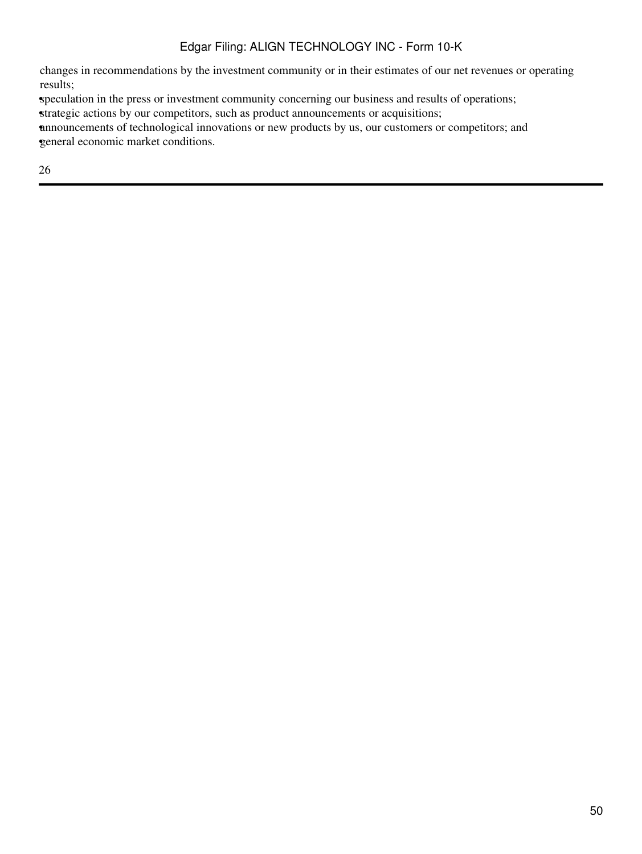changes in recommendations by the investment community or in their estimates of our net revenues or operating results;

•speculation in the press or investment community concerning our business and results of operations;

strategic actions by our competitors, such as product announcements or acquisitions;

•announcements of technological innovations or new products by us, our customers or competitors; and •general economic market conditions.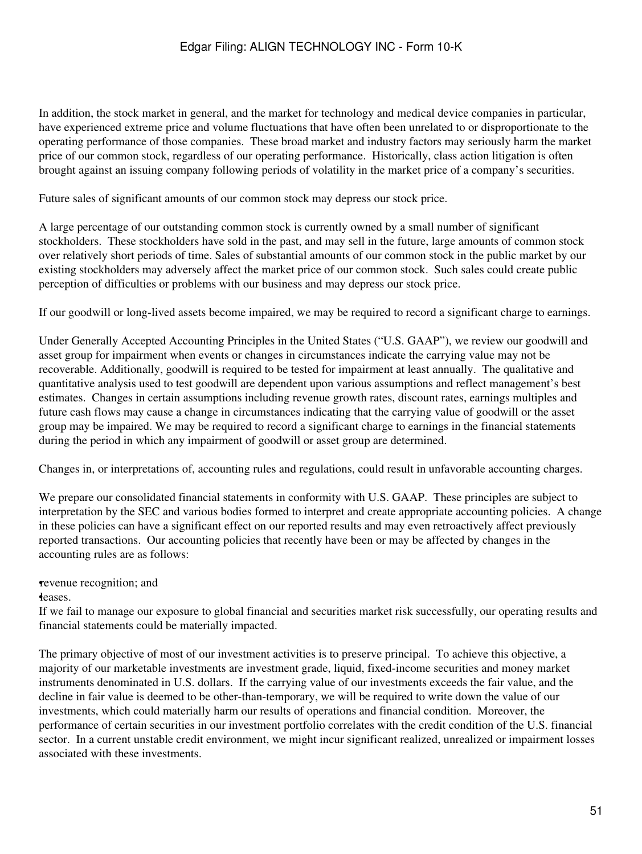In addition, the stock market in general, and the market for technology and medical device companies in particular, have experienced extreme price and volume fluctuations that have often been unrelated to or disproportionate to the operating performance of those companies. These broad market and industry factors may seriously harm the market price of our common stock, regardless of our operating performance. Historically, class action litigation is often brought against an issuing company following periods of volatility in the market price of a company's securities.

Future sales of significant amounts of our common stock may depress our stock price.

A large percentage of our outstanding common stock is currently owned by a small number of significant stockholders. These stockholders have sold in the past, and may sell in the future, large amounts of common stock over relatively short periods of time. Sales of substantial amounts of our common stock in the public market by our existing stockholders may adversely affect the market price of our common stock. Such sales could create public perception of difficulties or problems with our business and may depress our stock price.

If our goodwill or long-lived assets become impaired, we may be required to record a significant charge to earnings.

Under Generally Accepted Accounting Principles in the United States ("U.S. GAAP"), we review our goodwill and asset group for impairment when events or changes in circumstances indicate the carrying value may not be recoverable. Additionally, goodwill is required to be tested for impairment at least annually. The qualitative and quantitative analysis used to test goodwill are dependent upon various assumptions and reflect management's best estimates. Changes in certain assumptions including revenue growth rates, discount rates, earnings multiples and future cash flows may cause a change in circumstances indicating that the carrying value of goodwill or the asset group may be impaired. We may be required to record a significant charge to earnings in the financial statements during the period in which any impairment of goodwill or asset group are determined.

Changes in, or interpretations of, accounting rules and regulations, could result in unfavorable accounting charges.

We prepare our consolidated financial statements in conformity with U.S. GAAP. These principles are subject to interpretation by the SEC and various bodies formed to interpret and create appropriate accounting policies. A change in these policies can have a significant effect on our reported results and may even retroactively affect previously reported transactions. Our accounting policies that recently have been or may be affected by changes in the accounting rules are as follows:

#### •revenue recognition; and

•leases.

If we fail to manage our exposure to global financial and securities market risk successfully, our operating results and financial statements could be materially impacted.

The primary objective of most of our investment activities is to preserve principal. To achieve this objective, a majority of our marketable investments are investment grade, liquid, fixed-income securities and money market instruments denominated in U.S. dollars. If the carrying value of our investments exceeds the fair value, and the decline in fair value is deemed to be other-than-temporary, we will be required to write down the value of our investments, which could materially harm our results of operations and financial condition. Moreover, the performance of certain securities in our investment portfolio correlates with the credit condition of the U.S. financial sector. In a current unstable credit environment, we might incur significant realized, unrealized or impairment losses associated with these investments.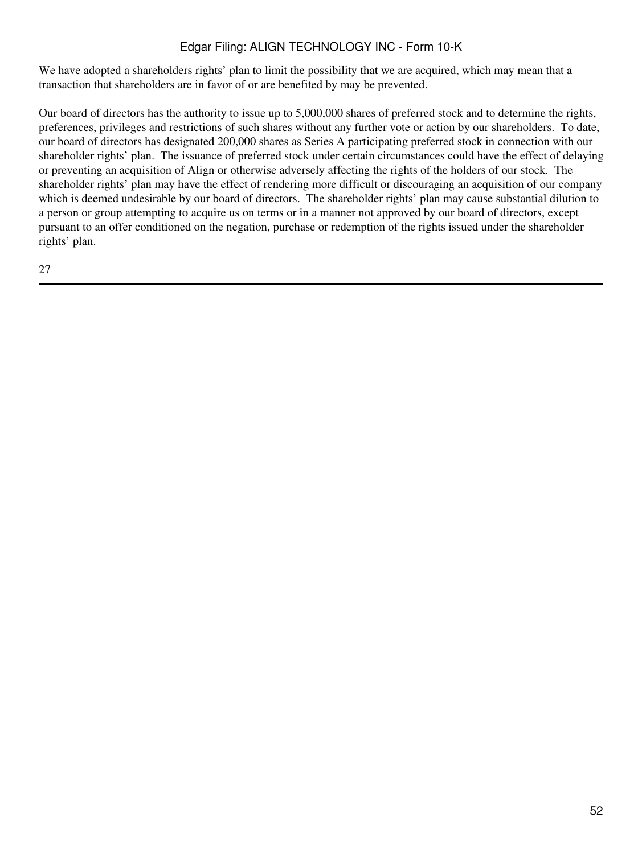We have adopted a shareholders rights' plan to limit the possibility that we are acquired, which may mean that a transaction that shareholders are in favor of or are benefited by may be prevented.

Our board of directors has the authority to issue up to 5,000,000 shares of preferred stock and to determine the rights, preferences, privileges and restrictions of such shares without any further vote or action by our shareholders. To date, our board of directors has designated 200,000 shares as Series A participating preferred stock in connection with our shareholder rights' plan. The issuance of preferred stock under certain circumstances could have the effect of delaying or preventing an acquisition of Align or otherwise adversely affecting the rights of the holders of our stock. The shareholder rights' plan may have the effect of rendering more difficult or discouraging an acquisition of our company which is deemed undesirable by our board of directors. The shareholder rights' plan may cause substantial dilution to a person or group attempting to acquire us on terms or in a manner not approved by our board of directors, except pursuant to an offer conditioned on the negation, purchase or redemption of the rights issued under the shareholder rights' plan.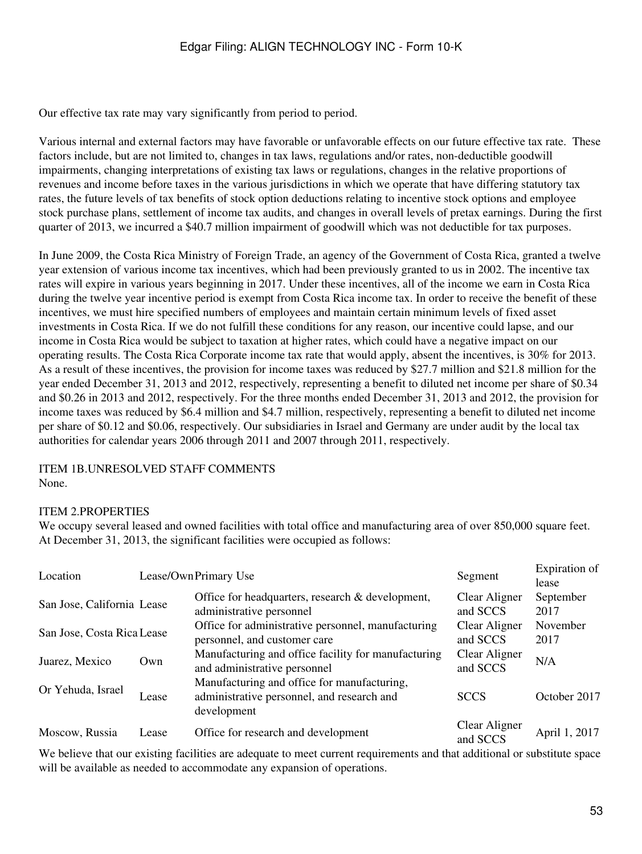Our effective tax rate may vary significantly from period to period.

Various internal and external factors may have favorable or unfavorable effects on our future effective tax rate. These factors include, but are not limited to, changes in tax laws, regulations and/or rates, non-deductible goodwill impairments, changing interpretations of existing tax laws or regulations, changes in the relative proportions of revenues and income before taxes in the various jurisdictions in which we operate that have differing statutory tax rates, the future levels of tax benefits of stock option deductions relating to incentive stock options and employee stock purchase plans, settlement of income tax audits, and changes in overall levels of pretax earnings. During the first quarter of 2013, we incurred a \$40.7 million impairment of goodwill which was not deductible for tax purposes.

In June 2009, the Costa Rica Ministry of Foreign Trade, an agency of the Government of Costa Rica, granted a twelve year extension of various income tax incentives, which had been previously granted to us in 2002. The incentive tax rates will expire in various years beginning in 2017. Under these incentives, all of the income we earn in Costa Rica during the twelve year incentive period is exempt from Costa Rica income tax. In order to receive the benefit of these incentives, we must hire specified numbers of employees and maintain certain minimum levels of fixed asset investments in Costa Rica. If we do not fulfill these conditions for any reason, our incentive could lapse, and our income in Costa Rica would be subject to taxation at higher rates, which could have a negative impact on our operating results. The Costa Rica Corporate income tax rate that would apply, absent the incentives, is 30% for 2013. As a result of these incentives, the provision for income taxes was reduced by \$27.7 million and \$21.8 million for the year ended December 31, 2013 and 2012, respectively, representing a benefit to diluted net income per share of \$0.34 and \$0.26 in 2013 and 2012, respectively. For the three months ended December 31, 2013 and 2012, the provision for income taxes was reduced by \$6.4 million and \$4.7 million, respectively, representing a benefit to diluted net income per share of \$0.12 and \$0.06, respectively. Our subsidiaries in Israel and Germany are under audit by the local tax authorities for calendar years 2006 through 2011 and 2007 through 2011, respectively.

ITEM 1B.UNRESOLVED STAFF COMMENTS None.

#### ITEM 2.PROPERTIES

We occupy several leased and owned facilities with total office and manufacturing area of over 850,000 square feet. At December 31, 2013, the significant facilities were occupied as follows:

| Location                   |       | Lease/OwnPrimary Use                                                                                     | Segment                   | Expiration of<br>lease |
|----------------------------|-------|----------------------------------------------------------------------------------------------------------|---------------------------|------------------------|
| San Jose, California Lease |       | Office for headquarters, research & development,<br>administrative personnel                             | Clear Aligner<br>and SCCS | September<br>2017      |
| San Jose, Costa Rica Lease |       | Office for administrative personnel, manufacturing<br>personnel, and customer care                       | Clear Aligner<br>and SCCS | November<br>2017       |
| Juarez, Mexico             | Own   | Manufacturing and office facility for manufacturing<br>and administrative personnel                      | Clear Aligner<br>and SCCS | N/A                    |
| Or Yehuda, Israel          | Lease | Manufacturing and office for manufacturing,<br>administrative personnel, and research and<br>development | <b>SCCS</b>               | October 2017           |
| Moscow, Russia             | Lease | Office for research and development                                                                      | Clear Aligner<br>and SCCS | April 1, 2017          |

We believe that our existing facilities are adequate to meet current requirements and that additional or substitute space will be available as needed to accommodate any expansion of operations.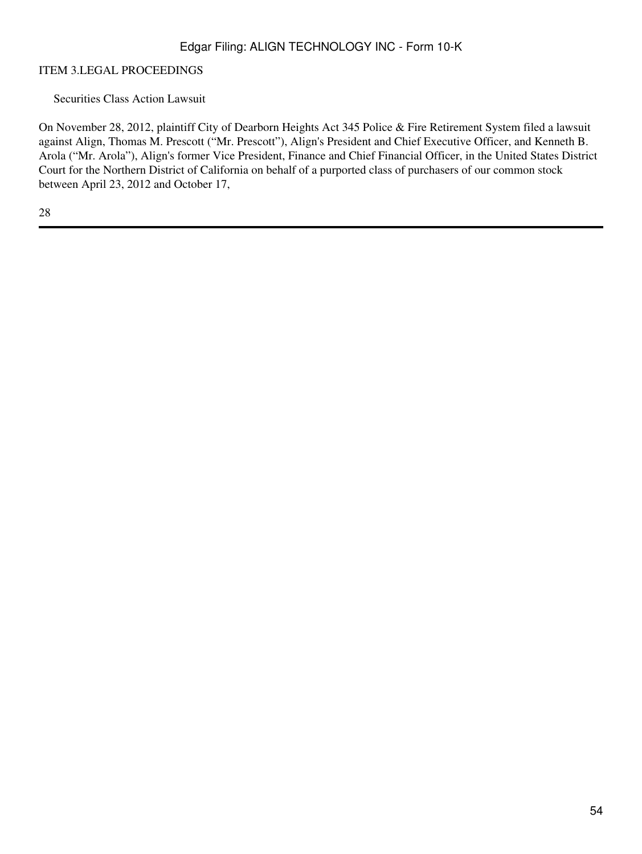#### ITEM 3.LEGAL PROCEEDINGS

Securities Class Action Lawsuit

On November 28, 2012, plaintiff City of Dearborn Heights Act 345 Police & Fire Retirement System filed a lawsuit against Align, Thomas M. Prescott ("Mr. Prescott"), Align's President and Chief Executive Officer, and Kenneth B. Arola ("Mr. Arola"), Align's former Vice President, Finance and Chief Financial Officer, in the United States District Court for the Northern District of California on behalf of a purported class of purchasers of our common stock between April 23, 2012 and October 17,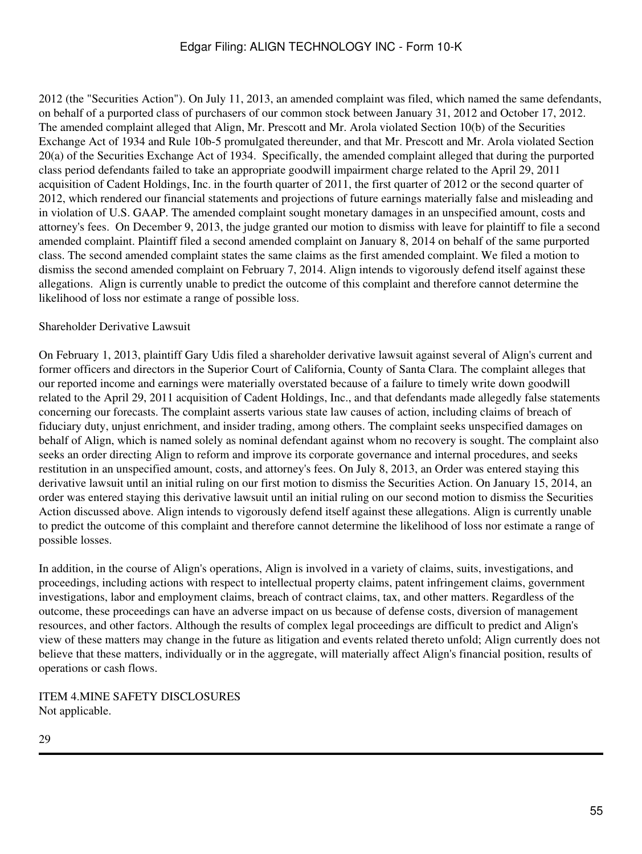2012 (the "Securities Action"). On July 11, 2013, an amended complaint was filed, which named the same defendants, on behalf of a purported class of purchasers of our common stock between January 31, 2012 and October 17, 2012. The amended complaint alleged that Align, Mr. Prescott and Mr. Arola violated Section 10(b) of the Securities Exchange Act of 1934 and Rule 10b-5 promulgated thereunder, and that Mr. Prescott and Mr. Arola violated Section 20(a) of the Securities Exchange Act of 1934. Specifically, the amended complaint alleged that during the purported class period defendants failed to take an appropriate goodwill impairment charge related to the April 29, 2011 acquisition of Cadent Holdings, Inc. in the fourth quarter of 2011, the first quarter of 2012 or the second quarter of 2012, which rendered our financial statements and projections of future earnings materially false and misleading and in violation of U.S. GAAP. The amended complaint sought monetary damages in an unspecified amount, costs and attorney's fees. On December 9, 2013, the judge granted our motion to dismiss with leave for plaintiff to file a second amended complaint. Plaintiff filed a second amended complaint on January 8, 2014 on behalf of the same purported class. The second amended complaint states the same claims as the first amended complaint. We filed a motion to dismiss the second amended complaint on February 7, 2014. Align intends to vigorously defend itself against these allegations. Align is currently unable to predict the outcome of this complaint and therefore cannot determine the likelihood of loss nor estimate a range of possible loss.

#### Shareholder Derivative Lawsuit

On February 1, 2013, plaintiff Gary Udis filed a shareholder derivative lawsuit against several of Align's current and former officers and directors in the Superior Court of California, County of Santa Clara. The complaint alleges that our reported income and earnings were materially overstated because of a failure to timely write down goodwill related to the April 29, 2011 acquisition of Cadent Holdings, Inc., and that defendants made allegedly false statements concerning our forecasts. The complaint asserts various state law causes of action, including claims of breach of fiduciary duty, unjust enrichment, and insider trading, among others. The complaint seeks unspecified damages on behalf of Align, which is named solely as nominal defendant against whom no recovery is sought. The complaint also seeks an order directing Align to reform and improve its corporate governance and internal procedures, and seeks restitution in an unspecified amount, costs, and attorney's fees. On July 8, 2013, an Order was entered staying this derivative lawsuit until an initial ruling on our first motion to dismiss the Securities Action. On January 15, 2014, an order was entered staying this derivative lawsuit until an initial ruling on our second motion to dismiss the Securities Action discussed above. Align intends to vigorously defend itself against these allegations. Align is currently unable to predict the outcome of this complaint and therefore cannot determine the likelihood of loss nor estimate a range of possible losses.

In addition, in the course of Align's operations, Align is involved in a variety of claims, suits, investigations, and proceedings, including actions with respect to intellectual property claims, patent infringement claims, government investigations, labor and employment claims, breach of contract claims, tax, and other matters. Regardless of the outcome, these proceedings can have an adverse impact on us because of defense costs, diversion of management resources, and other factors. Although the results of complex legal proceedings are difficult to predict and Align's view of these matters may change in the future as litigation and events related thereto unfold; Align currently does not believe that these matters, individually or in the aggregate, will materially affect Align's financial position, results of operations or cash flows.

ITEM 4.MINE SAFETY DISCLOSURES Not applicable.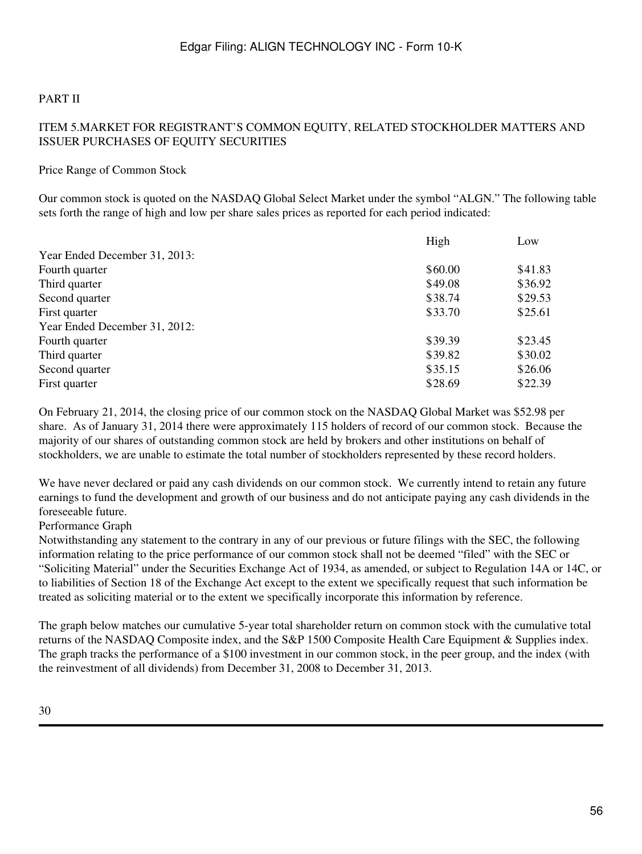# PART II

# ITEM 5.MARKET FOR REGISTRANT'S COMMON EQUITY, RELATED STOCKHOLDER MATTERS AND ISSUER PURCHASES OF EQUITY SECURITIES

#### Price Range of Common Stock

Our common stock is quoted on the NASDAQ Global Select Market under the symbol "ALGN." The following table sets forth the range of high and low per share sales prices as reported for each period indicated:

| High    | Low     |
|---------|---------|
|         |         |
| \$60.00 | \$41.83 |
| \$49.08 | \$36.92 |
| \$38.74 | \$29.53 |
| \$33.70 | \$25.61 |
|         |         |
| \$39.39 | \$23.45 |
| \$39.82 | \$30.02 |
| \$35.15 | \$26.06 |
| \$28.69 | \$22.39 |
|         |         |

On February 21, 2014, the closing price of our common stock on the NASDAQ Global Market was \$52.98 per share. As of January 31, 2014 there were approximately 115 holders of record of our common stock. Because the majority of our shares of outstanding common stock are held by brokers and other institutions on behalf of stockholders, we are unable to estimate the total number of stockholders represented by these record holders.

We have never declared or paid any cash dividends on our common stock. We currently intend to retain any future earnings to fund the development and growth of our business and do not anticipate paying any cash dividends in the foreseeable future.

#### Performance Graph

Notwithstanding any statement to the contrary in any of our previous or future filings with the SEC, the following information relating to the price performance of our common stock shall not be deemed "filed" with the SEC or "Soliciting Material" under the Securities Exchange Act of 1934, as amended, or subject to Regulation 14A or 14C, or to liabilities of Section 18 of the Exchange Act except to the extent we specifically request that such information be treated as soliciting material or to the extent we specifically incorporate this information by reference.

The graph below matches our cumulative 5-year total shareholder return on common stock with the cumulative total returns of the NASDAQ Composite index, and the S&P 1500 Composite Health Care Equipment & Supplies index. The graph tracks the performance of a \$100 investment in our common stock, in the peer group, and the index (with the reinvestment of all dividends) from December 31, 2008 to December 31, 2013.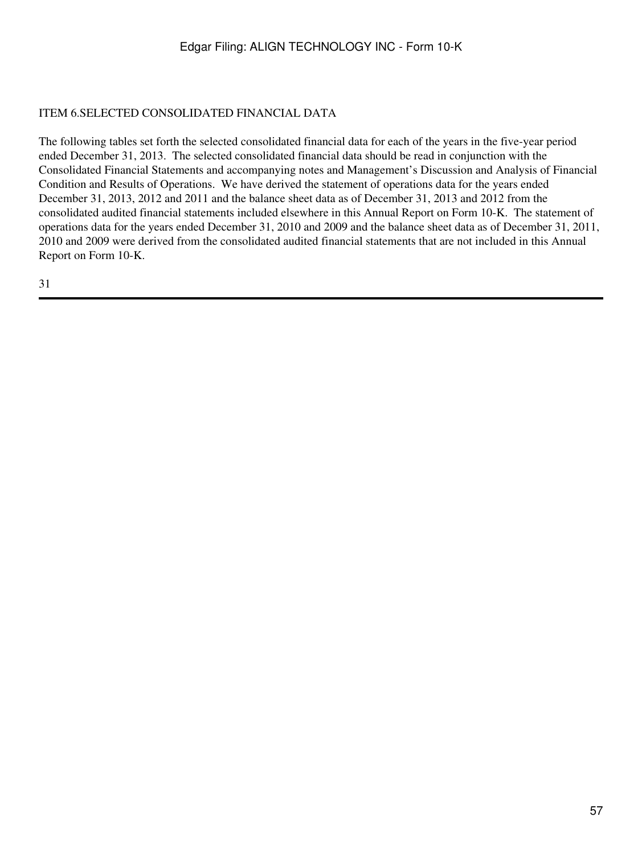### ITEM 6.SELECTED CONSOLIDATED FINANCIAL DATA

The following tables set forth the selected consolidated financial data for each of the years in the five-year period ended December 31, 2013. The selected consolidated financial data should be read in conjunction with the Consolidated Financial Statements and accompanying notes and Management's Discussion and Analysis of Financial Condition and Results of Operations. We have derived the statement of operations data for the years ended December 31, 2013, 2012 and 2011 and the balance sheet data as of December 31, 2013 and 2012 from the consolidated audited financial statements included elsewhere in this Annual Report on Form 10-K. The statement of operations data for the years ended December 31, 2010 and 2009 and the balance sheet data as of December 31, 2011, 2010 and 2009 were derived from the consolidated audited financial statements that are not included in this Annual Report on Form 10-K.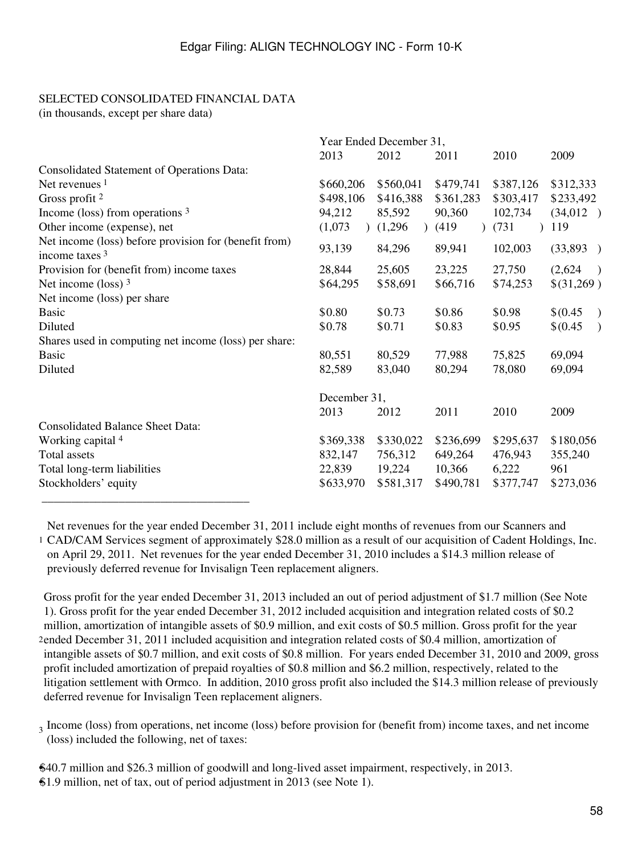### SELECTED CONSOLIDATED FINANCIAL DATA

(in thousands, except per share data)

|                                                                           |              | Year Ended December 31, |           |           |                           |  |  |  |  |
|---------------------------------------------------------------------------|--------------|-------------------------|-----------|-----------|---------------------------|--|--|--|--|
|                                                                           | 2013         | 2012                    | 2011      | 2010      | 2009                      |  |  |  |  |
| <b>Consolidated Statement of Operations Data:</b>                         |              |                         |           |           |                           |  |  |  |  |
| Net revenues $1$                                                          | \$660,206    | \$560,041               | \$479,741 | \$387,126 | \$312,333                 |  |  |  |  |
| Gross profit $2$                                                          | \$498,106    | \$416,388               | \$361,283 | \$303,417 | \$233,492                 |  |  |  |  |
| Income (loss) from operations $3$                                         | 94,212       | 85,592                  | 90,360    | 102,734   | (34,012)                  |  |  |  |  |
| Other income (expense), net                                               | (1,073)      | (1,296)                 | (419)     | (731)     | 119                       |  |  |  |  |
| Net income (loss) before provision for (benefit from)<br>income taxes $3$ | 93,139       | 84,296                  | 89,941    | 102,003   | (33,893)                  |  |  |  |  |
| Provision for (benefit from) income taxes                                 | 28,844       | 25,605                  | 23,225    | 27,750    | (2,624)                   |  |  |  |  |
| Net income (loss) $3$                                                     | \$64,295     | \$58,691                | \$66,716  | \$74,253  | \$(31,269)                |  |  |  |  |
| Net income (loss) per share                                               |              |                         |           |           |                           |  |  |  |  |
| <b>Basic</b>                                                              | \$0.80       | \$0.73                  | \$0.86    | \$0.98    | \$(0.45)<br>$\big)$       |  |  |  |  |
| Diluted                                                                   | \$0.78       | \$0.71                  | \$0.83    | \$0.95    | \$(0.45)<br>$\mathcal{E}$ |  |  |  |  |
| Shares used in computing net income (loss) per share:                     |              |                         |           |           |                           |  |  |  |  |
| <b>Basic</b>                                                              | 80,551       | 80,529                  | 77,988    | 75,825    | 69,094                    |  |  |  |  |
| Diluted                                                                   | 82,589       | 83,040                  | 80,294    | 78,080    | 69,094                    |  |  |  |  |
|                                                                           | December 31, |                         |           |           |                           |  |  |  |  |
|                                                                           | 2013         | 2012                    | 2011      | 2010      | 2009                      |  |  |  |  |
| <b>Consolidated Balance Sheet Data:</b>                                   |              |                         |           |           |                           |  |  |  |  |
| Working capital 4                                                         | \$369,338    | \$330,022               | \$236,699 | \$295,637 | \$180,056                 |  |  |  |  |
| <b>Total</b> assets                                                       | 832,147      | 756,312                 | 649,264   | 476,943   | 355,240                   |  |  |  |  |
| Total long-term liabilities                                               | 22,839       | 19,224                  | 10,366    | 6,222     | 961                       |  |  |  |  |
| Stockholders' equity                                                      | \$633,970    | \$581,317               | \$490,781 | \$377,747 | \$273,036                 |  |  |  |  |
|                                                                           |              |                         |           |           |                           |  |  |  |  |

1 CAD/CAM Services segment of approximately \$28.0 million as a result of our acquisition of Cadent Holdings, Inc. Net revenues for the year ended December 31, 2011 include eight months of revenues from our Scanners and on April 29, 2011. Net revenues for the year ended December 31, 2010 includes a \$14.3 million release of previously deferred revenue for Invisalign Teen replacement aligners.

2 ended December 31, 2011 included acquisition and integration related costs of \$0.4 million, amortization of Gross profit for the year ended December 31, 2013 included an out of period adjustment of \$1.7 million (See Note 1). Gross profit for the year ended December 31, 2012 included acquisition and integration related costs of \$0.2 million, amortization of intangible assets of \$0.9 million, and exit costs of \$0.5 million. Gross profit for the year intangible assets of \$0.7 million, and exit costs of \$0.8 million. For years ended December 31, 2010 and 2009, gross profit included amortization of prepaid royalties of \$0.8 million and \$6.2 million, respectively, related to the litigation settlement with Ormco. In addition, 2010 gross profit also included the \$14.3 million release of previously deferred revenue for Invisalign Teen replacement aligners.

3 Income (loss) from operations, net income (loss) before provision for (benefit from) income taxes, and net income (loss) included the following, net of taxes:

•\$40.7 million and \$26.3 million of goodwill and long-lived asset impairment, respectively, in 2013. •\$1.9 million, net of tax, out of period adjustment in 2013 (see Note 1).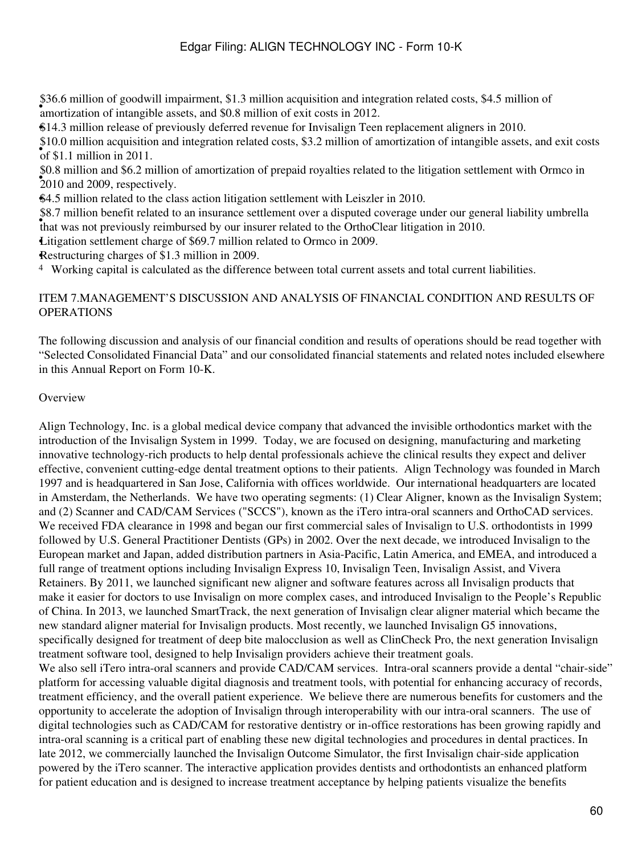abolis million of goodwin impairment,  $\phi$ 1.5 million acquisition and line amortization of intangible assets, and \$0.8 million of exit costs in 2012. \$36.6 million of goodwill impairment, \$1.3 million acquisition and integration related costs, \$4.5 million of

•\$14.3 million release of previously deferred revenue for Invisalign Teen replacement aligners in 2010.

of \$1.1 million in 2011. \$10.0 million acquisition and integration related costs, \$3.2 million of amortization of intangible assets, and exit costs

• 2010 and 2009, respectively. \$0.8 million and \$6.2 million of amortization of prepaid royalties related to the litigation settlement with Ormco in

•\$4.5 million related to the class action litigation settlement with Leiszler in 2010.

• that was not previously reimbursed by our insurer related to the OrthoClear litigation in 2010. \$8.7 million benefit related to an insurance settlement over a disputed coverage under our general liability umbrella

•Litigation settlement charge of \$69.7 million related to Ormco in 2009.

•Restructuring charges of \$1.3 million in 2009.

<sup>4</sup> Working capital is calculated as the difference between total current assets and total current liabilities.

#### ITEM 7.MANAGEMENT'S DISCUSSION AND ANALYSIS OF FINANCIAL CONDITION AND RESULTS OF OPERATIONS

The following discussion and analysis of our financial condition and results of operations should be read together with "Selected Consolidated Financial Data" and our consolidated financial statements and related notes included elsewhere in this Annual Report on Form 10-K.

#### **Overview**

Align Technology, Inc. is a global medical device company that advanced the invisible orthodontics market with the introduction of the Invisalign System in 1999. Today, we are focused on designing, manufacturing and marketing innovative technology-rich products to help dental professionals achieve the clinical results they expect and deliver effective, convenient cutting-edge dental treatment options to their patients. Align Technology was founded in March 1997 and is headquartered in San Jose, California with offices worldwide. Our international headquarters are located in Amsterdam, the Netherlands. We have two operating segments: (1) Clear Aligner, known as the Invisalign System; and (2) Scanner and CAD/CAM Services ("SCCS"), known as the iTero intra-oral scanners and OrthoCAD services. We received FDA clearance in 1998 and began our first commercial sales of Invisalign to U.S. orthodontists in 1999 followed by U.S. General Practitioner Dentists (GPs) in 2002. Over the next decade, we introduced Invisalign to the European market and Japan, added distribution partners in Asia-Pacific, Latin America, and EMEA, and introduced a full range of treatment options including Invisalign Express 10, Invisalign Teen, Invisalign Assist, and Vivera Retainers. By 2011, we launched significant new aligner and software features across all Invisalign products that make it easier for doctors to use Invisalign on more complex cases, and introduced Invisalign to the People's Republic of China. In 2013, we launched SmartTrack, the next generation of Invisalign clear aligner material which became the new standard aligner material for Invisalign products. Most recently, we launched Invisalign G5 innovations, specifically designed for treatment of deep bite malocclusion as well as ClinCheck Pro, the next generation Invisalign treatment software tool, designed to help Invisalign providers achieve their treatment goals. We also sell iTero intra-oral scanners and provide CAD/CAM services. Intra-oral scanners provide a dental "chair-side" platform for accessing valuable digital diagnosis and treatment tools, with potential for enhancing accuracy of records, treatment efficiency, and the overall patient experience. We believe there are numerous benefits for customers and the opportunity to accelerate the adoption of Invisalign through interoperability with our intra-oral scanners. The use of digital technologies such as CAD/CAM for restorative dentistry or in-office restorations has been growing rapidly and intra-oral scanning is a critical part of enabling these new digital technologies and procedures in dental practices. In late 2012, we commercially launched the Invisalign Outcome Simulator, the first Invisalign chair-side application powered by the iTero scanner. The interactive application provides dentists and orthodontists an enhanced platform for patient education and is designed to increase treatment acceptance by helping patients visualize the benefits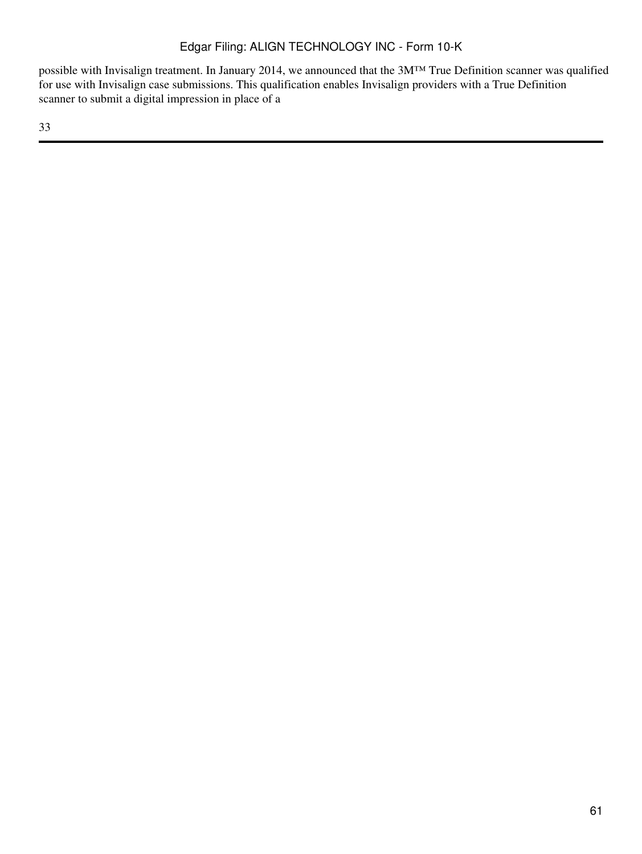possible with Invisalign treatment. In January 2014, we announced that the 3M™ True Definition scanner was qualified for use with Invisalign case submissions. This qualification enables Invisalign providers with a True Definition scanner to submit a digital impression in place of a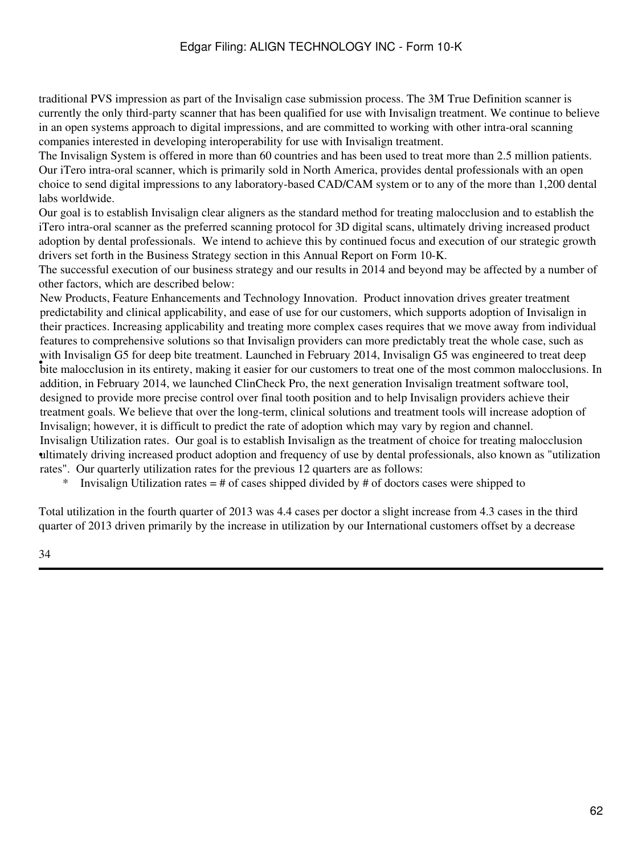traditional PVS impression as part of the Invisalign case submission process. The 3M True Definition scanner is currently the only third-party scanner that has been qualified for use with Invisalign treatment. We continue to believe in an open systems approach to digital impressions, and are committed to working with other intra-oral scanning companies interested in developing interoperability for use with Invisalign treatment.

The Invisalign System is offered in more than 60 countries and has been used to treat more than 2.5 million patients. Our iTero intra-oral scanner, which is primarily sold in North America, provides dental professionals with an open choice to send digital impressions to any laboratory-based CAD/CAM system or to any of the more than 1,200 dental labs worldwide.

Our goal is to establish Invisalign clear aligners as the standard method for treating malocclusion and to establish the iTero intra-oral scanner as the preferred scanning protocol for 3D digital scans, ultimately driving increased product adoption by dental professionals. We intend to achieve this by continued focus and execution of our strategic growth drivers set forth in the Business Strategy section in this Annual Report on Form 10-K.

The successful execution of our business strategy and our results in 2014 and beyond may be affected by a number of other factors, which are described below:

with invising it of the police dealinent. Each entirety in Fordary 2014, invising the was engineered to treat deep<br>bite malocclusion in its entirety, making it easier for our customers to treat one of the most common maloc New Products, Feature Enhancements and Technology Innovation. Product innovation drives greater treatment predictability and clinical applicability, and ease of use for our customers, which supports adoption of Invisalign in their practices. Increasing applicability and treating more complex cases requires that we move away from individual features to comprehensive solutions so that Invisalign providers can more predictably treat the whole case, such as with Invisalign G5 for deep bite treatment. Launched in February 2014, Invisalign G5 was engineered to treat deep addition, in February 2014, we launched ClinCheck Pro, the next generation Invisalign treatment software tool, designed to provide more precise control over final tooth position and to help Invisalign providers achieve their treatment goals. We believe that over the long-term, clinical solutions and treatment tools will increase adoption of Invisalign; however, it is difficult to predict the rate of adoption which may vary by region and channel. • ultimately driving increased product adoption and frequency of use by dental professionals, also known as "utilization Invisalign Utilization rates. Our goal is to establish Invisalign as the treatment of choice for treating malocclusion rates". Our quarterly utilization rates for the previous 12 quarters are as follows:

Invisalign Utilization rates  $=$  # of cases shipped divided by # of doctors cases were shipped to

Total utilization in the fourth quarter of 2013 was 4.4 cases per doctor a slight increase from 4.3 cases in the third quarter of 2013 driven primarily by the increase in utilization by our International customers offset by a decrease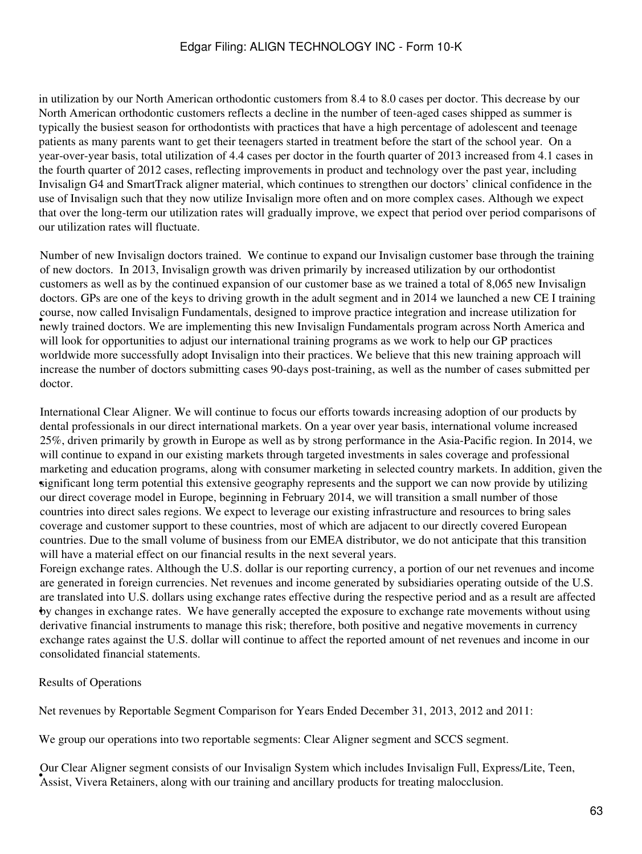in utilization by our North American orthodontic customers from 8.4 to 8.0 cases per doctor. This decrease by our North American orthodontic customers reflects a decline in the number of teen-aged cases shipped as summer is typically the busiest season for orthodontists with practices that have a high percentage of adolescent and teenage patients as many parents want to get their teenagers started in treatment before the start of the school year. On a year-over-year basis, total utilization of 4.4 cases per doctor in the fourth quarter of 2013 increased from 4.1 cases in the fourth quarter of 2012 cases, reflecting improvements in product and technology over the past year, including Invisalign G4 and SmartTrack aligner material, which continues to strengthen our doctors' clinical confidence in the use of Invisalign such that they now utilize Invisalign more often and on more complex cases. Although we expect that over the long-term our utilization rates will gradually improve, we expect that period over period comparisons of our utilization rates will fluctuate.

• newly trained doctors. We are implementing this new Invisalign Fundamentals program across North America and Number of new Invisalign doctors trained. We continue to expand our Invisalign customer base through the training of new doctors. In 2013, Invisalign growth was driven primarily by increased utilization by our orthodontist customers as well as by the continued expansion of our customer base as we trained a total of 8,065 new Invisalign doctors. GPs are one of the keys to driving growth in the adult segment and in 2014 we launched a new CE I training course, now called Invisalign Fundamentals, designed to improve practice integration and increase utilization for will look for opportunities to adjust our international training programs as we work to help our GP practices worldwide more successfully adopt Invisalign into their practices. We believe that this new training approach will increase the number of doctors submitting cases 90-days post-training, as well as the number of cases submitted per doctor.

significant long term potential this extensive geography represents and the support we can now provide by utilizing International Clear Aligner. We will continue to focus our efforts towards increasing adoption of our products by dental professionals in our direct international markets. On a year over year basis, international volume increased 25%, driven primarily by growth in Europe as well as by strong performance in the Asia-Pacific region. In 2014, we will continue to expand in our existing markets through targeted investments in sales coverage and professional marketing and education programs, along with consumer marketing in selected country markets. In addition, given the our direct coverage model in Europe, beginning in February 2014, we will transition a small number of those countries into direct sales regions. We expect to leverage our existing infrastructure and resources to bring sales coverage and customer support to these countries, most of which are adjacent to our directly covered European countries. Due to the small volume of business from our EMEA distributor, we do not anticipate that this transition will have a material effect on our financial results in the next several years.

• by changes in exchange rates. We have generally accepted the exposure to exchange rate movements without using Foreign exchange rates. Although the U.S. dollar is our reporting currency, a portion of our net revenues and income are generated in foreign currencies. Net revenues and income generated by subsidiaries operating outside of the U.S. are translated into U.S. dollars using exchange rates effective during the respective period and as a result are affected derivative financial instruments to manage this risk; therefore, both positive and negative movements in currency exchange rates against the U.S. dollar will continue to affect the reported amount of net revenues and income in our consolidated financial statements.

Results of Operations

Net revenues by Reportable Segment Comparison for Years Ended December 31, 2013, 2012 and 2011:

We group our operations into two reportable segments: Clear Aligner segment and SCCS segment.

• Assist, Vivera Retainers, along with our training and ancillary products for treating malocclusion. Our Clear Aligner segment consists of our Invisalign System which includes Invisalign Full, Express/Lite, Teen,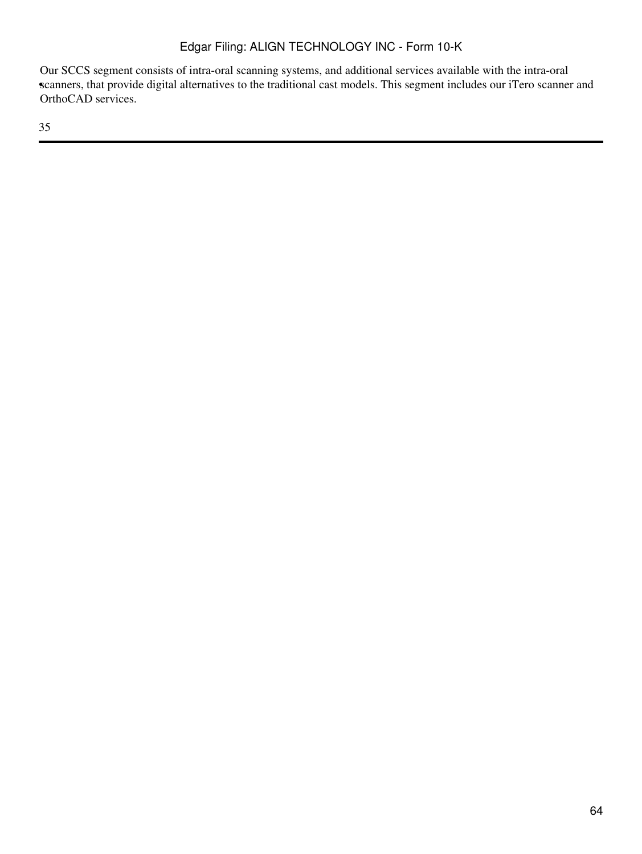scanners, that provide digital alternatives to the traditional cast models. This segment includes our iTero scanner and Our SCCS segment consists of intra-oral scanning systems, and additional services available with the intra-oral OrthoCAD services.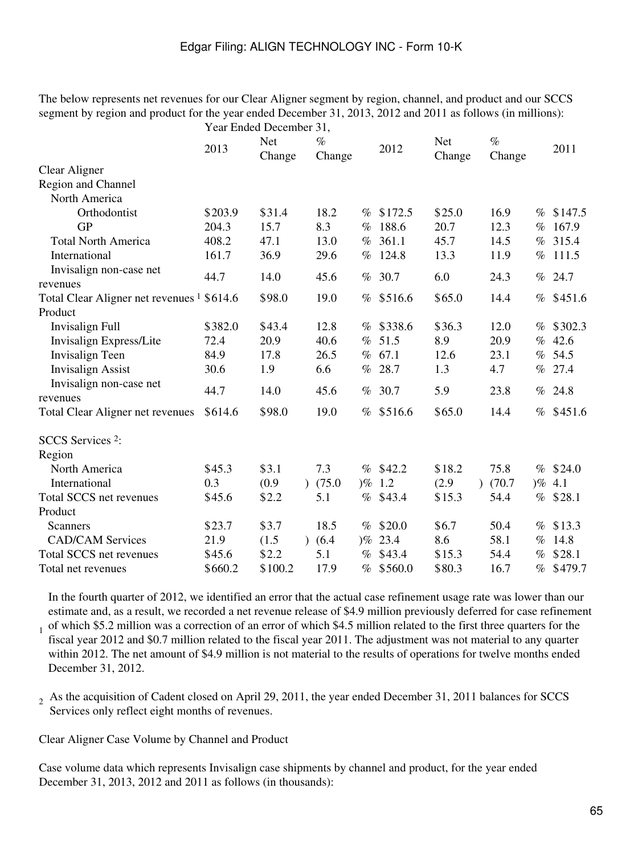The below represents net revenues for our Clear Aligner segment by region, channel, and product and our SCCS segment by region and product for the year ended December 31, 2013, 2012 and 2011 as follows (in millions): Year Ended December 31,

|                                                                   |         | $1$ can Einder December $J_1$ , |                |      |             |                      |                |      |             |
|-------------------------------------------------------------------|---------|---------------------------------|----------------|------|-------------|----------------------|----------------|------|-------------|
|                                                                   | 2013    | <b>Net</b><br>Change            | $\%$<br>Change |      | 2012        | <b>Net</b><br>Change | $\%$<br>Change |      | 2011        |
| <b>Clear Aligner</b>                                              |         |                                 |                |      |             |                      |                |      |             |
| Region and Channel                                                |         |                                 |                |      |             |                      |                |      |             |
| North America                                                     |         |                                 |                |      |             |                      |                |      |             |
| Orthodontist                                                      | \$203.9 | \$31.4                          | 18.2           |      | % \$172.5   | \$25.0               | 16.9           | %    | \$147.5     |
| <b>GP</b>                                                         | 204.3   | 15.7                            | 8.3            | $\%$ | 188.6       | 20.7                 | 12.3           | $\%$ | 167.9       |
| <b>Total North America</b>                                        | 408.2   | 47.1                            | 13.0           |      | % 361.1     | 45.7                 | 14.5           | $\%$ | 315.4       |
| International                                                     | 161.7   | 36.9                            | 29.6           | $\%$ | 124.8       | 13.3                 | 11.9           | $\%$ | 111.5       |
| Invisalign non-case net                                           | 44.7    | 14.0                            | 45.6           | $\%$ | 30.7        | 6.0                  | 24.3           | %    | 24.7        |
| revenues<br>Total Clear Aligner net revenues <sup>1</sup> \$614.6 |         | \$98.0                          | 19.0           | $\%$ | \$516.6     | \$65.0               | 14.4           |      | % \$451.6   |
| Product                                                           |         |                                 |                |      |             |                      |                |      |             |
| <b>Invisalign Full</b>                                            | \$382.0 | \$43.4                          | 12.8           |      | $%$ \$338.6 | \$36.3               | 12.0           | %    | \$302.3     |
| Invisalign Express/Lite                                           | 72.4    | 20.9                            | 40.6           | $\%$ | 51.5        | 8.9                  | 20.9           | $\%$ | 42.6        |
| Invisalign Teen                                                   | 84.9    | 17.8                            | 26.5           |      | % 67.1      | 12.6                 | 23.1           | $\%$ | 54.5        |
| <b>Invisalign Assist</b>                                          | 30.6    | 1.9                             | 6.6            | %    | 28.7        | 1.3                  | 4.7            | $\%$ | 27.4        |
| Invisalign non-case net                                           |         |                                 |                |      |             |                      |                |      |             |
| revenues                                                          | 44.7    | 14.0                            | 45.6           | $\%$ | 30.7        | 5.9                  | 23.8           | %    | 24.8        |
| <b>Total Clear Aligner net revenues</b>                           | \$614.6 | \$98.0                          | 19.0           |      | % \$516.6   | \$65.0               | 14.4           |      | $%$ \$451.6 |
|                                                                   |         |                                 |                |      |             |                      |                |      |             |
| SCCS Services <sup>2</sup> :                                      |         |                                 |                |      |             |                      |                |      |             |
| Region                                                            |         |                                 |                |      |             |                      |                |      |             |
| North America                                                     | \$45.3  | \$3.1                           | 7.3            | $\%$ | \$42.2      | \$18.2               | 75.8           |      | $%$ \$24.0  |
| International                                                     | 0.3     | (0.9)                           | (75.0)         |      | $)\%$ 1.2   | (2.9)                | (70.7)         |      | $)\%$ 4.1   |
| Total SCCS net revenues                                           | \$45.6  | \$2.2                           | 5.1            | $\%$ | \$43.4      | \$15.3               | 54.4           | $\%$ | \$28.1      |
| Product                                                           |         |                                 |                |      |             |                      |                |      |             |
| <b>Scanners</b>                                                   | \$23.7  | \$3.7                           | 18.5           | $\%$ | \$20.0      | \$6.7                | 50.4           | %    | \$13.3      |
| <b>CAD/CAM Services</b>                                           | 21.9    | (1.5)                           | (6.4)          |      | $)\%$ 23.4  | 8.6                  | 58.1           | $\%$ | 14.8        |
| Total SCCS net revenues                                           | \$45.6  | \$2.2                           | 5.1            | %    | \$43.4      | \$15.3               | 54.4           | %    | \$28.1      |
| Total net revenues                                                | \$660.2 | \$100.2                         | 17.9           | %    | \$560.0     | \$80.3               | 16.7           | $\%$ | \$479.7     |

1 In the fourth quarter of 2012, we identified an error that the actual case refinement usage rate was lower than our estimate and, as a result, we recorded a net revenue release of \$4.9 million previously deferred for case refinement of which \$5.2 million was a correction of an error of which \$4.5 million related to the first three quarters for the fiscal year 2012 and \$0.7 million related to the fiscal year 2011. The adjustment was not material to any quarter within 2012. The net amount of \$4.9 million is not material to the results of operations for twelve months ended December 31, 2012.

 $_2$  As the acquisition of Cadent closed on April 29, 2011, the year ended December 31, 2011 balances for SCCS Services only reflect eight months of revenues.

Clear Aligner Case Volume by Channel and Product

Case volume data which represents Invisalign case shipments by channel and product, for the year ended December 31, 2013, 2012 and 2011 as follows (in thousands):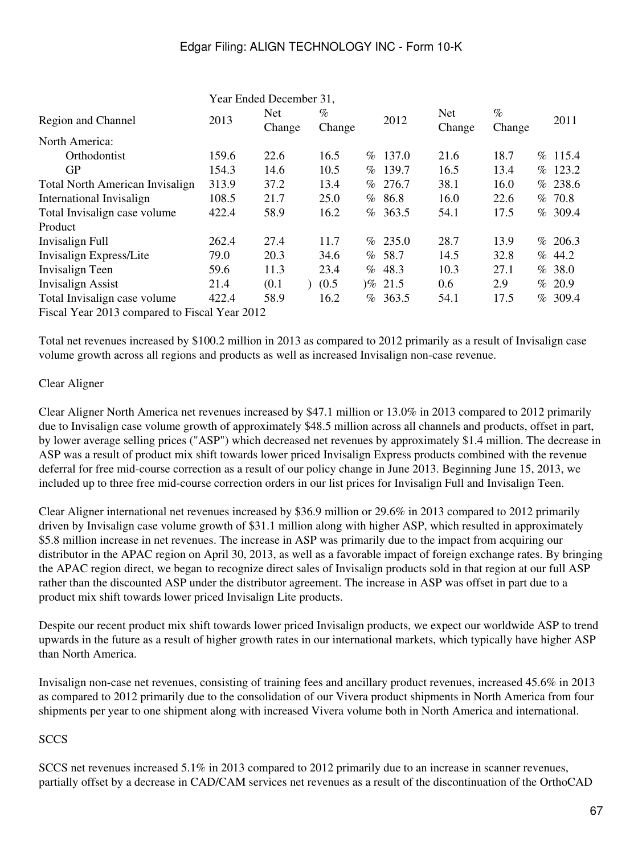|                                               |       | Year Ended December 31, |                |      |            |                      |                |      |         |
|-----------------------------------------------|-------|-------------------------|----------------|------|------------|----------------------|----------------|------|---------|
| Region and Channel                            | 2013  | <b>Net</b><br>Change    | $\%$<br>Change |      | 2012       | <b>Net</b><br>Change | $\%$<br>Change |      | 2011    |
| North America:                                |       |                         |                |      |            |                      |                |      |         |
| <b>Orthodontist</b>                           | 159.6 | 22.6                    | 16.5           | $\%$ | 137.0      | 21.6                 | 18.7           | $\%$ | 115.4   |
| <b>GP</b>                                     | 154.3 | 14.6                    | 10.5           |      | % 139.7    | 16.5                 | 13.4           | $\%$ | 123.2   |
| <b>Total North American Invisalign</b>        | 313.9 | 37.2                    | 13.4           | $\%$ | 276.7      | 38.1                 | 16.0           |      | % 238.6 |
| International Invisalign                      | 108.5 | 21.7                    | 25.0           |      | %86.8      | 16.0                 | 22.6           | $\%$ | 70.8    |
| Total Invisalign case volume                  | 422.4 | 58.9                    | 16.2           |      | %363.5     | 54.1                 | 17.5           |      | % 309.4 |
| Product                                       |       |                         |                |      |            |                      |                |      |         |
| Invisalign Full                               | 262.4 | 27.4                    | 11.7           |      | % 235.0    | 28.7                 | 13.9           |      | % 206.3 |
| Invisalign Express/Lite                       | 79.0  | 20.3                    | 34.6           |      | %58.7      | 14.5                 | 32.8           |      | % 44.2  |
| Invisalign Teen                               | 59.6  | 11.3                    | 23.4           | $\%$ | 48.3       | 10.3                 | 27.1           |      | %38.0   |
| <b>Invisalign Assist</b>                      | 21.4  | (0.1)                   | (0.5)          |      | $)\%$ 21.5 | 0.6                  | 2.9            |      | % 20.9  |
| Total Invisalign case volume                  | 422.4 | 58.9                    | 16.2           | $\%$ | 363.5      | 54.1                 | 17.5           | $\%$ | 309.4   |
| Fiscal Year 2013 compared to Fiscal Year 2012 |       |                         |                |      |            |                      |                |      |         |

Total net revenues increased by \$100.2 million in 2013 as compared to 2012 primarily as a result of Invisalign case volume growth across all regions and products as well as increased Invisalign non-case revenue.

# Clear Aligner

Clear Aligner North America net revenues increased by \$47.1 million or 13.0% in 2013 compared to 2012 primarily due to Invisalign case volume growth of approximately \$48.5 million across all channels and products, offset in part, by lower average selling prices ("ASP") which decreased net revenues by approximately \$1.4 million. The decrease in ASP was a result of product mix shift towards lower priced Invisalign Express products combined with the revenue deferral for free mid-course correction as a result of our policy change in June 2013. Beginning June 15, 2013, we included up to three free mid-course correction orders in our list prices for Invisalign Full and Invisalign Teen.

Clear Aligner international net revenues increased by \$36.9 million or 29.6% in 2013 compared to 2012 primarily driven by Invisalign case volume growth of \$31.1 million along with higher ASP, which resulted in approximately \$5.8 million increase in net revenues. The increase in ASP was primarily due to the impact from acquiring our distributor in the APAC region on April 30, 2013, as well as a favorable impact of foreign exchange rates. By bringing the APAC region direct, we began to recognize direct sales of Invisalign products sold in that region at our full ASP rather than the discounted ASP under the distributor agreement. The increase in ASP was offset in part due to a product mix shift towards lower priced Invisalign Lite products.

Despite our recent product mix shift towards lower priced Invisalign products, we expect our worldwide ASP to trend upwards in the future as a result of higher growth rates in our international markets, which typically have higher ASP than North America.

Invisalign non-case net revenues, consisting of training fees and ancillary product revenues, increased 45.6% in 2013 as compared to 2012 primarily due to the consolidation of our Vivera product shipments in North America from four shipments per year to one shipment along with increased Vivera volume both in North America and international.

# **SCCS**

SCCS net revenues increased 5.1% in 2013 compared to 2012 primarily due to an increase in scanner revenues, partially offset by a decrease in CAD/CAM services net revenues as a result of the discontinuation of the OrthoCAD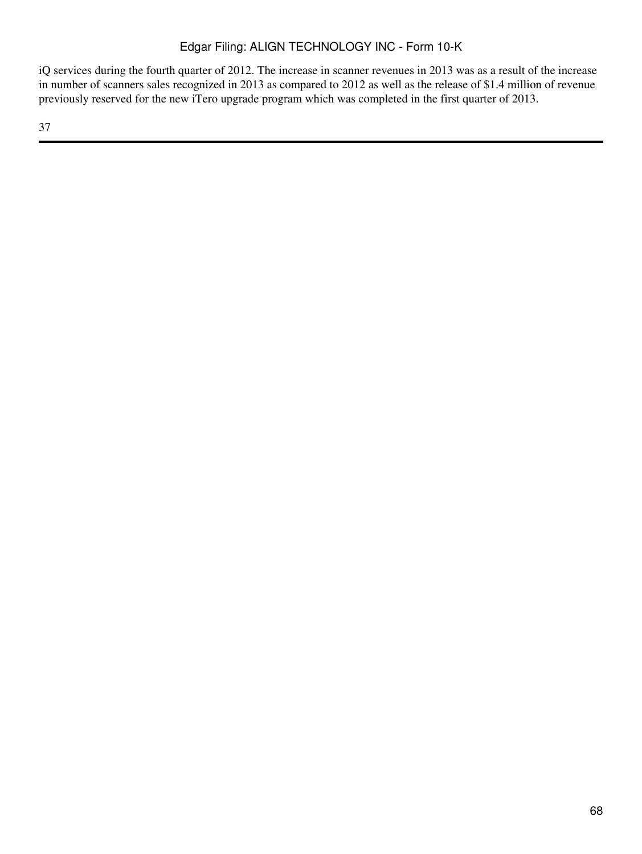iQ services during the fourth quarter of 2012. The increase in scanner revenues in 2013 was as a result of the increase in number of scanners sales recognized in 2013 as compared to 2012 as well as the release of \$1.4 million of revenue previously reserved for the new iTero upgrade program which was completed in the first quarter of 2013.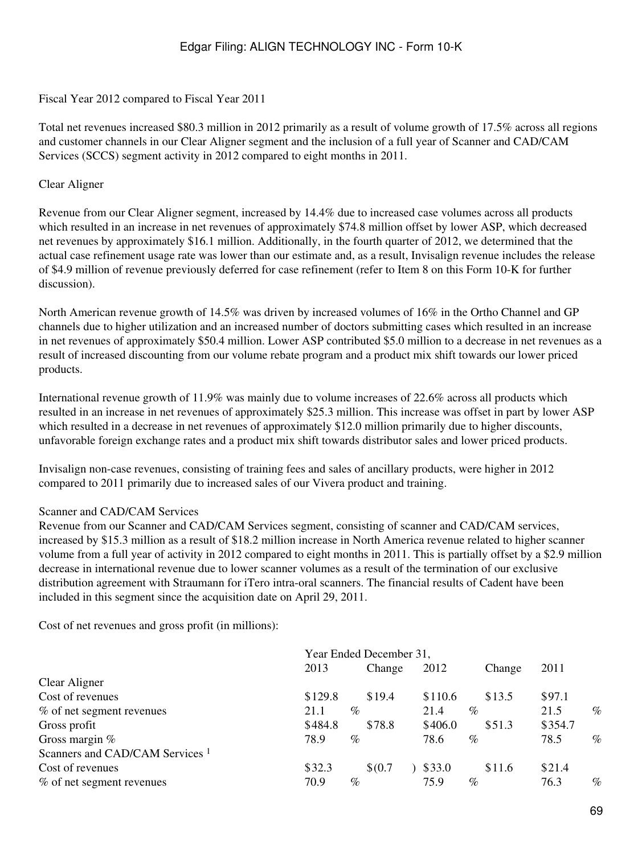#### Fiscal Year 2012 compared to Fiscal Year 2011

Total net revenues increased \$80.3 million in 2012 primarily as a result of volume growth of 17.5% across all regions and customer channels in our Clear Aligner segment and the inclusion of a full year of Scanner and CAD/CAM Services (SCCS) segment activity in 2012 compared to eight months in 2011.

#### Clear Aligner

Revenue from our Clear Aligner segment, increased by 14.4% due to increased case volumes across all products which resulted in an increase in net revenues of approximately \$74.8 million offset by lower ASP, which decreased net revenues by approximately \$16.1 million. Additionally, in the fourth quarter of 2012, we determined that the actual case refinement usage rate was lower than our estimate and, as a result, Invisalign revenue includes the release of \$4.9 million of revenue previously deferred for case refinement (refer to Item 8 on this Form 10-K for further discussion).

North American revenue growth of 14.5% was driven by increased volumes of 16% in the Ortho Channel and GP channels due to higher utilization and an increased number of doctors submitting cases which resulted in an increase in net revenues of approximately \$50.4 million. Lower ASP contributed \$5.0 million to a decrease in net revenues as a result of increased discounting from our volume rebate program and a product mix shift towards our lower priced products.

International revenue growth of 11.9% was mainly due to volume increases of 22.6% across all products which resulted in an increase in net revenues of approximately \$25.3 million. This increase was offset in part by lower ASP which resulted in a decrease in net revenues of approximately \$12.0 million primarily due to higher discounts, unfavorable foreign exchange rates and a product mix shift towards distributor sales and lower priced products.

Invisalign non-case revenues, consisting of training fees and sales of ancillary products, were higher in 2012 compared to 2011 primarily due to increased sales of our Vivera product and training.

#### Scanner and CAD/CAM Services

Revenue from our Scanner and CAD/CAM Services segment, consisting of scanner and CAD/CAM services, increased by \$15.3 million as a result of \$18.2 million increase in North America revenue related to higher scanner volume from a full year of activity in 2012 compared to eight months in 2011. This is partially offset by a \$2.9 million decrease in international revenue due to lower scanner volumes as a result of the termination of our exclusive distribution agreement with Straumann for iTero intra-oral scanners. The financial results of Cadent have been included in this segment since the acquisition date on April 29, 2011.

Cost of net revenues and gross profit (in millions):

|                                            | Year Ended December 31, |      |        |  |         |      |        |         |      |
|--------------------------------------------|-------------------------|------|--------|--|---------|------|--------|---------|------|
|                                            | 2013                    |      | Change |  | 2012    |      | Change | 2011    |      |
| Clear Aligner                              |                         |      |        |  |         |      |        |         |      |
| Cost of revenues                           | \$129.8                 |      | \$19.4 |  | \$110.6 |      | \$13.5 | \$97.1  |      |
| % of net segment revenues                  | 21.1                    | $\%$ |        |  | 21.4    | $\%$ |        | 21.5    | $\%$ |
| Gross profit                               | \$484.8                 |      | \$78.8 |  | \$406.0 |      | \$51.3 | \$354.7 |      |
| Gross margin $%$                           | 78.9                    | $\%$ |        |  | 78.6    | $\%$ |        | 78.5    | $\%$ |
| Scanners and CAD/CAM Services <sup>1</sup> |                         |      |        |  |         |      |        |         |      |
| Cost of revenues                           | \$32.3                  |      | \$0.7  |  | \$33.0  |      | \$11.6 | \$21.4  |      |
| % of net segment revenues                  | 70.9                    | $\%$ |        |  | 75.9    | $\%$ |        | 76.3    | $\%$ |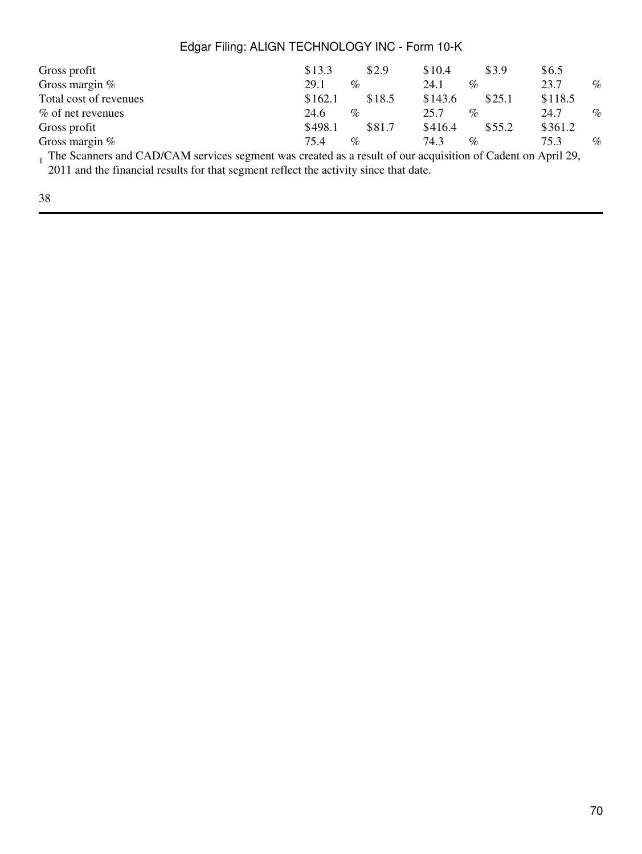| Gross profit           | \$13.3       | \$2.9  | \$10.4  | \$3.9                | \$6.5                         |      |
|------------------------|--------------|--------|---------|----------------------|-------------------------------|------|
| Gross margin $%$       | 29.1<br>$\%$ |        | 24.1    | $\%$                 | 23.7                          | $\%$ |
| Total cost of revenues | \$162.1      | \$18.5 | \$143.6 | \$25.1               | \$118.5                       |      |
| % of net revenues      | 24.6<br>$\%$ |        | 25.7    | $\%$                 | 24.7                          | $\%$ |
| Gross profit           | \$498.1      | \$81.7 | \$416.4 | \$55.2               | \$361.2                       |      |
| Gross margin $%$       | 75.4<br>$\%$ |        | 74.3    | $\%$                 | 75.3                          | $\%$ |
| 1.0151011<br>$\sim$    |              |        |         | $\sim$ $\sim$ $\sim$ | $\cdot$ $\cdot$ $\sim$ $\sim$ |      |

<sup>1</sup> The Scanners and CAD/CAM services segment was created as a result of our acquisition of Cadent on April 29,

2011 and the financial results for that segment reflect the activity since that date.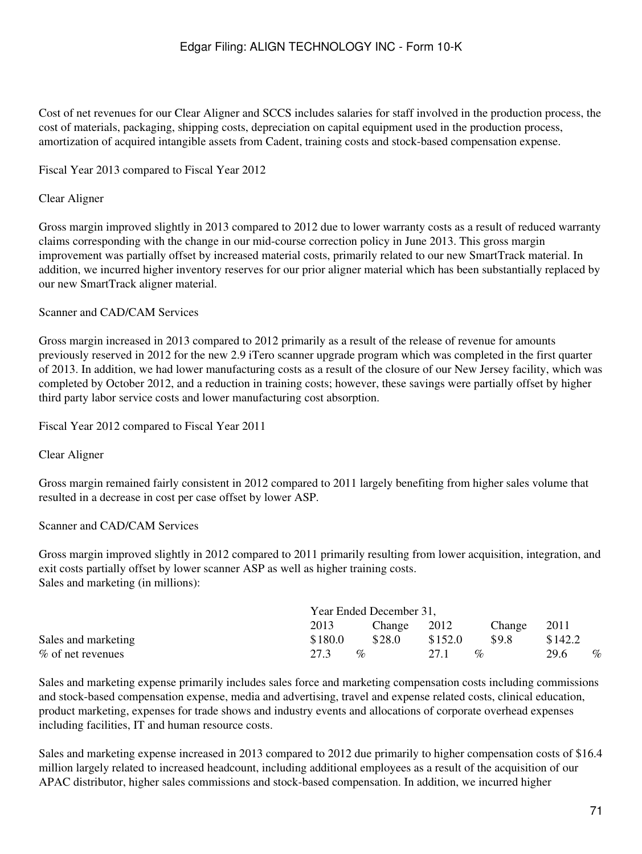Cost of net revenues for our Clear Aligner and SCCS includes salaries for staff involved in the production process, the cost of materials, packaging, shipping costs, depreciation on capital equipment used in the production process, amortization of acquired intangible assets from Cadent, training costs and stock-based compensation expense.

### Fiscal Year 2013 compared to Fiscal Year 2012

#### Clear Aligner

Gross margin improved slightly in 2013 compared to 2012 due to lower warranty costs as a result of reduced warranty claims corresponding with the change in our mid-course correction policy in June 2013. This gross margin improvement was partially offset by increased material costs, primarily related to our new SmartTrack material. In addition, we incurred higher inventory reserves for our prior aligner material which has been substantially replaced by our new SmartTrack aligner material.

#### Scanner and CAD/CAM Services

Gross margin increased in 2013 compared to 2012 primarily as a result of the release of revenue for amounts previously reserved in 2012 for the new 2.9 iTero scanner upgrade program which was completed in the first quarter of 2013. In addition, we had lower manufacturing costs as a result of the closure of our New Jersey facility, which was completed by October 2012, and a reduction in training costs; however, these savings were partially offset by higher third party labor service costs and lower manufacturing cost absorption.

#### Fiscal Year 2012 compared to Fiscal Year 2011

#### Clear Aligner

Gross margin remained fairly consistent in 2012 compared to 2011 largely benefiting from higher sales volume that resulted in a decrease in cost per case offset by lower ASP.

#### Scanner and CAD/CAM Services

Gross margin improved slightly in 2012 compared to 2011 primarily resulting from lower acquisition, integration, and exit costs partially offset by lower scanner ASP as well as higher training costs. Sales and marketing (in millions):

|                      | Year Ended December 31,             |             |                                   |        |         |      |  |  |  |
|----------------------|-------------------------------------|-------------|-----------------------------------|--------|---------|------|--|--|--|
|                      | 2013                                | Change 2012 |                                   | Change | 2011    |      |  |  |  |
| Sales and marketing  | \$180.0                             | \$28.0      | \$152.0                           | \$9.8  | \$142.2 |      |  |  |  |
| $\%$ of net revenues | 27.3<br>$\mathcal{O}_{\mathcal{L}}$ |             | 27.1<br>$\mathcal{O}_\mathcal{D}$ |        | 29.6    | $\%$ |  |  |  |

Sales and marketing expense primarily includes sales force and marketing compensation costs including commissions and stock-based compensation expense, media and advertising, travel and expense related costs, clinical education, product marketing, expenses for trade shows and industry events and allocations of corporate overhead expenses including facilities, IT and human resource costs.

Sales and marketing expense increased in 2013 compared to 2012 due primarily to higher compensation costs of \$16.4 million largely related to increased headcount, including additional employees as a result of the acquisition of our APAC distributor, higher sales commissions and stock-based compensation. In addition, we incurred higher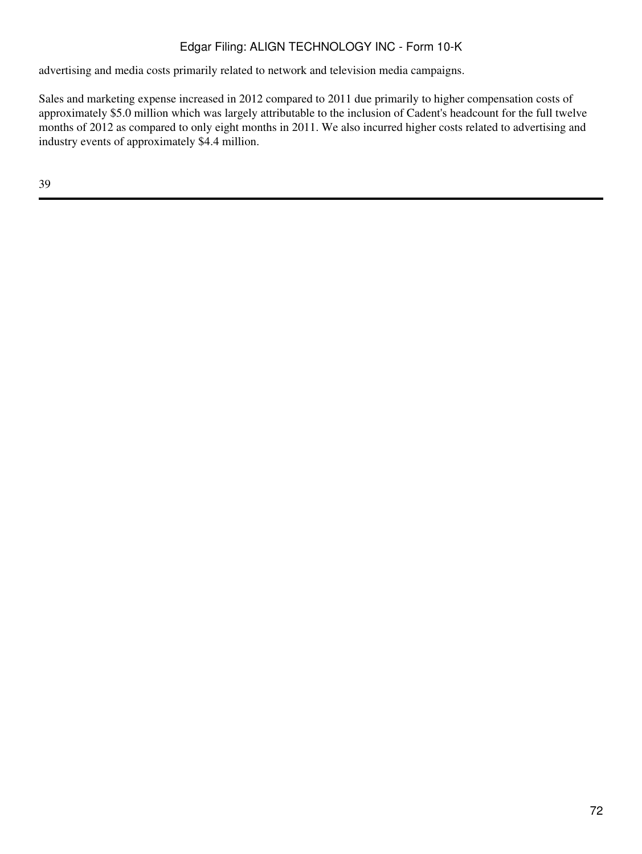advertising and media costs primarily related to network and television media campaigns.

Sales and marketing expense increased in 2012 compared to 2011 due primarily to higher compensation costs of approximately \$5.0 million which was largely attributable to the inclusion of Cadent's headcount for the full twelve months of 2012 as compared to only eight months in 2011. We also incurred higher costs related to advertising and industry events of approximately \$4.4 million.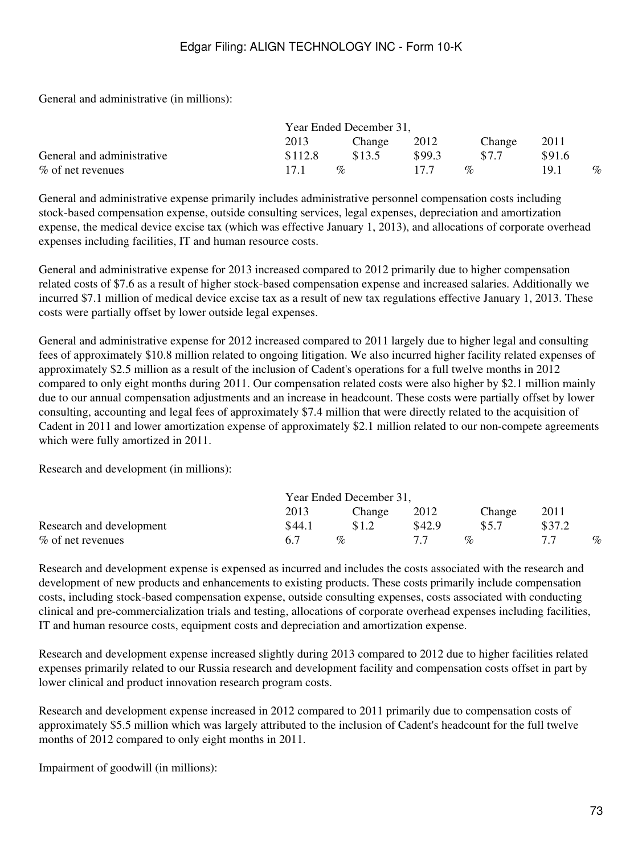General and administrative (in millions):

|                            | Year Ended December 31, |                             |        |                             |        |      |
|----------------------------|-------------------------|-----------------------------|--------|-----------------------------|--------|------|
|                            | 2013                    | Change                      | 2012   | Change                      | 2011   |      |
| General and administrative | \$112.8                 | \$13.5                      | \$99.3 | \$7.7                       | \$91.6 |      |
| % of net revenues          | 17.1                    | $\mathcal{O}_{\mathcal{O}}$ | 17.7   | $\mathcal{O}_{\mathcal{L}}$ | 19.1   | $\%$ |

General and administrative expense primarily includes administrative personnel compensation costs including stock-based compensation expense, outside consulting services, legal expenses, depreciation and amortization expense, the medical device excise tax (which was effective January 1, 2013), and allocations of corporate overhead expenses including facilities, IT and human resource costs.

General and administrative expense for 2013 increased compared to 2012 primarily due to higher compensation related costs of \$7.6 as a result of higher stock-based compensation expense and increased salaries. Additionally we incurred \$7.1 million of medical device excise tax as a result of new tax regulations effective January 1, 2013. These costs were partially offset by lower outside legal expenses.

General and administrative expense for 2012 increased compared to 2011 largely due to higher legal and consulting fees of approximately \$10.8 million related to ongoing litigation. We also incurred higher facility related expenses of approximately \$2.5 million as a result of the inclusion of Cadent's operations for a full twelve months in 2012 compared to only eight months during 2011. Our compensation related costs were also higher by \$2.1 million mainly due to our annual compensation adjustments and an increase in headcount. These costs were partially offset by lower consulting, accounting and legal fees of approximately \$7.4 million that were directly related to the acquisition of Cadent in 2011 and lower amortization expense of approximately \$2.1 million related to our non-compete agreements which were fully amortized in 2011.

Research and development (in millions):

|                          | Year Ended December 31, |                             |        |                             |        |      |
|--------------------------|-------------------------|-----------------------------|--------|-----------------------------|--------|------|
|                          | 2013                    | Change                      | 2012   | Change                      | 2011   |      |
| Research and development | \$44.1                  | \$1.2                       | \$42.9 | \$5.7                       | \$37.2 |      |
| $\%$ of net revenues     | 67                      | $\mathcal{O}_{\mathcal{O}}$ |        | $\mathcal{O}_{\mathcal{L}}$ |        | $\%$ |

Research and development expense is expensed as incurred and includes the costs associated with the research and development of new products and enhancements to existing products. These costs primarily include compensation costs, including stock-based compensation expense, outside consulting expenses, costs associated with conducting clinical and pre-commercialization trials and testing, allocations of corporate overhead expenses including facilities, IT and human resource costs, equipment costs and depreciation and amortization expense.

Research and development expense increased slightly during 2013 compared to 2012 due to higher facilities related expenses primarily related to our Russia research and development facility and compensation costs offset in part by lower clinical and product innovation research program costs.

Research and development expense increased in 2012 compared to 2011 primarily due to compensation costs of approximately \$5.5 million which was largely attributed to the inclusion of Cadent's headcount for the full twelve months of 2012 compared to only eight months in 2011.

Impairment of goodwill (in millions):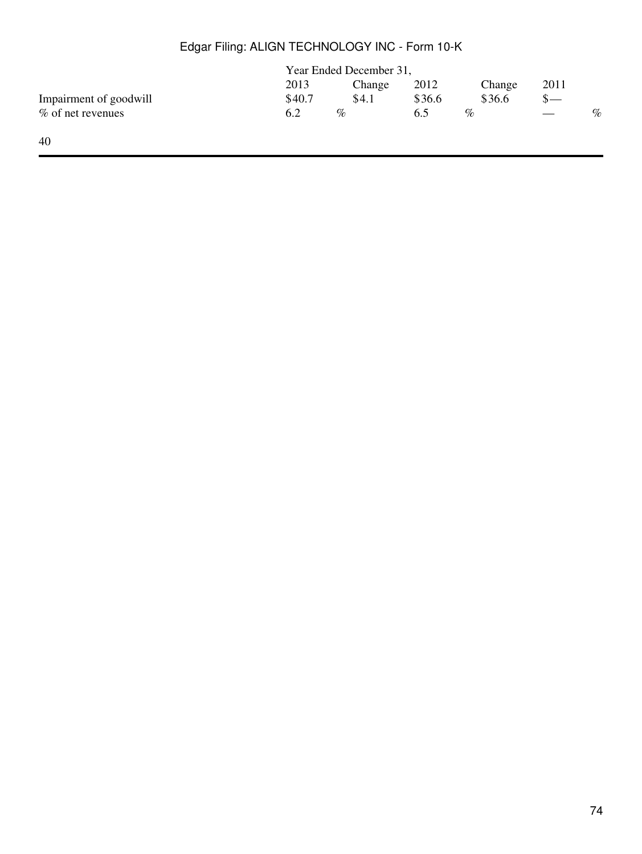|                        | Year Ended December 31, |        |        |        |                               |      |
|------------------------|-------------------------|--------|--------|--------|-------------------------------|------|
|                        | 2013                    | Change | 2012   | Change | 2011                          |      |
| Impairment of goodwill | \$40.7                  | \$4.1  | \$36.6 | \$36.6 | $S-$                          |      |
| % of net revenues      | 6.2                     | $\%$   | 6.5    | %      | $\overbrace{\phantom{13333}}$ | $\%$ |
| 40                     |                         |        |        |        |                               |      |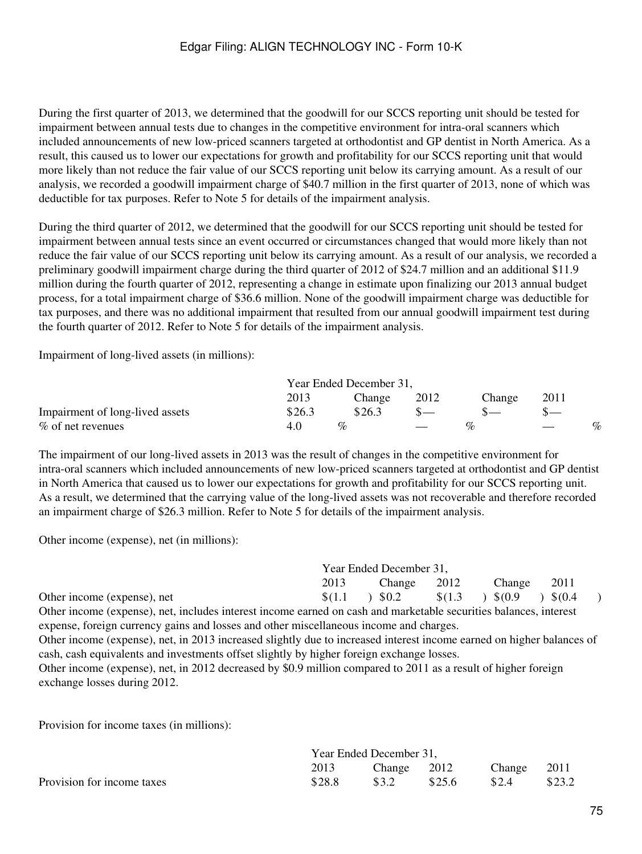During the first quarter of 2013, we determined that the goodwill for our SCCS reporting unit should be tested for impairment between annual tests due to changes in the competitive environment for intra-oral scanners which included announcements of new low-priced scanners targeted at orthodontist and GP dentist in North America. As a result, this caused us to lower our expectations for growth and profitability for our SCCS reporting unit that would more likely than not reduce the fair value of our SCCS reporting unit below its carrying amount. As a result of our analysis, we recorded a goodwill impairment charge of \$40.7 million in the first quarter of 2013, none of which was deductible for tax purposes. Refer to Note 5 for details of the impairment analysis.

During the third quarter of 2012, we determined that the goodwill for our SCCS reporting unit should be tested for impairment between annual tests since an event occurred or circumstances changed that would more likely than not reduce the fair value of our SCCS reporting unit below its carrying amount. As a result of our analysis, we recorded a preliminary goodwill impairment charge during the third quarter of 2012 of \$24.7 million and an additional \$11.9 million during the fourth quarter of 2012, representing a change in estimate upon finalizing our 2013 annual budget process, for a total impairment charge of \$36.6 million. None of the goodwill impairment charge was deductible for tax purposes, and there was no additional impairment that resulted from our annual goodwill impairment test during the fourth quarter of 2012. Refer to Note 5 for details of the impairment analysis.

Impairment of long-lived assets (in millions):

|                                 | Year Ended December 31, |                 |      |                        |      |      |  |
|---------------------------------|-------------------------|-----------------|------|------------------------|------|------|--|
|                                 | 2013                    | Change          | 2012 | Change                 | 2011 |      |  |
| Impairment of long-lived assets | \$26.3                  | \$26.3          |      |                        |      |      |  |
| $\%$ of net revenues            |                         | $\mathcal{O}_0$ |      | $\mathcal{Q}_{\Omega}$ |      | $\%$ |  |

The impairment of our long-lived assets in 2013 was the result of changes in the competitive environment for intra-oral scanners which included announcements of new low-priced scanners targeted at orthodontist and GP dentist in North America that caused us to lower our expectations for growth and profitability for our SCCS reporting unit. As a result, we determined that the carrying value of the long-lived assets was not recoverable and therefore recorded an impairment charge of \$26.3 million. Refer to Note 5 for details of the impairment analysis.

Other income (expense), net (in millions):

|                                                                                                                       | Year Ended December 31, |        |         |        |         |  |  |  |
|-----------------------------------------------------------------------------------------------------------------------|-------------------------|--------|---------|--------|---------|--|--|--|
|                                                                                                                       | 2013                    | Change | 2012    | Change | 2011    |  |  |  |
| Other income (expense), net                                                                                           | \$(1.1)                 | 30.2   | \$(1.3) | 5(0.9) | \$(0.4) |  |  |  |
| Other income (expense), net, includes interest income earned on cash and marketable securities balances, interest     |                         |        |         |        |         |  |  |  |
| expense, foreign currency gains and losses and other miscellaneous income and charges.                                |                         |        |         |        |         |  |  |  |
| Other income (expense), net, in 2013 increased slightly due to increased interest income earned on higher balances of |                         |        |         |        |         |  |  |  |
| cash, cash equivalents and investments offset slightly by higher foreign exchange losses.                             |                         |        |         |        |         |  |  |  |
| Other income (expense), net, in 2012 decreased by \$0.9 million compared to 2011 as a result of higher foreign        |                         |        |         |        |         |  |  |  |
| exchange losses during 2012.                                                                                          |                         |        |         |        |         |  |  |  |

Provision for income taxes (in millions):

|                            | Year Ended December 31, |             |        |             |        |  |  |
|----------------------------|-------------------------|-------------|--------|-------------|--------|--|--|
|                            | 2013                    | Change 2012 |        | Change 2011 |        |  |  |
| Provision for income taxes | \$28.8                  | \$3.2       | \$25.6 | \$2.4       | \$23.2 |  |  |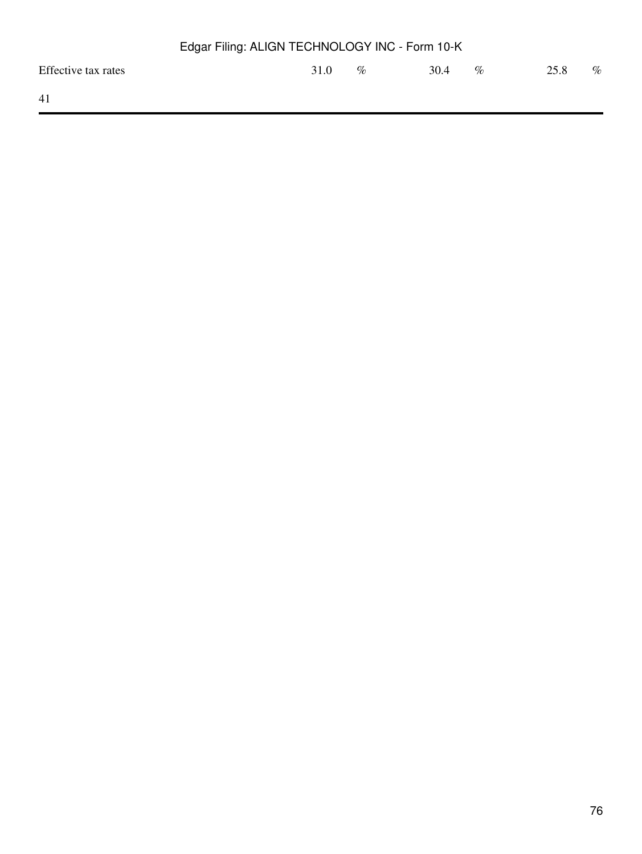| Edgar Filing: ALIGN TECHNOLOGY INC - Form 10-K |      |  |      |      |      |      |      |
|------------------------------------------------|------|--|------|------|------|------|------|
| Effective tax rates                            | 31.0 |  | $\%$ | 30.4 | $\%$ | 25.8 | $\%$ |
| 41                                             |      |  |      |      |      |      |      |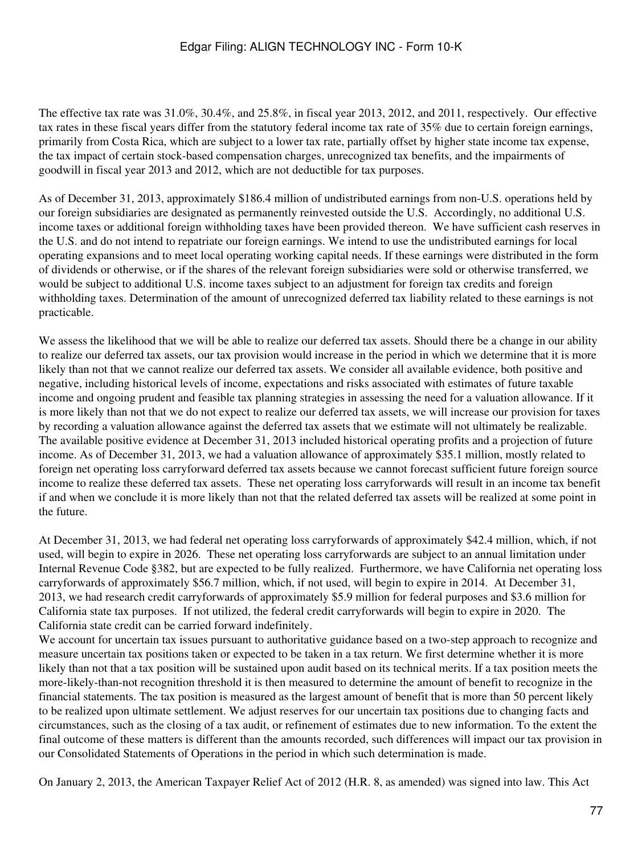The effective tax rate was 31.0%, 30.4%, and 25.8%, in fiscal year 2013, 2012, and 2011, respectively. Our effective tax rates in these fiscal years differ from the statutory federal income tax rate of 35% due to certain foreign earnings, primarily from Costa Rica, which are subject to a lower tax rate, partially offset by higher state income tax expense, the tax impact of certain stock-based compensation charges, unrecognized tax benefits, and the impairments of goodwill in fiscal year 2013 and 2012, which are not deductible for tax purposes.

As of December 31, 2013, approximately \$186.4 million of undistributed earnings from non-U.S. operations held by our foreign subsidiaries are designated as permanently reinvested outside the U.S. Accordingly, no additional U.S. income taxes or additional foreign withholding taxes have been provided thereon. We have sufficient cash reserves in the U.S. and do not intend to repatriate our foreign earnings. We intend to use the undistributed earnings for local operating expansions and to meet local operating working capital needs. If these earnings were distributed in the form of dividends or otherwise, or if the shares of the relevant foreign subsidiaries were sold or otherwise transferred, we would be subject to additional U.S. income taxes subject to an adjustment for foreign tax credits and foreign withholding taxes. Determination of the amount of unrecognized deferred tax liability related to these earnings is not practicable.

We assess the likelihood that we will be able to realize our deferred tax assets. Should there be a change in our ability to realize our deferred tax assets, our tax provision would increase in the period in which we determine that it is more likely than not that we cannot realize our deferred tax assets. We consider all available evidence, both positive and negative, including historical levels of income, expectations and risks associated with estimates of future taxable income and ongoing prudent and feasible tax planning strategies in assessing the need for a valuation allowance. If it is more likely than not that we do not expect to realize our deferred tax assets, we will increase our provision for taxes by recording a valuation allowance against the deferred tax assets that we estimate will not ultimately be realizable. The available positive evidence at December 31, 2013 included historical operating profits and a projection of future income. As of December 31, 2013, we had a valuation allowance of approximately \$35.1 million, mostly related to foreign net operating loss carryforward deferred tax assets because we cannot forecast sufficient future foreign source income to realize these deferred tax assets. These net operating loss carryforwards will result in an income tax benefit if and when we conclude it is more likely than not that the related deferred tax assets will be realized at some point in the future.

At December 31, 2013, we had federal net operating loss carryforwards of approximately \$42.4 million, which, if not used, will begin to expire in 2026. These net operating loss carryforwards are subject to an annual limitation under Internal Revenue Code §382, but are expected to be fully realized. Furthermore, we have California net operating loss carryforwards of approximately \$56.7 million, which, if not used, will begin to expire in 2014. At December 31, 2013, we had research credit carryforwards of approximately \$5.9 million for federal purposes and \$3.6 million for California state tax purposes. If not utilized, the federal credit carryforwards will begin to expire in 2020. The California state credit can be carried forward indefinitely.

We account for uncertain tax issues pursuant to authoritative guidance based on a two-step approach to recognize and measure uncertain tax positions taken or expected to be taken in a tax return. We first determine whether it is more likely than not that a tax position will be sustained upon audit based on its technical merits. If a tax position meets the more-likely-than-not recognition threshold it is then measured to determine the amount of benefit to recognize in the financial statements. The tax position is measured as the largest amount of benefit that is more than 50 percent likely to be realized upon ultimate settlement. We adjust reserves for our uncertain tax positions due to changing facts and circumstances, such as the closing of a tax audit, or refinement of estimates due to new information. To the extent the final outcome of these matters is different than the amounts recorded, such differences will impact our tax provision in our Consolidated Statements of Operations in the period in which such determination is made.

On January 2, 2013, the American Taxpayer Relief Act of 2012 (H.R. 8, as amended) was signed into law. This Act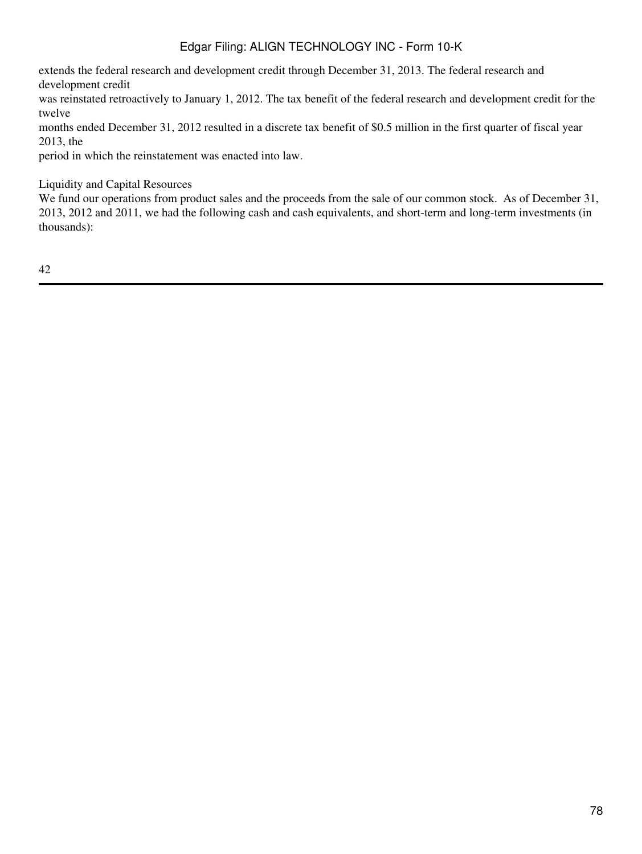extends the federal research and development credit through December 31, 2013. The federal research and development credit

was reinstated retroactively to January 1, 2012. The tax benefit of the federal research and development credit for the twelve

months ended December 31, 2012 resulted in a discrete tax benefit of \$0.5 million in the first quarter of fiscal year 2013, the

period in which the reinstatement was enacted into law.

Liquidity and Capital Resources

We fund our operations from product sales and the proceeds from the sale of our common stock. As of December 31, 2013, 2012 and 2011, we had the following cash and cash equivalents, and short-term and long-term investments (in thousands):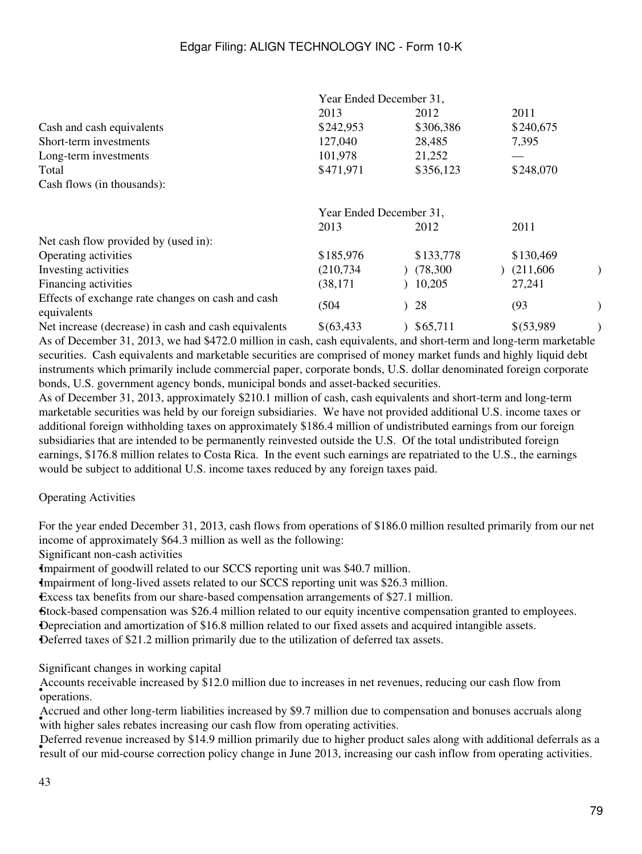|                                                                  | Year Ended December 31, |           |             |  |  |
|------------------------------------------------------------------|-------------------------|-----------|-------------|--|--|
|                                                                  | 2013                    | 2012      | 2011        |  |  |
| Cash and cash equivalents                                        | \$242,953               | \$306,386 | \$240,675   |  |  |
| Short-term investments                                           | 127,040                 | 28,485    | 7,395       |  |  |
| Long-term investments                                            | 101,978                 | 21,252    |             |  |  |
| Total                                                            | \$471,971               | \$356,123 | \$248,070   |  |  |
| Cash flows (in thousands):                                       |                         |           |             |  |  |
|                                                                  | Year Ended December 31, |           |             |  |  |
|                                                                  | 2013                    | 2012      | 2011        |  |  |
| Net cash flow provided by (used in):                             |                         |           |             |  |  |
| Operating activities                                             | \$185,976               | \$133,778 | \$130,469   |  |  |
| Investing activities                                             | (210, 734)              | (78,300)  | (211,606)   |  |  |
| Financing activities                                             | (38, 171)               | 10,205    | 27,241      |  |  |
| Effects of exchange rate changes on cash and cash<br>equivalents | (504)                   | 28        | (93)        |  |  |
| Net increase (decrease) in cash and cash equivalents             | \$ (63, 433)            | \$65,711  | \$ (53,989) |  |  |

As of December 31, 2013, we had \$472.0 million in cash, cash equivalents, and short-term and long-term marketable securities. Cash equivalents and marketable securities are comprised of money market funds and highly liquid debt instruments which primarily include commercial paper, corporate bonds, U.S. dollar denominated foreign corporate bonds, U.S. government agency bonds, municipal bonds and asset-backed securities.

As of December 31, 2013, approximately \$210.1 million of cash, cash equivalents and short-term and long-term marketable securities was held by our foreign subsidiaries. We have not provided additional U.S. income taxes or additional foreign withholding taxes on approximately \$186.4 million of undistributed earnings from our foreign subsidiaries that are intended to be permanently reinvested outside the U.S. Of the total undistributed foreign earnings, \$176.8 million relates to Costa Rica. In the event such earnings are repatriated to the U.S., the earnings would be subject to additional U.S. income taxes reduced by any foreign taxes paid.

Operating Activities

For the year ended December 31, 2013, cash flows from operations of \$186.0 million resulted primarily from our net income of approximately \$64.3 million as well as the following:

Significant non-cash activities

•Impairment of goodwill related to our SCCS reporting unit was \$40.7 million.

•Impairment of long-lived assets related to our SCCS reporting unit was \$26.3 million.

•Excess tax benefits from our share-based compensation arrangements of \$27.1 million.

•Stock-based compensation was \$26.4 million related to our equity incentive compensation granted to employees.

•Depreciation and amortization of \$16.8 million related to our fixed assets and acquired intangible assets.

•Deferred taxes of \$21.2 million primarily due to the utilization of deferred tax assets.

Significant changes in working capital

• operations. Accounts receivable increased by \$12.0 million due to increases in net revenues, reducing our cash flow from

with higher sales rebates increasing our cash flow from operating activities. Accrued and other long-term liabilities increased by \$9.7 million due to compensation and bonuses accruals along

Forefred revenue increased by \$14.5 minion primality due to ingiter product sates along with additional determins as<br>result of our mid-course correction policy change in June 2013, increasing our cash inflow from operating Deferred revenue increased by \$14.9 million primarily due to higher product sales along with additional deferrals as a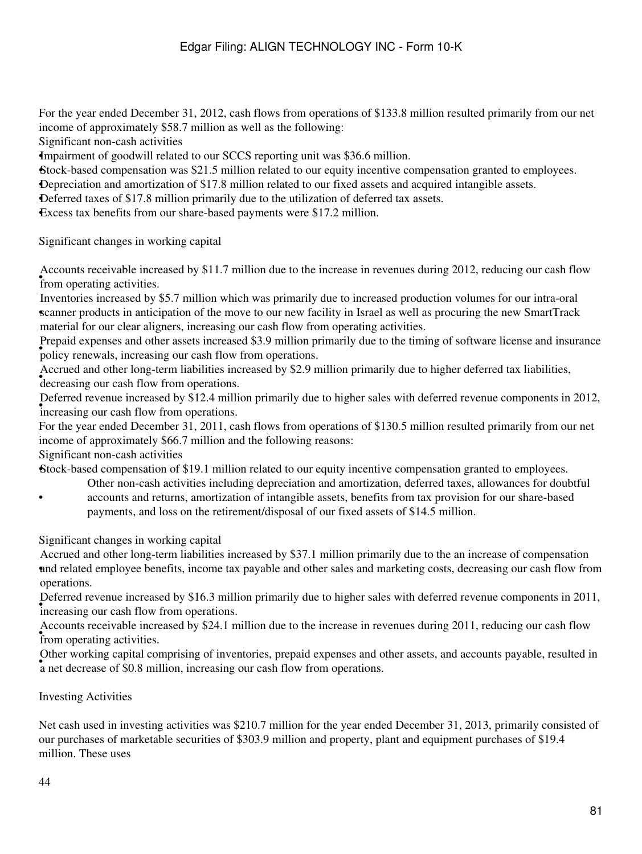For the year ended December 31, 2012, cash flows from operations of \$133.8 million resulted primarily from our net income of approximately \$58.7 million as well as the following:

Significant non-cash activities

•Impairment of goodwill related to our SCCS reporting unit was \$36.6 million.

•Stock-based compensation was \$21.5 million related to our equity incentive compensation granted to employees.

•Depreciation and amortization of \$17.8 million related to our fixed assets and acquired intangible assets.

•Deferred taxes of \$17.8 million primarily due to the utilization of deferred tax assets.

•Excess tax benefits from our share-based payments were \$17.2 million.

Significant changes in working capital

from operating activities. Accounts receivable increased by \$11.7 million due to the increase in revenues during 2012, reducing our cash flow

• scanner products in anticipation of the move to our new facility in Israel as well as procuring the new SmartTrack Inventories increased by \$5.7 million which was primarily due to increased production volumes for our intra-oral material for our clear aligners, increasing our cash flow from operating activities.

• policy renewals, increasing our cash flow from operations. Prepaid expenses and other assets increased \$3.9 million primarily due to the timing of software license and insurance

decreasing our cash flow from operations. Accrued and other long-term liabilities increased by \$2.9 million primarily due to higher deferred tax liabilities,

 $\frac{1}{2}$  increasing our cash flow from operations. Deferred revenue increased by \$12.4 million primarily due to higher sales with deferred revenue components in 2012,

For the year ended December 31, 2011, cash flows from operations of \$130.5 million resulted primarily from our net income of approximately \$66.7 million and the following reasons:

Significant non-cash activities

•Stock-based compensation of \$19.1 million related to our equity incentive compensation granted to employees.

• Other non-cash activities including depreciation and amortization, deferred taxes, allowances for doubtful accounts and returns, amortization of intangible assets, benefits from tax provision for our share-based

payments, and loss on the retirement/disposal of our fixed assets of \$14.5 million.

Significant changes in working capital

• and related employee benefits, income tax payable and other sales and marketing costs, decreasing our cash flow from Accrued and other long-term liabilities increased by \$37.1 million primarily due to the an increase of compensation operations.

percise revenue mercased by \$10.5 mm. Deferred revenue increased by \$16.3 million primarily due to higher sales with deferred revenue components in 2011,

from operating activities. Accounts receivable increased by \$24.1 million due to the increase in revenues during 2011, reducing our cash flow

Figure working capital comprising of inventories, prepare expenses and c<br>a net decrease of \$0.8 million, increasing our cash flow from operations. Other working capital comprising of inventories, prepaid expenses and other assets, and accounts payable, resulted in

Investing Activities

Net cash used in investing activities was \$210.7 million for the year ended December 31, 2013, primarily consisted of our purchases of marketable securities of \$303.9 million and property, plant and equipment purchases of \$19.4 million. These uses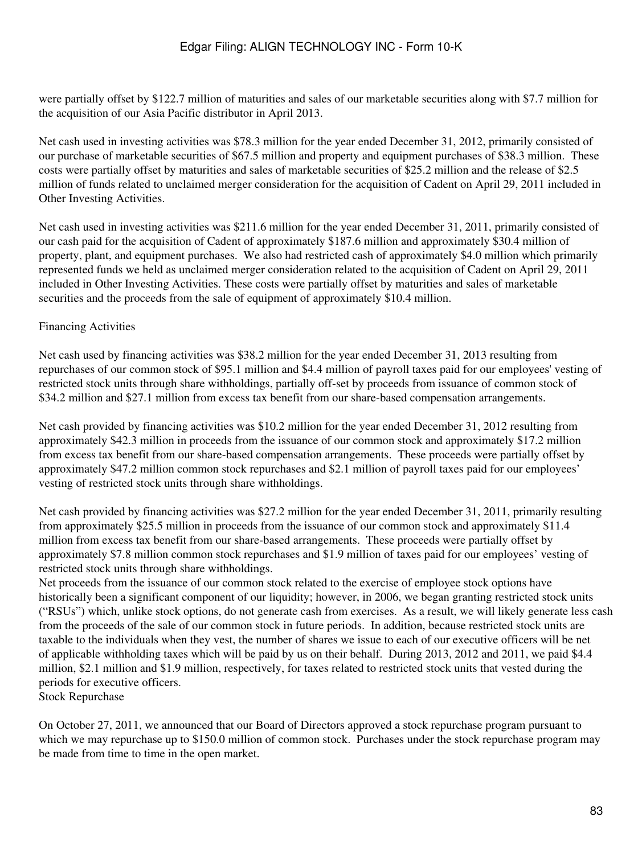were partially offset by \$122.7 million of maturities and sales of our marketable securities along with \$7.7 million for the acquisition of our Asia Pacific distributor in April 2013.

Net cash used in investing activities was \$78.3 million for the year ended December 31, 2012, primarily consisted of our purchase of marketable securities of \$67.5 million and property and equipment purchases of \$38.3 million. These costs were partially offset by maturities and sales of marketable securities of \$25.2 million and the release of \$2.5 million of funds related to unclaimed merger consideration for the acquisition of Cadent on April 29, 2011 included in Other Investing Activities.

Net cash used in investing activities was \$211.6 million for the year ended December 31, 2011, primarily consisted of our cash paid for the acquisition of Cadent of approximately \$187.6 million and approximately \$30.4 million of property, plant, and equipment purchases. We also had restricted cash of approximately \$4.0 million which primarily represented funds we held as unclaimed merger consideration related to the acquisition of Cadent on April 29, 2011 included in Other Investing Activities. These costs were partially offset by maturities and sales of marketable securities and the proceeds from the sale of equipment of approximately \$10.4 million.

#### Financing Activities

Net cash used by financing activities was \$38.2 million for the year ended December 31, 2013 resulting from repurchases of our common stock of \$95.1 million and \$4.4 million of payroll taxes paid for our employees' vesting of restricted stock units through share withholdings, partially off-set by proceeds from issuance of common stock of \$34.2 million and \$27.1 million from excess tax benefit from our share-based compensation arrangements.

Net cash provided by financing activities was \$10.2 million for the year ended December 31, 2012 resulting from approximately \$42.3 million in proceeds from the issuance of our common stock and approximately \$17.2 million from excess tax benefit from our share-based compensation arrangements. These proceeds were partially offset by approximately \$47.2 million common stock repurchases and \$2.1 million of payroll taxes paid for our employees' vesting of restricted stock units through share withholdings.

Net cash provided by financing activities was \$27.2 million for the year ended December 31, 2011, primarily resulting from approximately \$25.5 million in proceeds from the issuance of our common stock and approximately \$11.4 million from excess tax benefit from our share-based arrangements. These proceeds were partially offset by approximately \$7.8 million common stock repurchases and \$1.9 million of taxes paid for our employees' vesting of restricted stock units through share withholdings.

Net proceeds from the issuance of our common stock related to the exercise of employee stock options have historically been a significant component of our liquidity; however, in 2006, we began granting restricted stock units ("RSUs") which, unlike stock options, do not generate cash from exercises. As a result, we will likely generate less cash from the proceeds of the sale of our common stock in future periods. In addition, because restricted stock units are taxable to the individuals when they vest, the number of shares we issue to each of our executive officers will be net of applicable withholding taxes which will be paid by us on their behalf. During 2013, 2012 and 2011, we paid \$4.4 million, \$2.1 million and \$1.9 million, respectively, for taxes related to restricted stock units that vested during the periods for executive officers.

Stock Repurchase

On October 27, 2011, we announced that our Board of Directors approved a stock repurchase program pursuant to which we may repurchase up to \$150.0 million of common stock. Purchases under the stock repurchase program may be made from time to time in the open market.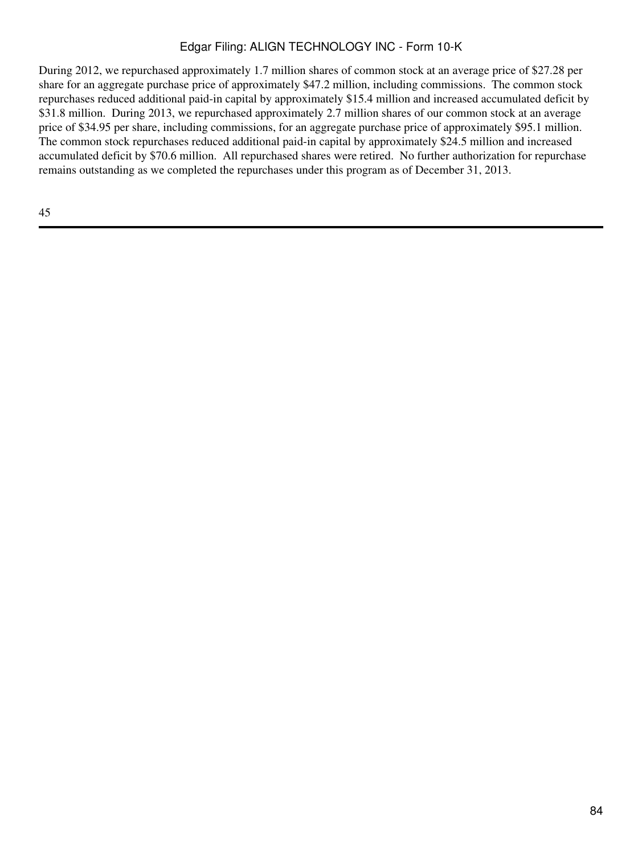During 2012, we repurchased approximately 1.7 million shares of common stock at an average price of \$27.28 per share for an aggregate purchase price of approximately \$47.2 million, including commissions. The common stock repurchases reduced additional paid-in capital by approximately \$15.4 million and increased accumulated deficit by \$31.8 million. During 2013, we repurchased approximately 2.7 million shares of our common stock at an average price of \$34.95 per share, including commissions, for an aggregate purchase price of approximately \$95.1 million. The common stock repurchases reduced additional paid-in capital by approximately \$24.5 million and increased accumulated deficit by \$70.6 million. All repurchased shares were retired. No further authorization for repurchase remains outstanding as we completed the repurchases under this program as of December 31, 2013.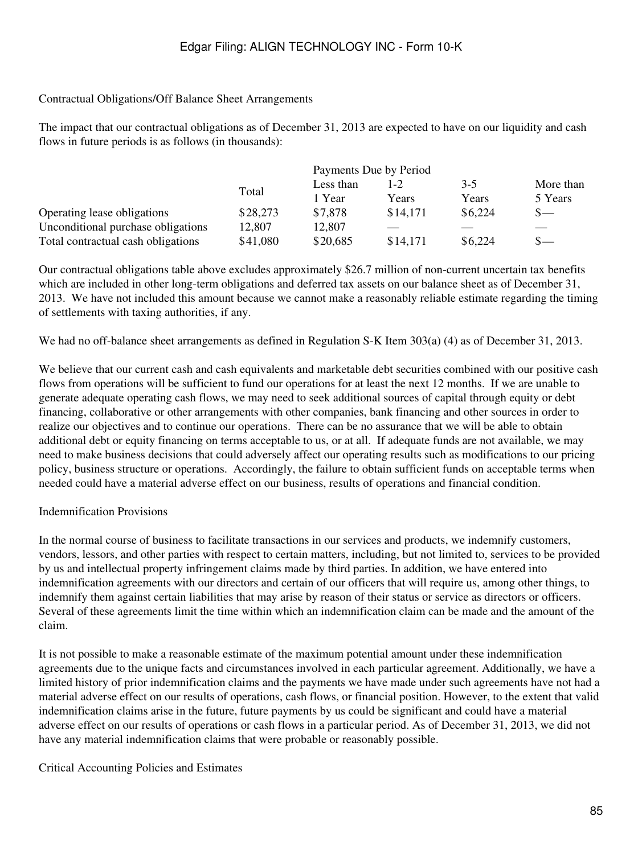#### Contractual Obligations/Off Balance Sheet Arrangements

The impact that our contractual obligations as of December 31, 2013 are expected to have on our liquidity and cash flows in future periods is as follows (in thousands):

|                                    |          | Payments Due by Period |          |         |           |  |  |
|------------------------------------|----------|------------------------|----------|---------|-----------|--|--|
|                                    |          | Less than              |          | $3-5$   | More than |  |  |
|                                    | Total    | 1 Year                 | Years    | Years   | 5 Years   |  |  |
| Operating lease obligations        | \$28,273 | \$7,878                | \$14,171 | \$6,224 | $S-$      |  |  |
| Unconditional purchase obligations | 12,807   | 12,807                 |          |         |           |  |  |
| Total contractual cash obligations | \$41,080 | \$20,685               | \$14,171 | \$6,224 | $S-$      |  |  |

Our contractual obligations table above excludes approximately \$26.7 million of non-current uncertain tax benefits which are included in other long-term obligations and deferred tax assets on our balance sheet as of December 31, 2013. We have not included this amount because we cannot make a reasonably reliable estimate regarding the timing of settlements with taxing authorities, if any.

We had no off-balance sheet arrangements as defined in Regulation S-K Item 303(a) (4) as of December 31, 2013.

We believe that our current cash and cash equivalents and marketable debt securities combined with our positive cash flows from operations will be sufficient to fund our operations for at least the next 12 months. If we are unable to generate adequate operating cash flows, we may need to seek additional sources of capital through equity or debt financing, collaborative or other arrangements with other companies, bank financing and other sources in order to realize our objectives and to continue our operations. There can be no assurance that we will be able to obtain additional debt or equity financing on terms acceptable to us, or at all. If adequate funds are not available, we may need to make business decisions that could adversely affect our operating results such as modifications to our pricing policy, business structure or operations. Accordingly, the failure to obtain sufficient funds on acceptable terms when needed could have a material adverse effect on our business, results of operations and financial condition.

## Indemnification Provisions

In the normal course of business to facilitate transactions in our services and products, we indemnify customers, vendors, lessors, and other parties with respect to certain matters, including, but not limited to, services to be provided by us and intellectual property infringement claims made by third parties. In addition, we have entered into indemnification agreements with our directors and certain of our officers that will require us, among other things, to indemnify them against certain liabilities that may arise by reason of their status or service as directors or officers. Several of these agreements limit the time within which an indemnification claim can be made and the amount of the claim.

It is not possible to make a reasonable estimate of the maximum potential amount under these indemnification agreements due to the unique facts and circumstances involved in each particular agreement. Additionally, we have a limited history of prior indemnification claims and the payments we have made under such agreements have not had a material adverse effect on our results of operations, cash flows, or financial position. However, to the extent that valid indemnification claims arise in the future, future payments by us could be significant and could have a material adverse effect on our results of operations or cash flows in a particular period. As of December 31, 2013, we did not have any material indemnification claims that were probable or reasonably possible.

Critical Accounting Policies and Estimates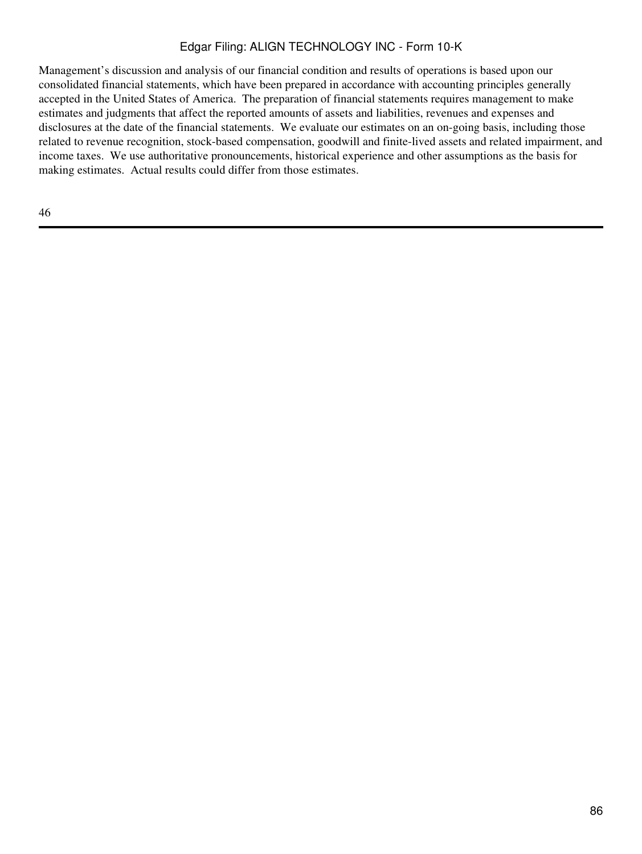Management's discussion and analysis of our financial condition and results of operations is based upon our consolidated financial statements, which have been prepared in accordance with accounting principles generally accepted in the United States of America. The preparation of financial statements requires management to make estimates and judgments that affect the reported amounts of assets and liabilities, revenues and expenses and disclosures at the date of the financial statements. We evaluate our estimates on an on-going basis, including those related to revenue recognition, stock-based compensation, goodwill and finite-lived assets and related impairment, and income taxes. We use authoritative pronouncements, historical experience and other assumptions as the basis for making estimates. Actual results could differ from those estimates.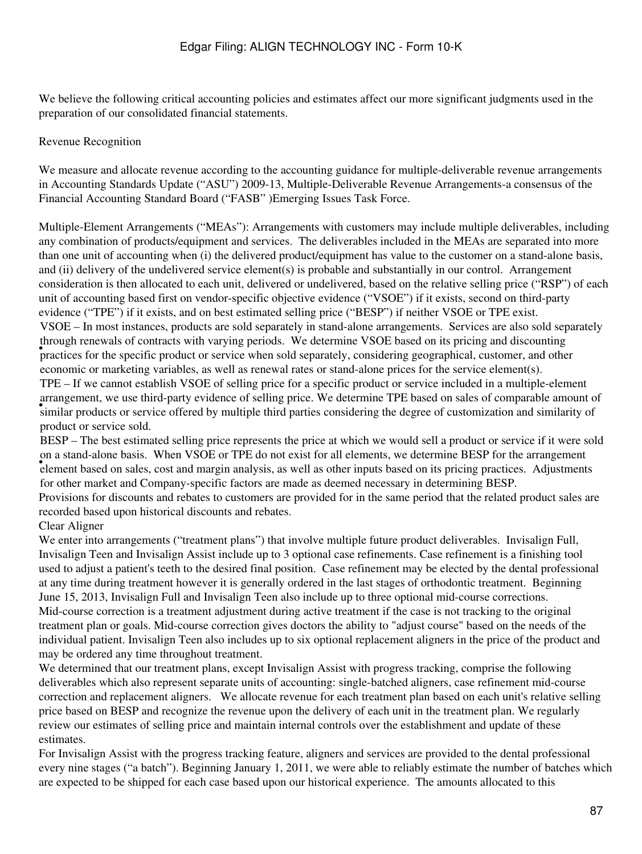We believe the following critical accounting policies and estimates affect our more significant judgments used in the preparation of our consolidated financial statements.

#### Revenue Recognition

We measure and allocate revenue according to the accounting guidance for multiple-deliverable revenue arrangements in Accounting Standards Update ("ASU") 2009-13, Multiple-Deliverable Revenue Arrangements-a consensus of the Financial Accounting Standard Board ("FASB" )Emerging Issues Task Force.

Multiple-Element Arrangements ("MEAs"): Arrangements with customers may include multiple deliverables, including any combination of products/equipment and services. The deliverables included in the MEAs are separated into more than one unit of accounting when (i) the delivered product/equipment has value to the customer on a stand-alone basis, and (ii) delivery of the undelivered service element(s) is probable and substantially in our control. Arrangement consideration is then allocated to each unit, delivered or undelivered, based on the relative selling price ("RSP") of each unit of accounting based first on vendor-specific objective evidence ("VSOE") if it exists, second on third-party evidence ("TPE") if it exists, and on best estimated selling price ("BESP") if neither VSOE or TPE exist. **Fractices** for the specific product or service when sold separately, considering geographical, customer, and other VSOE – In most instances, products are sold separately in stand-alone arrangements. Services are also sold separately through renewals of contracts with varying periods. We determine VSOE based on its pricing and discounting economic or marketing variables, as well as renewal rates or stand-alone prices for the service element(s). in angelective, we use that party evidence of setting price. We determine 11 E based on safes of comparable amount of similar products or service offered by multiple third parties considering the degree of customization an TPE – If we cannot establish VSOE of selling price for a specific product or service included in a multiple-element arrangement, we use third-party evidence of selling price. We determine TPE based on sales of comparable amount of product or service sold.

element based on sales, cost and margin analysis, as well as other inputs based on its pricing practices. Adjustments BESP – The best estimated selling price represents the price at which we would sell a product or service if it were sold on a stand-alone basis. When VSOE or TPE do not exist for all elements, we determine BESP for the arrangement for other market and Company-specific factors are made as deemed necessary in determining BESP. Provisions for discounts and rebates to customers are provided for in the same period that the related product sales are recorded based upon historical discounts and rebates.

## Clear Aligner

We enter into arrangements ("treatment plans") that involve multiple future product deliverables. Invisalign Full, Invisalign Teen and Invisalign Assist include up to 3 optional case refinements. Case refinement is a finishing tool used to adjust a patient's teeth to the desired final position. Case refinement may be elected by the dental professional at any time during treatment however it is generally ordered in the last stages of orthodontic treatment. Beginning June 15, 2013, Invisalign Full and Invisalign Teen also include up to three optional mid-course corrections. Mid-course correction is a treatment adjustment during active treatment if the case is not tracking to the original treatment plan or goals. Mid-course correction gives doctors the ability to "adjust course" based on the needs of the individual patient. Invisalign Teen also includes up to six optional replacement aligners in the price of the product and may be ordered any time throughout treatment.

We determined that our treatment plans, except Invisalign Assist with progress tracking, comprise the following deliverables which also represent separate units of accounting: single-batched aligners, case refinement mid-course correction and replacement aligners. We allocate revenue for each treatment plan based on each unit's relative selling price based on BESP and recognize the revenue upon the delivery of each unit in the treatment plan. We regularly review our estimates of selling price and maintain internal controls over the establishment and update of these estimates.

For Invisalign Assist with the progress tracking feature, aligners and services are provided to the dental professional every nine stages ("a batch"). Beginning January 1, 2011, we were able to reliably estimate the number of batches which are expected to be shipped for each case based upon our historical experience. The amounts allocated to this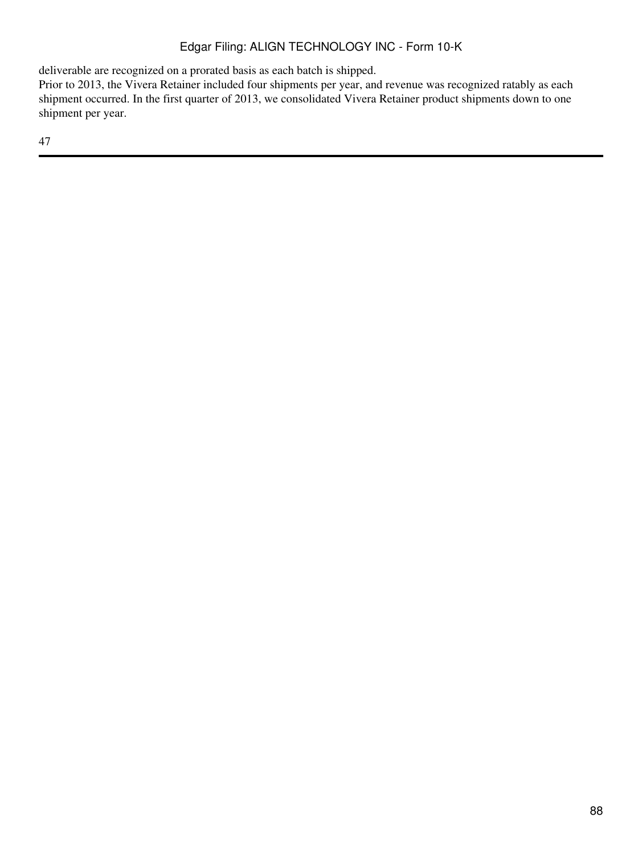deliverable are recognized on a prorated basis as each batch is shipped.

Prior to 2013, the Vivera Retainer included four shipments per year, and revenue was recognized ratably as each shipment occurred. In the first quarter of 2013, we consolidated Vivera Retainer product shipments down to one shipment per year.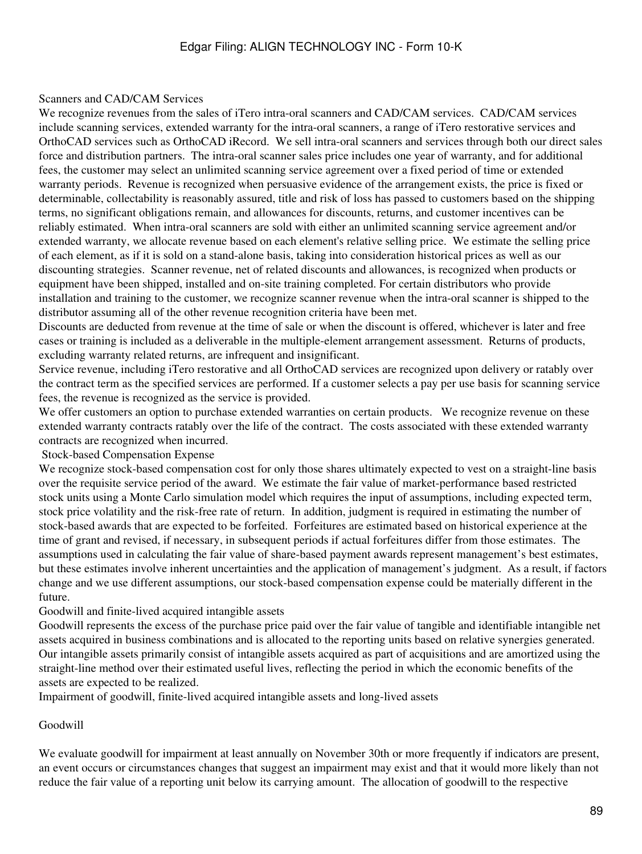#### Scanners and CAD/CAM Services

We recognize revenues from the sales of iTero intra-oral scanners and CAD/CAM services. CAD/CAM services include scanning services, extended warranty for the intra-oral scanners, a range of iTero restorative services and OrthoCAD services such as OrthoCAD iRecord. We sell intra-oral scanners and services through both our direct sales force and distribution partners. The intra-oral scanner sales price includes one year of warranty, and for additional fees, the customer may select an unlimited scanning service agreement over a fixed period of time or extended warranty periods. Revenue is recognized when persuasive evidence of the arrangement exists, the price is fixed or determinable, collectability is reasonably assured, title and risk of loss has passed to customers based on the shipping terms, no significant obligations remain, and allowances for discounts, returns, and customer incentives can be reliably estimated. When intra-oral scanners are sold with either an unlimited scanning service agreement and/or extended warranty, we allocate revenue based on each element's relative selling price. We estimate the selling price of each element, as if it is sold on a stand-alone basis, taking into consideration historical prices as well as our discounting strategies. Scanner revenue, net of related discounts and allowances, is recognized when products or equipment have been shipped, installed and on-site training completed. For certain distributors who provide installation and training to the customer, we recognize scanner revenue when the intra-oral scanner is shipped to the distributor assuming all of the other revenue recognition criteria have been met.

Discounts are deducted from revenue at the time of sale or when the discount is offered, whichever is later and free cases or training is included as a deliverable in the multiple-element arrangement assessment. Returns of products, excluding warranty related returns, are infrequent and insignificant.

Service revenue, including iTero restorative and all OrthoCAD services are recognized upon delivery or ratably over the contract term as the specified services are performed. If a customer selects a pay per use basis for scanning service fees, the revenue is recognized as the service is provided.

We offer customers an option to purchase extended warranties on certain products. We recognize revenue on these extended warranty contracts ratably over the life of the contract. The costs associated with these extended warranty contracts are recognized when incurred.

Stock-based Compensation Expense

We recognize stock-based compensation cost for only those shares ultimately expected to vest on a straight-line basis over the requisite service period of the award. We estimate the fair value of market-performance based restricted stock units using a Monte Carlo simulation model which requires the input of assumptions, including expected term, stock price volatility and the risk-free rate of return. In addition, judgment is required in estimating the number of stock-based awards that are expected to be forfeited. Forfeitures are estimated based on historical experience at the time of grant and revised, if necessary, in subsequent periods if actual forfeitures differ from those estimates. The assumptions used in calculating the fair value of share-based payment awards represent management's best estimates, but these estimates involve inherent uncertainties and the application of management's judgment. As a result, if factors change and we use different assumptions, our stock-based compensation expense could be materially different in the future.

Goodwill and finite-lived acquired intangible assets

Goodwill represents the excess of the purchase price paid over the fair value of tangible and identifiable intangible net assets acquired in business combinations and is allocated to the reporting units based on relative synergies generated. Our intangible assets primarily consist of intangible assets acquired as part of acquisitions and are amortized using the straight-line method over their estimated useful lives, reflecting the period in which the economic benefits of the assets are expected to be realized.

Impairment of goodwill, finite-lived acquired intangible assets and long-lived assets

#### Goodwill

We evaluate goodwill for impairment at least annually on November 30th or more frequently if indicators are present, an event occurs or circumstances changes that suggest an impairment may exist and that it would more likely than not reduce the fair value of a reporting unit below its carrying amount. The allocation of goodwill to the respective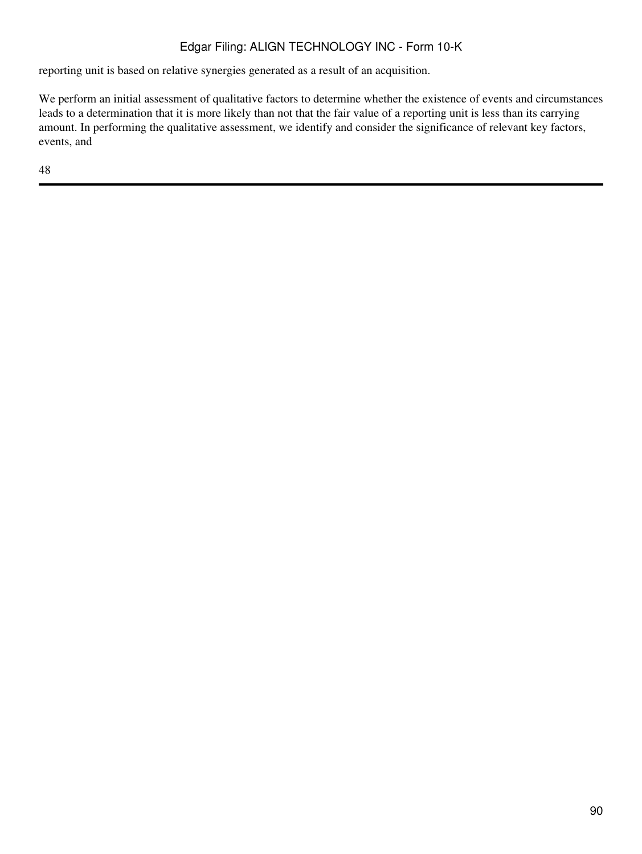reporting unit is based on relative synergies generated as a result of an acquisition.

We perform an initial assessment of qualitative factors to determine whether the existence of events and circumstances leads to a determination that it is more likely than not that the fair value of a reporting unit is less than its carrying amount. In performing the qualitative assessment, we identify and consider the significance of relevant key factors, events, and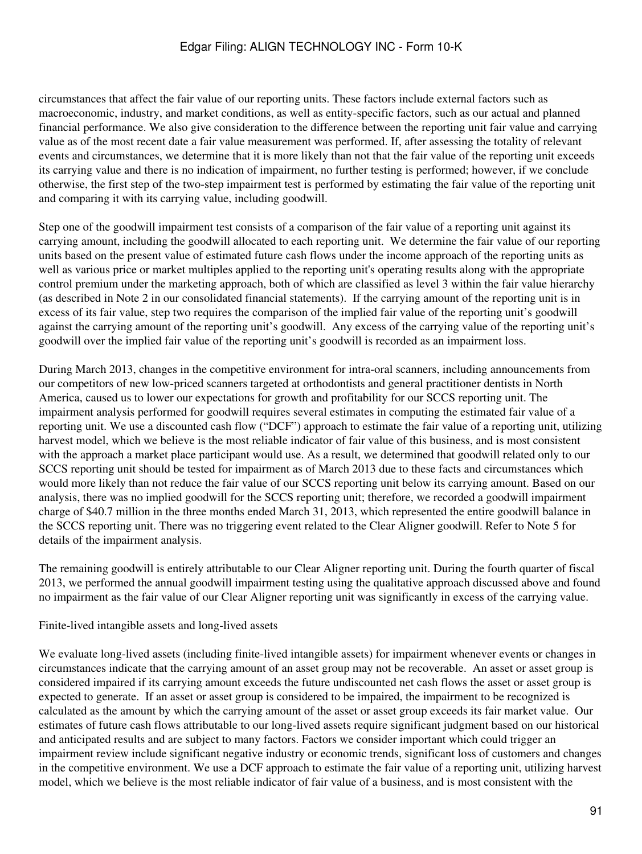circumstances that affect the fair value of our reporting units. These factors include external factors such as macroeconomic, industry, and market conditions, as well as entity-specific factors, such as our actual and planned financial performance. We also give consideration to the difference between the reporting unit fair value and carrying value as of the most recent date a fair value measurement was performed. If, after assessing the totality of relevant events and circumstances, we determine that it is more likely than not that the fair value of the reporting unit exceeds its carrying value and there is no indication of impairment, no further testing is performed; however, if we conclude otherwise, the first step of the two-step impairment test is performed by estimating the fair value of the reporting unit and comparing it with its carrying value, including goodwill.

Step one of the goodwill impairment test consists of a comparison of the fair value of a reporting unit against its carrying amount, including the goodwill allocated to each reporting unit. We determine the fair value of our reporting units based on the present value of estimated future cash flows under the income approach of the reporting units as well as various price or market multiples applied to the reporting unit's operating results along with the appropriate control premium under the marketing approach, both of which are classified as level 3 within the fair value hierarchy (as described in Note 2 in our consolidated financial statements). If the carrying amount of the reporting unit is in excess of its fair value, step two requires the comparison of the implied fair value of the reporting unit's goodwill against the carrying amount of the reporting unit's goodwill. Any excess of the carrying value of the reporting unit's goodwill over the implied fair value of the reporting unit's goodwill is recorded as an impairment loss.

During March 2013, changes in the competitive environment for intra-oral scanners, including announcements from our competitors of new low-priced scanners targeted at orthodontists and general practitioner dentists in North America, caused us to lower our expectations for growth and profitability for our SCCS reporting unit. The impairment analysis performed for goodwill requires several estimates in computing the estimated fair value of a reporting unit. We use a discounted cash flow ("DCF") approach to estimate the fair value of a reporting unit, utilizing harvest model, which we believe is the most reliable indicator of fair value of this business, and is most consistent with the approach a market place participant would use. As a result, we determined that goodwill related only to our SCCS reporting unit should be tested for impairment as of March 2013 due to these facts and circumstances which would more likely than not reduce the fair value of our SCCS reporting unit below its carrying amount. Based on our analysis, there was no implied goodwill for the SCCS reporting unit; therefore, we recorded a goodwill impairment charge of \$40.7 million in the three months ended March 31, 2013, which represented the entire goodwill balance in the SCCS reporting unit. There was no triggering event related to the Clear Aligner goodwill. Refer to Note 5 for details of the impairment analysis.

The remaining goodwill is entirely attributable to our Clear Aligner reporting unit. During the fourth quarter of fiscal 2013, we performed the annual goodwill impairment testing using the qualitative approach discussed above and found no impairment as the fair value of our Clear Aligner reporting unit was significantly in excess of the carrying value.

Finite-lived intangible assets and long-lived assets

We evaluate long-lived assets (including finite-lived intangible assets) for impairment whenever events or changes in circumstances indicate that the carrying amount of an asset group may not be recoverable. An asset or asset group is considered impaired if its carrying amount exceeds the future undiscounted net cash flows the asset or asset group is expected to generate. If an asset or asset group is considered to be impaired, the impairment to be recognized is calculated as the amount by which the carrying amount of the asset or asset group exceeds its fair market value. Our estimates of future cash flows attributable to our long-lived assets require significant judgment based on our historical and anticipated results and are subject to many factors. Factors we consider important which could trigger an impairment review include significant negative industry or economic trends, significant loss of customers and changes in the competitive environment. We use a DCF approach to estimate the fair value of a reporting unit, utilizing harvest model, which we believe is the most reliable indicator of fair value of a business, and is most consistent with the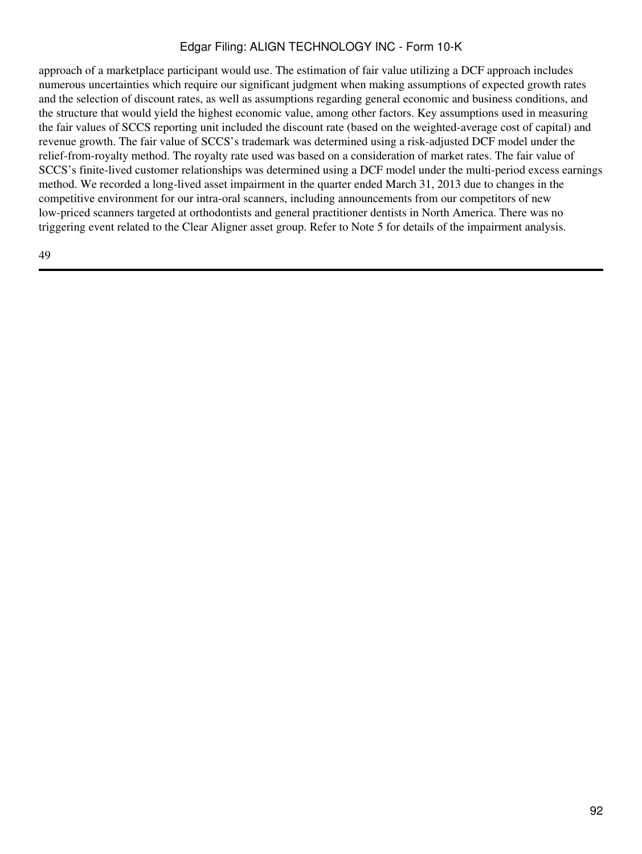approach of a marketplace participant would use. The estimation of fair value utilizing a DCF approach includes numerous uncertainties which require our significant judgment when making assumptions of expected growth rates and the selection of discount rates, as well as assumptions regarding general economic and business conditions, and the structure that would yield the highest economic value, among other factors. Key assumptions used in measuring the fair values of SCCS reporting unit included the discount rate (based on the weighted-average cost of capital) and revenue growth. The fair value of SCCS's trademark was determined using a risk-adjusted DCF model under the relief-from-royalty method. The royalty rate used was based on a consideration of market rates. The fair value of SCCS's finite-lived customer relationships was determined using a DCF model under the multi-period excess earnings method. We recorded a long-lived asset impairment in the quarter ended March 31, 2013 due to changes in the competitive environment for our intra-oral scanners, including announcements from our competitors of new low-priced scanners targeted at orthodontists and general practitioner dentists in North America. There was no triggering event related to the Clear Aligner asset group. Refer to Note 5 for details of the impairment analysis.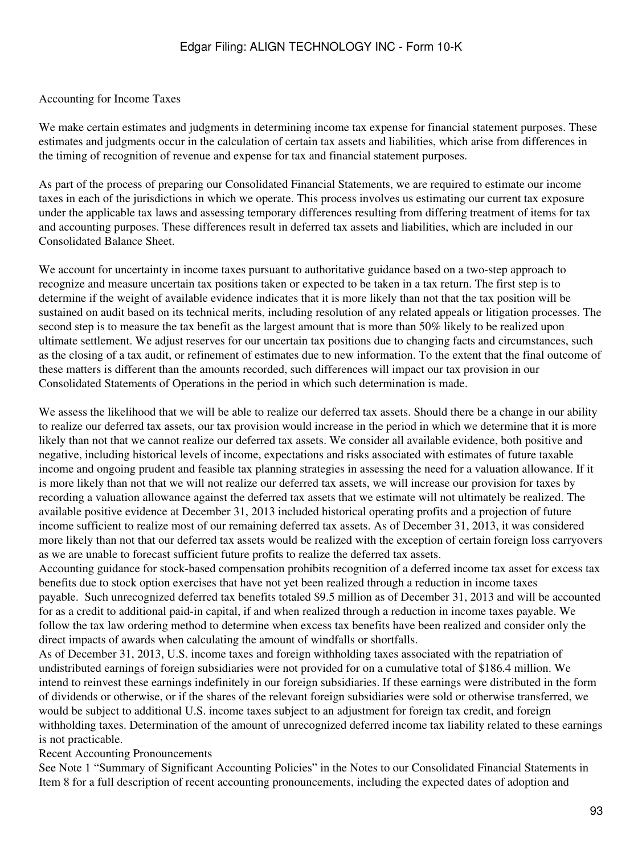#### Accounting for Income Taxes

We make certain estimates and judgments in determining income tax expense for financial statement purposes. These estimates and judgments occur in the calculation of certain tax assets and liabilities, which arise from differences in the timing of recognition of revenue and expense for tax and financial statement purposes.

As part of the process of preparing our Consolidated Financial Statements, we are required to estimate our income taxes in each of the jurisdictions in which we operate. This process involves us estimating our current tax exposure under the applicable tax laws and assessing temporary differences resulting from differing treatment of items for tax and accounting purposes. These differences result in deferred tax assets and liabilities, which are included in our Consolidated Balance Sheet.

We account for uncertainty in income taxes pursuant to authoritative guidance based on a two-step approach to recognize and measure uncertain tax positions taken or expected to be taken in a tax return. The first step is to determine if the weight of available evidence indicates that it is more likely than not that the tax position will be sustained on audit based on its technical merits, including resolution of any related appeals or litigation processes. The second step is to measure the tax benefit as the largest amount that is more than 50% likely to be realized upon ultimate settlement. We adjust reserves for our uncertain tax positions due to changing facts and circumstances, such as the closing of a tax audit, or refinement of estimates due to new information. To the extent that the final outcome of these matters is different than the amounts recorded, such differences will impact our tax provision in our Consolidated Statements of Operations in the period in which such determination is made.

We assess the likelihood that we will be able to realize our deferred tax assets. Should there be a change in our ability to realize our deferred tax assets, our tax provision would increase in the period in which we determine that it is more likely than not that we cannot realize our deferred tax assets. We consider all available evidence, both positive and negative, including historical levels of income, expectations and risks associated with estimates of future taxable income and ongoing prudent and feasible tax planning strategies in assessing the need for a valuation allowance. If it is more likely than not that we will not realize our deferred tax assets, we will increase our provision for taxes by recording a valuation allowance against the deferred tax assets that we estimate will not ultimately be realized. The available positive evidence at December 31, 2013 included historical operating profits and a projection of future income sufficient to realize most of our remaining deferred tax assets. As of December 31, 2013, it was considered more likely than not that our deferred tax assets would be realized with the exception of certain foreign loss carryovers as we are unable to forecast sufficient future profits to realize the deferred tax assets.

Accounting guidance for stock-based compensation prohibits recognition of a deferred income tax asset for excess tax benefits due to stock option exercises that have not yet been realized through a reduction in income taxes payable. Such unrecognized deferred tax benefits totaled \$9.5 million as of December 31, 2013 and will be accounted for as a credit to additional paid-in capital, if and when realized through a reduction in income taxes payable. We follow the tax law ordering method to determine when excess tax benefits have been realized and consider only the direct impacts of awards when calculating the amount of windfalls or shortfalls.

As of December 31, 2013, U.S. income taxes and foreign withholding taxes associated with the repatriation of undistributed earnings of foreign subsidiaries were not provided for on a cumulative total of \$186.4 million. We intend to reinvest these earnings indefinitely in our foreign subsidiaries. If these earnings were distributed in the form of dividends or otherwise, or if the shares of the relevant foreign subsidiaries were sold or otherwise transferred, we would be subject to additional U.S. income taxes subject to an adjustment for foreign tax credit, and foreign withholding taxes. Determination of the amount of unrecognized deferred income tax liability related to these earnings is not practicable.

#### Recent Accounting Pronouncements

See Note 1 "Summary of Significant Accounting Policies" in the Notes to our Consolidated Financial Statements in Item 8 for a full description of recent accounting pronouncements, including the expected dates of adoption and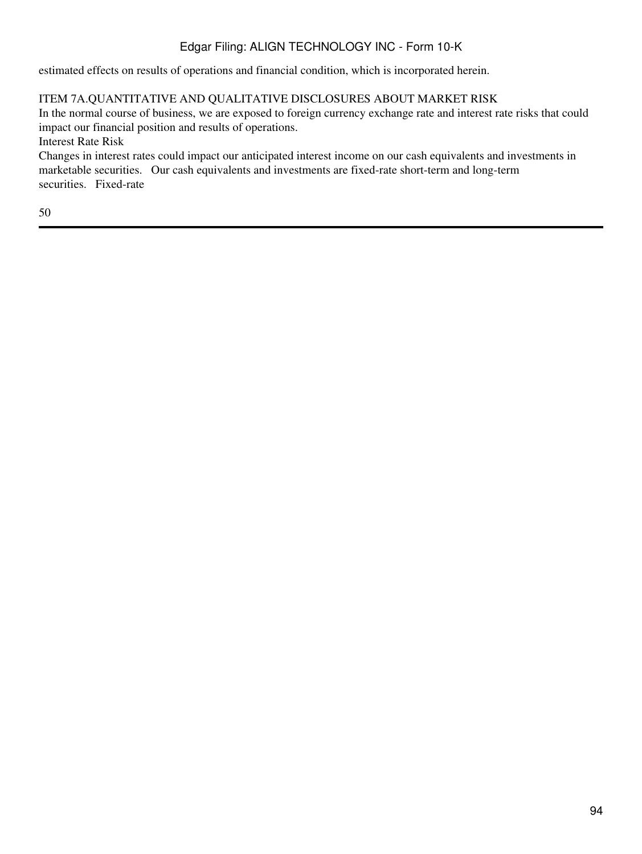estimated effects on results of operations and financial condition, which is incorporated herein.

## ITEM 7A.QUANTITATIVE AND QUALITATIVE DISCLOSURES ABOUT MARKET RISK

In the normal course of business, we are exposed to foreign currency exchange rate and interest rate risks that could impact our financial position and results of operations.

Interest Rate Risk

Changes in interest rates could impact our anticipated interest income on our cash equivalents and investments in marketable securities. Our cash equivalents and investments are fixed-rate short-term and long-term securities. Fixed-rate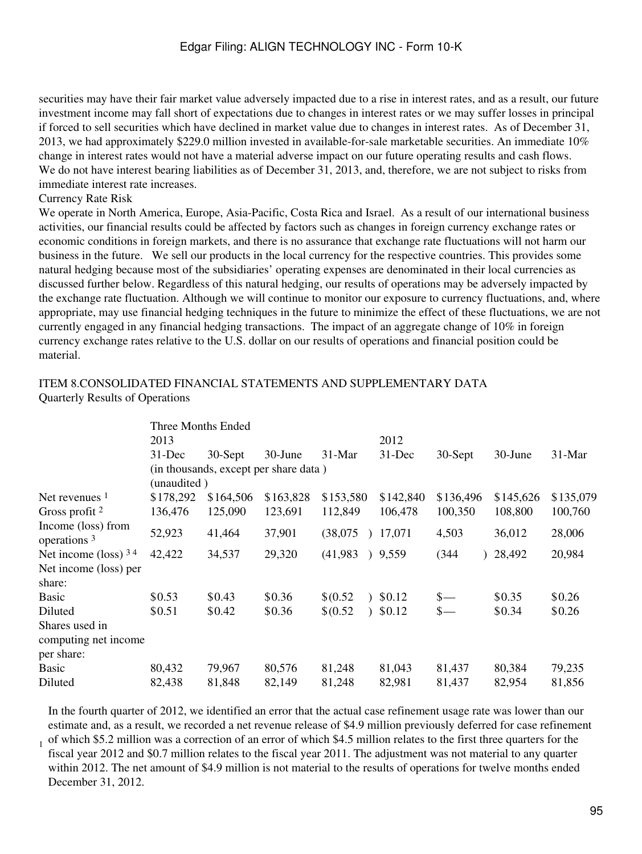securities may have their fair market value adversely impacted due to a rise in interest rates, and as a result, our future investment income may fall short of expectations due to changes in interest rates or we may suffer losses in principal if forced to sell securities which have declined in market value due to changes in interest rates. As of December 31, 2013, we had approximately \$229.0 million invested in available-for-sale marketable securities. An immediate 10% change in interest rates would not have a material adverse impact on our future operating results and cash flows. We do not have interest bearing liabilities as of December 31, 2013, and, therefore, we are not subject to risks from immediate interest rate increases.

#### Currency Rate Risk

1

We operate in North America, Europe, Asia-Pacific, Costa Rica and Israel. As a result of our international business activities, our financial results could be affected by factors such as changes in foreign currency exchange rates or economic conditions in foreign markets, and there is no assurance that exchange rate fluctuations will not harm our business in the future. We sell our products in the local currency for the respective countries. This provides some natural hedging because most of the subsidiaries' operating expenses are denominated in their local currencies as discussed further below. Regardless of this natural hedging, our results of operations may be adversely impacted by the exchange rate fluctuation. Although we will continue to monitor our exposure to currency fluctuations, and, where appropriate, may use financial hedging techniques in the future to minimize the effect of these fluctuations, we are not currently engaged in any financial hedging transactions. The impact of an aggregate change of 10% in foreign currency exchange rates relative to the U.S. dollar on our results of operations and financial position could be material.

#### ITEM 8.CONSOLIDATED FINANCIAL STATEMENTS AND SUPPLEMENTARY DATA Quarterly Results of Operations

|                                               | Three Months Ended |                                       |           |           |           |           |                 |           |           |
|-----------------------------------------------|--------------------|---------------------------------------|-----------|-----------|-----------|-----------|-----------------|-----------|-----------|
|                                               | 2013               |                                       |           |           |           | 2012      |                 |           |           |
|                                               | $31$ -Dec          | 30-Sept                               | 30-June   | $31-Mar$  |           | $31$ -Dec | $30-Sept$       | 30-June   | $31-Mar$  |
|                                               |                    | (in thousands, except per share data) |           |           |           |           |                 |           |           |
|                                               | (unaudited)        |                                       |           |           |           |           |                 |           |           |
| Net revenues <sup>1</sup>                     | \$178,292          | \$164,506                             | \$163,828 | \$153,580 |           | \$142,840 | \$136,496       | \$145,626 | \$135,079 |
| Gross profit $2$                              | 136,476            | 125,090                               | 123,691   | 112,849   |           | 106,478   | 100,350         | 108,800   | 100,760   |
| Income (loss) from<br>operations <sup>3</sup> | 52,923             | 41,464                                | 37,901    | (38,075)  | $\lambda$ | 17,071    | 4,503           | 36,012    | 28,006    |
| Net income (loss) $34$                        | 42,422             | 34,537                                | 29,320    | (41,983)  |           | 9,559     | (344)           | 28,492    | 20,984    |
| Net income (loss) per                         |                    |                                       |           |           |           |           |                 |           |           |
| share:                                        |                    |                                       |           |           |           |           |                 |           |           |
| <b>Basic</b>                                  | \$0.53             | \$0.43                                | \$0.36    | \$0.52    |           | \$0.12    | $\frac{\S}{\S}$ | \$0.35    | \$0.26    |
| Diluted                                       | \$0.51             | \$0.42                                | \$0.36    | \$0.52    |           | \$0.12    | $\frac{\ }{s-}$ | \$0.34    | \$0.26    |
| Shares used in                                |                    |                                       |           |           |           |           |                 |           |           |
| computing net income                          |                    |                                       |           |           |           |           |                 |           |           |
| per share:                                    |                    |                                       |           |           |           |           |                 |           |           |
| Basic                                         | 80,432             | 79,967                                | 80,576    | 81,248    |           | 81,043    | 81,437          | 80,384    | 79,235    |
| Diluted                                       | 82,438             | 81,848                                | 82,149    | 81,248    |           | 82,981    | 81,437          | 82,954    | 81,856    |

In the fourth quarter of 2012, we identified an error that the actual case refinement usage rate was lower than our estimate and, as a result, we recorded a net revenue release of \$4.9 million previously deferred for case refinement of which \$5.2 million was a correction of an error of which \$4.5 million relates to the first three quarters for the fiscal year 2012 and \$0.7 million relates to the fiscal year 2011. The adjustment was not material to any quarter within 2012. The net amount of \$4.9 million is not material to the results of operations for twelve months ended December 31, 2012.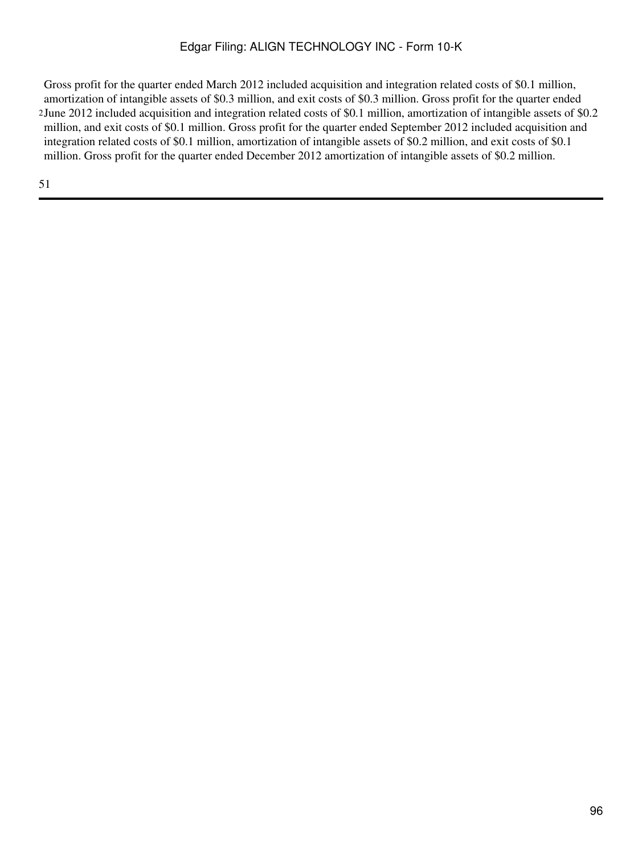2 June 2012 included acquisition and integration related costs of \$0.1 million, amortization of intangible assets of \$0.2 Gross profit for the quarter ended March 2012 included acquisition and integration related costs of \$0.1 million, amortization of intangible assets of \$0.3 million, and exit costs of \$0.3 million. Gross profit for the quarter ended million, and exit costs of \$0.1 million. Gross profit for the quarter ended September 2012 included acquisition and integration related costs of \$0.1 million, amortization of intangible assets of \$0.2 million, and exit costs of \$0.1 million. Gross profit for the quarter ended December 2012 amortization of intangible assets of \$0.2 million.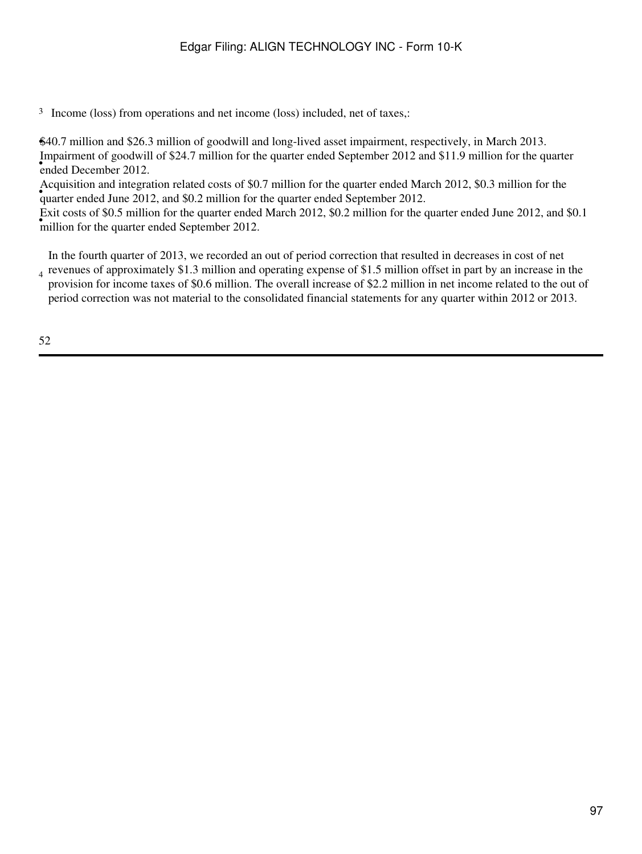<sup>3</sup> Income (loss) from operations and net income (loss) included, net of taxes,:

•\$40.7 million and \$26.3 million of goodwill and long-lived asset impairment, respectively, in March 2013. ended December 2012. Impairment of goodwill of \$24.7 million for the quarter ended September 2012 and \$11.9 million for the quarter

• quarter ended June 2012, and \$0.2 million for the quarter ended September 2012. Acquisition and integration related costs of \$0.7 million for the quarter ended March 2012, \$0.3 million for the

**EXIT COSES** OF \$0.5 IMMORTON THE QUARTER CHILD MILLION FOR THE QUARTER THANKS Exit costs of \$0.5 million for the quarter ended March 2012, \$0.2 million for the quarter ended June 2012, and \$0.1

In the fourth quarter of 2013, we recorded an out of period correction that resulted in decreases in cost of net

4 revenues of approximately \$1.3 million and operating expense of \$1.5 million offset in part by an increase in the provision for income taxes of \$0.6 million. The overall increase of \$2.2 million in net income related to the out of period correction was not material to the consolidated financial statements for any quarter within 2012 or 2013.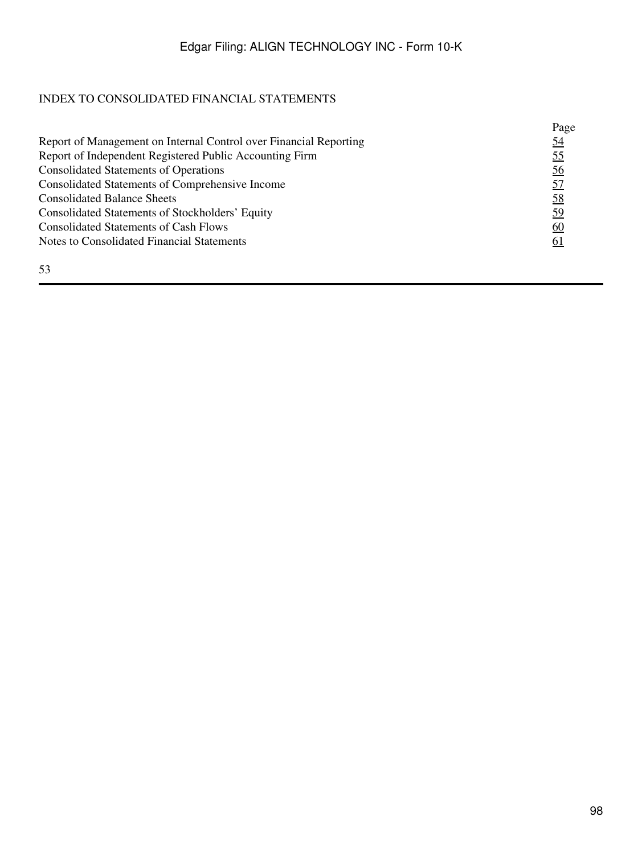# INDEX TO CONSOLIDATED FINANCIAL STATEMENTS

|                                                                   | Page      |
|-------------------------------------------------------------------|-----------|
| Report of Management on Internal Control over Financial Reporting | <u>54</u> |
| Report of Independent Registered Public Accounting Firm           | <u>55</u> |
| <b>Consolidated Statements of Operations</b>                      | <u>56</u> |
| Consolidated Statements of Comprehensive Income                   | <u>57</u> |
| <b>Consolidated Balance Sheets</b>                                | 58        |
| Consolidated Statements of Stockholders' Equity                   | 59        |
| <b>Consolidated Statements of Cash Flows</b>                      | <u>60</u> |
| Notes to Consolidated Financial Statements                        | <u>61</u> |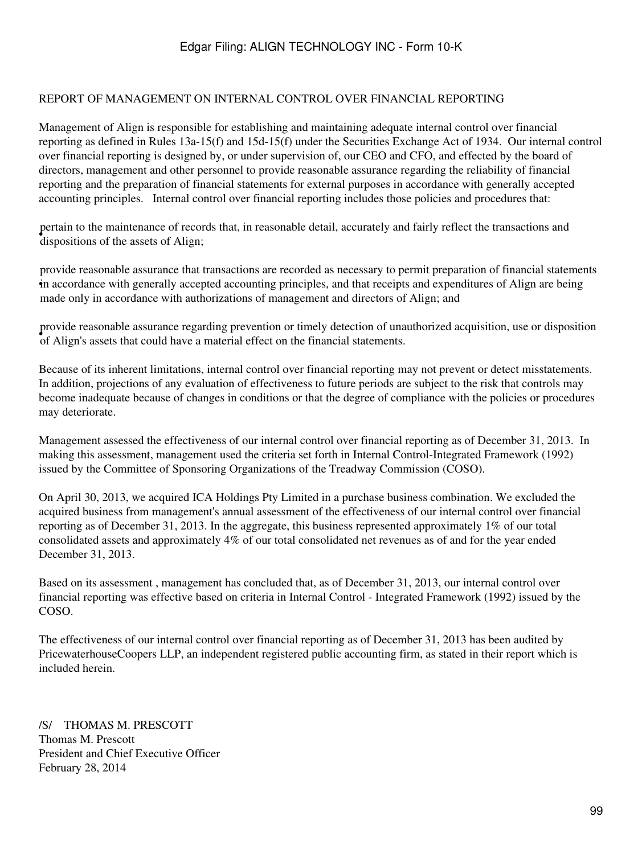#### <span id="page-98-0"></span>REPORT OF MANAGEMENT ON INTERNAL CONTROL OVER FINANCIAL REPORTING

Management of Align is responsible for establishing and maintaining adequate internal control over financial reporting as defined in Rules 13a-15(f) and 15d-15(f) under the Securities Exchange Act of 1934. Our internal control over financial reporting is designed by, or under supervision of, our CEO and CFO, and effected by the board of directors, management and other personnel to provide reasonable assurance regarding the reliability of financial reporting and the preparation of financial statements for external purposes in accordance with generally accepted accounting principles. Internal control over financial reporting includes those policies and procedures that:

• dispositions of the assets of Align; pertain to the maintenance of records that, in reasonable detail, accurately and fairly reflect the transactions and

• in accordance with generally accepted accounting principles, and that receipts and expenditures of Align are being provide reasonable assurance that transactions are recorded as necessary to permit preparation of financial statements made only in accordance with authorizations of management and directors of Align; and

• of Align's assets that could have a material effect on the financial statements. provide reasonable assurance regarding prevention or timely detection of unauthorized acquisition, use or disposition

Because of its inherent limitations, internal control over financial reporting may not prevent or detect misstatements. In addition, projections of any evaluation of effectiveness to future periods are subject to the risk that controls may become inadequate because of changes in conditions or that the degree of compliance with the policies or procedures may deteriorate.

Management assessed the effectiveness of our internal control over financial reporting as of December 31, 2013. In making this assessment, management used the criteria set forth in Internal Control-Integrated Framework (1992) issued by the Committee of Sponsoring Organizations of the Treadway Commission (COSO).

On April 30, 2013, we acquired ICA Holdings Pty Limited in a purchase business combination. We excluded the acquired business from management's annual assessment of the effectiveness of our internal control over financial reporting as of December 31, 2013. In the aggregate, this business represented approximately 1% of our total consolidated assets and approximately 4% of our total consolidated net revenues as of and for the year ended December 31, 2013.

Based on its assessment , management has concluded that, as of December 31, 2013, our internal control over financial reporting was effective based on criteria in Internal Control - Integrated Framework (1992) issued by the COSO.

The effectiveness of our internal control over financial reporting as of December 31, 2013 has been audited by PricewaterhouseCoopers LLP, an independent registered public accounting firm, as stated in their report which is included herein.

/S/ THOMAS M. PRESCOTT Thomas M. Prescott President and Chief Executive Officer February 28, 2014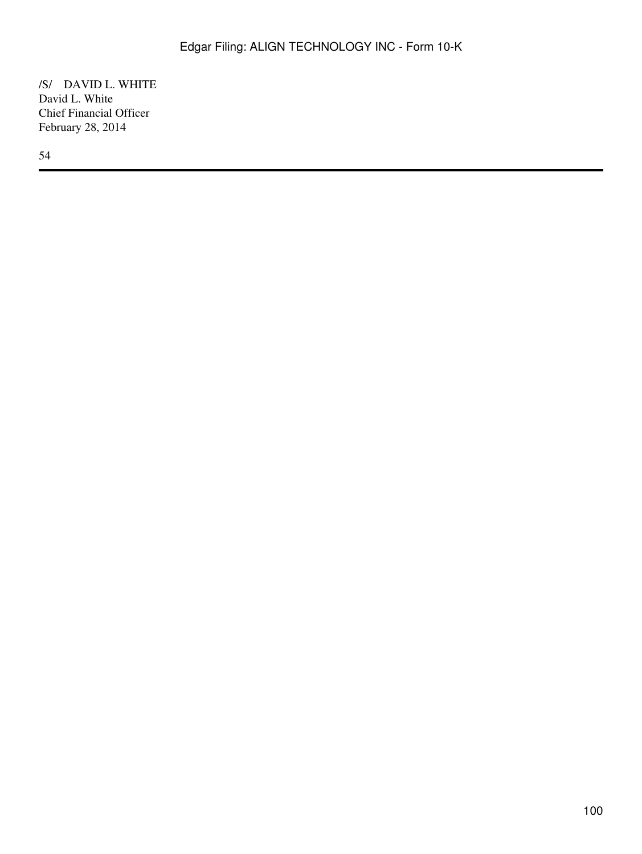/S/ DAVID L. WHITE David L. White Chief Financial Officer February 28, 2014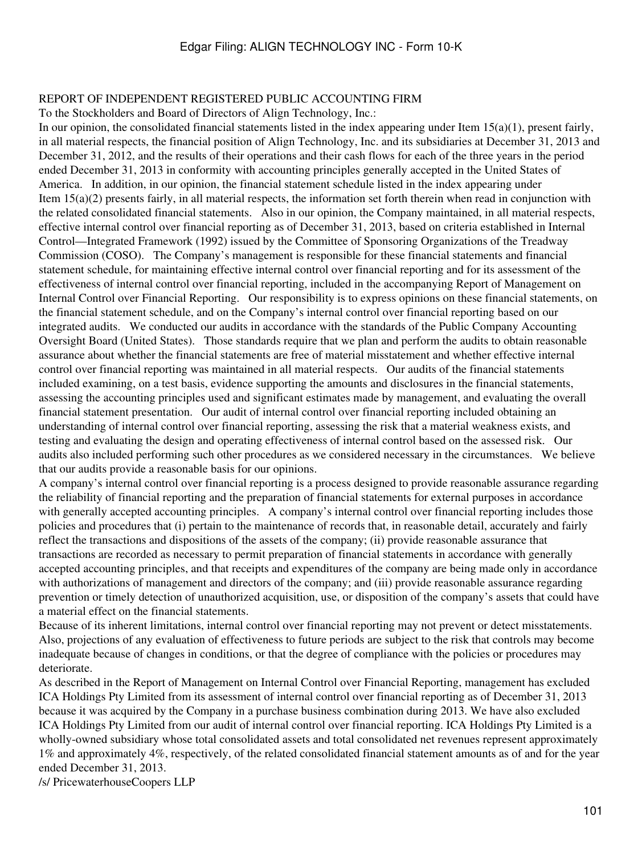#### <span id="page-100-0"></span>REPORT OF INDEPENDENT REGISTERED PUBLIC ACCOUNTING FIRM

To the Stockholders and Board of Directors of Align Technology, Inc.:

In our opinion, the consolidated financial statements listed in the index appearing under Item  $15(a)(1)$ , present fairly, in all material respects, the financial position of Align Technology, Inc. and its subsidiaries at December 31, 2013 and December 31, 2012, and the results of their operations and their cash flows for each of the three years in the period ended December 31, 2013 in conformity with accounting principles generally accepted in the United States of America. In addition, in our opinion, the financial statement schedule listed in the index appearing under Item 15(a)(2) presents fairly, in all material respects, the information set forth therein when read in conjunction with the related consolidated financial statements. Also in our opinion, the Company maintained, in all material respects, effective internal control over financial reporting as of December 31, 2013, based on criteria established in Internal Control—Integrated Framework (1992) issued by the Committee of Sponsoring Organizations of the Treadway Commission (COSO). The Company's management is responsible for these financial statements and financial statement schedule, for maintaining effective internal control over financial reporting and for its assessment of the effectiveness of internal control over financial reporting, included in the accompanying Report of Management on Internal Control over Financial Reporting. Our responsibility is to express opinions on these financial statements, on the financial statement schedule, and on the Company's internal control over financial reporting based on our integrated audits. We conducted our audits in accordance with the standards of the Public Company Accounting Oversight Board (United States). Those standards require that we plan and perform the audits to obtain reasonable assurance about whether the financial statements are free of material misstatement and whether effective internal control over financial reporting was maintained in all material respects. Our audits of the financial statements included examining, on a test basis, evidence supporting the amounts and disclosures in the financial statements, assessing the accounting principles used and significant estimates made by management, and evaluating the overall financial statement presentation. Our audit of internal control over financial reporting included obtaining an understanding of internal control over financial reporting, assessing the risk that a material weakness exists, and testing and evaluating the design and operating effectiveness of internal control based on the assessed risk. Our audits also included performing such other procedures as we considered necessary in the circumstances. We believe that our audits provide a reasonable basis for our opinions.

A company's internal control over financial reporting is a process designed to provide reasonable assurance regarding the reliability of financial reporting and the preparation of financial statements for external purposes in accordance with generally accepted accounting principles. A company's internal control over financial reporting includes those policies and procedures that (i) pertain to the maintenance of records that, in reasonable detail, accurately and fairly reflect the transactions and dispositions of the assets of the company; (ii) provide reasonable assurance that transactions are recorded as necessary to permit preparation of financial statements in accordance with generally accepted accounting principles, and that receipts and expenditures of the company are being made only in accordance with authorizations of management and directors of the company; and (iii) provide reasonable assurance regarding prevention or timely detection of unauthorized acquisition, use, or disposition of the company's assets that could have a material effect on the financial statements.

Because of its inherent limitations, internal control over financial reporting may not prevent or detect misstatements. Also, projections of any evaluation of effectiveness to future periods are subject to the risk that controls may become inadequate because of changes in conditions, or that the degree of compliance with the policies or procedures may deteriorate.

As described in the Report of Management on Internal Control over Financial Reporting, management has excluded ICA Holdings Pty Limited from its assessment of internal control over financial reporting as of December 31, 2013 because it was acquired by the Company in a purchase business combination during 2013. We have also excluded ICA Holdings Pty Limited from our audit of internal control over financial reporting. ICA Holdings Pty Limited is a wholly-owned subsidiary whose total consolidated assets and total consolidated net revenues represent approximately 1% and approximately 4%, respectively, of the related consolidated financial statement amounts as of and for the year ended December 31, 2013.

/s/ PricewaterhouseCoopers LLP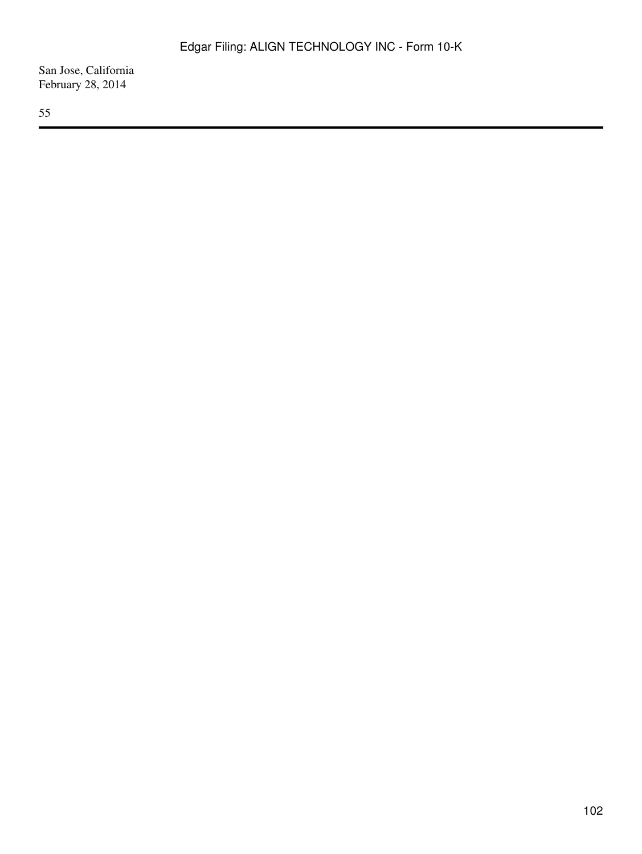San Jose, California February 28, 2014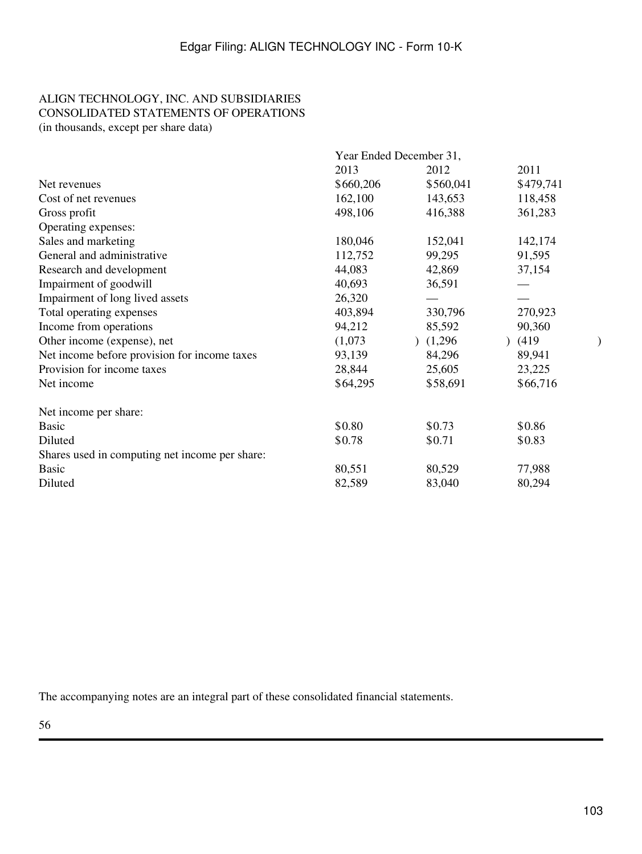## <span id="page-102-0"></span>ALIGN TECHNOLOGY, INC. AND SUBSIDIARIES CONSOLIDATED STATEMENTS OF OPERATIONS (in thousands, except per share data)

|                                                | Year Ended December 31, |           |           |  |  |  |
|------------------------------------------------|-------------------------|-----------|-----------|--|--|--|
|                                                | 2013                    | 2012      | 2011      |  |  |  |
| Net revenues                                   | \$660,206               | \$560,041 | \$479,741 |  |  |  |
| Cost of net revenues                           | 162,100                 | 143,653   | 118,458   |  |  |  |
| Gross profit                                   | 498,106                 | 416,388   | 361,283   |  |  |  |
| Operating expenses:                            |                         |           |           |  |  |  |
| Sales and marketing                            | 180,046                 | 152,041   | 142,174   |  |  |  |
| General and administrative                     | 112,752                 | 99,295    | 91,595    |  |  |  |
| Research and development                       | 44,083                  | 42,869    | 37,154    |  |  |  |
| Impairment of goodwill                         | 40,693                  | 36,591    |           |  |  |  |
| Impairment of long lived assets                | 26,320                  |           |           |  |  |  |
| Total operating expenses                       | 403,894                 | 330,796   | 270,923   |  |  |  |
| Income from operations                         | 94,212                  | 85,592    | 90,360    |  |  |  |
| Other income (expense), net                    | (1,073)                 | (1,296)   | (419)     |  |  |  |
| Net income before provision for income taxes   | 93,139                  | 84,296    | 89,941    |  |  |  |
| Provision for income taxes                     | 28,844                  | 25,605    | 23,225    |  |  |  |
| Net income                                     | \$64,295                | \$58,691  | \$66,716  |  |  |  |
| Net income per share:                          |                         |           |           |  |  |  |
| <b>Basic</b>                                   | \$0.80                  | \$0.73    | \$0.86    |  |  |  |
| Diluted                                        | \$0.78                  | \$0.71    | \$0.83    |  |  |  |
| Shares used in computing net income per share: |                         |           |           |  |  |  |
| <b>Basic</b>                                   | 80,551                  | 80,529    | 77,988    |  |  |  |
| Diluted                                        | 82,589                  | 83,040    | 80,294    |  |  |  |

The accompanying notes are an integral part of these consolidated financial statements.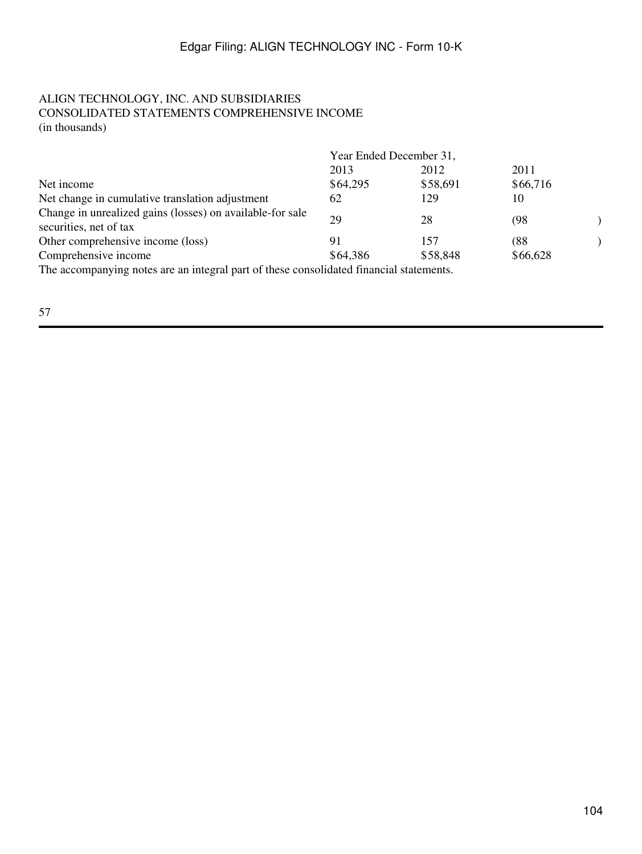## ALIGN TECHNOLOGY, INC. AND SUBSIDIARIES CONSOLIDATED STATEMENTS COMPREHENSIVE INCOME (in thousands)

|                                                                                                                 | Year Ended December 31, |          |          |  |  |
|-----------------------------------------------------------------------------------------------------------------|-------------------------|----------|----------|--|--|
|                                                                                                                 | 2013                    | 2012     | 2011     |  |  |
| Net income                                                                                                      | \$64,295                | \$58,691 | \$66,716 |  |  |
| Net change in cumulative translation adjustment                                                                 | 62                      | 129      | 10       |  |  |
| Change in unrealized gains (losses) on available-for sale<br>securities, net of tax                             | 29                      | 28       | (98      |  |  |
| Other comprehensive income (loss)                                                                               | 91                      | 157      | (88      |  |  |
| Comprehensive income                                                                                            | \$64,386                | \$58,848 | \$66,628 |  |  |
| the contract of the contract of the contract of the contract of the contract of the contract of the contract of | 1'1. 10'                |          |          |  |  |

The accompanying notes are an integral part of these consolidated financial statements.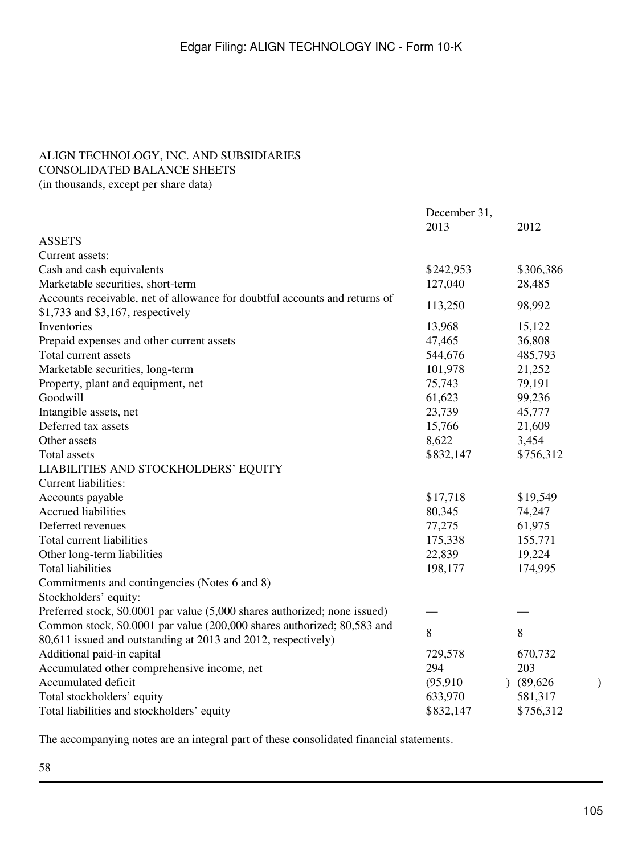# <span id="page-104-1"></span><span id="page-104-0"></span>ALIGN TECHNOLOGY, INC. AND SUBSIDIARIES CONSOLIDATED BALANCE SHEETS

(in thousands, except per share data)

|                                                                                                                 | December 31, |           |   |
|-----------------------------------------------------------------------------------------------------------------|--------------|-----------|---|
|                                                                                                                 | 2013         | 2012      |   |
| <b>ASSETS</b>                                                                                                   |              |           |   |
| Current assets:                                                                                                 |              |           |   |
| Cash and cash equivalents                                                                                       | \$242,953    | \$306,386 |   |
| Marketable securities, short-term                                                                               | 127,040      | 28,485    |   |
| Accounts receivable, net of allowance for doubtful accounts and returns of<br>\$1,733 and \$3,167, respectively | 113,250      | 98,992    |   |
| Inventories                                                                                                     | 13,968       | 15,122    |   |
| Prepaid expenses and other current assets                                                                       | 47,465       | 36,808    |   |
| Total current assets                                                                                            | 544,676      | 485,793   |   |
| Marketable securities, long-term                                                                                | 101,978      | 21,252    |   |
| Property, plant and equipment, net                                                                              | 75,743       | 79,191    |   |
| Goodwill                                                                                                        | 61,623       | 99,236    |   |
| Intangible assets, net                                                                                          | 23,739       | 45,777    |   |
| Deferred tax assets                                                                                             | 15,766       | 21,609    |   |
| Other assets                                                                                                    | 8,622        | 3,454     |   |
| Total assets                                                                                                    | \$832,147    | \$756,312 |   |
| LIABILITIES AND STOCKHOLDERS' EQUITY                                                                            |              |           |   |
| Current liabilities:                                                                                            |              |           |   |
| Accounts payable                                                                                                | \$17,718     | \$19,549  |   |
| Accrued liabilities                                                                                             | 80,345       | 74,247    |   |
| Deferred revenues                                                                                               | 77,275       | 61,975    |   |
| Total current liabilities                                                                                       | 175,338      | 155,771   |   |
| Other long-term liabilities                                                                                     | 22,839       | 19,224    |   |
| <b>Total liabilities</b>                                                                                        | 198,177      | 174,995   |   |
| Commitments and contingencies (Notes 6 and 8)                                                                   |              |           |   |
| Stockholders' equity:                                                                                           |              |           |   |
| Preferred stock, \$0.0001 par value (5,000 shares authorized; none issued)                                      |              |           |   |
| Common stock, \$0.0001 par value (200,000 shares authorized; 80,583 and                                         | 8            | 8         |   |
| 80,611 issued and outstanding at 2013 and 2012, respectively)                                                   |              |           |   |
| Additional paid-in capital                                                                                      | 729,578      | 670,732   |   |
| Accumulated other comprehensive income, net                                                                     | 294          | 203       |   |
| Accumulated deficit                                                                                             | (95, 910)    | (89,626)  | ) |
| Total stockholders' equity                                                                                      | 633,970      | 581,317   |   |
| Total liabilities and stockholders' equity                                                                      | \$832,147    | \$756,312 |   |

The accompanying notes are an integral part of these consolidated financial statements.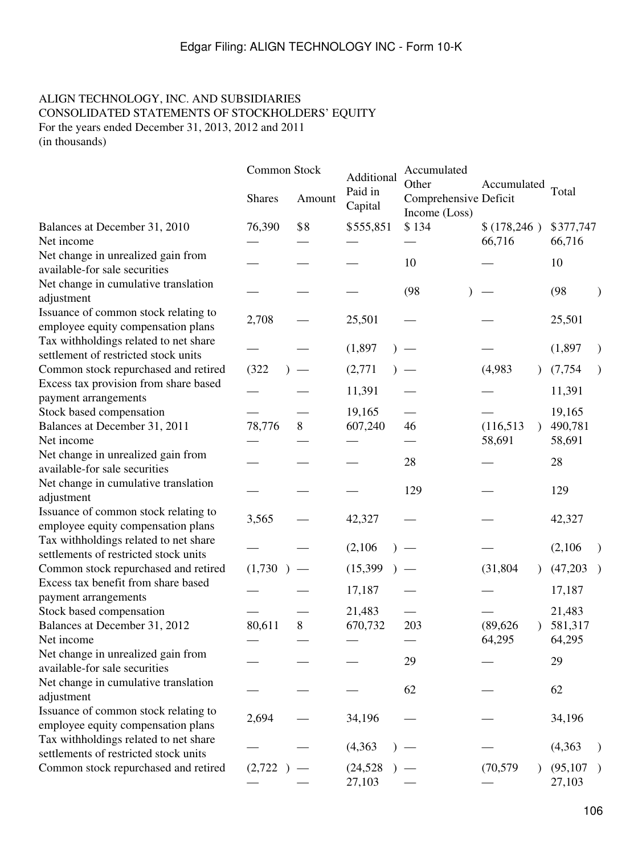## <span id="page-105-0"></span>ALIGN TECHNOLOGY, INC. AND SUBSIDIARIES CONSOLIDATED STATEMENTS OF STOCKHOLDERS' EQUITY For the years ended December 31, 2013, 2012 and 2011 (in thousands)

|                                                                                | Common Stock<br><b>Shares</b> | Amount | Additional<br>Paid in<br>Capital | Accumulated<br>Other<br>Comprehensive Deficit<br>Income (Loss) | Accumulated                                   | Total               |
|--------------------------------------------------------------------------------|-------------------------------|--------|----------------------------------|----------------------------------------------------------------|-----------------------------------------------|---------------------|
| Balances at December 31, 2010<br>Net income                                    | 76,390                        | \$8    | \$555,851                        | \$134                                                          | \$377,747<br>\$(178, 246)<br>66,716<br>66,716 |                     |
| Net change in unrealized gain from<br>available-for sale securities            |                               |        |                                  | 10                                                             |                                               | 10                  |
| Net change in cumulative translation<br>adjustment                             |                               |        |                                  | (98)                                                           |                                               | (98)                |
| Issuance of common stock relating to<br>employee equity compensation plans     | 2,708                         |        | 25,501                           |                                                                |                                               | 25,501              |
| Tax withholdings related to net share<br>settlement of restricted stock units  |                               |        | (1,897)                          |                                                                |                                               | (1, 897)            |
| Common stock repurchased and retired                                           | (322)                         |        | (2,771)                          |                                                                | (4,983)                                       | (7, 754)            |
| Excess tax provision from share based<br>payment arrangements                  |                               |        | 11,391                           |                                                                |                                               | 11,391              |
| Stock based compensation<br>Balances at December 31, 2011                      | 78,776                        | 8      | 19,165<br>607,240                | 46                                                             | (116, 513)                                    | 19,165<br>490,781   |
| Net income                                                                     |                               |        |                                  |                                                                | 58,691                                        | 58,691              |
| Net change in unrealized gain from<br>available-for sale securities            |                               |        |                                  | 28                                                             |                                               | 28                  |
| Net change in cumulative translation<br>adjustment                             |                               |        |                                  | 129                                                            |                                               | 129                 |
| Issuance of common stock relating to<br>employee equity compensation plans     | 3,565                         |        | 42,327                           |                                                                |                                               | 42,327              |
| Tax withholdings related to net share<br>settlements of restricted stock units |                               |        | (2,106)                          |                                                                |                                               | (2,106)             |
| Common stock repurchased and retired                                           | (1,730)                       |        | (15,399)                         |                                                                | (31, 804)                                     | (47,203)            |
| Excess tax benefit from share based<br>payment arrangements                    |                               |        | 17,187                           |                                                                |                                               | 17,187              |
| Stock based compensation<br>Balances at December 31, 2012                      | 80,611                        | 8      | 21,483<br>670,732                | 203                                                            | (89, 626)                                     | 21,483<br>581,317   |
| Net income                                                                     |                               |        |                                  |                                                                | 64,295                                        | 64,295              |
| Net change in unrealized gain from<br>available-for sale securities            |                               |        |                                  | 29                                                             |                                               | 29                  |
| Net change in cumulative translation<br>adjustment                             |                               |        |                                  | 62                                                             |                                               | 62                  |
| Issuance of common stock relating to<br>employee equity compensation plans     | 2,694                         |        | 34,196                           |                                                                |                                               | 34,196              |
| Tax withholdings related to net share<br>settlements of restricted stock units |                               |        | (4, 363)                         |                                                                |                                               | (4,363)             |
| Common stock repurchased and retired                                           | (2,722)                       |        | (24, 528)<br>27,103              |                                                                | (70, 579)                                     | (95, 107)<br>27,103 |
|                                                                                |                               |        |                                  |                                                                |                                               |                     |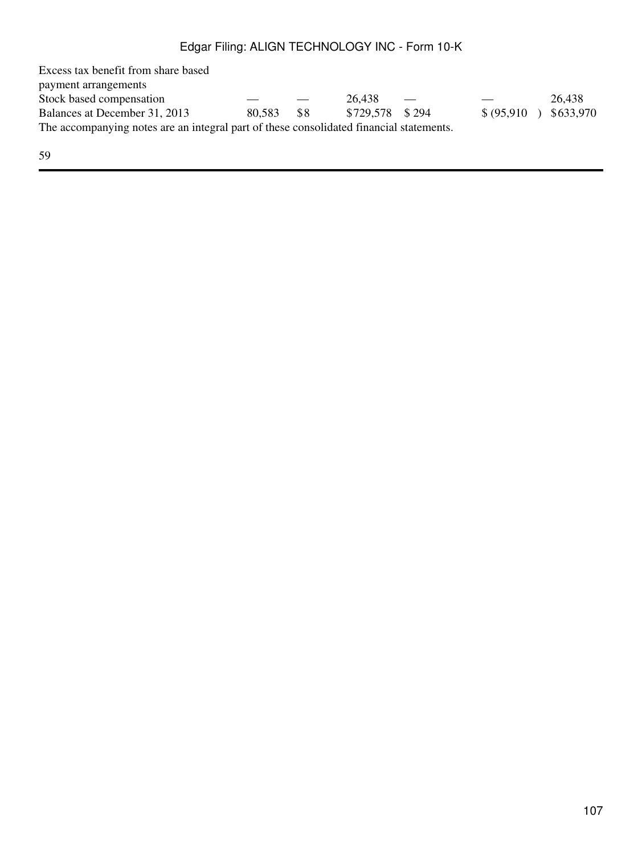Excess tax benefit from share based payment arrangements Stock based compensation  $26,438$   $26,438$ Balances at December 31, 2013 80,583 \$8 \$729,578 \$ 294 \$ (95,910) \$633,970 The accompanying notes are an integral part of these consolidated financial statements.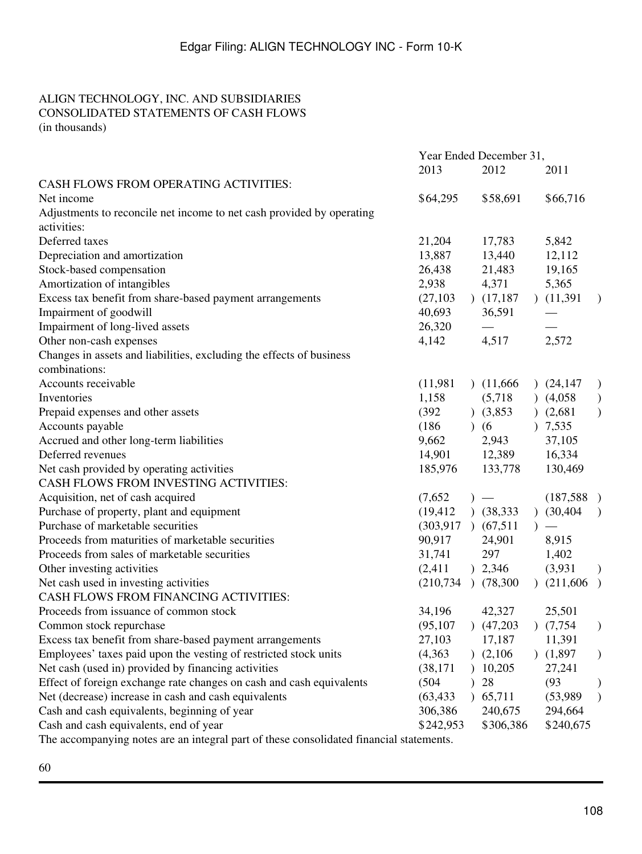## <span id="page-107-0"></span>ALIGN TECHNOLOGY, INC. AND SUBSIDIARIES CONSOLIDATED STATEMENTS OF CASH FLOWS (in thousands)

|                                                                                         | Year Ended December 31,  |           |                          |  |              |               |
|-----------------------------------------------------------------------------------------|--------------------------|-----------|--------------------------|--|--------------|---------------|
|                                                                                         | 2013                     |           | 2012                     |  | 2011         |               |
| CASH FLOWS FROM OPERATING ACTIVITIES:                                                   |                          |           |                          |  |              |               |
| Net income                                                                              | \$64,295                 |           | \$58,691                 |  | \$66,716     |               |
| Adjustments to reconcile net income to net cash provided by operating                   |                          |           |                          |  |              |               |
| activities:                                                                             |                          |           |                          |  |              |               |
| Deferred taxes                                                                          | 21,204                   |           | 17,783                   |  | 5,842        |               |
| Depreciation and amortization                                                           | 13,887                   |           | 13,440                   |  | 12,112       |               |
| Stock-based compensation                                                                | 26,438                   |           | 21,483                   |  | 19,165       |               |
| Amortization of intangibles                                                             | 2,938                    |           | 4,371                    |  | 5,365        |               |
| Excess tax benefit from share-based payment arrangements                                | (27, 103)                |           | (17,187)                 |  | (11,391)     | $\mathcal{E}$ |
| Impairment of goodwill                                                                  | 40,693                   |           | 36,591                   |  |              |               |
| Impairment of long-lived assets                                                         | 26,320                   |           |                          |  |              |               |
| Other non-cash expenses                                                                 | 4,142                    |           | 4,517                    |  | 2,572        |               |
| Changes in assets and liabilities, excluding the effects of business                    |                          |           |                          |  |              |               |
| combinations:                                                                           |                          |           |                          |  |              |               |
| Accounts receivable                                                                     | (11,981)                 |           | (11,666)                 |  | (24, 147)    | $\mathcal{E}$ |
| Inventories                                                                             | 1,158                    |           | (5,718)                  |  | (4,058)      | $\big)$       |
| Prepaid expenses and other assets                                                       | (392)                    |           | (3,853)                  |  | (2,681)      | $\mathcal{E}$ |
| Accounts payable                                                                        | (186)                    | $\lambda$ | (6)                      |  | 7,535        |               |
| Accrued and other long-term liabilities                                                 | 9,662                    |           | 2,943                    |  | 37,105       |               |
| Deferred revenues                                                                       | 14,901                   |           | 12,389                   |  | 16,334       |               |
| Net cash provided by operating activities                                               | 185,976                  |           | 133,778                  |  | 130,469      |               |
| CASH FLOWS FROM INVESTING ACTIVITIES:                                                   |                          |           |                          |  |              |               |
| Acquisition, net of cash acquired                                                       | (7,652)                  |           | $\overline{\phantom{m}}$ |  | (187,588)    |               |
| Purchase of property, plant and equipment                                               | (19, 412)                |           | (38, 333)                |  | $)$ (30,404) | $\mathcal{E}$ |
| Purchase of marketable securities                                                       | $(303,917)$ $(67,511)$   |           |                          |  |              |               |
| Proceeds from maturities of marketable securities                                       | 90,917                   |           | 24,901                   |  | 8,915        |               |
| Proceeds from sales of marketable securities                                            | 31,741                   |           | 297                      |  | 1,402        |               |
| Other investing activities                                                              | (2, 411)                 |           | ) 2,346                  |  | (3,931)      | $\mathcal{E}$ |
| Net cash used in investing activities                                                   | $(210, 734)$ $(78, 300)$ |           |                          |  | (211,606)    |               |
| CASH FLOWS FROM FINANCING ACTIVITIES:                                                   |                          |           |                          |  |              |               |
| Proceeds from issuance of common stock                                                  | 34,196                   |           | 42,327                   |  | 25,501       |               |
| Common stock repurchase                                                                 | (95, 107)                |           | (47,203)                 |  | (7,754)      | $\mathcal{E}$ |
| Excess tax benefit from share-based payment arrangements                                | 27,103                   |           | 17,187                   |  | 11,391       |               |
| Employees' taxes paid upon the vesting of restricted stock units                        | (4, 363)                 |           | (2,106)                  |  | (1,897)      | $\mathcal{E}$ |
| Net cash (used in) provided by financing activities                                     | (38, 171)                |           | 10,205                   |  | 27,241       |               |
| Effect of foreign exchange rate changes on cash and cash equivalents                    | (504)                    |           | 28                       |  | (93)         | $\mathcal{Y}$ |
| Net (decrease) increase in cash and cash equivalents                                    | (63, 433)                |           | 65,711                   |  | (53,989)     | $\mathcal{E}$ |
| Cash and cash equivalents, beginning of year                                            | 306,386                  |           | 240,675                  |  | 294,664      |               |
| Cash and cash equivalents, end of year                                                  | \$242,953                |           | \$306,386                |  | \$240,675    |               |
| The accompanying notes are an integral part of these consolidated financial statements. |                          |           |                          |  |              |               |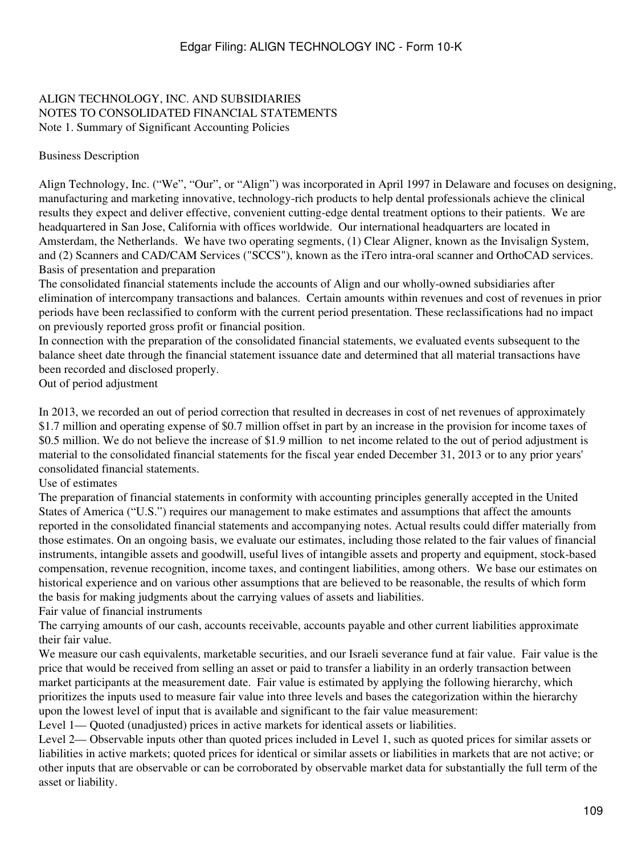## ALIGN TECHNOLOGY, INC. AND SUBSIDIARIES NOTES TO CONSOLIDATED FINANCIAL STATEMENTS Note 1. Summary of Significant Accounting Policies

#### Business Description

Align Technology, Inc. ("We", "Our", or "Align") was incorporated in April 1997 in Delaware and focuses on designing, manufacturing and marketing innovative, technology-rich products to help dental professionals achieve the clinical results they expect and deliver effective, convenient cutting-edge dental treatment options to their patients. We are headquartered in San Jose, California with offices worldwide. Our international headquarters are located in Amsterdam, the Netherlands. We have two operating segments, (1) Clear Aligner, known as the Invisalign System, and (2) Scanners and CAD/CAM Services ("SCCS"), known as the iTero intra-oral scanner and OrthoCAD services. Basis of presentation and preparation

The consolidated financial statements include the accounts of Align and our wholly-owned subsidiaries after elimination of intercompany transactions and balances. Certain amounts within revenues and cost of revenues in prior periods have been reclassified to conform with the current period presentation. These reclassifications had no impact on previously reported gross profit or financial position.

In connection with the preparation of the consolidated financial statements, we evaluated events subsequent to the balance sheet date through the financial statement issuance date and determined that all material transactions have been recorded and disclosed properly.

Out of period adjustment

In 2013, we recorded an out of period correction that resulted in decreases in cost of net revenues of approximately \$1.7 million and operating expense of \$0.7 million offset in part by an increase in the provision for income taxes of \$0.5 million. We do not believe the increase of \$1.9 million to net income related to the out of period adjustment is material to the consolidated financial statements for the fiscal year ended December 31, 2013 or to any prior years' consolidated financial statements.

#### Use of estimates

The preparation of financial statements in conformity with accounting principles generally accepted in the United States of America ("U.S.") requires our management to make estimates and assumptions that affect the amounts reported in the consolidated financial statements and accompanying notes. Actual results could differ materially from those estimates. On an ongoing basis, we evaluate our estimates, including those related to the fair values of financial instruments, intangible assets and goodwill, useful lives of intangible assets and property and equipment, stock-based compensation, revenue recognition, income taxes, and contingent liabilities, among others. We base our estimates on historical experience and on various other assumptions that are believed to be reasonable, the results of which form the basis for making judgments about the carrying values of assets and liabilities.

Fair value of financial instruments

The carrying amounts of our cash, accounts receivable, accounts payable and other current liabilities approximate their fair value.

We measure our cash equivalents, marketable securities, and our Israeli severance fund at fair value. Fair value is the price that would be received from selling an asset or paid to transfer a liability in an orderly transaction between market participants at the measurement date. Fair value is estimated by applying the following hierarchy, which prioritizes the inputs used to measure fair value into three levels and bases the categorization within the hierarchy upon the lowest level of input that is available and significant to the fair value measurement:

Level 1— Quoted (unadjusted) prices in active markets for identical assets or liabilities.

Level 2— Observable inputs other than quoted prices included in Level 1, such as quoted prices for similar assets or liabilities in active markets; quoted prices for identical or similar assets or liabilities in markets that are not active; or other inputs that are observable or can be corroborated by observable market data for substantially the full term of the asset or liability.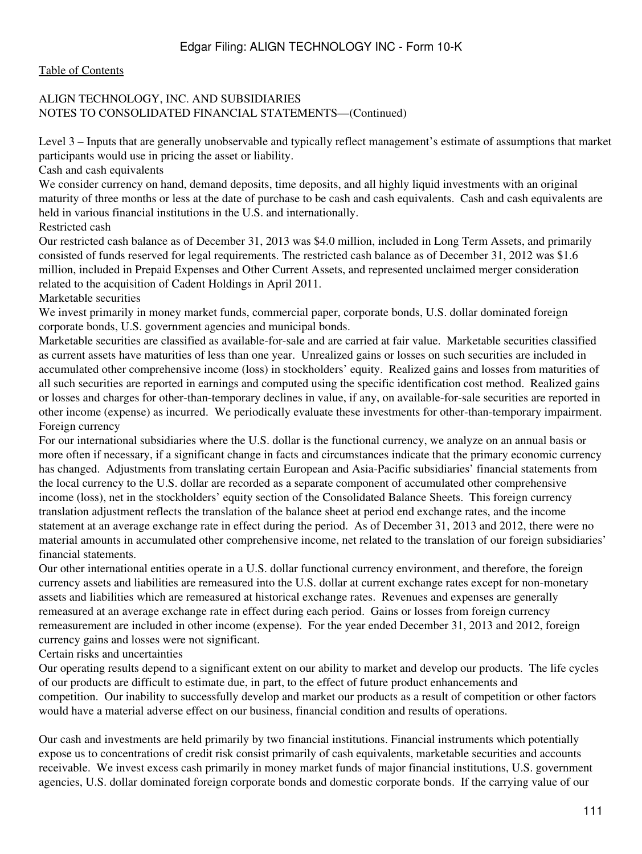#### [Table of Contents](#page-3-0)

## ALIGN TECHNOLOGY, INC. AND SUBSIDIARIES NOTES TO CONSOLIDATED FINANCIAL STATEMENTS—(Continued)

Level 3 – Inputs that are generally unobservable and typically reflect management's estimate of assumptions that market participants would use in pricing the asset or liability.

Cash and cash equivalents

We consider currency on hand, demand deposits, time deposits, and all highly liquid investments with an original maturity of three months or less at the date of purchase to be cash and cash equivalents. Cash and cash equivalents are held in various financial institutions in the U.S. and internationally.

Restricted cash

Our restricted cash balance as of December 31, 2013 was \$4.0 million, included in Long Term Assets, and primarily consisted of funds reserved for legal requirements. The restricted cash balance as of December 31, 2012 was \$1.6 million, included in Prepaid Expenses and Other Current Assets, and represented unclaimed merger consideration related to the acquisition of Cadent Holdings in April 2011.

#### Marketable securities

We invest primarily in money market funds, commercial paper, corporate bonds, U.S. dollar dominated foreign corporate bonds, U.S. government agencies and municipal bonds.

Marketable securities are classified as available-for-sale and are carried at fair value. Marketable securities classified as current assets have maturities of less than one year. Unrealized gains or losses on such securities are included in accumulated other comprehensive income (loss) in stockholders' equity. Realized gains and losses from maturities of all such securities are reported in earnings and computed using the specific identification cost method. Realized gains or losses and charges for other-than-temporary declines in value, if any, on available-for-sale securities are reported in other income (expense) as incurred. We periodically evaluate these investments for other-than-temporary impairment. Foreign currency

For our international subsidiaries where the U.S. dollar is the functional currency, we analyze on an annual basis or more often if necessary, if a significant change in facts and circumstances indicate that the primary economic currency has changed. Adjustments from translating certain European and Asia-Pacific subsidiaries' financial statements from the local currency to the U.S. dollar are recorded as a separate component of accumulated other comprehensive income (loss), net in the stockholders' equity section of the Consolidated Balance Sheets. This foreign currency translation adjustment reflects the translation of the balance sheet at period end exchange rates, and the income statement at an average exchange rate in effect during the period. As of December 31, 2013 and 2012, there were no material amounts in accumulated other comprehensive income, net related to the translation of our foreign subsidiaries' financial statements.

Our other international entities operate in a U.S. dollar functional currency environment, and therefore, the foreign currency assets and liabilities are remeasured into the U.S. dollar at current exchange rates except for non-monetary assets and liabilities which are remeasured at historical exchange rates. Revenues and expenses are generally remeasured at an average exchange rate in effect during each period. Gains or losses from foreign currency remeasurement are included in other income (expense). For the year ended December 31, 2013 and 2012, foreign currency gains and losses were not significant.

#### Certain risks and uncertainties

Our operating results depend to a significant extent on our ability to market and develop our products. The life cycles of our products are difficult to estimate due, in part, to the effect of future product enhancements and competition. Our inability to successfully develop and market our products as a result of competition or other factors would have a material adverse effect on our business, financial condition and results of operations.

Our cash and investments are held primarily by two financial institutions. Financial instruments which potentially expose us to concentrations of credit risk consist primarily of cash equivalents, marketable securities and accounts receivable. We invest excess cash primarily in money market funds of major financial institutions, U.S. government agencies, U.S. dollar dominated foreign corporate bonds and domestic corporate bonds. If the carrying value of our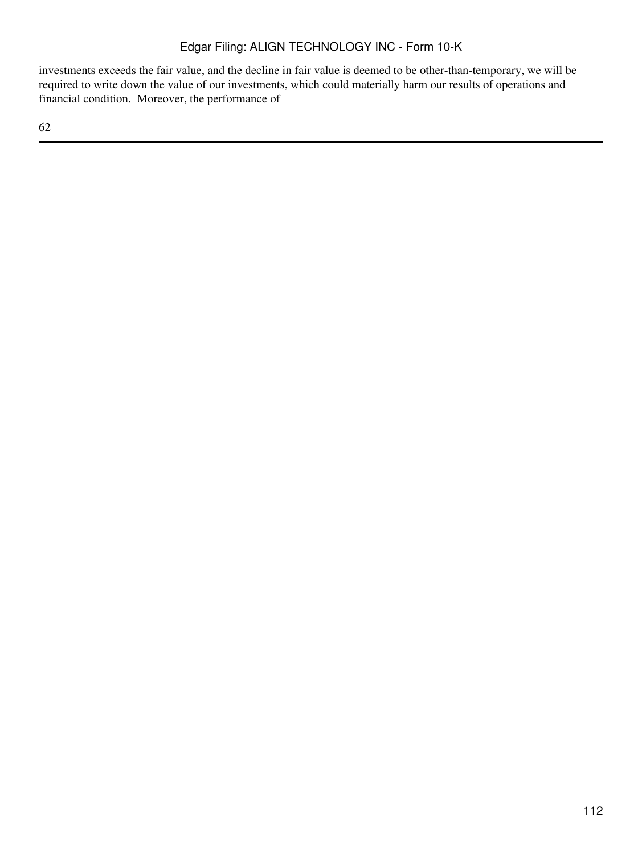investments exceeds the fair value, and the decline in fair value is deemed to be other-than-temporary, we will be required to write down the value of our investments, which could materially harm our results of operations and financial condition. Moreover, the performance of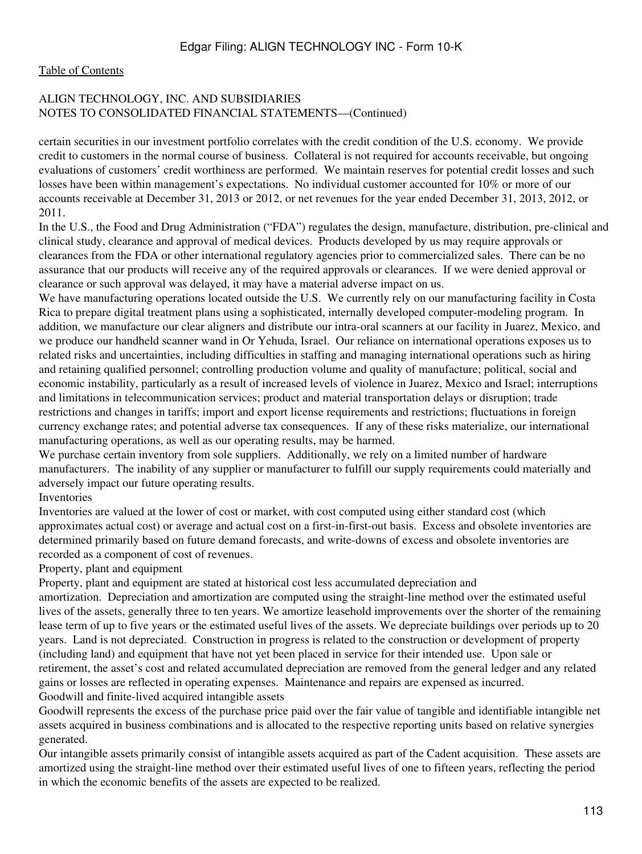### [Table of Contents](#page-3-0)

## ALIGN TECHNOLOGY, INC. AND SUBSIDIARIES NOTES TO CONSOLIDATED FINANCIAL STATEMENTS—(Continued)

certain securities in our investment portfolio correlates with the credit condition of the U.S. economy. We provide credit to customers in the normal course of business. Collateral is not required for accounts receivable, but ongoing evaluations of customers' credit worthiness are performed. We maintain reserves for potential credit losses and such losses have been within management's expectations. No individual customer accounted for 10% or more of our accounts receivable at December 31, 2013 or 2012, or net revenues for the year ended December 31, 2013, 2012, or 2011.

In the U.S., the Food and Drug Administration ("FDA") regulates the design, manufacture, distribution, pre-clinical and clinical study, clearance and approval of medical devices. Products developed by us may require approvals or clearances from the FDA or other international regulatory agencies prior to commercialized sales. There can be no assurance that our products will receive any of the required approvals or clearances. If we were denied approval or clearance or such approval was delayed, it may have a material adverse impact on us.

We have manufacturing operations located outside the U.S. We currently rely on our manufacturing facility in Costa Rica to prepare digital treatment plans using a sophisticated, internally developed computer-modeling program. In addition, we manufacture our clear aligners and distribute our intra-oral scanners at our facility in Juarez, Mexico, and we produce our handheld scanner wand in Or Yehuda, Israel. Our reliance on international operations exposes us to related risks and uncertainties, including difficulties in staffing and managing international operations such as hiring and retaining qualified personnel; controlling production volume and quality of manufacture; political, social and economic instability, particularly as a result of increased levels of violence in Juarez, Mexico and Israel; interruptions and limitations in telecommunication services; product and material transportation delays or disruption; trade restrictions and changes in tariffs; import and export license requirements and restrictions; fluctuations in foreign currency exchange rates; and potential adverse tax consequences. If any of these risks materialize, our international manufacturing operations, as well as our operating results, may be harmed.

We purchase certain inventory from sole suppliers. Additionally, we rely on a limited number of hardware manufacturers. The inability of any supplier or manufacturer to fulfill our supply requirements could materially and adversely impact our future operating results.

## Inventories

Inventories are valued at the lower of cost or market, with cost computed using either standard cost (which approximates actual cost) or average and actual cost on a first-in-first-out basis. Excess and obsolete inventories are determined primarily based on future demand forecasts, and write-downs of excess and obsolete inventories are recorded as a component of cost of revenues.

## Property, plant and equipment

Property, plant and equipment are stated at historical cost less accumulated depreciation and

amortization. Depreciation and amortization are computed using the straight-line method over the estimated useful lives of the assets, generally three to ten years. We amortize leasehold improvements over the shorter of the remaining lease term of up to five years or the estimated useful lives of the assets. We depreciate buildings over periods up to 20 years. Land is not depreciated. Construction in progress is related to the construction or development of property (including land) and equipment that have not yet been placed in service for their intended use. Upon sale or retirement, the asset's cost and related accumulated depreciation are removed from the general ledger and any related gains or losses are reflected in operating expenses. Maintenance and repairs are expensed as incurred. Goodwill and finite-lived acquired intangible assets

Goodwill represents the excess of the purchase price paid over the fair value of tangible and identifiable intangible net assets acquired in business combinations and is allocated to the respective reporting units based on relative synergies generated.

Our intangible assets primarily consist of intangible assets acquired as part of the Cadent acquisition. These assets are amortized using the straight-line method over their estimated useful lives of one to fifteen years, reflecting the period in which the economic benefits of the assets are expected to be realized.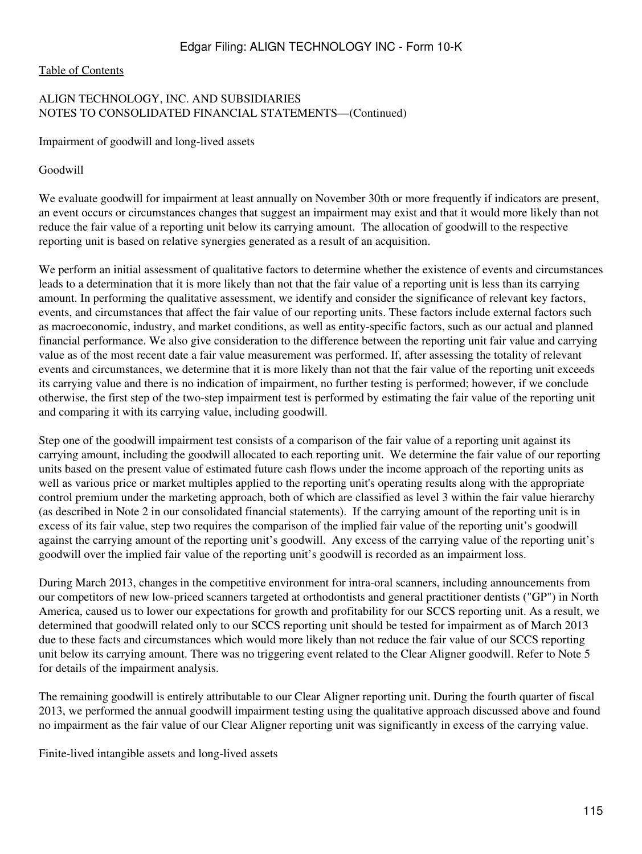#### [Table of Contents](#page-3-0)

## ALIGN TECHNOLOGY, INC. AND SUBSIDIARIES NOTES TO CONSOLIDATED FINANCIAL STATEMENTS—(Continued)

Impairment of goodwill and long-lived assets

Goodwill

We evaluate goodwill for impairment at least annually on November 30th or more frequently if indicators are present, an event occurs or circumstances changes that suggest an impairment may exist and that it would more likely than not reduce the fair value of a reporting unit below its carrying amount. The allocation of goodwill to the respective reporting unit is based on relative synergies generated as a result of an acquisition.

We perform an initial assessment of qualitative factors to determine whether the existence of events and circumstances leads to a determination that it is more likely than not that the fair value of a reporting unit is less than its carrying amount. In performing the qualitative assessment, we identify and consider the significance of relevant key factors, events, and circumstances that affect the fair value of our reporting units. These factors include external factors such as macroeconomic, industry, and market conditions, as well as entity-specific factors, such as our actual and planned financial performance. We also give consideration to the difference between the reporting unit fair value and carrying value as of the most recent date a fair value measurement was performed. If, after assessing the totality of relevant events and circumstances, we determine that it is more likely than not that the fair value of the reporting unit exceeds its carrying value and there is no indication of impairment, no further testing is performed; however, if we conclude otherwise, the first step of the two-step impairment test is performed by estimating the fair value of the reporting unit and comparing it with its carrying value, including goodwill.

Step one of the goodwill impairment test consists of a comparison of the fair value of a reporting unit against its carrying amount, including the goodwill allocated to each reporting unit. We determine the fair value of our reporting units based on the present value of estimated future cash flows under the income approach of the reporting units as well as various price or market multiples applied to the reporting unit's operating results along with the appropriate control premium under the marketing approach, both of which are classified as level 3 within the fair value hierarchy (as described in Note 2 in our consolidated financial statements). If the carrying amount of the reporting unit is in excess of its fair value, step two requires the comparison of the implied fair value of the reporting unit's goodwill against the carrying amount of the reporting unit's goodwill. Any excess of the carrying value of the reporting unit's goodwill over the implied fair value of the reporting unit's goodwill is recorded as an impairment loss.

During March 2013, changes in the competitive environment for intra-oral scanners, including announcements from our competitors of new low-priced scanners targeted at orthodontists and general practitioner dentists ("GP") in North America, caused us to lower our expectations for growth and profitability for our SCCS reporting unit. As a result, we determined that goodwill related only to our SCCS reporting unit should be tested for impairment as of March 2013 due to these facts and circumstances which would more likely than not reduce the fair value of our SCCS reporting unit below its carrying amount. There was no triggering event related to the Clear Aligner goodwill. Refer to Note 5 for details of the impairment analysis.

The remaining goodwill is entirely attributable to our Clear Aligner reporting unit. During the fourth quarter of fiscal 2013, we performed the annual goodwill impairment testing using the qualitative approach discussed above and found no impairment as the fair value of our Clear Aligner reporting unit was significantly in excess of the carrying value.

Finite-lived intangible assets and long-lived assets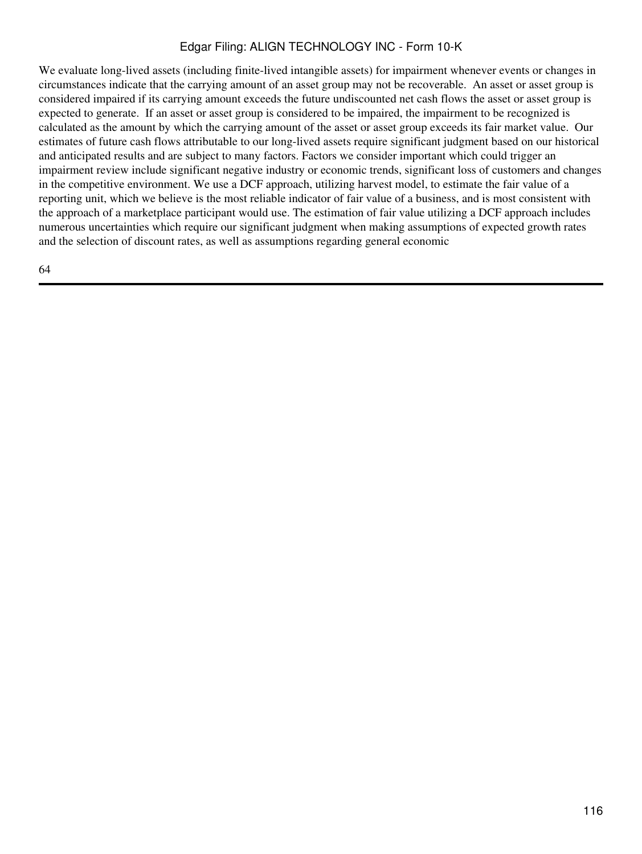We evaluate long-lived assets (including finite-lived intangible assets) for impairment whenever events or changes in circumstances indicate that the carrying amount of an asset group may not be recoverable. An asset or asset group is considered impaired if its carrying amount exceeds the future undiscounted net cash flows the asset or asset group is expected to generate. If an asset or asset group is considered to be impaired, the impairment to be recognized is calculated as the amount by which the carrying amount of the asset or asset group exceeds its fair market value. Our estimates of future cash flows attributable to our long-lived assets require significant judgment based on our historical and anticipated results and are subject to many factors. Factors we consider important which could trigger an impairment review include significant negative industry or economic trends, significant loss of customers and changes in the competitive environment. We use a DCF approach, utilizing harvest model, to estimate the fair value of a reporting unit, which we believe is the most reliable indicator of fair value of a business, and is most consistent with the approach of a marketplace participant would use. The estimation of fair value utilizing a DCF approach includes numerous uncertainties which require our significant judgment when making assumptions of expected growth rates and the selection of discount rates, as well as assumptions regarding general economic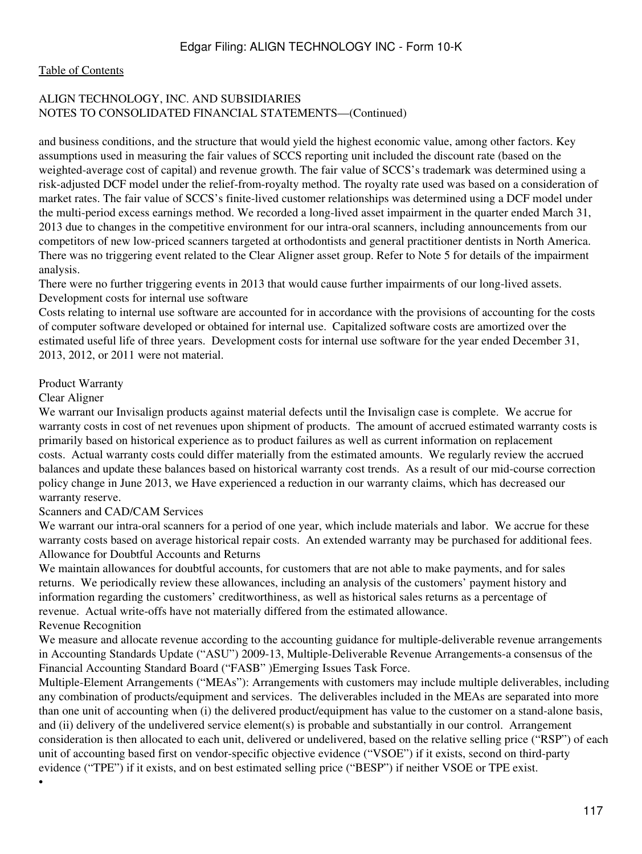#### [Table of Contents](#page-3-0)

## ALIGN TECHNOLOGY, INC. AND SUBSIDIARIES NOTES TO CONSOLIDATED FINANCIAL STATEMENTS—(Continued)

and business conditions, and the structure that would yield the highest economic value, among other factors. Key assumptions used in measuring the fair values of SCCS reporting unit included the discount rate (based on the weighted-average cost of capital) and revenue growth. The fair value of SCCS's trademark was determined using a risk-adjusted DCF model under the relief-from-royalty method. The royalty rate used was based on a consideration of market rates. The fair value of SCCS's finite-lived customer relationships was determined using a DCF model under the multi-period excess earnings method. We recorded a long-lived asset impairment in the quarter ended March 31, 2013 due to changes in the competitive environment for our intra-oral scanners, including announcements from our competitors of new low-priced scanners targeted at orthodontists and general practitioner dentists in North America. There was no triggering event related to the Clear Aligner asset group. Refer to Note 5 for details of the impairment analysis.

There were no further triggering events in 2013 that would cause further impairments of our long-lived assets. Development costs for internal use software

Costs relating to internal use software are accounted for in accordance with the provisions of accounting for the costs of computer software developed or obtained for internal use. Capitalized software costs are amortized over the estimated useful life of three years. Development costs for internal use software for the year ended December 31, 2013, 2012, or 2011 were not material.

#### Product Warranty

#### Clear Aligner

•

We warrant our Invisalign products against material defects until the Invisalign case is complete. We accrue for warranty costs in cost of net revenues upon shipment of products. The amount of accrued estimated warranty costs is primarily based on historical experience as to product failures as well as current information on replacement costs. Actual warranty costs could differ materially from the estimated amounts. We regularly review the accrued balances and update these balances based on historical warranty cost trends. As a result of our mid-course correction policy change in June 2013, we Have experienced a reduction in our warranty claims, which has decreased our warranty reserve.

#### Scanners and CAD/CAM Services

We warrant our intra-oral scanners for a period of one year, which include materials and labor. We accrue for these warranty costs based on average historical repair costs. An extended warranty may be purchased for additional fees. Allowance for Doubtful Accounts and Returns

We maintain allowances for doubtful accounts, for customers that are not able to make payments, and for sales returns. We periodically review these allowances, including an analysis of the customers' payment history and information regarding the customers' creditworthiness, as well as historical sales returns as a percentage of revenue. Actual write-offs have not materially differed from the estimated allowance. Revenue Recognition

We measure and allocate revenue according to the accounting guidance for multiple-deliverable revenue arrangements in Accounting Standards Update ("ASU") 2009-13, Multiple-Deliverable Revenue Arrangements-a consensus of the Financial Accounting Standard Board ("FASB" )Emerging Issues Task Force.

Multiple-Element Arrangements ("MEAs"): Arrangements with customers may include multiple deliverables, including any combination of products/equipment and services. The deliverables included in the MEAs are separated into more than one unit of accounting when (i) the delivered product/equipment has value to the customer on a stand-alone basis, and (ii) delivery of the undelivered service element(s) is probable and substantially in our control. Arrangement consideration is then allocated to each unit, delivered or undelivered, based on the relative selling price ("RSP") of each unit of accounting based first on vendor-specific objective evidence ("VSOE") if it exists, second on third-party evidence ("TPE") if it exists, and on best estimated selling price ("BESP") if neither VSOE or TPE exist.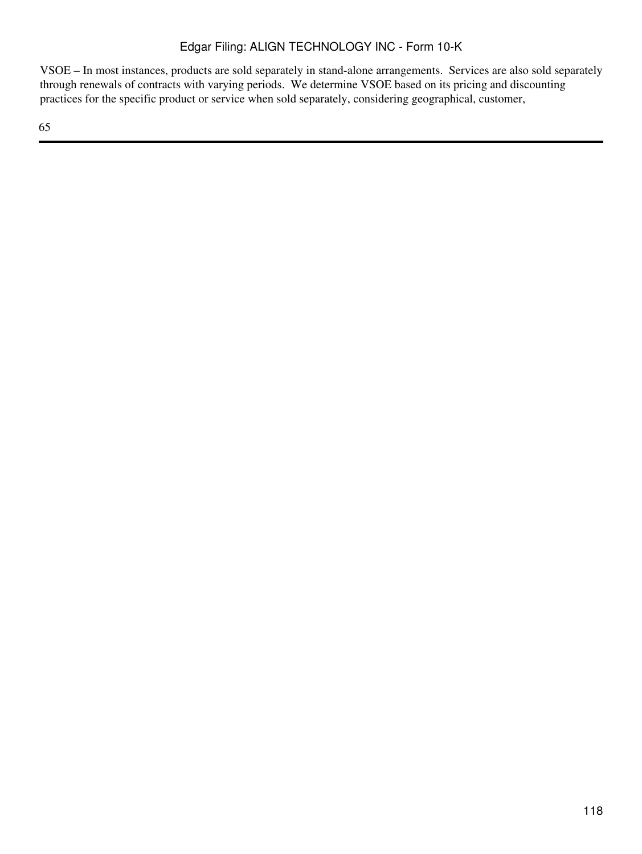VSOE – In most instances, products are sold separately in stand-alone arrangements. Services are also sold separately through renewals of contracts with varying periods. We determine VSOE based on its pricing and discounting practices for the specific product or service when sold separately, considering geographical, customer,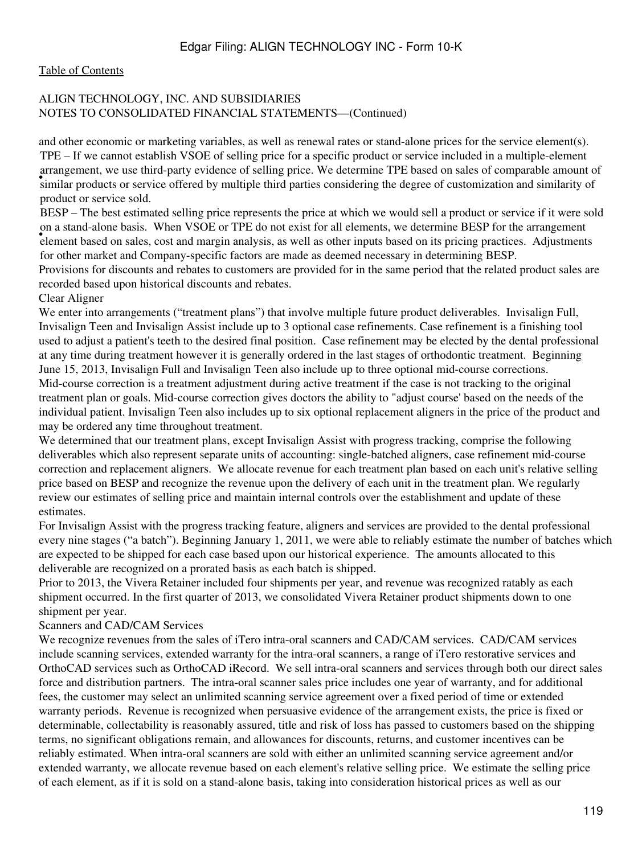#### [Table of Contents](#page-3-0)

## ALIGN TECHNOLOGY, INC. AND SUBSIDIARIES NOTES TO CONSOLIDATED FINANCIAL STATEMENTS—(Continued)

and other economic or marketing variables, as well as renewal rates or stand-alone prices for the service element(s). in angeles or service offered by multiple third parties considering the degree of customization and similarity of similar products or service offered by multiple third parties considering the degree of customization and si TPE – If we cannot establish VSOE of selling price for a specific product or service included in a multiple-element arrangement, we use third-party evidence of selling price. We determine TPE based on sales of comparable amount of product or service sold.

element based on sales, cost and margin analysis, as well as other inputs based on its pricing practices. Adjustments BESP – The best estimated selling price represents the price at which we would sell a product or service if it were sold on a stand-alone basis. When VSOE or TPE do not exist for all elements, we determine BESP for the arrangement for other market and Company-specific factors are made as deemed necessary in determining BESP. Provisions for discounts and rebates to customers are provided for in the same period that the related product sales are

recorded based upon historical discounts and rebates.

## Clear Aligner

We enter into arrangements ("treatment plans") that involve multiple future product deliverables. Invisalign Full, Invisalign Teen and Invisalign Assist include up to 3 optional case refinements. Case refinement is a finishing tool used to adjust a patient's teeth to the desired final position. Case refinement may be elected by the dental professional at any time during treatment however it is generally ordered in the last stages of orthodontic treatment. Beginning June 15, 2013, Invisalign Full and Invisalign Teen also include up to three optional mid-course corrections. Mid-course correction is a treatment adjustment during active treatment if the case is not tracking to the original treatment plan or goals. Mid-course correction gives doctors the ability to "adjust course' based on the needs of the individual patient. Invisalign Teen also includes up to six optional replacement aligners in the price of the product and may be ordered any time throughout treatment.

We determined that our treatment plans, except Invisalign Assist with progress tracking, comprise the following deliverables which also represent separate units of accounting: single-batched aligners, case refinement mid-course correction and replacement aligners. We allocate revenue for each treatment plan based on each unit's relative selling price based on BESP and recognize the revenue upon the delivery of each unit in the treatment plan. We regularly review our estimates of selling price and maintain internal controls over the establishment and update of these estimates.

For Invisalign Assist with the progress tracking feature, aligners and services are provided to the dental professional every nine stages ("a batch"). Beginning January 1, 2011, we were able to reliably estimate the number of batches which are expected to be shipped for each case based upon our historical experience. The amounts allocated to this deliverable are recognized on a prorated basis as each batch is shipped.

Prior to 2013, the Vivera Retainer included four shipments per year, and revenue was recognized ratably as each shipment occurred. In the first quarter of 2013, we consolidated Vivera Retainer product shipments down to one shipment per year.

## Scanners and CAD/CAM Services

We recognize revenues from the sales of iTero intra-oral scanners and CAD/CAM services. CAD/CAM services include scanning services, extended warranty for the intra-oral scanners, a range of iTero restorative services and OrthoCAD services such as OrthoCAD iRecord. We sell intra-oral scanners and services through both our direct sales force and distribution partners. The intra-oral scanner sales price includes one year of warranty, and for additional fees, the customer may select an unlimited scanning service agreement over a fixed period of time or extended warranty periods. Revenue is recognized when persuasive evidence of the arrangement exists, the price is fixed or determinable, collectability is reasonably assured, title and risk of loss has passed to customers based on the shipping terms, no significant obligations remain, and allowances for discounts, returns, and customer incentives can be reliably estimated. When intra-oral scanners are sold with either an unlimited scanning service agreement and/or extended warranty, we allocate revenue based on each element's relative selling price. We estimate the selling price of each element, as if it is sold on a stand-alone basis, taking into consideration historical prices as well as our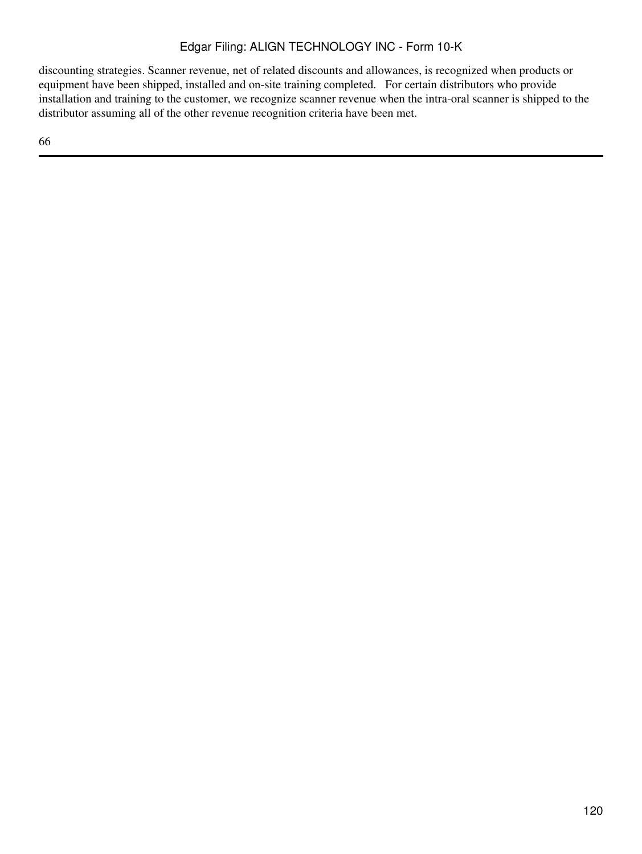discounting strategies. Scanner revenue, net of related discounts and allowances, is recognized when products or equipment have been shipped, installed and on-site training completed. For certain distributors who provide installation and training to the customer, we recognize scanner revenue when the intra-oral scanner is shipped to the distributor assuming all of the other revenue recognition criteria have been met.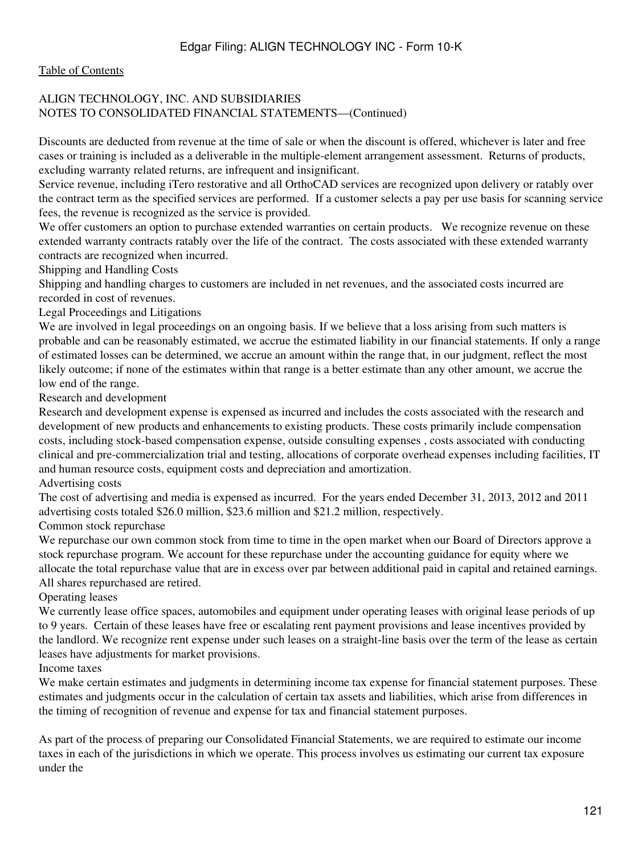#### [Table of Contents](#page-3-0)

## ALIGN TECHNOLOGY, INC. AND SUBSIDIARIES NOTES TO CONSOLIDATED FINANCIAL STATEMENTS—(Continued)

Discounts are deducted from revenue at the time of sale or when the discount is offered, whichever is later and free cases or training is included as a deliverable in the multiple-element arrangement assessment. Returns of products, excluding warranty related returns, are infrequent and insignificant.

Service revenue, including iTero restorative and all OrthoCAD services are recognized upon delivery or ratably over the contract term as the specified services are performed. If a customer selects a pay per use basis for scanning service fees, the revenue is recognized as the service is provided.

We offer customers an option to purchase extended warranties on certain products. We recognize revenue on these extended warranty contracts ratably over the life of the contract. The costs associated with these extended warranty contracts are recognized when incurred.

Shipping and Handling Costs

Shipping and handling charges to customers are included in net revenues, and the associated costs incurred are recorded in cost of revenues.

Legal Proceedings and Litigations

We are involved in legal proceedings on an ongoing basis. If we believe that a loss arising from such matters is probable and can be reasonably estimated, we accrue the estimated liability in our financial statements. If only a range of estimated losses can be determined, we accrue an amount within the range that, in our judgment, reflect the most likely outcome; if none of the estimates within that range is a better estimate than any other amount, we accrue the low end of the range.

Research and development

Research and development expense is expensed as incurred and includes the costs associated with the research and development of new products and enhancements to existing products. These costs primarily include compensation costs, including stock-based compensation expense, outside consulting expenses , costs associated with conducting clinical and pre-commercialization trial and testing, allocations of corporate overhead expenses including facilities, IT and human resource costs, equipment costs and depreciation and amortization.

Advertising costs

The cost of advertising and media is expensed as incurred. For the years ended December 31, 2013, 2012 and 2011 advertising costs totaled \$26.0 million, \$23.6 million and \$21.2 million, respectively.

Common stock repurchase

We repurchase our own common stock from time to time in the open market when our Board of Directors approve a stock repurchase program. We account for these repurchase under the accounting guidance for equity where we allocate the total repurchase value that are in excess over par between additional paid in capital and retained earnings. All shares repurchased are retired.

Operating leases

We currently lease office spaces, automobiles and equipment under operating leases with original lease periods of up to 9 years. Certain of these leases have free or escalating rent payment provisions and lease incentives provided by the landlord. We recognize rent expense under such leases on a straight-line basis over the term of the lease as certain leases have adjustments for market provisions.

Income taxes

We make certain estimates and judgments in determining income tax expense for financial statement purposes. These estimates and judgments occur in the calculation of certain tax assets and liabilities, which arise from differences in the timing of recognition of revenue and expense for tax and financial statement purposes.

As part of the process of preparing our Consolidated Financial Statements, we are required to estimate our income taxes in each of the jurisdictions in which we operate. This process involves us estimating our current tax exposure under the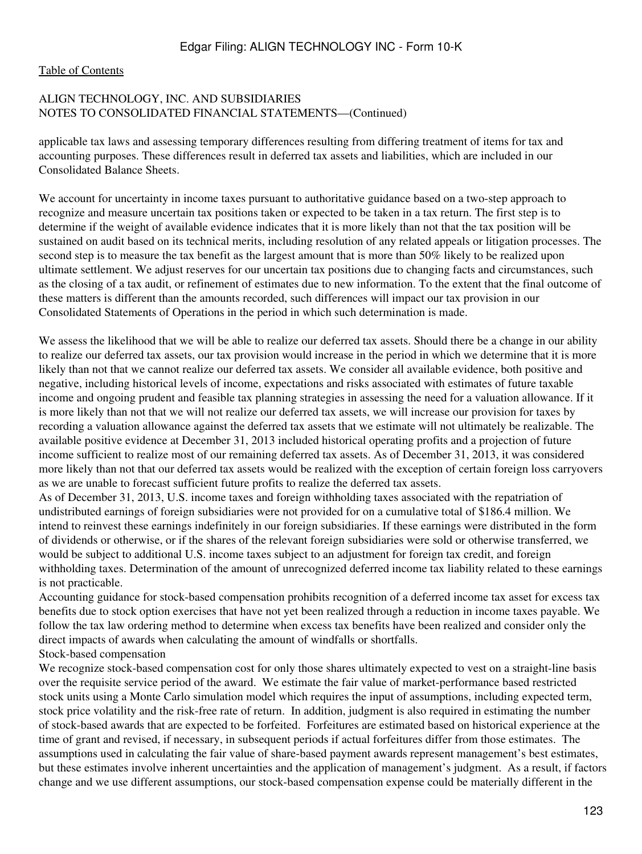#### [Table of Contents](#page-3-0)

## ALIGN TECHNOLOGY, INC. AND SUBSIDIARIES NOTES TO CONSOLIDATED FINANCIAL STATEMENTS—(Continued)

applicable tax laws and assessing temporary differences resulting from differing treatment of items for tax and accounting purposes. These differences result in deferred tax assets and liabilities, which are included in our Consolidated Balance Sheets.

We account for uncertainty in income taxes pursuant to authoritative guidance based on a two-step approach to recognize and measure uncertain tax positions taken or expected to be taken in a tax return. The first step is to determine if the weight of available evidence indicates that it is more likely than not that the tax position will be sustained on audit based on its technical merits, including resolution of any related appeals or litigation processes. The second step is to measure the tax benefit as the largest amount that is more than 50% likely to be realized upon ultimate settlement. We adjust reserves for our uncertain tax positions due to changing facts and circumstances, such as the closing of a tax audit, or refinement of estimates due to new information. To the extent that the final outcome of these matters is different than the amounts recorded, such differences will impact our tax provision in our Consolidated Statements of Operations in the period in which such determination is made.

We assess the likelihood that we will be able to realize our deferred tax assets. Should there be a change in our ability to realize our deferred tax assets, our tax provision would increase in the period in which we determine that it is more likely than not that we cannot realize our deferred tax assets. We consider all available evidence, both positive and negative, including historical levels of income, expectations and risks associated with estimates of future taxable income and ongoing prudent and feasible tax planning strategies in assessing the need for a valuation allowance. If it is more likely than not that we will not realize our deferred tax assets, we will increase our provision for taxes by recording a valuation allowance against the deferred tax assets that we estimate will not ultimately be realizable. The available positive evidence at December 31, 2013 included historical operating profits and a projection of future income sufficient to realize most of our remaining deferred tax assets. As of December 31, 2013, it was considered more likely than not that our deferred tax assets would be realized with the exception of certain foreign loss carryovers as we are unable to forecast sufficient future profits to realize the deferred tax assets.

As of December 31, 2013, U.S. income taxes and foreign withholding taxes associated with the repatriation of undistributed earnings of foreign subsidiaries were not provided for on a cumulative total of \$186.4 million. We intend to reinvest these earnings indefinitely in our foreign subsidiaries. If these earnings were distributed in the form of dividends or otherwise, or if the shares of the relevant foreign subsidiaries were sold or otherwise transferred, we would be subject to additional U.S. income taxes subject to an adjustment for foreign tax credit, and foreign withholding taxes. Determination of the amount of unrecognized deferred income tax liability related to these earnings is not practicable.

Accounting guidance for stock-based compensation prohibits recognition of a deferred income tax asset for excess tax benefits due to stock option exercises that have not yet been realized through a reduction in income taxes payable. We follow the tax law ordering method to determine when excess tax benefits have been realized and consider only the direct impacts of awards when calculating the amount of windfalls or shortfalls.

## Stock-based compensation

We recognize stock-based compensation cost for only those shares ultimately expected to vest on a straight-line basis over the requisite service period of the award. We estimate the fair value of market-performance based restricted stock units using a Monte Carlo simulation model which requires the input of assumptions, including expected term, stock price volatility and the risk-free rate of return. In addition, judgment is also required in estimating the number of stock-based awards that are expected to be forfeited. Forfeitures are estimated based on historical experience at the time of grant and revised, if necessary, in subsequent periods if actual forfeitures differ from those estimates. The assumptions used in calculating the fair value of share-based payment awards represent management's best estimates, but these estimates involve inherent uncertainties and the application of management's judgment. As a result, if factors change and we use different assumptions, our stock-based compensation expense could be materially different in the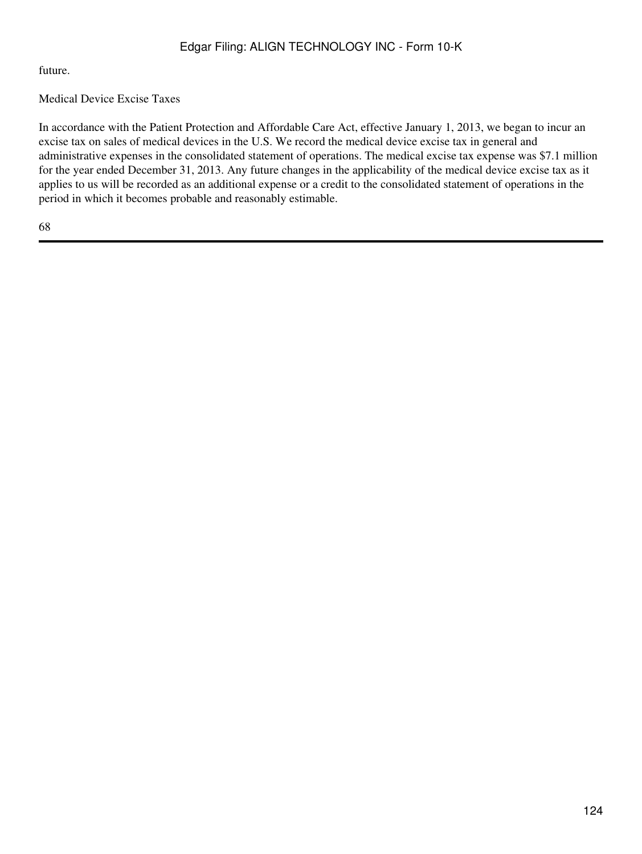future.

# Medical Device Excise Taxes

In accordance with the Patient Protection and Affordable Care Act, effective January 1, 2013, we began to incur an excise tax on sales of medical devices in the U.S. We record the medical device excise tax in general and administrative expenses in the consolidated statement of operations. The medical excise tax expense was \$7.1 million for the year ended December 31, 2013. Any future changes in the applicability of the medical device excise tax as it applies to us will be recorded as an additional expense or a credit to the consolidated statement of operations in the period in which it becomes probable and reasonably estimable.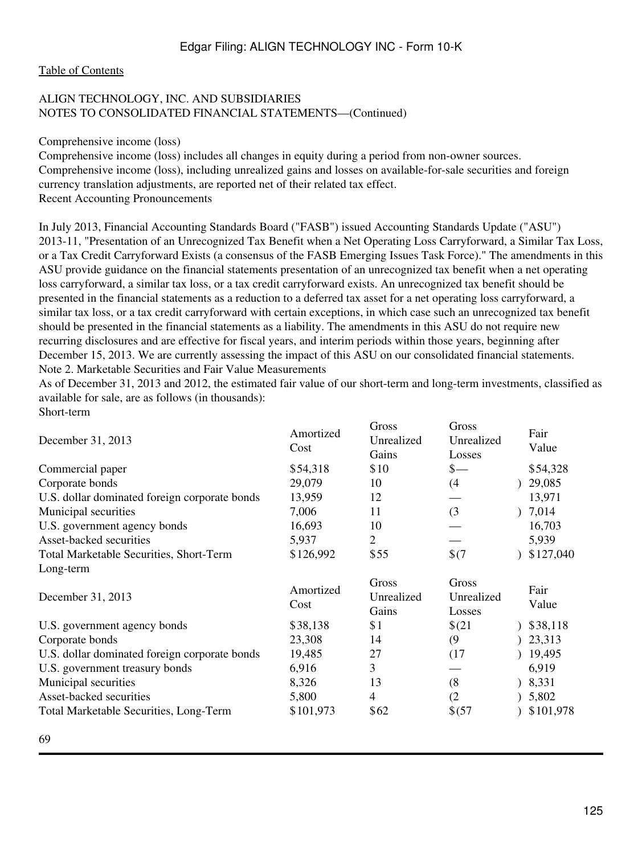## [Table of Contents](#page-3-0)

## ALIGN TECHNOLOGY, INC. AND SUBSIDIARIES NOTES TO CONSOLIDATED FINANCIAL STATEMENTS—(Continued)

Comprehensive income (loss)

Comprehensive income (loss) includes all changes in equity during a period from non-owner sources. Comprehensive income (loss), including unrealized gains and losses on available-for-sale securities and foreign currency translation adjustments, are reported net of their related tax effect. Recent Accounting Pronouncements

In July 2013, Financial Accounting Standards Board ("FASB") issued Accounting Standards Update ("ASU") 2013-11, "Presentation of an Unrecognized Tax Benefit when a Net Operating Loss Carryforward, a Similar Tax Loss, or a Tax Credit Carryforward Exists (a consensus of the FASB Emerging Issues Task Force)." The amendments in this ASU provide guidance on the financial statements presentation of an unrecognized tax benefit when a net operating loss carryforward, a similar tax loss, or a tax credit carryforward exists. An unrecognized tax benefit should be presented in the financial statements as a reduction to a deferred tax asset for a net operating loss carryforward, a similar tax loss, or a tax credit carryforward with certain exceptions, in which case such an unrecognized tax benefit should be presented in the financial statements as a liability. The amendments in this ASU do not require new recurring disclosures and are effective for fiscal years, and interim periods within those years, beginning after December 15, 2013. We are currently assessing the impact of this ASU on our consolidated financial statements. Note 2. Marketable Securities and Fair Value Measurements

As of December 31, 2013 and 2012, the estimated fair value of our short-term and long-term investments, classified as available for sale, are as follows (in thousands): Short-term

| December 31, 2013                               | Amortized<br>Cost  | Gross<br>Unrealized<br>Gains | Gross<br>Unrealized<br>Losses | Fair<br>Value      |
|-------------------------------------------------|--------------------|------------------------------|-------------------------------|--------------------|
| Commercial paper                                | \$54,318           | \$10                         | $\frac{\ }{s-}$               | \$54,328           |
| Corporate bonds                                 | 29,079             | 10                           | (4)                           | 29,085             |
| U.S. dollar dominated foreign corporate bonds   | 13,959             | 12                           |                               | 13,971             |
| Municipal securities                            | 7,006              | 11                           | (3)                           | 7,014              |
| U.S. government agency bonds                    | 16,693             | 10                           |                               | 16,703             |
| Asset-backed securities                         | 5,937              | $\overline{2}$               |                               | 5,939              |
| <b>Total Marketable Securities, Short-Term</b>  | \$126,992          | \$55                         | \$(7)                         | \$127,040          |
| Long-term                                       |                    |                              |                               |                    |
|                                                 |                    |                              |                               |                    |
| December 31, 2013                               | Amortized<br>Cost  | Gross<br>Unrealized<br>Gains | Gross<br>Unrealized<br>Losses | Fair<br>Value      |
|                                                 |                    | \$1                          |                               |                    |
| U.S. government agency bonds<br>Corporate bonds | \$38,138<br>23,308 | 14                           | \$(21)<br>(9)                 | \$38,118<br>23,313 |
| U.S. dollar dominated foreign corporate bonds   | 19,485             | 27                           | (17)                          | 19,495             |
| U.S. government treasury bonds                  | 6,916              | 3                            |                               | 6,919              |
| Municipal securities                            | 8,326              | 13                           | (8)                           | 8,331              |
| Asset-backed securities                         | 5,800              | 4                            | (2)                           | 5,802              |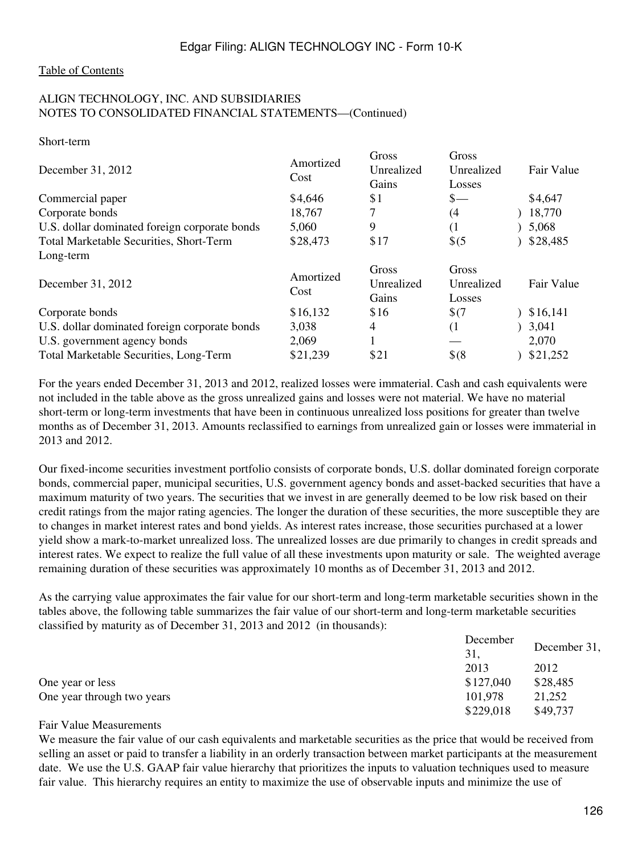## [Table of Contents](#page-3-0)

#### ALIGN TECHNOLOGY, INC. AND SUBSIDIARIES NOTES TO CONSOLIDATED FINANCIAL STATEMENTS—(Continued)

Short-term

| December 31, 2012                              | Amortized<br>Cost | Gross<br>Unrealized<br>Gains | Gross<br>Unrealized<br>Losses | Fair Value |
|------------------------------------------------|-------------------|------------------------------|-------------------------------|------------|
| Commercial paper                               | \$4,646           | \$1                          | $_{\tiny{\text{S}-}}$         | \$4,647    |
| Corporate bonds                                | 18,767            | 7                            | (4                            | 18,770     |
| U.S. dollar dominated foreign corporate bonds  | 5,060             | 9                            | (1                            | 5,068      |
| <b>Total Marketable Securities, Short-Term</b> | \$28,473          | \$17                         | $\frac{1}{2}$ (5              | \$28,485   |
| Long-term                                      |                   |                              |                               |            |
| December 31, 2012                              | Amortized<br>Cost | Gross<br>Unrealized<br>Gains | Gross<br>Unrealized<br>Losses | Fair Value |
| Corporate bonds                                | \$16,132          | \$16                         | \$(7)                         | \$16,141   |
| U.S. dollar dominated foreign corporate bonds  | 3,038             | 4                            | $\left(1\right)$              | 3,041      |
| U.S. government agency bonds                   | 2,069             |                              |                               | 2,070      |
| <b>Total Marketable Securities, Long-Term</b>  | \$21,239          | \$21                         | $$^{(8)}$                     | \$21,252   |
|                                                |                   |                              |                               |            |

For the years ended December 31, 2013 and 2012, realized losses were immaterial. Cash and cash equivalents were not included in the table above as the gross unrealized gains and losses were not material. We have no material short-term or long-term investments that have been in continuous unrealized loss positions for greater than twelve months as of December 31, 2013. Amounts reclassified to earnings from unrealized gain or losses were immaterial in 2013 and 2012.

Our fixed-income securities investment portfolio consists of corporate bonds, U.S. dollar dominated foreign corporate bonds, commercial paper, municipal securities, U.S. government agency bonds and asset-backed securities that have a maximum maturity of two years. The securities that we invest in are generally deemed to be low risk based on their credit ratings from the major rating agencies. The longer the duration of these securities, the more susceptible they are to changes in market interest rates and bond yields. As interest rates increase, those securities purchased at a lower yield show a mark-to-market unrealized loss. The unrealized losses are due primarily to changes in credit spreads and interest rates. We expect to realize the full value of all these investments upon maturity or sale. The weighted average remaining duration of these securities was approximately 10 months as of December 31, 2013 and 2012.

As the carrying value approximates the fair value for our short-term and long-term marketable securities shown in the tables above, the following table summarizes the fair value of our short-term and long-term marketable securities classified by maturity as of December 31, 2013 and 2012 (in thousands):

|                            | December  |              |  |
|----------------------------|-----------|--------------|--|
|                            | 31,       | December 31, |  |
|                            | 2013      | 2012         |  |
| One year or less           | \$127,040 | \$28,485     |  |
| One year through two years | 101.978   | 21,252       |  |
|                            | \$229,018 | \$49,737     |  |

#### Fair Value Measurements

We measure the fair value of our cash equivalents and marketable securities as the price that would be received from selling an asset or paid to transfer a liability in an orderly transaction between market participants at the measurement date. We use the U.S. GAAP fair value hierarchy that prioritizes the inputs to valuation techniques used to measure fair value. This hierarchy requires an entity to maximize the use of observable inputs and minimize the use of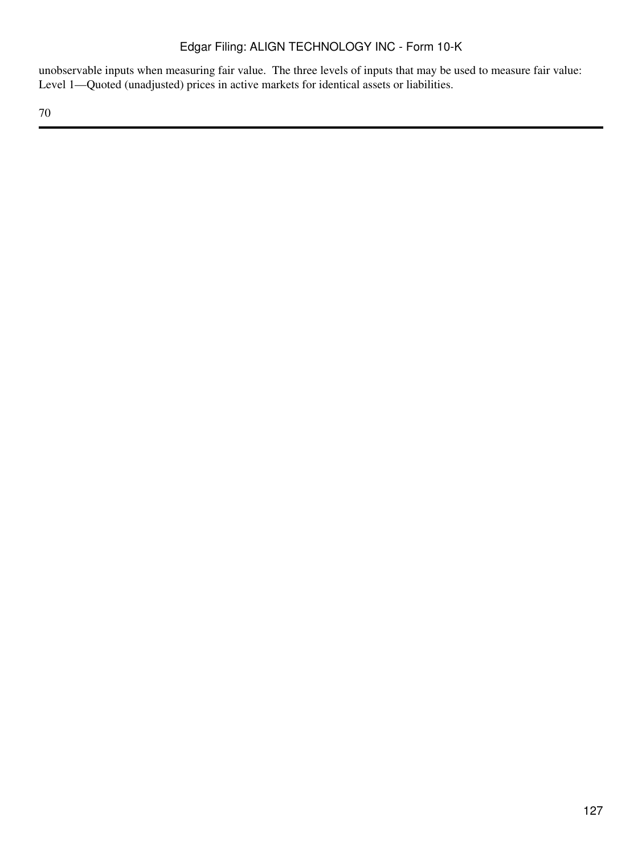unobservable inputs when measuring fair value. The three levels of inputs that may be used to measure fair value: Level 1—Quoted (unadjusted) prices in active markets for identical assets or liabilities.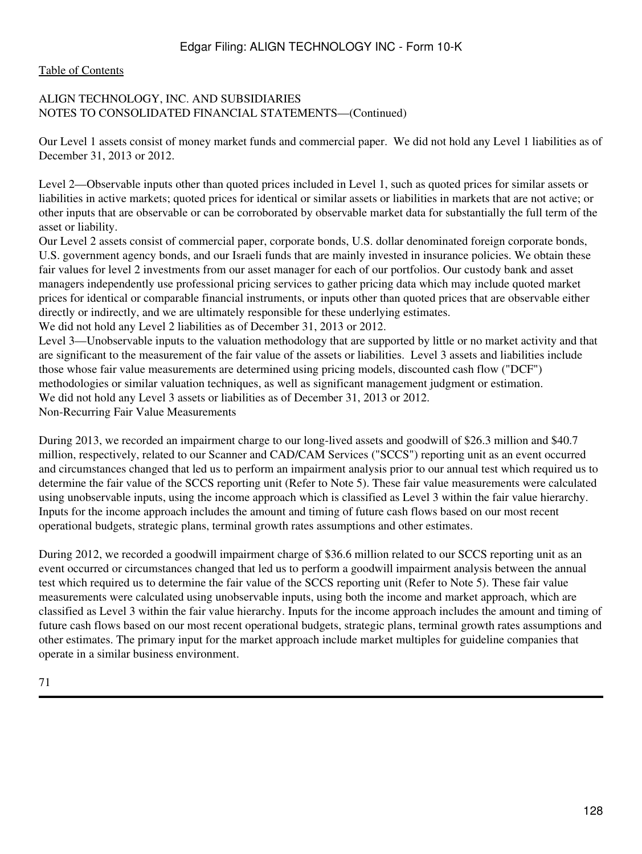#### [Table of Contents](#page-3-0)

## ALIGN TECHNOLOGY, INC. AND SUBSIDIARIES NOTES TO CONSOLIDATED FINANCIAL STATEMENTS—(Continued)

Our Level 1 assets consist of money market funds and commercial paper. We did not hold any Level 1 liabilities as of December 31, 2013 or 2012.

Level 2—Observable inputs other than quoted prices included in Level 1, such as quoted prices for similar assets or liabilities in active markets; quoted prices for identical or similar assets or liabilities in markets that are not active; or other inputs that are observable or can be corroborated by observable market data for substantially the full term of the asset or liability.

Our Level 2 assets consist of commercial paper, corporate bonds, U.S. dollar denominated foreign corporate bonds, U.S. government agency bonds, and our Israeli funds that are mainly invested in insurance policies. We obtain these fair values for level 2 investments from our asset manager for each of our portfolios. Our custody bank and asset managers independently use professional pricing services to gather pricing data which may include quoted market prices for identical or comparable financial instruments, or inputs other than quoted prices that are observable either directly or indirectly, and we are ultimately responsible for these underlying estimates.

We did not hold any Level 2 liabilities as of December 31, 2013 or 2012.

Level 3—Unobservable inputs to the valuation methodology that are supported by little or no market activity and that are significant to the measurement of the fair value of the assets or liabilities. Level 3 assets and liabilities include those whose fair value measurements are determined using pricing models, discounted cash flow ("DCF") methodologies or similar valuation techniques, as well as significant management judgment or estimation. We did not hold any Level 3 assets or liabilities as of December 31, 2013 or 2012. Non-Recurring Fair Value Measurements

During 2013, we recorded an impairment charge to our long-lived assets and goodwill of \$26.3 million and \$40.7 million, respectively, related to our Scanner and CAD/CAM Services ("SCCS") reporting unit as an event occurred and circumstances changed that led us to perform an impairment analysis prior to our annual test which required us to determine the fair value of the SCCS reporting unit (Refer to Note 5). These fair value measurements were calculated using unobservable inputs, using the income approach which is classified as Level 3 within the fair value hierarchy. Inputs for the income approach includes the amount and timing of future cash flows based on our most recent operational budgets, strategic plans, terminal growth rates assumptions and other estimates.

During 2012, we recorded a goodwill impairment charge of \$36.6 million related to our SCCS reporting unit as an event occurred or circumstances changed that led us to perform a goodwill impairment analysis between the annual test which required us to determine the fair value of the SCCS reporting unit (Refer to Note 5). These fair value measurements were calculated using unobservable inputs, using both the income and market approach, which are classified as Level 3 within the fair value hierarchy. Inputs for the income approach includes the amount and timing of future cash flows based on our most recent operational budgets, strategic plans, terminal growth rates assumptions and other estimates. The primary input for the market approach include market multiples for guideline companies that operate in a similar business environment.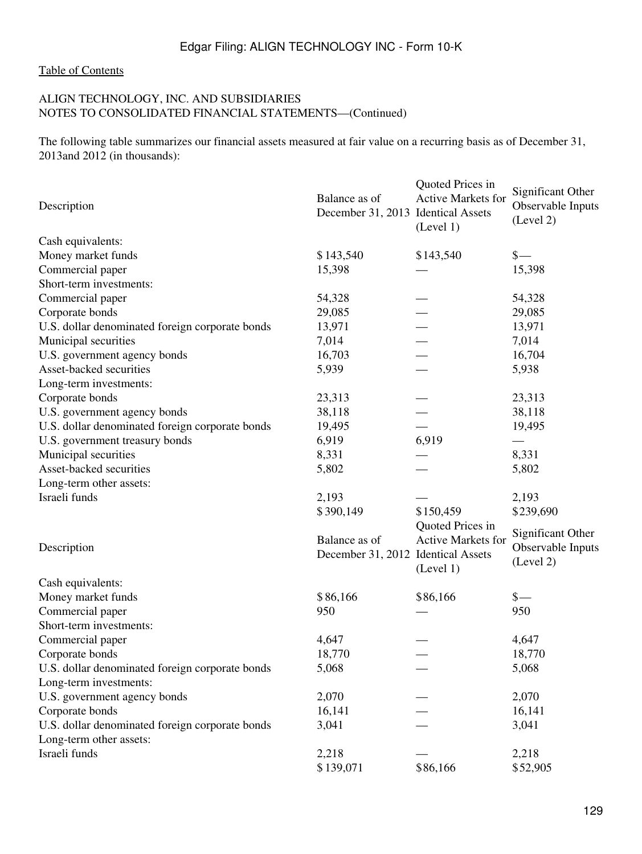#### [Table of Contents](#page-3-0)

## ALIGN TECHNOLOGY, INC. AND SUBSIDIARIES NOTES TO CONSOLIDATED FINANCIAL STATEMENTS—(Continued)

The following table summarizes our financial assets measured at fair value on a recurring basis as of December 31, 2013and 2012 (in thousands):

| Description                                     | Balance as of<br>December 31, 2013 Identical Assets | Quoted Prices in<br>Active Markets for<br>(Level 1) | Significant Other<br>Observable Inputs<br>(Level 2) |
|-------------------------------------------------|-----------------------------------------------------|-----------------------------------------------------|-----------------------------------------------------|
| Cash equivalents:                               |                                                     |                                                     |                                                     |
| Money market funds                              | \$143,540                                           | \$143,540                                           | $\frac{\S}{\S}$                                     |
| Commercial paper                                | 15,398                                              |                                                     | 15,398                                              |
| Short-term investments:                         |                                                     |                                                     |                                                     |
| Commercial paper                                | 54,328                                              |                                                     | 54,328                                              |
| Corporate bonds                                 | 29,085                                              |                                                     | 29,085                                              |
| U.S. dollar denominated foreign corporate bonds | 13,971                                              |                                                     | 13,971                                              |
| Municipal securities                            | 7,014                                               |                                                     | 7,014                                               |
| U.S. government agency bonds                    | 16,703                                              |                                                     | 16,704                                              |
| Asset-backed securities                         | 5,939                                               |                                                     | 5,938                                               |
| Long-term investments:                          |                                                     |                                                     |                                                     |
| Corporate bonds                                 | 23,313                                              |                                                     | 23,313                                              |
| U.S. government agency bonds                    | 38,118                                              |                                                     | 38,118                                              |
| U.S. dollar denominated foreign corporate bonds | 19,495                                              |                                                     | 19,495                                              |
| U.S. government treasury bonds                  | 6,919                                               | 6,919                                               |                                                     |
| Municipal securities                            | 8,331                                               |                                                     | 8,331                                               |
| Asset-backed securities                         | 5,802                                               |                                                     | 5,802                                               |
| Long-term other assets:                         |                                                     |                                                     |                                                     |
| Israeli funds                                   | 2,193                                               |                                                     | 2,193                                               |
|                                                 | \$390,149                                           | \$150,459                                           | \$239,690                                           |
|                                                 |                                                     | Quoted Prices in                                    |                                                     |
|                                                 | Balance as of                                       | Active Markets for                                  | Significant Other                                   |
| Description                                     | December 31, 2012 Identical Assets                  | (Level 1)                                           | Observable Inputs<br>(Level 2)                      |
| Cash equivalents:                               |                                                     |                                                     |                                                     |
| Money market funds                              | \$86,166                                            | \$86,166                                            | $\frac{\S}{\S}$                                     |
| Commercial paper                                | 950                                                 |                                                     | 950                                                 |
| Short-term investments:                         |                                                     |                                                     |                                                     |
| Commercial paper                                | 4,647                                               |                                                     | 4,647                                               |
| Corporate bonds                                 | 18,770                                              |                                                     | 18,770                                              |
| U.S. dollar denominated foreign corporate bonds | 5,068                                               |                                                     | 5,068                                               |
| Long-term investments:                          |                                                     |                                                     |                                                     |
| U.S. government agency bonds                    | 2,070                                               |                                                     | 2,070                                               |
| Corporate bonds                                 | 16,141                                              |                                                     | 16,141                                              |
| U.S. dollar denominated foreign corporate bonds | 3,041                                               |                                                     | 3,041                                               |
| Long-term other assets:                         |                                                     |                                                     |                                                     |
| Israeli funds                                   | 2,218                                               |                                                     | 2,218                                               |
|                                                 | \$139,071                                           | \$86,166                                            | \$52,905                                            |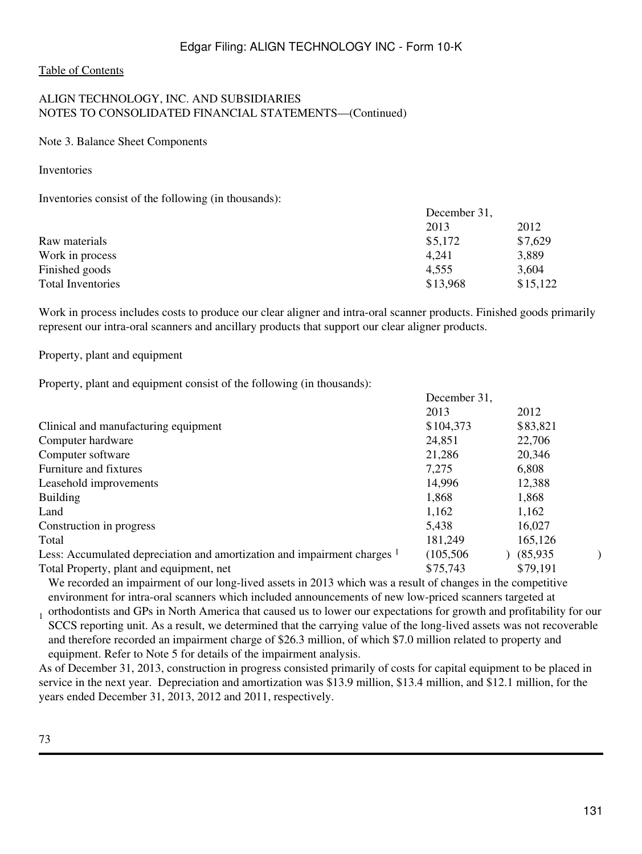### [Table of Contents](#page-3-0)

## ALIGN TECHNOLOGY, INC. AND SUBSIDIARIES NOTES TO CONSOLIDATED FINANCIAL STATEMENTS—(Continued)

#### Note 3. Balance Sheet Components

Inventories

Inventories consist of the following (in thousands):

|                          | December 31, |          |
|--------------------------|--------------|----------|
|                          | 2013         | 2012     |
| Raw materials            | \$5,172      | \$7,629  |
| Work in process          | 4.241        | 3,889    |
| Finished goods           | 4.555        | 3,604    |
| <b>Total Inventories</b> | \$13,968     | \$15,122 |

Work in process includes costs to produce our clear aligner and intra-oral scanner products. Finished goods primarily represent our intra-oral scanners and ancillary products that support our clear aligner products.

## Property, plant and equipment

Property, plant and equipment consist of the following (in thousands):

| December 31, |          |  |
|--------------|----------|--|
| 2013         | 2012     |  |
| \$104,373    | \$83,821 |  |
| 24,851       | 22,706   |  |
| 21,286       | 20,346   |  |
| 7,275        | 6,808    |  |
| 14,996       | 12,388   |  |
| 1,868        | 1,868    |  |
| 1,162        | 1,162    |  |
| 5,438        | 16,027   |  |
| 181,249      | 165,126  |  |
| (105, 506)   | (85,935) |  |
| \$75,743     | \$79,191 |  |
|              |          |  |

We recorded an impairment of our long-lived assets in 2013 which was a result of changes in the competitive environment for intra-oral scanners which included announcements of new low-priced scanners targeted at

1 orthodontists and GPs in North America that caused us to lower our expectations for growth and profitability for our SCCS reporting unit. As a result, we determined that the carrying value of the long-lived assets was not recoverable and therefore recorded an impairment charge of \$26.3 million, of which \$7.0 million related to property and equipment. Refer to Note 5 for details of the impairment analysis.

As of December 31, 2013, construction in progress consisted primarily of costs for capital equipment to be placed in service in the next year. Depreciation and amortization was \$13.9 million, \$13.4 million, and \$12.1 million, for the years ended December 31, 2013, 2012 and 2011, respectively.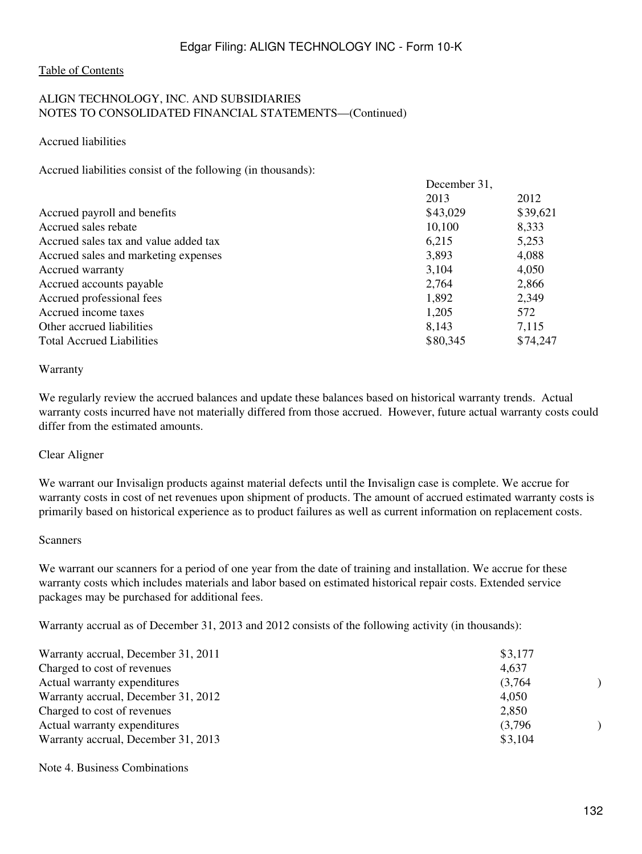## [Table of Contents](#page-3-0)

## ALIGN TECHNOLOGY, INC. AND SUBSIDIARIES NOTES TO CONSOLIDATED FINANCIAL STATEMENTS—(Continued)

Accrued liabilities

Accrued liabilities consist of the following (in thousands):

|                                       | December 31, |          |  |
|---------------------------------------|--------------|----------|--|
|                                       | 2013         | 2012     |  |
| Accrued payroll and benefits          | \$43,029     | \$39,621 |  |
| Accrued sales rebate                  | 10,100       | 8,333    |  |
| Accrued sales tax and value added tax | 6,215        | 5,253    |  |
| Accrued sales and marketing expenses  | 3,893        | 4,088    |  |
| Accrued warranty                      | 3,104        | 4,050    |  |
| Accrued accounts payable              | 2,764        | 2,866    |  |
| Accrued professional fees             | 1,892        | 2,349    |  |
| Accrued income taxes                  | 1,205        | 572      |  |
| Other accrued liabilities             | 8,143        | 7,115    |  |
| <b>Total Accrued Liabilities</b>      | \$80,345     | \$74,247 |  |

#### Warranty

We regularly review the accrued balances and update these balances based on historical warranty trends. Actual warranty costs incurred have not materially differed from those accrued. However, future actual warranty costs could differ from the estimated amounts.

#### Clear Aligner

We warrant our Invisalign products against material defects until the Invisalign case is complete. We accrue for warranty costs in cost of net revenues upon shipment of products. The amount of accrued estimated warranty costs is primarily based on historical experience as to product failures as well as current information on replacement costs.

#### Scanners

We warrant our scanners for a period of one year from the date of training and installation. We accrue for these warranty costs which includes materials and labor based on estimated historical repair costs. Extended service packages may be purchased for additional fees.

Warranty accrual as of December 31, 2013 and 2012 consists of the following activity (in thousands):

| Warranty accrual, December 31, 2011 | \$3,177 |
|-------------------------------------|---------|
| Charged to cost of revenues         | 4,637   |
| Actual warranty expenditures        | (3,764) |
| Warranty accrual, December 31, 2012 | 4,050   |
| Charged to cost of revenues         | 2,850   |
| Actual warranty expenditures        | (3,796) |
| Warranty accrual, December 31, 2013 | \$3,104 |

#### Note 4. Business Combinations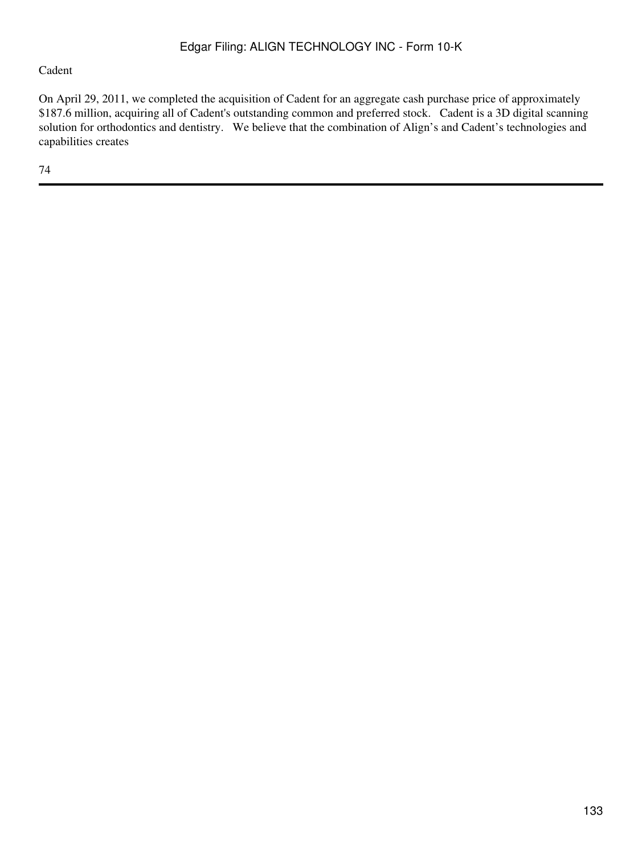## Cadent

On April 29, 2011, we completed the acquisition of Cadent for an aggregate cash purchase price of approximately \$187.6 million, acquiring all of Cadent's outstanding common and preferred stock. Cadent is a 3D digital scanning solution for orthodontics and dentistry. We believe that the combination of Align's and Cadent's technologies and capabilities creates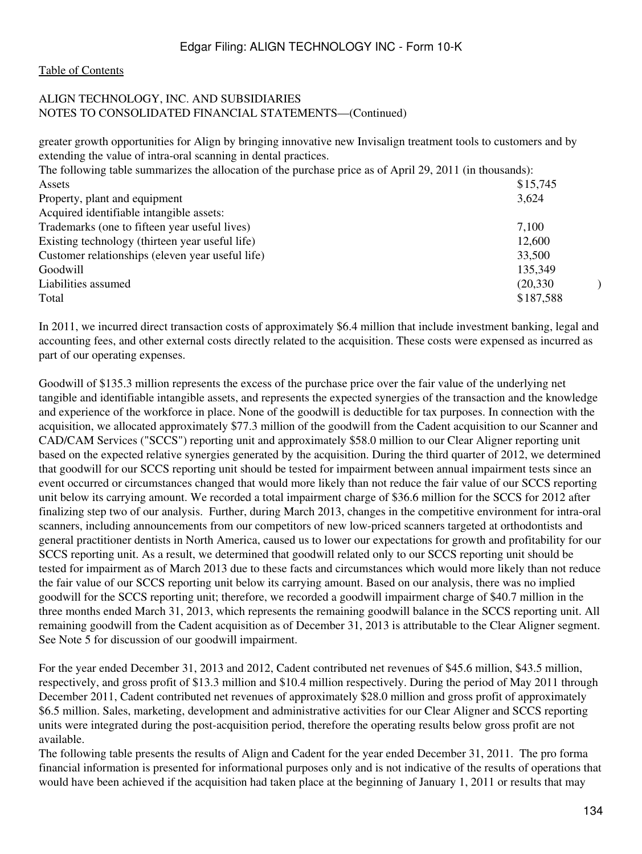#### [Table of Contents](#page-3-0)

#### ALIGN TECHNOLOGY, INC. AND SUBSIDIARIES NOTES TO CONSOLIDATED FINANCIAL STATEMENTS—(Continued)

greater growth opportunities for Align by bringing innovative new Invisalign treatment tools to customers and by extending the value of intra-oral scanning in dental practices.

| The following table summarizes the allocation of the purchase price as of April 29, 2011 (in thousands): |           |  |
|----------------------------------------------------------------------------------------------------------|-----------|--|
| Assets                                                                                                   | \$15,745  |  |
| Property, plant and equipment                                                                            | 3,624     |  |
| Acquired identifiable intangible assets:                                                                 |           |  |
| Trademarks (one to fifteen year useful lives)                                                            | 7,100     |  |
| Existing technology (thirteen year useful life)                                                          | 12,600    |  |
| Customer relationships (eleven year useful life)                                                         | 33,500    |  |
| Goodwill                                                                                                 | 135,349   |  |
| Liabilities assumed                                                                                      | (20, 330) |  |
| Total                                                                                                    | \$187,588 |  |

In 2011, we incurred direct transaction costs of approximately \$6.4 million that include investment banking, legal and accounting fees, and other external costs directly related to the acquisition. These costs were expensed as incurred as part of our operating expenses.

Goodwill of \$135.3 million represents the excess of the purchase price over the fair value of the underlying net tangible and identifiable intangible assets, and represents the expected synergies of the transaction and the knowledge and experience of the workforce in place. None of the goodwill is deductible for tax purposes. In connection with the acquisition, we allocated approximately \$77.3 million of the goodwill from the Cadent acquisition to our Scanner and CAD/CAM Services ("SCCS") reporting unit and approximately \$58.0 million to our Clear Aligner reporting unit based on the expected relative synergies generated by the acquisition. During the third quarter of 2012, we determined that goodwill for our SCCS reporting unit should be tested for impairment between annual impairment tests since an event occurred or circumstances changed that would more likely than not reduce the fair value of our SCCS reporting unit below its carrying amount. We recorded a total impairment charge of \$36.6 million for the SCCS for 2012 after finalizing step two of our analysis. Further, during March 2013, changes in the competitive environment for intra-oral scanners, including announcements from our competitors of new low-priced scanners targeted at orthodontists and general practitioner dentists in North America, caused us to lower our expectations for growth and profitability for our SCCS reporting unit. As a result, we determined that goodwill related only to our SCCS reporting unit should be tested for impairment as of March 2013 due to these facts and circumstances which would more likely than not reduce the fair value of our SCCS reporting unit below its carrying amount. Based on our analysis, there was no implied goodwill for the SCCS reporting unit; therefore, we recorded a goodwill impairment charge of \$40.7 million in the three months ended March 31, 2013, which represents the remaining goodwill balance in the SCCS reporting unit. All remaining goodwill from the Cadent acquisition as of December 31, 2013 is attributable to the Clear Aligner segment. See Note 5 for discussion of our goodwill impairment.

For the year ended December 31, 2013 and 2012, Cadent contributed net revenues of \$45.6 million, \$43.5 million, respectively, and gross profit of \$13.3 million and \$10.4 million respectively. During the period of May 2011 through December 2011, Cadent contributed net revenues of approximately \$28.0 million and gross profit of approximately \$6.5 million. Sales, marketing, development and administrative activities for our Clear Aligner and SCCS reporting units were integrated during the post-acquisition period, therefore the operating results below gross profit are not available.

The following table presents the results of Align and Cadent for the year ended December 31, 2011. The pro forma financial information is presented for informational purposes only and is not indicative of the results of operations that would have been achieved if the acquisition had taken place at the beginning of January 1, 2011 or results that may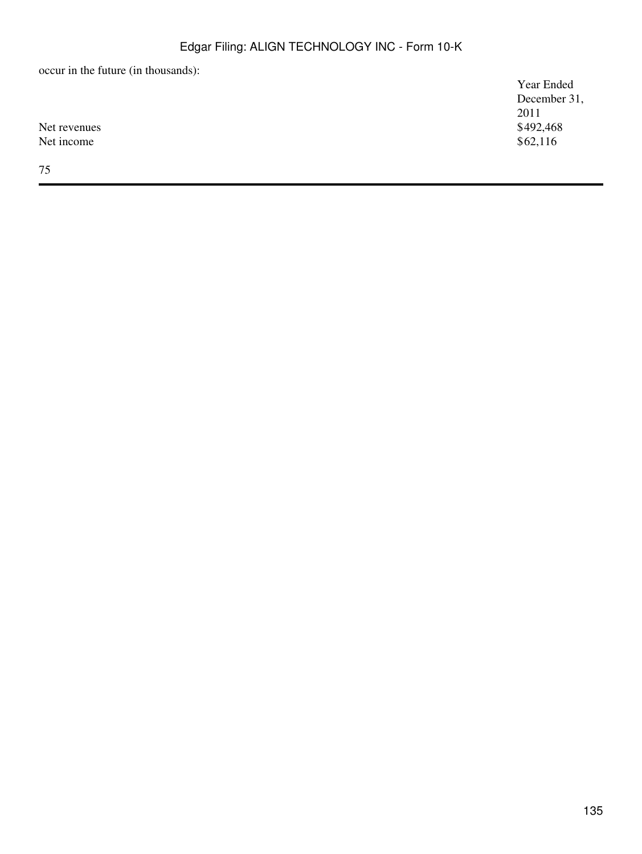occur in the future (in thousands):

|              | Year Ended   |
|--------------|--------------|
|              | December 31, |
|              | 2011         |
| Net revenues | \$492,468    |
| Net income   | \$62,116     |
|              |              |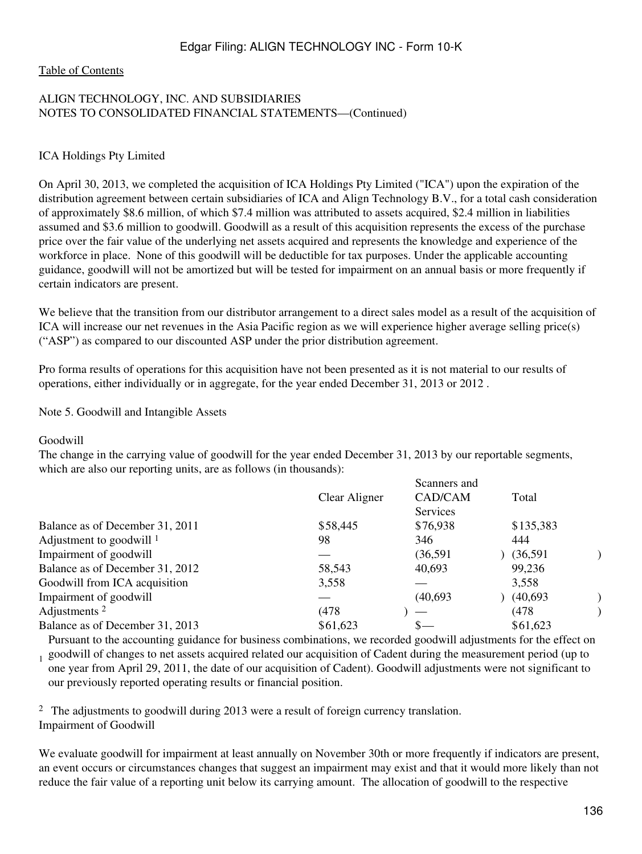#### [Table of Contents](#page-3-0)

## ALIGN TECHNOLOGY, INC. AND SUBSIDIARIES NOTES TO CONSOLIDATED FINANCIAL STATEMENTS—(Continued)

#### ICA Holdings Pty Limited

On April 30, 2013, we completed the acquisition of ICA Holdings Pty Limited ("ICA") upon the expiration of the distribution agreement between certain subsidiaries of ICA and Align Technology B.V., for a total cash consideration of approximately \$8.6 million, of which \$7.4 million was attributed to assets acquired, \$2.4 million in liabilities assumed and \$3.6 million to goodwill. Goodwill as a result of this acquisition represents the excess of the purchase price over the fair value of the underlying net assets acquired and represents the knowledge and experience of the workforce in place. None of this goodwill will be deductible for tax purposes. Under the applicable accounting guidance, goodwill will not be amortized but will be tested for impairment on an annual basis or more frequently if certain indicators are present.

We believe that the transition from our distributor arrangement to a direct sales model as a result of the acquisition of ICA will increase our net revenues in the Asia Pacific region as we will experience higher average selling price(s) ("ASP") as compared to our discounted ASP under the prior distribution agreement.

Pro forma results of operations for this acquisition have not been presented as it is not material to our results of operations, either individually or in aggregate, for the year ended December 31, 2013 or 2012 .

Note 5. Goodwill and Intangible Assets

#### Goodwill

The change in the carrying value of goodwill for the year ended December 31, 2013 by our reportable segments, which are also our reporting units, are as follows (in thousands):

|                                 |               | Scanners and    |           |  |
|---------------------------------|---------------|-----------------|-----------|--|
|                                 | Clear Aligner | CAD/CAM         | Total     |  |
|                                 |               | <b>Services</b> |           |  |
| Balance as of December 31, 2011 | \$58,445      | \$76,938        | \$135,383 |  |
| Adjustment to goodwill $1$      | 98            | 346             | 444       |  |
| Impairment of goodwill          |               | (36, 591)       | (36, 591) |  |
| Balance as of December 31, 2012 | 58,543        | 40,693          | 99,236    |  |
| Goodwill from ICA acquisition   | 3,558         |                 | 3,558     |  |
| Impairment of goodwill          |               | (40,693)        | (40,693)  |  |
| Adjustments <sup>2</sup>        | (478          |                 | (478)     |  |
| Balance as of December 31, 2013 | \$61,623      | $S-$            | \$61,623  |  |
|                                 |               |                 |           |  |

1 goodwill of changes to net assets acquired related our acquisition of Cadent during the measurement period (up to Pursuant to the accounting guidance for business combinations, we recorded goodwill adjustments for the effect on one year from April 29, 2011, the date of our acquisition of Cadent). Goodwill adjustments were not significant to our previously reported operating results or financial position.

<sup>2</sup> The adjustments to goodwill during 2013 were a result of foreign currency translation. Impairment of Goodwill

We evaluate goodwill for impairment at least annually on November 30th or more frequently if indicators are present, an event occurs or circumstances changes that suggest an impairment may exist and that it would more likely than not reduce the fair value of a reporting unit below its carrying amount. The allocation of goodwill to the respective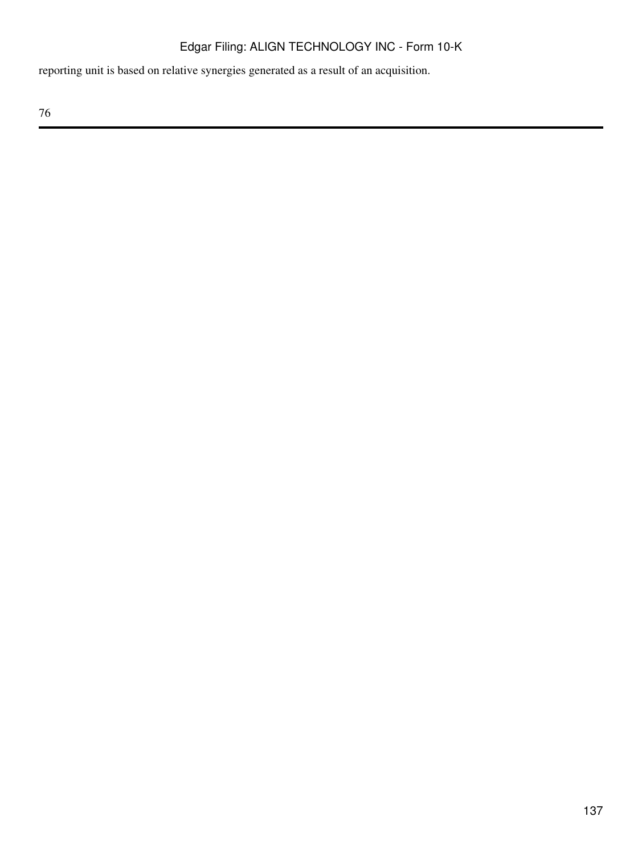reporting unit is based on relative synergies generated as a result of an acquisition.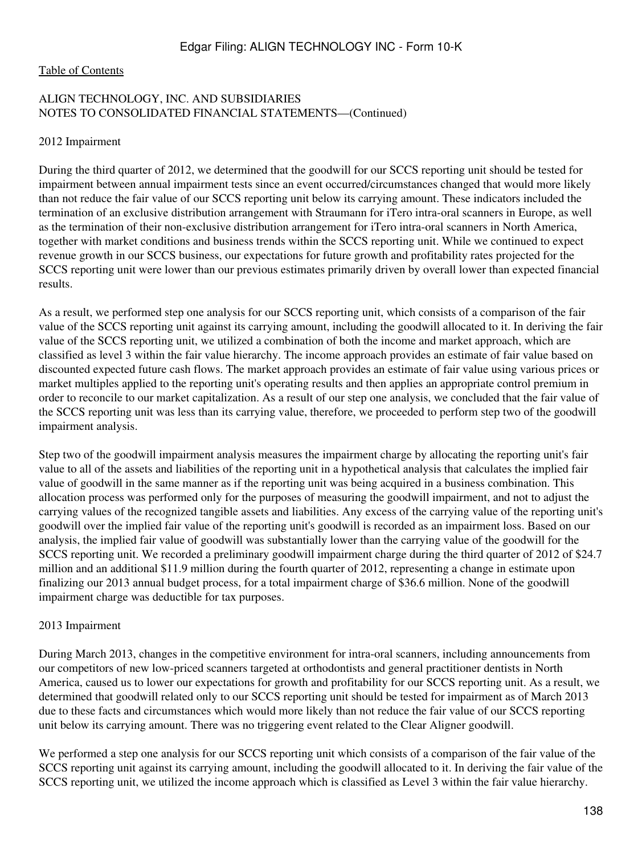#### [Table of Contents](#page-3-0)

### ALIGN TECHNOLOGY, INC. AND SUBSIDIARIES NOTES TO CONSOLIDATED FINANCIAL STATEMENTS—(Continued)

#### 2012 Impairment

During the third quarter of 2012, we determined that the goodwill for our SCCS reporting unit should be tested for impairment between annual impairment tests since an event occurred/circumstances changed that would more likely than not reduce the fair value of our SCCS reporting unit below its carrying amount. These indicators included the termination of an exclusive distribution arrangement with Straumann for iTero intra-oral scanners in Europe, as well as the termination of their non-exclusive distribution arrangement for iTero intra-oral scanners in North America, together with market conditions and business trends within the SCCS reporting unit. While we continued to expect revenue growth in our SCCS business, our expectations for future growth and profitability rates projected for the SCCS reporting unit were lower than our previous estimates primarily driven by overall lower than expected financial results.

As a result, we performed step one analysis for our SCCS reporting unit, which consists of a comparison of the fair value of the SCCS reporting unit against its carrying amount, including the goodwill allocated to it. In deriving the fair value of the SCCS reporting unit, we utilized a combination of both the income and market approach, which are classified as level 3 within the fair value hierarchy. The income approach provides an estimate of fair value based on discounted expected future cash flows. The market approach provides an estimate of fair value using various prices or market multiples applied to the reporting unit's operating results and then applies an appropriate control premium in order to reconcile to our market capitalization. As a result of our step one analysis, we concluded that the fair value of the SCCS reporting unit was less than its carrying value, therefore, we proceeded to perform step two of the goodwill impairment analysis.

Step two of the goodwill impairment analysis measures the impairment charge by allocating the reporting unit's fair value to all of the assets and liabilities of the reporting unit in a hypothetical analysis that calculates the implied fair value of goodwill in the same manner as if the reporting unit was being acquired in a business combination. This allocation process was performed only for the purposes of measuring the goodwill impairment, and not to adjust the carrying values of the recognized tangible assets and liabilities. Any excess of the carrying value of the reporting unit's goodwill over the implied fair value of the reporting unit's goodwill is recorded as an impairment loss. Based on our analysis, the implied fair value of goodwill was substantially lower than the carrying value of the goodwill for the SCCS reporting unit. We recorded a preliminary goodwill impairment charge during the third quarter of 2012 of \$24.7 million and an additional \$11.9 million during the fourth quarter of 2012, representing a change in estimate upon finalizing our 2013 annual budget process, for a total impairment charge of \$36.6 million. None of the goodwill impairment charge was deductible for tax purposes.

#### 2013 Impairment

During March 2013, changes in the competitive environment for intra-oral scanners, including announcements from our competitors of new low-priced scanners targeted at orthodontists and general practitioner dentists in North America, caused us to lower our expectations for growth and profitability for our SCCS reporting unit. As a result, we determined that goodwill related only to our SCCS reporting unit should be tested for impairment as of March 2013 due to these facts and circumstances which would more likely than not reduce the fair value of our SCCS reporting unit below its carrying amount. There was no triggering event related to the Clear Aligner goodwill.

We performed a step one analysis for our SCCS reporting unit which consists of a comparison of the fair value of the SCCS reporting unit against its carrying amount, including the goodwill allocated to it. In deriving the fair value of the SCCS reporting unit, we utilized the income approach which is classified as Level 3 within the fair value hierarchy.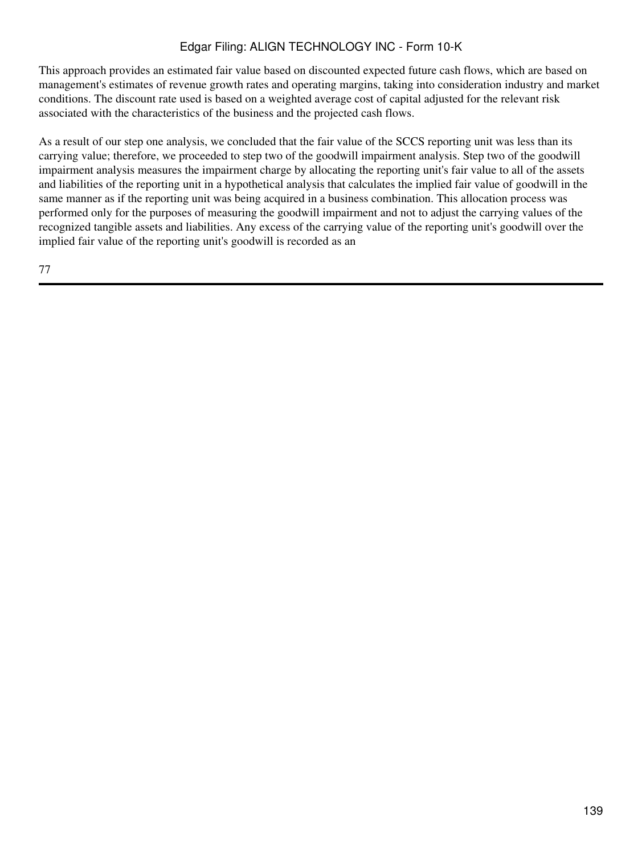This approach provides an estimated fair value based on discounted expected future cash flows, which are based on management's estimates of revenue growth rates and operating margins, taking into consideration industry and market conditions. The discount rate used is based on a weighted average cost of capital adjusted for the relevant risk associated with the characteristics of the business and the projected cash flows.

As a result of our step one analysis, we concluded that the fair value of the SCCS reporting unit was less than its carrying value; therefore, we proceeded to step two of the goodwill impairment analysis. Step two of the goodwill impairment analysis measures the impairment charge by allocating the reporting unit's fair value to all of the assets and liabilities of the reporting unit in a hypothetical analysis that calculates the implied fair value of goodwill in the same manner as if the reporting unit was being acquired in a business combination. This allocation process was performed only for the purposes of measuring the goodwill impairment and not to adjust the carrying values of the recognized tangible assets and liabilities. Any excess of the carrying value of the reporting unit's goodwill over the implied fair value of the reporting unit's goodwill is recorded as an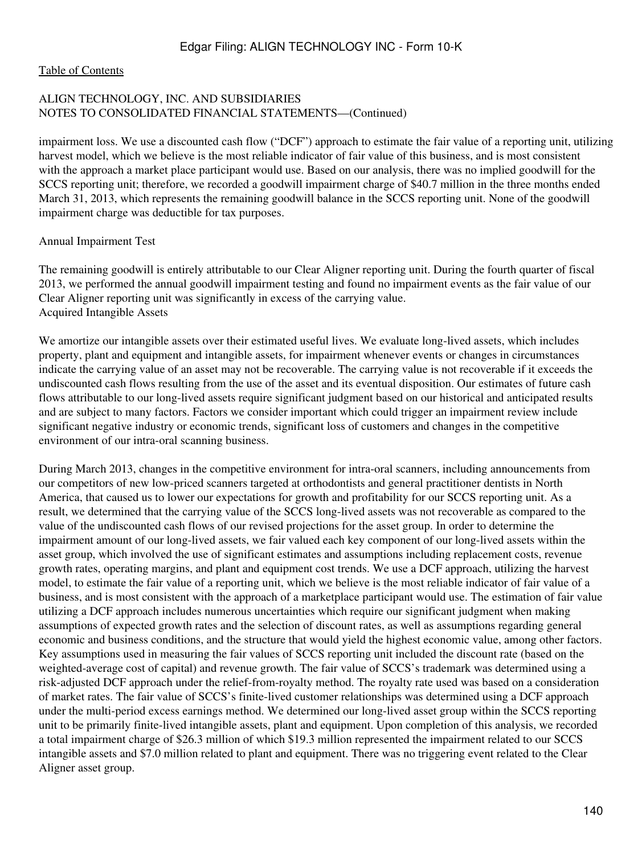[Table of Contents](#page-3-0)

## ALIGN TECHNOLOGY, INC. AND SUBSIDIARIES NOTES TO CONSOLIDATED FINANCIAL STATEMENTS—(Continued)

impairment loss. We use a discounted cash flow ("DCF") approach to estimate the fair value of a reporting unit, utilizing harvest model, which we believe is the most reliable indicator of fair value of this business, and is most consistent with the approach a market place participant would use. Based on our analysis, there was no implied goodwill for the SCCS reporting unit; therefore, we recorded a goodwill impairment charge of \$40.7 million in the three months ended March 31, 2013, which represents the remaining goodwill balance in the SCCS reporting unit. None of the goodwill impairment charge was deductible for tax purposes.

Annual Impairment Test

The remaining goodwill is entirely attributable to our Clear Aligner reporting unit. During the fourth quarter of fiscal 2013, we performed the annual goodwill impairment testing and found no impairment events as the fair value of our Clear Aligner reporting unit was significantly in excess of the carrying value. Acquired Intangible Assets

We amortize our intangible assets over their estimated useful lives. We evaluate long-lived assets, which includes property, plant and equipment and intangible assets, for impairment whenever events or changes in circumstances indicate the carrying value of an asset may not be recoverable. The carrying value is not recoverable if it exceeds the undiscounted cash flows resulting from the use of the asset and its eventual disposition. Our estimates of future cash flows attributable to our long-lived assets require significant judgment based on our historical and anticipated results and are subject to many factors. Factors we consider important which could trigger an impairment review include significant negative industry or economic trends, significant loss of customers and changes in the competitive environment of our intra-oral scanning business.

During March 2013, changes in the competitive environment for intra-oral scanners, including announcements from our competitors of new low-priced scanners targeted at orthodontists and general practitioner dentists in North America, that caused us to lower our expectations for growth and profitability for our SCCS reporting unit. As a result, we determined that the carrying value of the SCCS long-lived assets was not recoverable as compared to the value of the undiscounted cash flows of our revised projections for the asset group. In order to determine the impairment amount of our long-lived assets, we fair valued each key component of our long-lived assets within the asset group, which involved the use of significant estimates and assumptions including replacement costs, revenue growth rates, operating margins, and plant and equipment cost trends. We use a DCF approach, utilizing the harvest model, to estimate the fair value of a reporting unit, which we believe is the most reliable indicator of fair value of a business, and is most consistent with the approach of a marketplace participant would use. The estimation of fair value utilizing a DCF approach includes numerous uncertainties which require our significant judgment when making assumptions of expected growth rates and the selection of discount rates, as well as assumptions regarding general economic and business conditions, and the structure that would yield the highest economic value, among other factors. Key assumptions used in measuring the fair values of SCCS reporting unit included the discount rate (based on the weighted-average cost of capital) and revenue growth. The fair value of SCCS's trademark was determined using a risk-adjusted DCF approach under the relief-from-royalty method. The royalty rate used was based on a consideration of market rates. The fair value of SCCS's finite-lived customer relationships was determined using a DCF approach under the multi-period excess earnings method. We determined our long-lived asset group within the SCCS reporting unit to be primarily finite-lived intangible assets, plant and equipment. Upon completion of this analysis, we recorded a total impairment charge of \$26.3 million of which \$19.3 million represented the impairment related to our SCCS intangible assets and \$7.0 million related to plant and equipment. There was no triggering event related to the Clear Aligner asset group.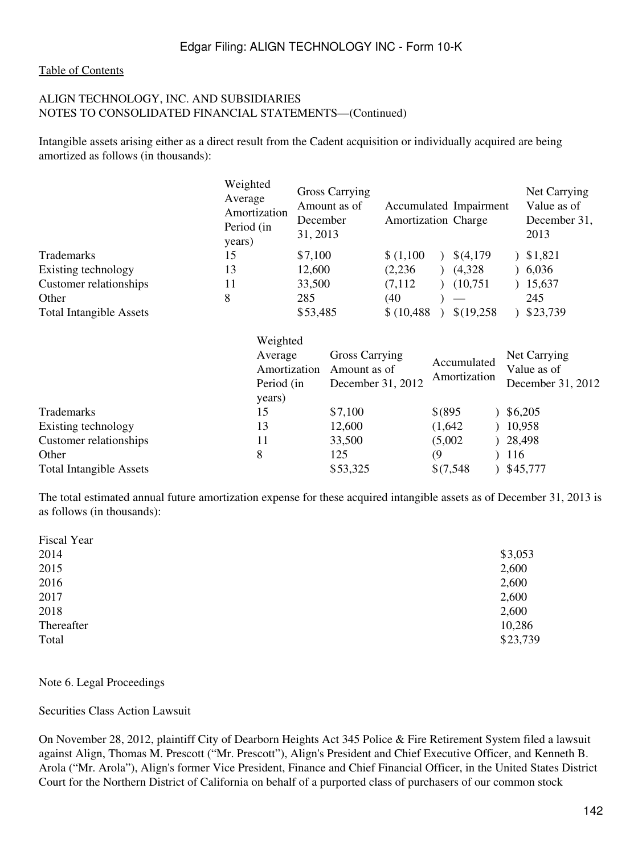#### [Table of Contents](#page-3-0)

### ALIGN TECHNOLOGY, INC. AND SUBSIDIARIES NOTES TO CONSOLIDATED FINANCIAL STATEMENTS—(Continued)

Intangible assets arising either as a direct result from the Cadent acquisition or individually acquired are being amortized as follows (in thousands):

|                                | Weighted<br>Average<br>Amortization<br>Period (in<br>years) | <b>Gross Carrying</b><br>Amount as of<br>December<br>31, 2013 | Accumulated Impairment<br><b>Amortization Charge</b> |            | Net Carrying<br>Value as of<br>December 31,<br>2013 |
|--------------------------------|-------------------------------------------------------------|---------------------------------------------------------------|------------------------------------------------------|------------|-----------------------------------------------------|
| <b>Trademarks</b>              | 15                                                          | \$7,100                                                       | \$(1,100)                                            | \$(4,179)  | \$1,821                                             |
| Existing technology            | 13                                                          | 12,600                                                        | (2,236)                                              | (4,328)    | 6,036                                               |
| Customer relationships         | 11                                                          | 33,500                                                        | (7,112)                                              | (10,751)   | 15,637                                              |
| Other                          | 8                                                           | 285                                                           | (40                                                  |            | 245                                                 |
| <b>Total Intangible Assets</b> |                                                             | \$53,485                                                      | \$(10, 488)                                          | \$(19,258) | \$23,739                                            |

|                                | Weighted<br>Average<br>Amortization<br>Period (in<br>years) | Gross Carrying<br>Amount as of<br>December 31, 2012 | Accumulated<br>Amortization | Net Carrying<br>Value as of<br>December 31, 2012 |
|--------------------------------|-------------------------------------------------------------|-----------------------------------------------------|-----------------------------|--------------------------------------------------|
| Trademarks                     | 15                                                          | \$7,100                                             | \$ (895                     | \$6,205                                          |
| Existing technology            | 13                                                          | 12,600                                              | (1,642)                     | 10,958                                           |
| Customer relationships         | 11                                                          | 33,500                                              | (5,002)                     | 28,498                                           |
| Other                          | 8                                                           | 125                                                 | $\left(9\right)$            | 116                                              |
| <b>Total Intangible Assets</b> |                                                             | \$53,325                                            | \$(7,548)                   | \$45,777                                         |

The total estimated annual future amortization expense for these acquired intangible assets as of December 31, 2013 is as follows (in thousands):

| Fiscal Year |          |
|-------------|----------|
| 2014        | \$3,053  |
| 2015        | 2,600    |
| 2016        | 2,600    |
| 2017        | 2,600    |
| 2018        | 2,600    |
| Thereafter  | 10,286   |
| Total       | \$23,739 |
|             |          |

Note 6. Legal Proceedings

Securities Class Action Lawsuit

On November 28, 2012, plaintiff City of Dearborn Heights Act 345 Police & Fire Retirement System filed a lawsuit against Align, Thomas M. Prescott ("Mr. Prescott"), Align's President and Chief Executive Officer, and Kenneth B. Arola ("Mr. Arola"), Align's former Vice President, Finance and Chief Financial Officer, in the United States District Court for the Northern District of California on behalf of a purported class of purchasers of our common stock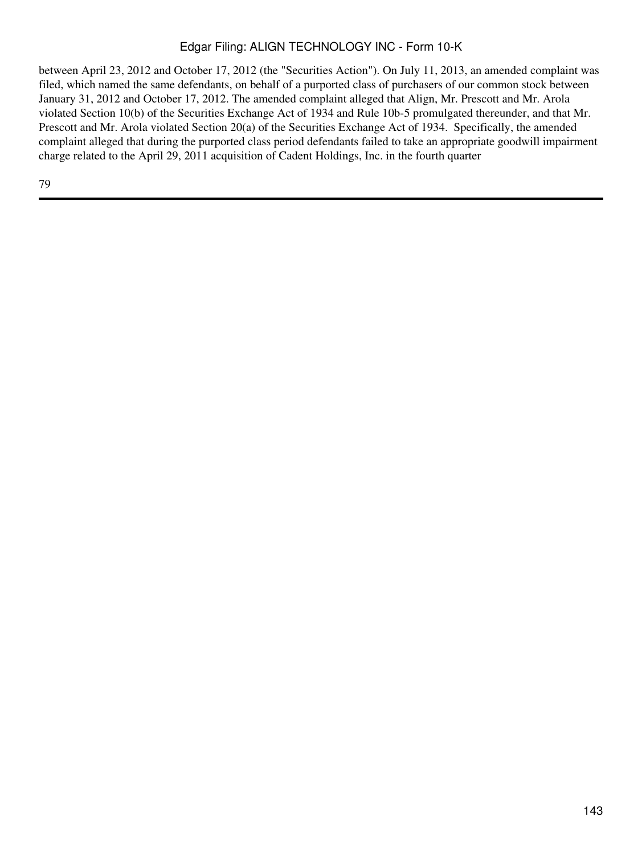between April 23, 2012 and October 17, 2012 (the "Securities Action"). On July 11, 2013, an amended complaint was filed, which named the same defendants, on behalf of a purported class of purchasers of our common stock between January 31, 2012 and October 17, 2012. The amended complaint alleged that Align, Mr. Prescott and Mr. Arola violated Section 10(b) of the Securities Exchange Act of 1934 and Rule 10b-5 promulgated thereunder, and that Mr. Prescott and Mr. Arola violated Section 20(a) of the Securities Exchange Act of 1934. Specifically, the amended complaint alleged that during the purported class period defendants failed to take an appropriate goodwill impairment charge related to the April 29, 2011 acquisition of Cadent Holdings, Inc. in the fourth quarter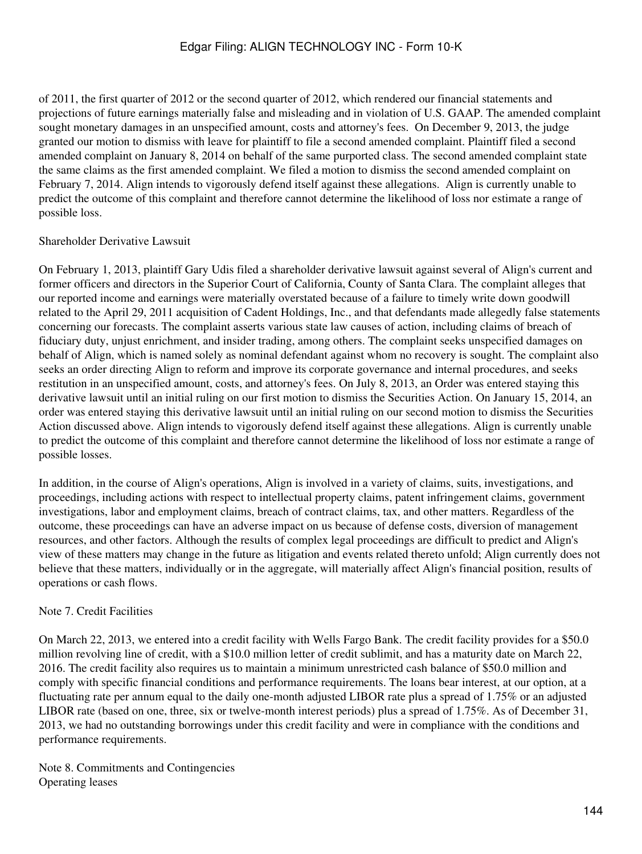of 2011, the first quarter of 2012 or the second quarter of 2012, which rendered our financial statements and projections of future earnings materially false and misleading and in violation of U.S. GAAP. The amended complaint sought monetary damages in an unspecified amount, costs and attorney's fees. On December 9, 2013, the judge granted our motion to dismiss with leave for plaintiff to file a second amended complaint. Plaintiff filed a second amended complaint on January 8, 2014 on behalf of the same purported class. The second amended complaint state the same claims as the first amended complaint. We filed a motion to dismiss the second amended complaint on February 7, 2014. Align intends to vigorously defend itself against these allegations. Align is currently unable to predict the outcome of this complaint and therefore cannot determine the likelihood of loss nor estimate a range of possible loss.

## Shareholder Derivative Lawsuit

On February 1, 2013, plaintiff Gary Udis filed a shareholder derivative lawsuit against several of Align's current and former officers and directors in the Superior Court of California, County of Santa Clara. The complaint alleges that our reported income and earnings were materially overstated because of a failure to timely write down goodwill related to the April 29, 2011 acquisition of Cadent Holdings, Inc., and that defendants made allegedly false statements concerning our forecasts. The complaint asserts various state law causes of action, including claims of breach of fiduciary duty, unjust enrichment, and insider trading, among others. The complaint seeks unspecified damages on behalf of Align, which is named solely as nominal defendant against whom no recovery is sought. The complaint also seeks an order directing Align to reform and improve its corporate governance and internal procedures, and seeks restitution in an unspecified amount, costs, and attorney's fees. On July 8, 2013, an Order was entered staying this derivative lawsuit until an initial ruling on our first motion to dismiss the Securities Action. On January 15, 2014, an order was entered staying this derivative lawsuit until an initial ruling on our second motion to dismiss the Securities Action discussed above. Align intends to vigorously defend itself against these allegations. Align is currently unable to predict the outcome of this complaint and therefore cannot determine the likelihood of loss nor estimate a range of possible losses.

In addition, in the course of Align's operations, Align is involved in a variety of claims, suits, investigations, and proceedings, including actions with respect to intellectual property claims, patent infringement claims, government investigations, labor and employment claims, breach of contract claims, tax, and other matters. Regardless of the outcome, these proceedings can have an adverse impact on us because of defense costs, diversion of management resources, and other factors. Although the results of complex legal proceedings are difficult to predict and Align's view of these matters may change in the future as litigation and events related thereto unfold; Align currently does not believe that these matters, individually or in the aggregate, will materially affect Align's financial position, results of operations or cash flows.

# Note 7. Credit Facilities

On March 22, 2013, we entered into a credit facility with Wells Fargo Bank. The credit facility provides for a \$50.0 million revolving line of credit, with a \$10.0 million letter of credit sublimit, and has a maturity date on March 22, 2016. The credit facility also requires us to maintain a minimum unrestricted cash balance of \$50.0 million and comply with specific financial conditions and performance requirements. The loans bear interest, at our option, at a fluctuating rate per annum equal to the daily one-month adjusted LIBOR rate plus a spread of 1.75% or an adjusted LIBOR rate (based on one, three, six or twelve-month interest periods) plus a spread of 1.75%. As of December 31, 2013, we had no outstanding borrowings under this credit facility and were in compliance with the conditions and performance requirements.

Note 8. Commitments and Contingencies Operating leases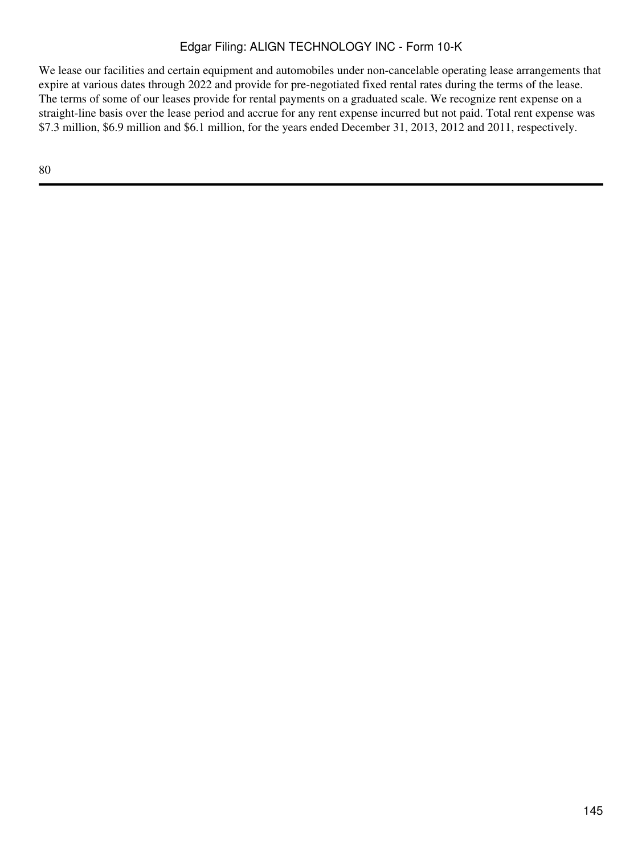We lease our facilities and certain equipment and automobiles under non-cancelable operating lease arrangements that expire at various dates through 2022 and provide for pre-negotiated fixed rental rates during the terms of the lease. The terms of some of our leases provide for rental payments on a graduated scale. We recognize rent expense on a straight-line basis over the lease period and accrue for any rent expense incurred but not paid. Total rent expense was \$7.3 million, \$6.9 million and \$6.1 million, for the years ended December 31, 2013, 2012 and 2011, respectively.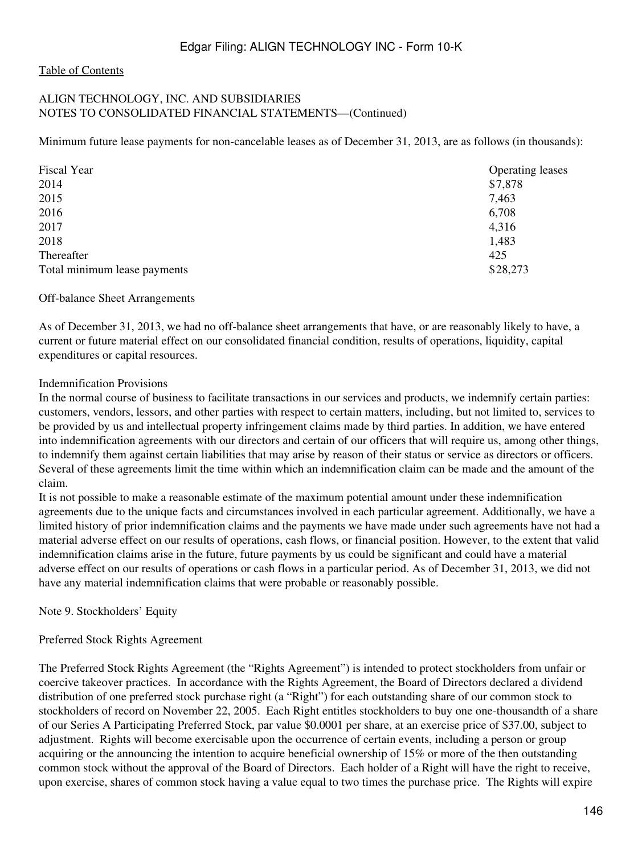### ALIGN TECHNOLOGY, INC. AND SUBSIDIARIES NOTES TO CONSOLIDATED FINANCIAL STATEMENTS—(Continued)

Minimum future lease payments for non-cancelable leases as of December 31, 2013, are as follows (in thousands):

| Fiscal Year                  | <b>Operating leases</b> |
|------------------------------|-------------------------|
| 2014                         | \$7,878                 |
| 2015                         | 7,463                   |
| 2016                         | 6,708                   |
| 2017                         | 4,316                   |
| 2018                         | 1,483                   |
| Thereafter                   | 425                     |
| Total minimum lease payments | \$28,273                |

#### Off-balance Sheet Arrangements

As of December 31, 2013, we had no off-balance sheet arrangements that have, or are reasonably likely to have, a current or future material effect on our consolidated financial condition, results of operations, liquidity, capital expenditures or capital resources.

#### Indemnification Provisions

In the normal course of business to facilitate transactions in our services and products, we indemnify certain parties: customers, vendors, lessors, and other parties with respect to certain matters, including, but not limited to, services to be provided by us and intellectual property infringement claims made by third parties. In addition, we have entered into indemnification agreements with our directors and certain of our officers that will require us, among other things, to indemnify them against certain liabilities that may arise by reason of their status or service as directors or officers. Several of these agreements limit the time within which an indemnification claim can be made and the amount of the claim.

It is not possible to make a reasonable estimate of the maximum potential amount under these indemnification agreements due to the unique facts and circumstances involved in each particular agreement. Additionally, we have a limited history of prior indemnification claims and the payments we have made under such agreements have not had a material adverse effect on our results of operations, cash flows, or financial position. However, to the extent that valid indemnification claims arise in the future, future payments by us could be significant and could have a material adverse effect on our results of operations or cash flows in a particular period. As of December 31, 2013, we did not have any material indemnification claims that were probable or reasonably possible.

Note 9. Stockholders' Equity

## Preferred Stock Rights Agreement

The Preferred Stock Rights Agreement (the "Rights Agreement") is intended to protect stockholders from unfair or coercive takeover practices. In accordance with the Rights Agreement, the Board of Directors declared a dividend distribution of one preferred stock purchase right (a "Right") for each outstanding share of our common stock to stockholders of record on November 22, 2005. Each Right entitles stockholders to buy one one-thousandth of a share of our Series A Participating Preferred Stock, par value \$0.0001 per share, at an exercise price of \$37.00, subject to adjustment. Rights will become exercisable upon the occurrence of certain events, including a person or group acquiring or the announcing the intention to acquire beneficial ownership of 15% or more of the then outstanding common stock without the approval of the Board of Directors. Each holder of a Right will have the right to receive, upon exercise, shares of common stock having a value equal to two times the purchase price. The Rights will expire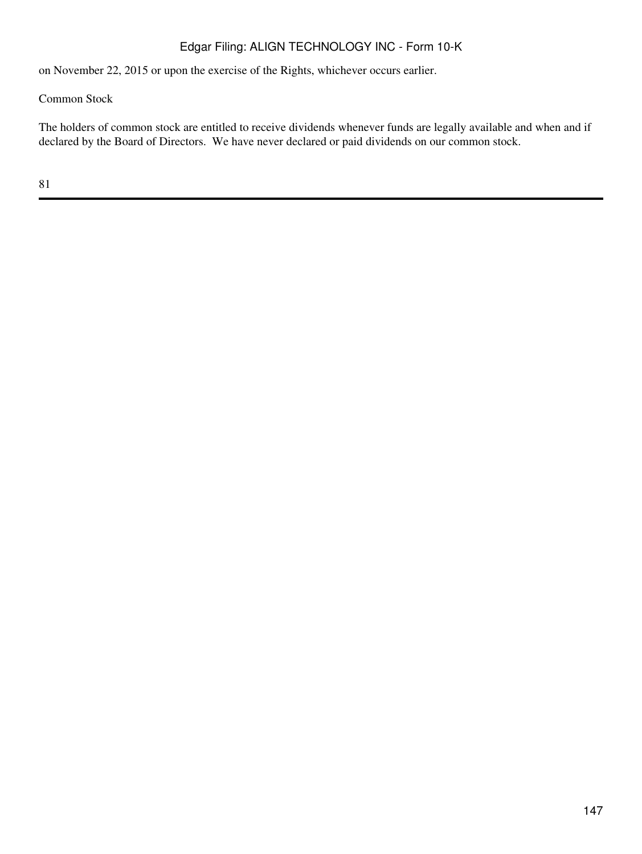on November 22, 2015 or upon the exercise of the Rights, whichever occurs earlier.

Common Stock

The holders of common stock are entitled to receive dividends whenever funds are legally available and when and if declared by the Board of Directors. We have never declared or paid dividends on our common stock.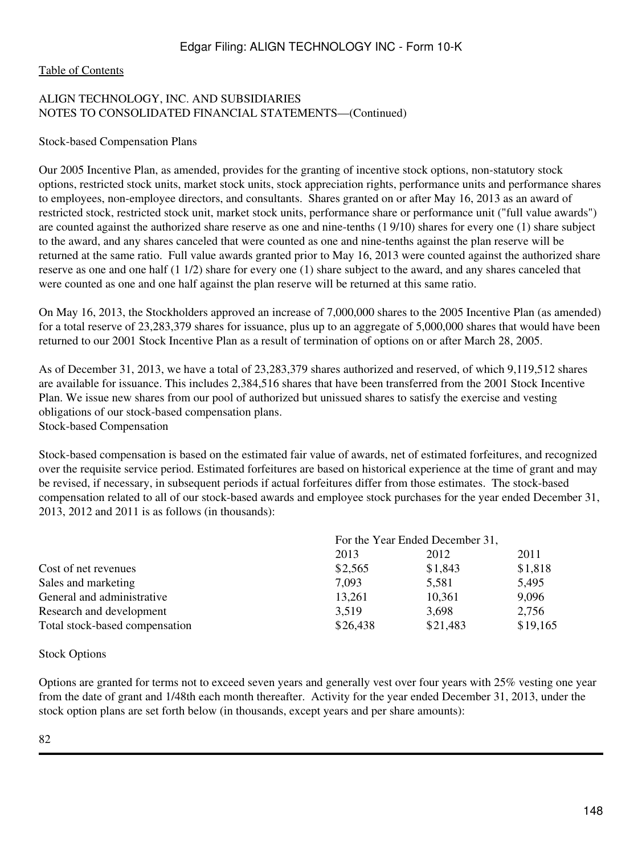#### [Table of Contents](#page-3-0)

## ALIGN TECHNOLOGY, INC. AND SUBSIDIARIES NOTES TO CONSOLIDATED FINANCIAL STATEMENTS—(Continued)

#### Stock-based Compensation Plans

Our 2005 Incentive Plan, as amended, provides for the granting of incentive stock options, non-statutory stock options, restricted stock units, market stock units, stock appreciation rights, performance units and performance shares to employees, non-employee directors, and consultants. Shares granted on or after May 16, 2013 as an award of restricted stock, restricted stock unit, market stock units, performance share or performance unit ("full value awards") are counted against the authorized share reserve as one and nine-tenths (1 9/10) shares for every one (1) share subject to the award, and any shares canceled that were counted as one and nine-tenths against the plan reserve will be returned at the same ratio. Full value awards granted prior to May 16, 2013 were counted against the authorized share reserve as one and one half (1 1/2) share for every one (1) share subject to the award, and any shares canceled that were counted as one and one half against the plan reserve will be returned at this same ratio.

On May 16, 2013, the Stockholders approved an increase of 7,000,000 shares to the 2005 Incentive Plan (as amended) for a total reserve of 23,283,379 shares for issuance, plus up to an aggregate of 5,000,000 shares that would have been returned to our 2001 Stock Incentive Plan as a result of termination of options on or after March 28, 2005.

As of December 31, 2013, we have a total of 23,283,379 shares authorized and reserved, of which 9,119,512 shares are available for issuance. This includes 2,384,516 shares that have been transferred from the 2001 Stock Incentive Plan. We issue new shares from our pool of authorized but unissued shares to satisfy the exercise and vesting obligations of our stock-based compensation plans. Stock-based Compensation

Stock-based compensation is based on the estimated fair value of awards, net of estimated forfeitures, and recognized over the requisite service period. Estimated forfeitures are based on historical experience at the time of grant and may be revised, if necessary, in subsequent periods if actual forfeitures differ from those estimates. The stock-based compensation related to all of our stock-based awards and employee stock purchases for the year ended December 31, 2013, 2012 and 2011 is as follows (in thousands):

|                                | For the Year Ended December 31, |          |          |
|--------------------------------|---------------------------------|----------|----------|
|                                | 2013                            | 2012     | 2011     |
| Cost of net revenues           | \$2,565                         | \$1,843  | \$1,818  |
| Sales and marketing            | 7,093                           | 5,581    | 5,495    |
| General and administrative     | 13,261                          | 10,361   | 9,096    |
| Research and development       | 3,519                           | 3,698    | 2,756    |
| Total stock-based compensation | \$26,438                        | \$21,483 | \$19,165 |

#### Stock Options

Options are granted for terms not to exceed seven years and generally vest over four years with 25% vesting one year from the date of grant and 1/48th each month thereafter. Activity for the year ended December 31, 2013, under the stock option plans are set forth below (in thousands, except years and per share amounts):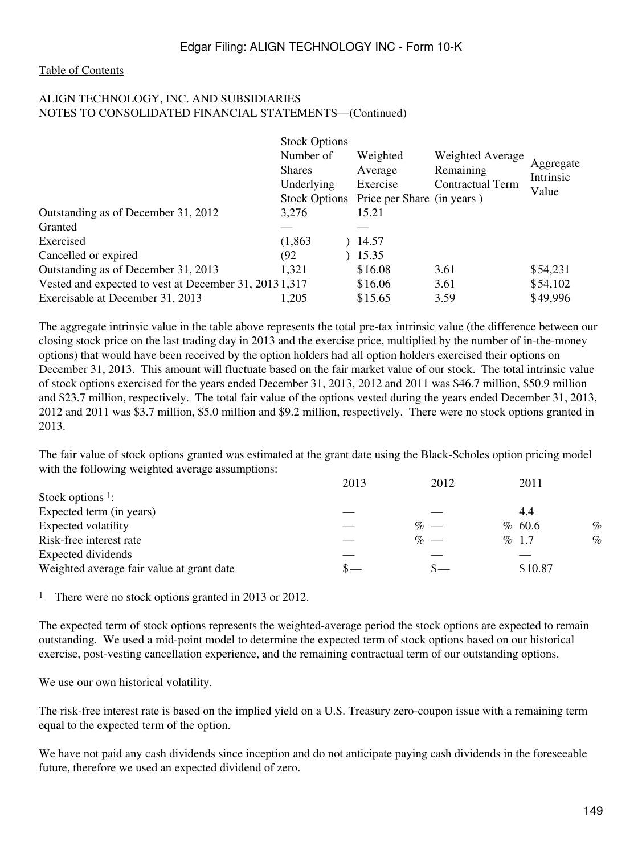#### ALIGN TECHNOLOGY, INC. AND SUBSIDIARIES NOTES TO CONSOLIDATED FINANCIAL STATEMENTS—(Continued)

|                                                        | <b>Stock Options</b> |                                          |                  |                        |
|--------------------------------------------------------|----------------------|------------------------------------------|------------------|------------------------|
|                                                        | Number of            | Weighted                                 | Weighted Average |                        |
|                                                        | <b>Shares</b>        | Average                                  | Remaining        | Aggregate<br>Intrinsic |
|                                                        | Underlying           | Exercise                                 | Contractual Term | Value                  |
|                                                        |                      | Stock Options Price per Share (in years) |                  |                        |
| Outstanding as of December 31, 2012                    | 3.276                | 15.21                                    |                  |                        |
| Granted                                                |                      |                                          |                  |                        |
| Exercised                                              | (1,863)              | 14.57                                    |                  |                        |
| Cancelled or expired                                   | (92)                 | 15.35                                    |                  |                        |
| Outstanding as of December 31, 2013                    | 1,321                | \$16.08                                  | 3.61             | \$54,231               |
| Vested and expected to vest at December 31, 2013 1,317 |                      | \$16.06                                  | 3.61             | \$54,102               |
| Exercisable at December 31, 2013                       | 1,205                | \$15.65                                  | 3.59             | \$49,996               |

The aggregate intrinsic value in the table above represents the total pre-tax intrinsic value (the difference between our closing stock price on the last trading day in 2013 and the exercise price, multiplied by the number of in-the-money options) that would have been received by the option holders had all option holders exercised their options on December 31, 2013. This amount will fluctuate based on the fair market value of our stock. The total intrinsic value of stock options exercised for the years ended December 31, 2013, 2012 and 2011 was \$46.7 million, \$50.9 million and \$23.7 million, respectively. The total fair value of the options vested during the years ended December 31, 2013, 2012 and 2011 was \$3.7 million, \$5.0 million and \$9.2 million, respectively. There were no stock options granted in 2013.

The fair value of stock options granted was estimated at the grant date using the Black-Scholes option pricing model with the following weighted average assumptions:

| 2013 | 2012 | 2011            |      |
|------|------|-----------------|------|
|      |      |                 |      |
|      |      | 4.4             |      |
|      |      | % 60.6          | $\%$ |
|      |      | % 1.7           | $\%$ |
|      |      |                 |      |
|      |      | \$10.87         |      |
|      |      | $\%$ —<br>$% -$ |      |

<sup>1</sup> There were no stock options granted in 2013 or 2012.

The expected term of stock options represents the weighted-average period the stock options are expected to remain outstanding. We used a mid-point model to determine the expected term of stock options based on our historical exercise, post-vesting cancellation experience, and the remaining contractual term of our outstanding options.

We use our own historical volatility.

The risk-free interest rate is based on the implied yield on a U.S. Treasury zero-coupon issue with a remaining term equal to the expected term of the option.

We have not paid any cash dividends since inception and do not anticipate paying cash dividends in the foreseeable future, therefore we used an expected dividend of zero.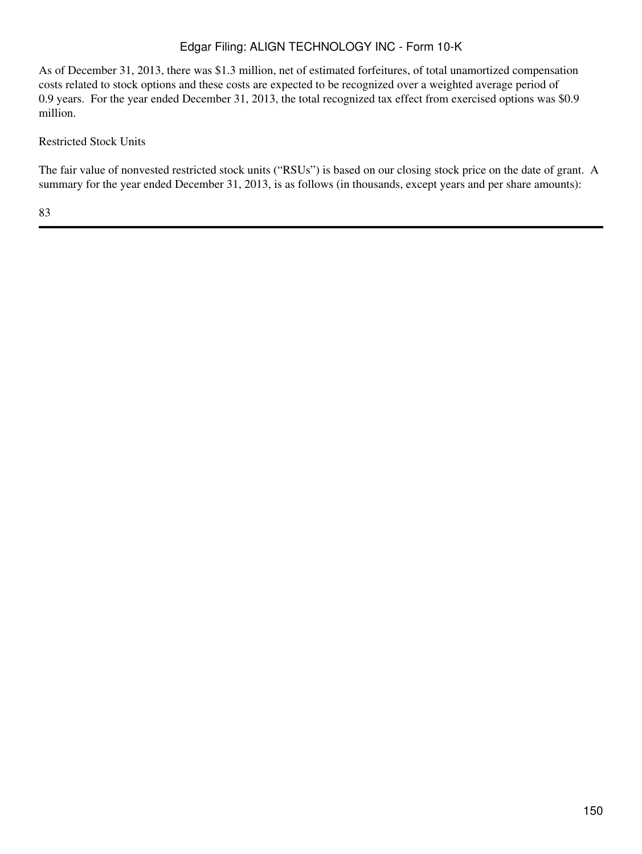As of December 31, 2013, there was \$1.3 million, net of estimated forfeitures, of total unamortized compensation costs related to stock options and these costs are expected to be recognized over a weighted average period of 0.9 years. For the year ended December 31, 2013, the total recognized tax effect from exercised options was \$0.9 million.

## Restricted Stock Units

The fair value of nonvested restricted stock units ("RSUs") is based on our closing stock price on the date of grant. A summary for the year ended December 31, 2013, is as follows (in thousands, except years and per share amounts):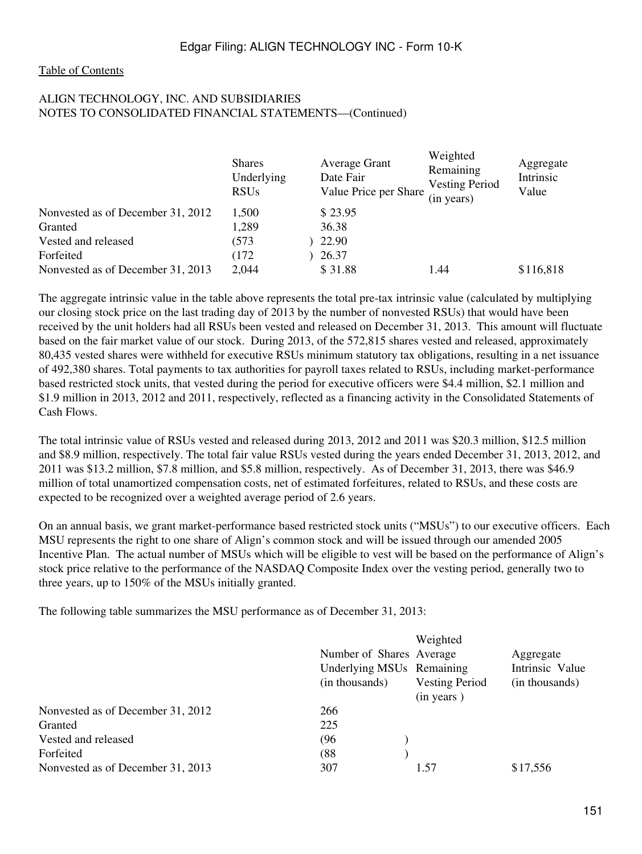### ALIGN TECHNOLOGY, INC. AND SUBSIDIARIES NOTES TO CONSOLIDATED FINANCIAL STATEMENTS—(Continued)

|                                   | <b>Shares</b><br>Underlying<br><b>RSUs</b> | <b>Average Grant</b><br>Date Fair<br>Value Price per Share | Weighted<br>Remaining<br><b>Vesting Period</b><br>(in years) | Aggregate<br>Intrinsic<br>Value |
|-----------------------------------|--------------------------------------------|------------------------------------------------------------|--------------------------------------------------------------|---------------------------------|
| Nonvested as of December 31, 2012 | 1,500                                      | \$23.95                                                    |                                                              |                                 |
| Granted                           | 1,289                                      | 36.38                                                      |                                                              |                                 |
| Vested and released               | (573)                                      | 22.90                                                      |                                                              |                                 |
| Forfeited                         | (172)                                      | 26.37                                                      |                                                              |                                 |
| Nonvested as of December 31, 2013 | 2,044                                      | \$31.88                                                    | 1.44                                                         | \$116,818                       |

The aggregate intrinsic value in the table above represents the total pre-tax intrinsic value (calculated by multiplying our closing stock price on the last trading day of 2013 by the number of nonvested RSUs) that would have been received by the unit holders had all RSUs been vested and released on December 31, 2013. This amount will fluctuate based on the fair market value of our stock. During 2013, of the 572,815 shares vested and released, approximately 80,435 vested shares were withheld for executive RSUs minimum statutory tax obligations, resulting in a net issuance of 492,380 shares. Total payments to tax authorities for payroll taxes related to RSUs, including market-performance based restricted stock units, that vested during the period for executive officers were \$4.4 million, \$2.1 million and \$1.9 million in 2013, 2012 and 2011, respectively, reflected as a financing activity in the Consolidated Statements of Cash Flows.

The total intrinsic value of RSUs vested and released during 2013, 2012 and 2011 was \$20.3 million, \$12.5 million and \$8.9 million, respectively. The total fair value RSUs vested during the years ended December 31, 2013, 2012, and 2011 was \$13.2 million, \$7.8 million, and \$5.8 million, respectively. As of December 31, 2013, there was \$46.9 million of total unamortized compensation costs, net of estimated forfeitures, related to RSUs, and these costs are expected to be recognized over a weighted average period of 2.6 years.

On an annual basis, we grant market-performance based restricted stock units ("MSUs") to our executive officers. Each MSU represents the right to one share of Align's common stock and will be issued through our amended 2005 Incentive Plan. The actual number of MSUs which will be eligible to vest will be based on the performance of Align's stock price relative to the performance of the NASDAQ Composite Index over the vesting period, generally two to three years, up to 150% of the MSUs initially granted.

The following table summarizes the MSU performance as of December 31, 2013:

|                                   |                           | Weighted              |                 |
|-----------------------------------|---------------------------|-----------------------|-----------------|
|                                   | Number of Shares Average  |                       | Aggregate       |
|                                   | Underlying MSUs Remaining |                       | Intrinsic Value |
|                                   | (in thousands)            | <b>Vesting Period</b> | (in thousands)  |
|                                   |                           | (in years)            |                 |
| Nonvested as of December 31, 2012 | 266                       |                       |                 |
| Granted                           | 225                       |                       |                 |
| Vested and released               | (96                       |                       |                 |
| Forfeited                         | (88)                      |                       |                 |
| Nonvested as of December 31, 2013 | 307                       | 1.57                  | \$17,556        |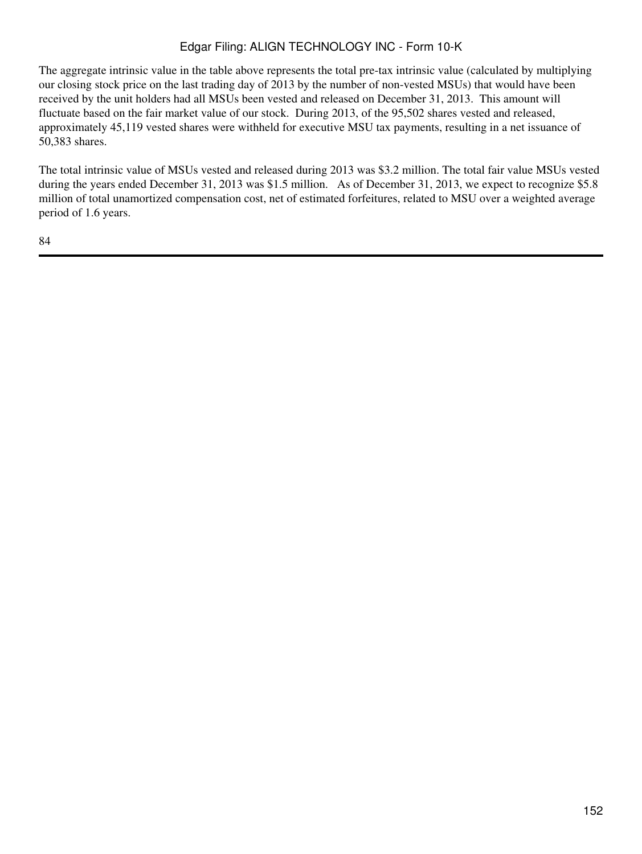The aggregate intrinsic value in the table above represents the total pre-tax intrinsic value (calculated by multiplying our closing stock price on the last trading day of 2013 by the number of non-vested MSUs) that would have been received by the unit holders had all MSUs been vested and released on December 31, 2013. This amount will fluctuate based on the fair market value of our stock. During 2013, of the 95,502 shares vested and released, approximately 45,119 vested shares were withheld for executive MSU tax payments, resulting in a net issuance of 50,383 shares.

The total intrinsic value of MSUs vested and released during 2013 was \$3.2 million. The total fair value MSUs vested during the years ended December 31, 2013 was \$1.5 million. As of December 31, 2013, we expect to recognize \$5.8 million of total unamortized compensation cost, net of estimated forfeitures, related to MSU over a weighted average period of 1.6 years.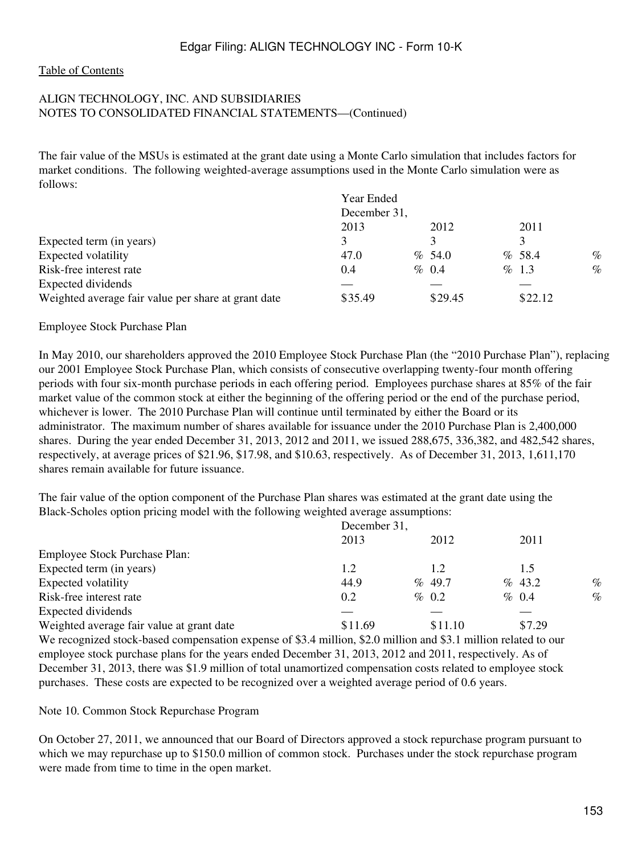### ALIGN TECHNOLOGY, INC. AND SUBSIDIARIES NOTES TO CONSOLIDATED FINANCIAL STATEMENTS—(Continued)

The fair value of the MSUs is estimated at the grant date using a Monte Carlo simulation that includes factors for market conditions. The following weighted-average assumptions used in the Monte Carlo simulation were as follows:

|                                                     | Year Ended   |           |          |      |
|-----------------------------------------------------|--------------|-----------|----------|------|
|                                                     | December 31, |           |          |      |
|                                                     | 2013         | 2012      | 2011     |      |
| Expected term (in years)                            |              |           |          |      |
| Expected volatility                                 | 47.0         | $\%$ 54.0 | %58.4    | $\%$ |
| Risk-free interest rate                             | 0.4          | $\%$ 0.4  | $\%$ 1.3 | $\%$ |
| Expected dividends                                  |              |           |          |      |
| Weighted average fair value per share at grant date | \$35.49      | \$29.45   | \$22.12  |      |

#### Employee Stock Purchase Plan

In May 2010, our shareholders approved the 2010 Employee Stock Purchase Plan (the "2010 Purchase Plan"), replacing our 2001 Employee Stock Purchase Plan, which consists of consecutive overlapping twenty-four month offering periods with four six-month purchase periods in each offering period. Employees purchase shares at 85% of the fair market value of the common stock at either the beginning of the offering period or the end of the purchase period, whichever is lower. The 2010 Purchase Plan will continue until terminated by either the Board or its administrator. The maximum number of shares available for issuance under the 2010 Purchase Plan is 2,400,000 shares. During the year ended December 31, 2013, 2012 and 2011, we issued 288,675, 336,382, and 482,542 shares, respectively, at average prices of \$21.96, \$17.98, and \$10.63, respectively. As of December 31, 2013, 1,611,170 shares remain available for future issuance.

The fair value of the option component of the Purchase Plan shares was estimated at the grant date using the Black-Scholes option pricing model with the following weighted average assumptions:

|                                                                                                                 | December 31, |  |          |  |          |      |
|-----------------------------------------------------------------------------------------------------------------|--------------|--|----------|--|----------|------|
|                                                                                                                 | 2013         |  | 2012     |  | 2011     |      |
| Employee Stock Purchase Plan:                                                                                   |              |  |          |  |          |      |
| Expected term (in years)                                                                                        | 1.2          |  | 1.2      |  | 1.5      |      |
| Expected volatility                                                                                             | 44.9         |  | % 49.7   |  | % 43.2   | $\%$ |
| Risk-free interest rate                                                                                         | 0.2          |  | $\%$ 0.2 |  | $\%$ 0.4 | $\%$ |
| Expected dividends                                                                                              |              |  |          |  |          |      |
| Weighted average fair value at grant date                                                                       | \$11.69      |  | \$11.10  |  | \$7.29   |      |
| We recognized stock-based compensation expense of \$3.4 million, \$2.0 million and \$3.1 million related to our |              |  |          |  |          |      |

employee stock purchase plans for the years ended December 31, 2013, 2012 and 2011, respectively. As of December 31, 2013, there was \$1.9 million of total unamortized compensation costs related to employee stock purchases. These costs are expected to be recognized over a weighted average period of 0.6 years.

#### Note 10. Common Stock Repurchase Program

On October 27, 2011, we announced that our Board of Directors approved a stock repurchase program pursuant to which we may repurchase up to \$150.0 million of common stock. Purchases under the stock repurchase program were made from time to time in the open market.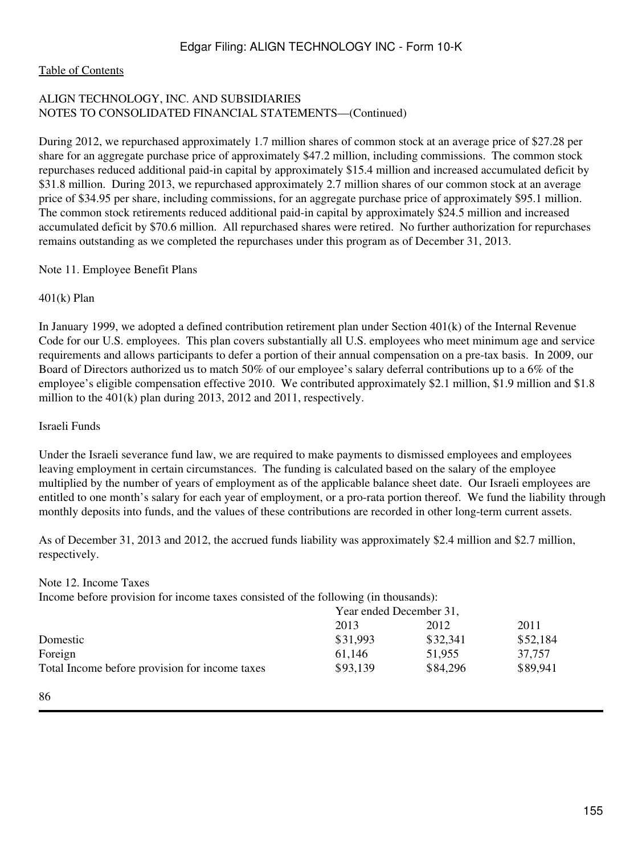#### [Table of Contents](#page-3-0)

## ALIGN TECHNOLOGY, INC. AND SUBSIDIARIES NOTES TO CONSOLIDATED FINANCIAL STATEMENTS—(Continued)

During 2012, we repurchased approximately 1.7 million shares of common stock at an average price of \$27.28 per share for an aggregate purchase price of approximately \$47.2 million, including commissions. The common stock repurchases reduced additional paid-in capital by approximately \$15.4 million and increased accumulated deficit by \$31.8 million. During 2013, we repurchased approximately 2.7 million shares of our common stock at an average price of \$34.95 per share, including commissions, for an aggregate purchase price of approximately \$95.1 million. The common stock retirements reduced additional paid-in capital by approximately \$24.5 million and increased accumulated deficit by \$70.6 million. All repurchased shares were retired. No further authorization for repurchases remains outstanding as we completed the repurchases under this program as of December 31, 2013.

Note 11. Employee Benefit Plans

#### 401(k) Plan

In January 1999, we adopted a defined contribution retirement plan under Section 401(k) of the Internal Revenue Code for our U.S. employees. This plan covers substantially all U.S. employees who meet minimum age and service requirements and allows participants to defer a portion of their annual compensation on a pre-tax basis. In 2009, our Board of Directors authorized us to match 50% of our employee's salary deferral contributions up to a 6% of the employee's eligible compensation effective 2010. We contributed approximately \$2.1 million, \$1.9 million and \$1.8 million to the 401(k) plan during 2013, 2012 and 2011, respectively.

#### Israeli Funds

Under the Israeli severance fund law, we are required to make payments to dismissed employees and employees leaving employment in certain circumstances. The funding is calculated based on the salary of the employee multiplied by the number of years of employment as of the applicable balance sheet date. Our Israeli employees are entitled to one month's salary for each year of employment, or a pro-rata portion thereof. We fund the liability through monthly deposits into funds, and the values of these contributions are recorded in other long-term current assets.

As of December 31, 2013 and 2012, the accrued funds liability was approximately \$2.4 million and \$2.7 million, respectively.

#### Note 12. Income Taxes

Income before provision for income taxes consisted of the following (in thousands):

|                                                | Year ended December 31, |          |          |
|------------------------------------------------|-------------------------|----------|----------|
|                                                | 2013                    | 2012     | 2011     |
| Domestic                                       | \$31,993                | \$32,341 | \$52,184 |
| Foreign                                        | 61.146                  | 51.955   | 37.757   |
| Total Income before provision for income taxes | \$93,139                | \$84,296 | \$89,941 |

<sup>86</sup>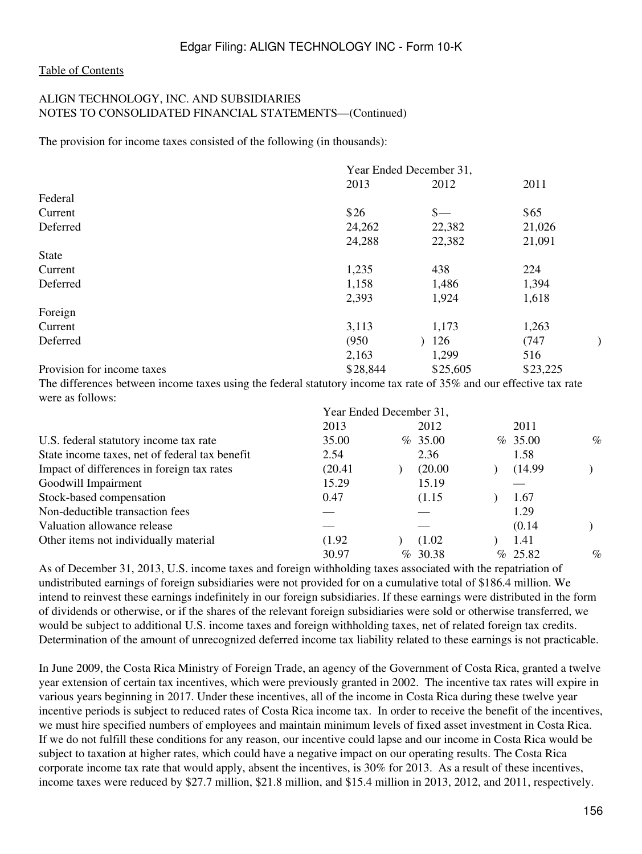#### ALIGN TECHNOLOGY, INC. AND SUBSIDIARIES NOTES TO CONSOLIDATED FINANCIAL STATEMENTS—(Continued)

The provision for income taxes consisted of the following (in thousands):

|                            |          | Year Ended December 31, |          |  |
|----------------------------|----------|-------------------------|----------|--|
|                            | 2013     | 2012                    | 2011     |  |
| Federal                    |          |                         |          |  |
| Current                    | \$26     | $\frac{\ }{s-}$         | \$65     |  |
| Deferred                   | 24,262   | 22,382                  | 21,026   |  |
|                            | 24,288   | 22,382                  | 21,091   |  |
| <b>State</b>               |          |                         |          |  |
| Current                    | 1,235    | 438                     | 224      |  |
| Deferred                   | 1,158    | 1,486                   | 1,394    |  |
|                            | 2,393    | 1,924                   | 1,618    |  |
| Foreign                    |          |                         |          |  |
| Current                    | 3,113    | 1,173                   | 1,263    |  |
| Deferred                   | (950)    | 126                     | (747)    |  |
|                            | 2,163    | 1,299                   | 516      |  |
| Provision for income taxes | \$28,844 | \$25,605                | \$23,225 |  |

The differences between income taxes using the federal statutory income tax rate of 35% and our effective tax rate were as follows:

|                                                | Year Ended December 31, |            |         |      |
|------------------------------------------------|-------------------------|------------|---------|------|
|                                                | 2013                    | 2012       | 2011    |      |
| U.S. federal statutory income tax rate         | 35.00                   | $\%$ 35.00 | % 35.00 | $\%$ |
| State income taxes, net of federal tax benefit | 2.54                    | 2.36       | 1.58    |      |
| Impact of differences in foreign tax rates     | (20.41)                 | (20.00)    | (14.99) |      |
| Goodwill Impairment                            | 15.29                   | 15.19      |         |      |
| Stock-based compensation                       | 0.47                    | (1.15)     | 1.67    |      |
| Non-deductible transaction fees                |                         |            | 1.29    |      |
| Valuation allowance release                    |                         |            | (0.14)  |      |
| Other items not individually material          | (1.92)                  | (1.02)     | 1.41    |      |
|                                                | 30.97                   | % 30.38    | % 25.82 | $\%$ |

As of December 31, 2013, U.S. income taxes and foreign withholding taxes associated with the repatriation of undistributed earnings of foreign subsidiaries were not provided for on a cumulative total of \$186.4 million. We intend to reinvest these earnings indefinitely in our foreign subsidiaries. If these earnings were distributed in the form of dividends or otherwise, or if the shares of the relevant foreign subsidiaries were sold or otherwise transferred, we would be subject to additional U.S. income taxes and foreign withholding taxes, net of related foreign tax credits. Determination of the amount of unrecognized deferred income tax liability related to these earnings is not practicable.

In June 2009, the Costa Rica Ministry of Foreign Trade, an agency of the Government of Costa Rica, granted a twelve year extension of certain tax incentives, which were previously granted in 2002. The incentive tax rates will expire in various years beginning in 2017. Under these incentives, all of the income in Costa Rica during these twelve year incentive periods is subject to reduced rates of Costa Rica income tax. In order to receive the benefit of the incentives, we must hire specified numbers of employees and maintain minimum levels of fixed asset investment in Costa Rica. If we do not fulfill these conditions for any reason, our incentive could lapse and our income in Costa Rica would be subject to taxation at higher rates, which could have a negative impact on our operating results. The Costa Rica corporate income tax rate that would apply, absent the incentives, is 30% for 2013. As a result of these incentives, income taxes were reduced by \$27.7 million, \$21.8 million, and \$15.4 million in 2013, 2012, and 2011, respectively.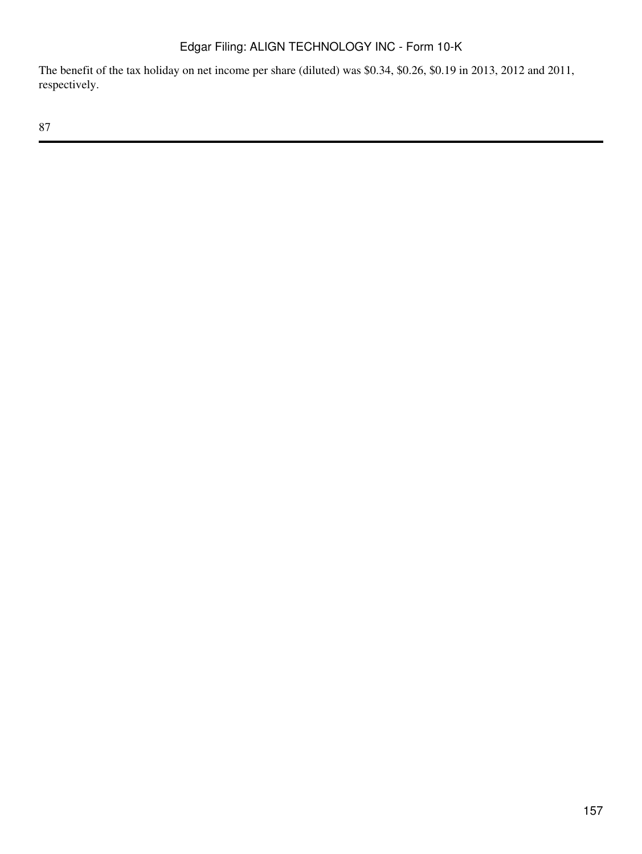The benefit of the tax holiday on net income per share (diluted) was \$0.34, \$0.26, \$0.19 in 2013, 2012 and 2011, respectively.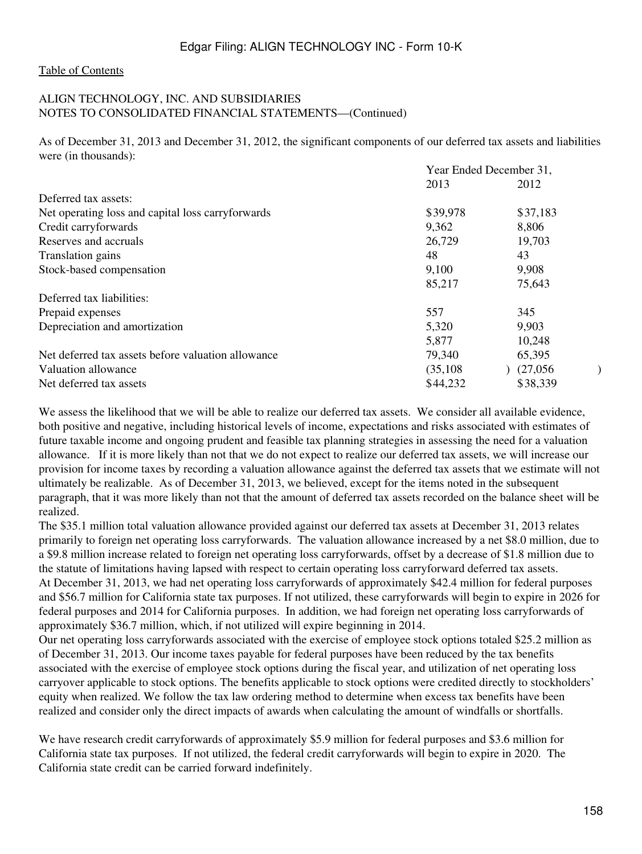#### ALIGN TECHNOLOGY, INC. AND SUBSIDIARIES NOTES TO CONSOLIDATED FINANCIAL STATEMENTS—(Continued)

As of December 31, 2013 and December 31, 2012, the significant components of our deferred tax assets and liabilities were (in thousands):

|                                                               | Year Ended December 31, |  |  |
|---------------------------------------------------------------|-------------------------|--|--|
| 2013                                                          | 2012                    |  |  |
| Deferred tax assets:                                          |                         |  |  |
| \$39,978<br>Net operating loss and capital loss carryforwards | \$37,183                |  |  |
| Credit carryforwards<br>9,362                                 | 8,806                   |  |  |
| Reserves and accruals<br>26,729                               | 19,703                  |  |  |
| 48<br>Translation gains                                       | 43                      |  |  |
| Stock-based compensation<br>9,100                             | 9,908                   |  |  |
| 85,217                                                        | 75,643                  |  |  |
| Deferred tax liabilities:                                     |                         |  |  |
| 557<br>Prepaid expenses                                       | 345                     |  |  |
| Depreciation and amortization<br>5,320                        | 9,903                   |  |  |
| 5,877                                                         | 10,248                  |  |  |
| Net deferred tax assets before valuation allowance<br>79,340  | 65,395                  |  |  |
| (35, 108)<br>Valuation allowance                              | (27,056)                |  |  |
| \$44,232<br>Net deferred tax assets                           | \$38,339                |  |  |

We assess the likelihood that we will be able to realize our deferred tax assets. We consider all available evidence, both positive and negative, including historical levels of income, expectations and risks associated with estimates of future taxable income and ongoing prudent and feasible tax planning strategies in assessing the need for a valuation allowance. If it is more likely than not that we do not expect to realize our deferred tax assets, we will increase our provision for income taxes by recording a valuation allowance against the deferred tax assets that we estimate will not ultimately be realizable. As of December 31, 2013, we believed, except for the items noted in the subsequent paragraph, that it was more likely than not that the amount of deferred tax assets recorded on the balance sheet will be realized.

The \$35.1 million total valuation allowance provided against our deferred tax assets at December 31, 2013 relates primarily to foreign net operating loss carryforwards. The valuation allowance increased by a net \$8.0 million, due to a \$9.8 million increase related to foreign net operating loss carryforwards, offset by a decrease of \$1.8 million due to the statute of limitations having lapsed with respect to certain operating loss carryforward deferred tax assets. At December 31, 2013, we had net operating loss carryforwards of approximately \$42.4 million for federal purposes and \$56.7 million for California state tax purposes. If not utilized, these carryforwards will begin to expire in 2026 for federal purposes and 2014 for California purposes. In addition, we had foreign net operating loss carryforwards of approximately \$36.7 million, which, if not utilized will expire beginning in 2014.

Our net operating loss carryforwards associated with the exercise of employee stock options totaled \$25.2 million as of December 31, 2013. Our income taxes payable for federal purposes have been reduced by the tax benefits associated with the exercise of employee stock options during the fiscal year, and utilization of net operating loss carryover applicable to stock options. The benefits applicable to stock options were credited directly to stockholders' equity when realized. We follow the tax law ordering method to determine when excess tax benefits have been realized and consider only the direct impacts of awards when calculating the amount of windfalls or shortfalls.

We have research credit carryforwards of approximately \$5.9 million for federal purposes and \$3.6 million for California state tax purposes. If not utilized, the federal credit carryforwards will begin to expire in 2020. The California state credit can be carried forward indefinitely.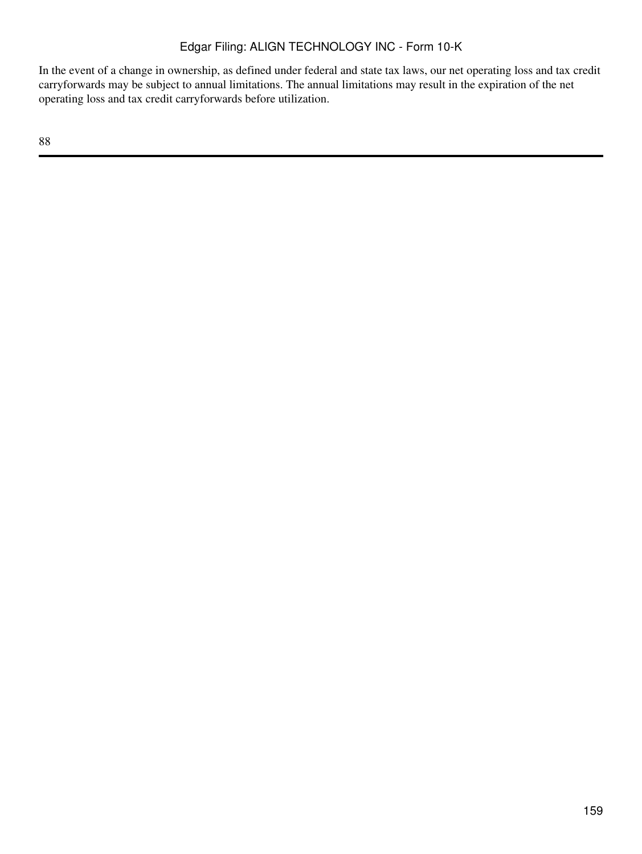In the event of a change in ownership, as defined under federal and state tax laws, our net operating loss and tax credit carryforwards may be subject to annual limitations. The annual limitations may result in the expiration of the net operating loss and tax credit carryforwards before utilization.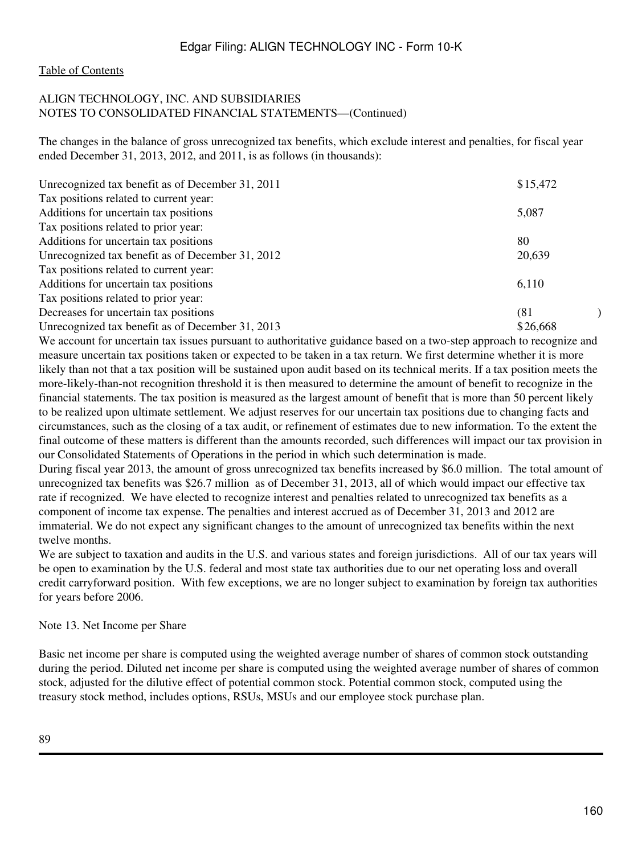#### [Table of Contents](#page-3-0)

## ALIGN TECHNOLOGY, INC. AND SUBSIDIARIES NOTES TO CONSOLIDATED FINANCIAL STATEMENTS—(Continued)

The changes in the balance of gross unrecognized tax benefits, which exclude interest and penalties, for fiscal year ended December 31, 2013, 2012, and 2011, is as follows (in thousands):

| Unrecognized tax benefit as of December 31, 2011 | \$15,472 |  |
|--------------------------------------------------|----------|--|
| Tax positions related to current year:           |          |  |
| Additions for uncertain tax positions            | 5,087    |  |
| Tax positions related to prior year:             |          |  |
| Additions for uncertain tax positions            | 80       |  |
| Unrecognized tax benefit as of December 31, 2012 | 20,639   |  |
| Tax positions related to current year:           |          |  |
| Additions for uncertain tax positions            | 6,110    |  |
| Tax positions related to prior year:             |          |  |
| Decreases for uncertain tax positions            | (81)     |  |
| Unrecognized tax benefit as of December 31, 2013 | \$26,668 |  |

We account for uncertain tax issues pursuant to authoritative guidance based on a two-step approach to recognize and measure uncertain tax positions taken or expected to be taken in a tax return. We first determine whether it is more likely than not that a tax position will be sustained upon audit based on its technical merits. If a tax position meets the more-likely-than-not recognition threshold it is then measured to determine the amount of benefit to recognize in the financial statements. The tax position is measured as the largest amount of benefit that is more than 50 percent likely to be realized upon ultimate settlement. We adjust reserves for our uncertain tax positions due to changing facts and circumstances, such as the closing of a tax audit, or refinement of estimates due to new information. To the extent the final outcome of these matters is different than the amounts recorded, such differences will impact our tax provision in our Consolidated Statements of Operations in the period in which such determination is made.

During fiscal year 2013, the amount of gross unrecognized tax benefits increased by \$6.0 million. The total amount of unrecognized tax benefits was \$26.7 million as of December 31, 2013, all of which would impact our effective tax rate if recognized. We have elected to recognize interest and penalties related to unrecognized tax benefits as a component of income tax expense. The penalties and interest accrued as of December 31, 2013 and 2012 are immaterial. We do not expect any significant changes to the amount of unrecognized tax benefits within the next twelve months.

We are subject to taxation and audits in the U.S. and various states and foreign jurisdictions. All of our tax years will be open to examination by the U.S. federal and most state tax authorities due to our net operating loss and overall credit carryforward position. With few exceptions, we are no longer subject to examination by foreign tax authorities for years before 2006.

#### Note 13. Net Income per Share

Basic net income per share is computed using the weighted average number of shares of common stock outstanding during the period. Diluted net income per share is computed using the weighted average number of shares of common stock, adjusted for the dilutive effect of potential common stock. Potential common stock, computed using the treasury stock method, includes options, RSUs, MSUs and our employee stock purchase plan.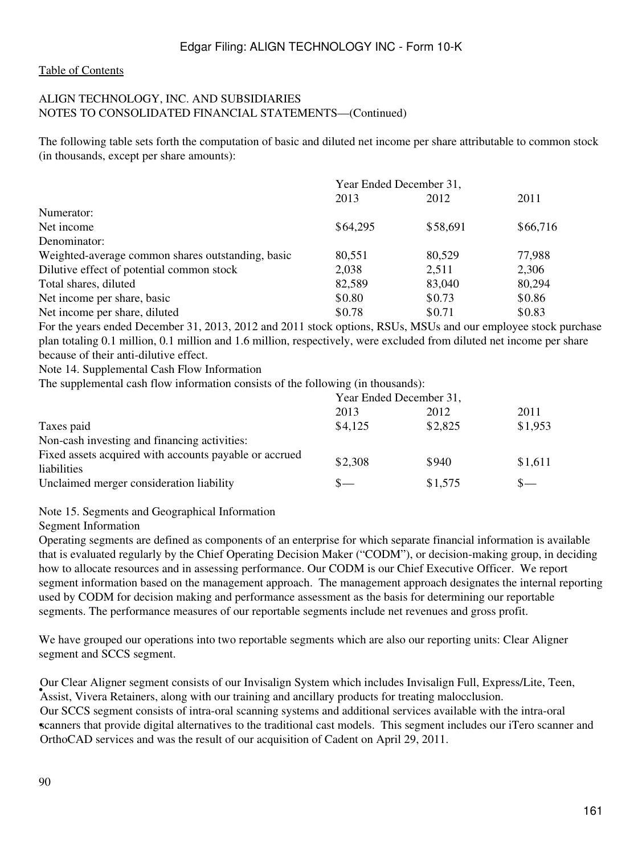## ALIGN TECHNOLOGY, INC. AND SUBSIDIARIES NOTES TO CONSOLIDATED FINANCIAL STATEMENTS—(Continued)

The following table sets forth the computation of basic and diluted net income per share attributable to common stock (in thousands, except per share amounts):

|                                                   | Year Ended December 31, |          |          |  |
|---------------------------------------------------|-------------------------|----------|----------|--|
|                                                   | 2013                    | 2012     | 2011     |  |
| Numerator:                                        |                         |          |          |  |
| Net income                                        | \$64,295                | \$58,691 | \$66,716 |  |
| Denominator:                                      |                         |          |          |  |
| Weighted-average common shares outstanding, basic | 80,551                  | 80.529   | 77,988   |  |
| Dilutive effect of potential common stock         | 2,038                   | 2,511    | 2,306    |  |
| Total shares, diluted                             | 82,589                  | 83,040   | 80,294   |  |
| Net income per share, basic                       | \$0.80                  | \$0.73   | \$0.86   |  |
| Net income per share, diluted                     | \$0.78                  | \$0.71   | \$0.83   |  |

For the years ended December 31, 2013, 2012 and 2011 stock options, RSUs, MSUs and our employee stock purchase plan totaling 0.1 million, 0.1 million and 1.6 million, respectively, were excluded from diluted net income per share because of their anti-dilutive effect.

Note 14. Supplemental Cash Flow Information

The supplemental cash flow information consists of the following (in thousands):

|                                                                       | Year Ended December 31, |         |         |
|-----------------------------------------------------------------------|-------------------------|---------|---------|
|                                                                       | 2013                    | 2012    | 2011    |
| Taxes paid                                                            | \$4,125                 | \$2,825 | \$1,953 |
| Non-cash investing and financing activities:                          |                         |         |         |
| Fixed assets acquired with accounts payable or accrued<br>liabilities | \$2,308                 | \$940   | \$1,611 |
| Unclaimed merger consideration liability                              | «__                     | \$1,575 | $S-$    |

## Note 15. Segments and Geographical Information

Segment Information

Operating segments are defined as components of an enterprise for which separate financial information is available that is evaluated regularly by the Chief Operating Decision Maker ("CODM"), or decision-making group, in deciding how to allocate resources and in assessing performance. Our CODM is our Chief Executive Officer. We report segment information based on the management approach. The management approach designates the internal reporting used by CODM for decision making and performance assessment as the basis for determining our reportable segments. The performance measures of our reportable segments include net revenues and gross profit.

We have grouped our operations into two reportable segments which are also our reporting units: Clear Aligner segment and SCCS segment.

• Assist, Vivera Retainers, along with our training and ancillary products for treating malocclusion. Our Clear Aligner segment consists of our Invisalign System which includes Invisalign Full, Express/Lite, Teen, scanners that provide digital alternatives to the traditional cast models. This segment includes our iTero scanner and Our SCCS segment consists of intra-oral scanning systems and additional services available with the intra-oral OrthoCAD services and was the result of our acquisition of Cadent on April 29, 2011.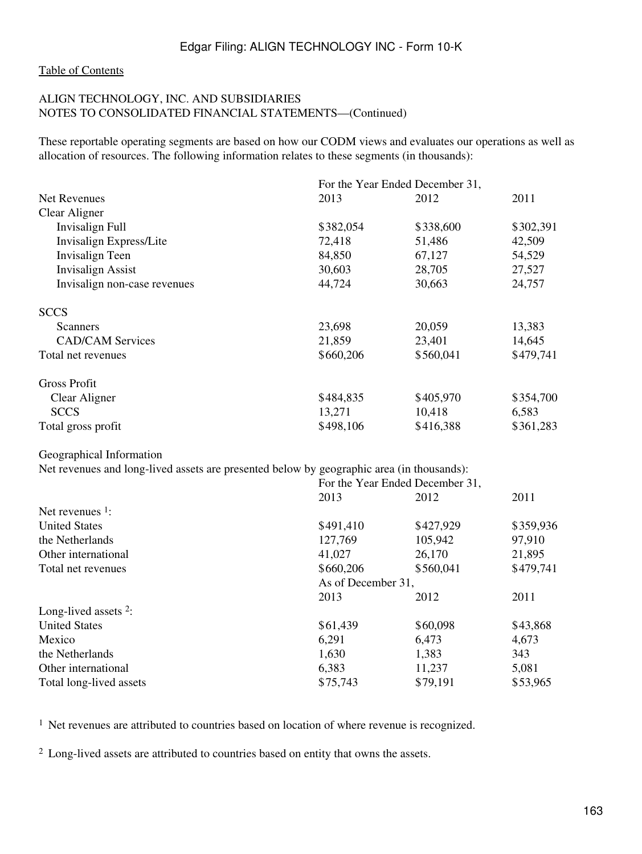#### ALIGN TECHNOLOGY, INC. AND SUBSIDIARIES NOTES TO CONSOLIDATED FINANCIAL STATEMENTS—(Continued)

These reportable operating segments are based on how our CODM views and evaluates our operations as well as allocation of resources. The following information relates to these segments (in thousands):

|                                                                                           |                    | For the Year Ended December 31, |           |
|-------------------------------------------------------------------------------------------|--------------------|---------------------------------|-----------|
| Net Revenues                                                                              | 2013               | 2012                            | 2011      |
| Clear Aligner                                                                             |                    |                                 |           |
| <b>Invisalign Full</b>                                                                    | \$382,054          | \$338,600                       | \$302,391 |
| Invisalign Express/Lite                                                                   | 72,418             | 51,486                          | 42,509    |
| Invisalign Teen                                                                           | 84,850             | 67,127                          | 54,529    |
| <b>Invisalign Assist</b>                                                                  | 30,603             | 28,705                          | 27,527    |
| Invisalign non-case revenues                                                              | 44,724             | 30,663                          | 24,757    |
| <b>SCCS</b>                                                                               |                    |                                 |           |
| Scanners                                                                                  | 23,698             | 20,059                          | 13,383    |
| <b>CAD/CAM Services</b>                                                                   | 21,859             | 23,401                          | 14,645    |
| Total net revenues                                                                        | \$660,206          | \$560,041                       | \$479,741 |
| <b>Gross Profit</b>                                                                       |                    |                                 |           |
| Clear Aligner                                                                             | \$484,835          | \$405,970                       | \$354,700 |
| <b>SCCS</b>                                                                               | 13,271             | 10,418                          | 6,583     |
| Total gross profit                                                                        | \$498,106          | \$416,388                       | \$361,283 |
| Geographical Information                                                                  |                    |                                 |           |
| Net revenues and long-lived assets are presented below by geographic area (in thousands): |                    |                                 |           |
|                                                                                           |                    | For the Year Ended December 31, |           |
|                                                                                           | 2013               | 2012                            | 2011      |
| Net revenues $1$ :                                                                        |                    |                                 |           |
| <b>United States</b>                                                                      | \$491,410          | \$427,929                       | \$359,936 |
| the Netherlands                                                                           | 127,769            | 105,942                         | 97,910    |
| Other international                                                                       | 41,027             | 26,170                          | 21,895    |
| Total net revenues                                                                        | \$660,206          | \$560,041                       | \$479,741 |
|                                                                                           | As of December 31, |                                 |           |
|                                                                                           | 2013               | 2012                            | 2011      |
| Long-lived assets <sup>2</sup> :                                                          |                    |                                 |           |
| <b>United States</b>                                                                      | \$61,439           | \$60,098                        | \$43,868  |
| Mexico                                                                                    | 6,291              | 6,473                           | 4,673     |
| the Netherlands                                                                           | 1,630              | 1,383                           | 343       |
| Other international                                                                       | 6,383              | 11,237                          | 5,081     |
| Total long-lived assets                                                                   | \$75,743           | \$79,191                        | \$53,965  |

<sup>1</sup> Net revenues are attributed to countries based on location of where revenue is recognized.

<sup>2</sup> Long-lived assets are attributed to countries based on entity that owns the assets.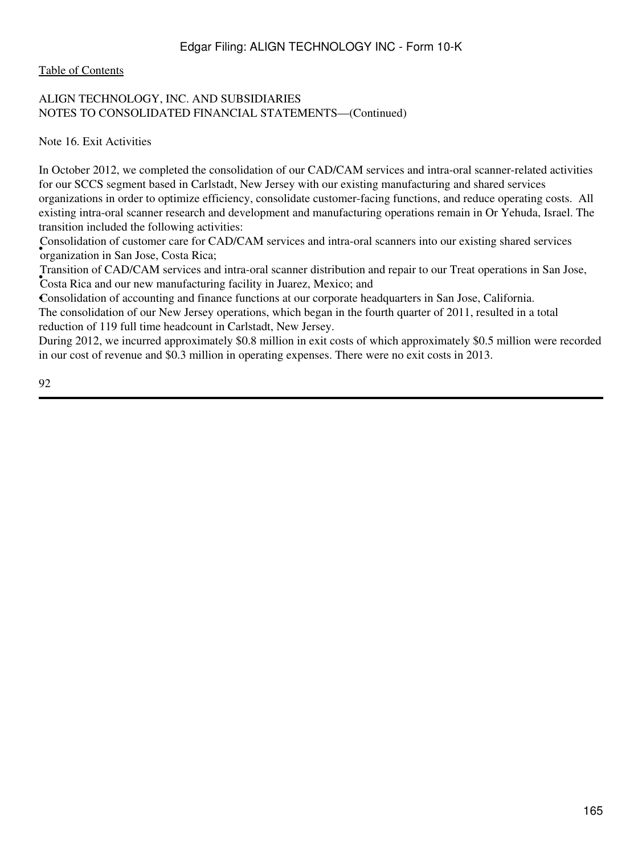[Table of Contents](#page-3-0)

## ALIGN TECHNOLOGY, INC. AND SUBSIDIARIES NOTES TO CONSOLIDATED FINANCIAL STATEMENTS—(Continued)

Note 16. Exit Activities

In October 2012, we completed the consolidation of our CAD/CAM services and intra-oral scanner-related activities for our SCCS segment based in Carlstadt, New Jersey with our existing manufacturing and shared services organizations in order to optimize efficiency, consolidate customer-facing functions, and reduce operating costs. All existing intra-oral scanner research and development and manufacturing operations remain in Or Yehuda, Israel. The transition included the following activities:

• organization in San Jose, Costa Rica; Consolidation of customer care for CAD/CAM services and intra-oral scanners into our existing shared services

**Costa Rica and our new manufacturing facility in Juarez, Mexico; and** Transition of CAD/CAM services and intra-oral scanner distribution and repair to our Treat operations in San Jose,

•Consolidation of accounting and finance functions at our corporate headquarters in San Jose, California. The consolidation of our New Jersey operations, which began in the fourth quarter of 2011, resulted in a total reduction of 119 full time headcount in Carlstadt, New Jersey.

During 2012, we incurred approximately \$0.8 million in exit costs of which approximately \$0.5 million were recorded in our cost of revenue and \$0.3 million in operating expenses. There were no exit costs in 2013.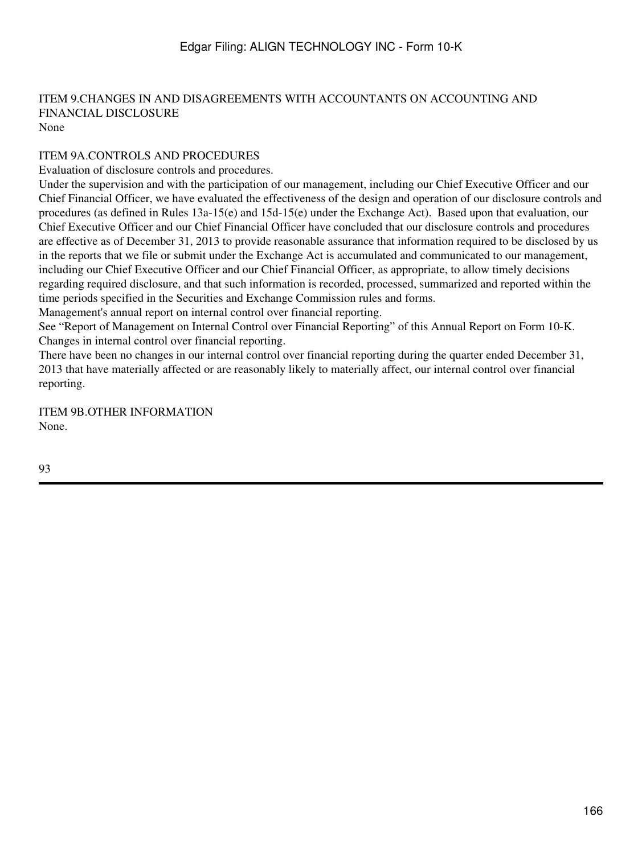#### ITEM 9.CHANGES IN AND DISAGREEMENTS WITH ACCOUNTANTS ON ACCOUNTING AND FINANCIAL DISCLOSURE None

## ITEM 9A.CONTROLS AND PROCEDURES

Evaluation of disclosure controls and procedures.

Under the supervision and with the participation of our management, including our Chief Executive Officer and our Chief Financial Officer, we have evaluated the effectiveness of the design and operation of our disclosure controls and procedures (as defined in Rules 13a-15(e) and 15d-15(e) under the Exchange Act). Based upon that evaluation, our Chief Executive Officer and our Chief Financial Officer have concluded that our disclosure controls and procedures are effective as of December 31, 2013 to provide reasonable assurance that information required to be disclosed by us in the reports that we file or submit under the Exchange Act is accumulated and communicated to our management, including our Chief Executive Officer and our Chief Financial Officer, as appropriate, to allow timely decisions regarding required disclosure, and that such information is recorded, processed, summarized and reported within the time periods specified in the Securities and Exchange Commission rules and forms.

Management's annual report on internal control over financial reporting.

See "Report of Management on Internal Control over Financial Reporting" of this Annual Report on Form 10-K. Changes in internal control over financial reporting.

There have been no changes in our internal control over financial reporting during the quarter ended December 31, 2013 that have materially affected or are reasonably likely to materially affect, our internal control over financial reporting.

ITEM 9B.OTHER INFORMATION None.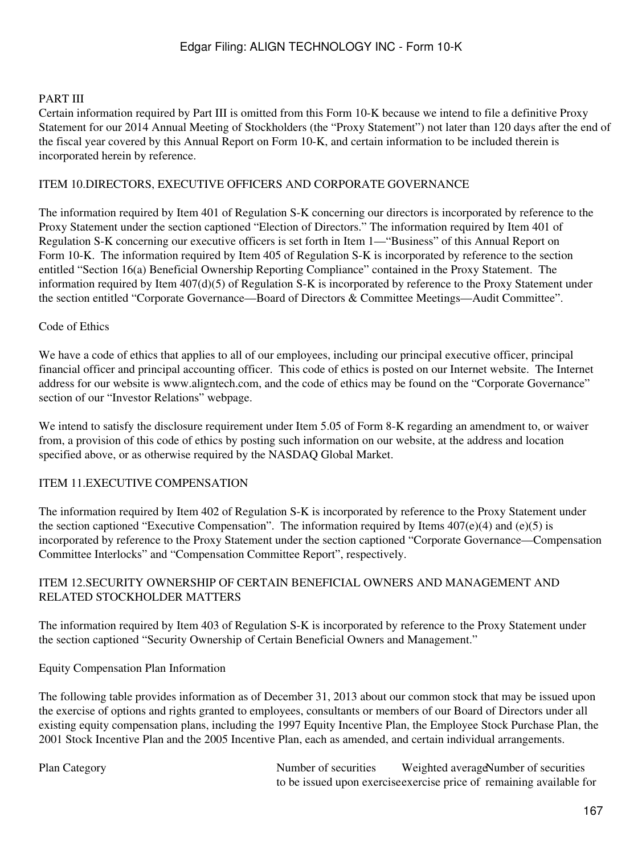#### PART III

Certain information required by Part III is omitted from this Form 10-K because we intend to file a definitive Proxy Statement for our 2014 Annual Meeting of Stockholders (the "Proxy Statement") not later than 120 days after the end of the fiscal year covered by this Annual Report on Form 10-K, and certain information to be included therein is incorporated herein by reference.

#### ITEM 10.DIRECTORS, EXECUTIVE OFFICERS AND CORPORATE GOVERNANCE

The information required by Item 401 of Regulation S-K concerning our directors is incorporated by reference to the Proxy Statement under the section captioned "Election of Directors." The information required by Item 401 of Regulation S-K concerning our executive officers is set forth in Item 1—"Business" of this Annual Report on Form 10-K. The information required by Item 405 of Regulation S-K is incorporated by reference to the section entitled "Section 16(a) Beneficial Ownership Reporting Compliance" contained in the Proxy Statement. The information required by Item 407(d)(5) of Regulation S-K is incorporated by reference to the Proxy Statement under the section entitled "Corporate Governance—Board of Directors & Committee Meetings—Audit Committee".

#### Code of Ethics

We have a code of ethics that applies to all of our employees, including our principal executive officer, principal financial officer and principal accounting officer. This code of ethics is posted on our Internet website. The Internet address for our website is www.aligntech.com, and the code of ethics may be found on the "Corporate Governance" section of our "Investor Relations" webpage.

We intend to satisfy the disclosure requirement under Item 5.05 of Form 8-K regarding an amendment to, or waiver from, a provision of this code of ethics by posting such information on our website, at the address and location specified above, or as otherwise required by the NASDAQ Global Market.

## ITEM 11.EXECUTIVE COMPENSATION

The information required by Item 402 of Regulation S-K is incorporated by reference to the Proxy Statement under the section captioned "Executive Compensation". The information required by Items  $407(e)(4)$  and (e)(5) is incorporated by reference to the Proxy Statement under the section captioned "Corporate Governance—Compensation Committee Interlocks" and "Compensation Committee Report", respectively.

#### ITEM 12.SECURITY OWNERSHIP OF CERTAIN BENEFICIAL OWNERS AND MANAGEMENT AND RELATED STOCKHOLDER MATTERS

The information required by Item 403 of Regulation S-K is incorporated by reference to the Proxy Statement under the section captioned "Security Ownership of Certain Beneficial Owners and Management."

#### Equity Compensation Plan Information

The following table provides information as of December 31, 2013 about our common stock that may be issued upon the exercise of options and rights granted to employees, consultants or members of our Board of Directors under all existing equity compensation plans, including the 1997 Equity Incentive Plan, the Employee Stock Purchase Plan, the 2001 Stock Incentive Plan and the 2005 Incentive Plan, each as amended, and certain individual arrangements.

Plan Category Number of securities to be issued upon exercise exercise price of remaining available for Weighted average Number of securities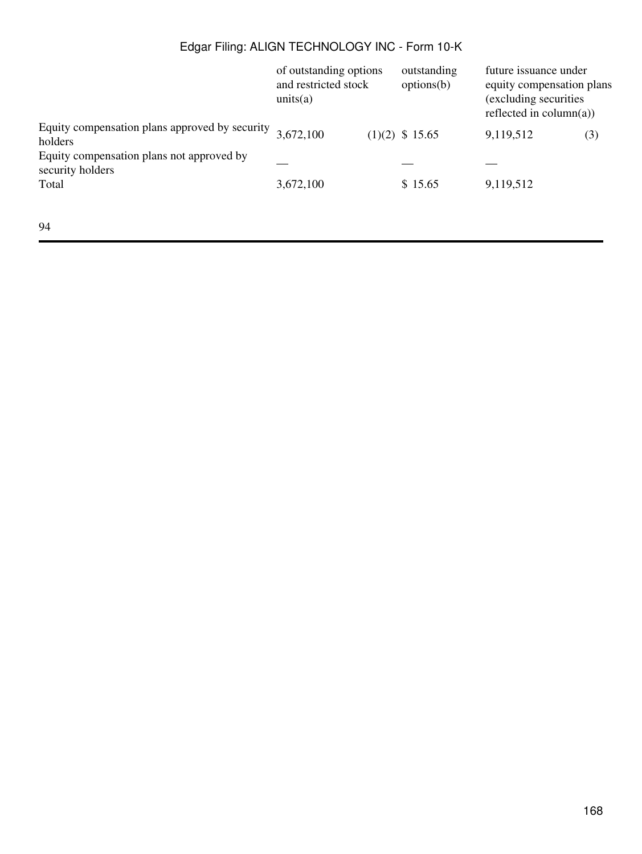|                                                               | of outstanding options<br>and restricted stock<br>units(a) | outstanding<br>options(b) | future issuance under<br>equity compensation plans<br>(excluding securities)<br>reflected in column(a)) |     |
|---------------------------------------------------------------|------------------------------------------------------------|---------------------------|---------------------------------------------------------------------------------------------------------|-----|
| Equity compensation plans approved by security<br>holders     | 3,672,100                                                  | $(1)(2)$ \$ 15.65         | 9,119,512                                                                                               | (3) |
| Equity compensation plans not approved by<br>security holders |                                                            |                           |                                                                                                         |     |
| Total                                                         | 3,672,100                                                  | \$15.65                   | 9,119,512                                                                                               |     |
|                                                               |                                                            |                           |                                                                                                         |     |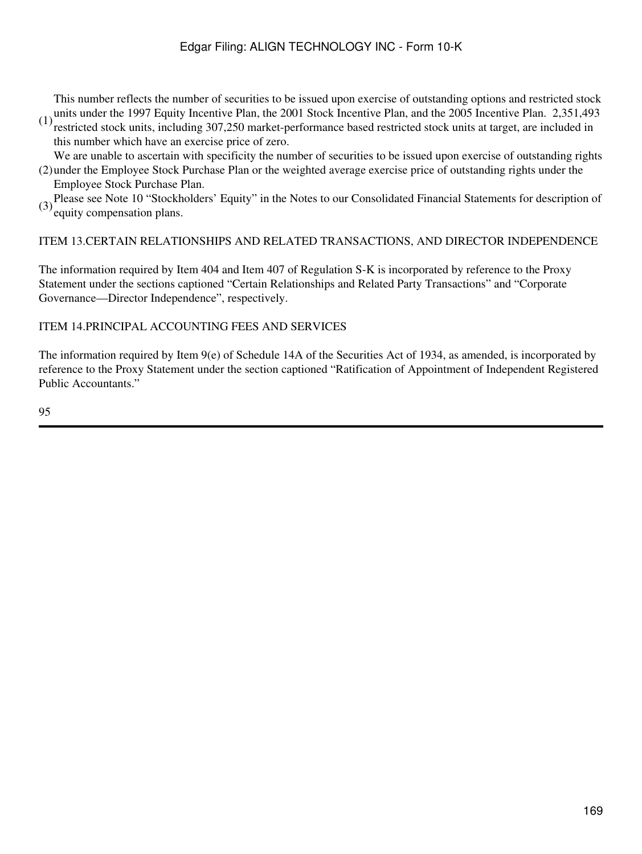(1) units under the 1997 Equity Incentive Plan, the 2001 Stock Incentive Plan, and the 2005 Incentive Plan. 2,351,493<br>(1) particled steak units, including 207,250 modest performance based perticled steak units at tenset, a This number reflects the number of securities to be issued upon exercise of outstanding options and restricted stock

restricted stock units, including 307,250 market-performance based restricted stock units at target, are included in this number which have an exercise price of zero.

(2) under the Employee Stock Purchase Plan or the weighted average exercise price of outstanding rights under the We are unable to ascertain with specificity the number of securities to be issued upon exercise of outstanding rights

Employee Stock Purchase Plan.

(3) Please see Note 10 "Stockholders' Equity" in the Notes to our Consolidated Financial Statements for description of equity compensation plans.

## ITEM 13.CERTAIN RELATIONSHIPS AND RELATED TRANSACTIONS, AND DIRECTOR INDEPENDENCE

The information required by Item 404 and Item 407 of Regulation S-K is incorporated by reference to the Proxy Statement under the sections captioned "Certain Relationships and Related Party Transactions" and "Corporate Governance—Director Independence", respectively.

## ITEM 14.PRINCIPAL ACCOUNTING FEES AND SERVICES

The information required by Item 9(e) of Schedule 14A of the Securities Act of 1934, as amended, is incorporated by reference to the Proxy Statement under the section captioned "Ratification of Appointment of Independent Registered Public Accountants."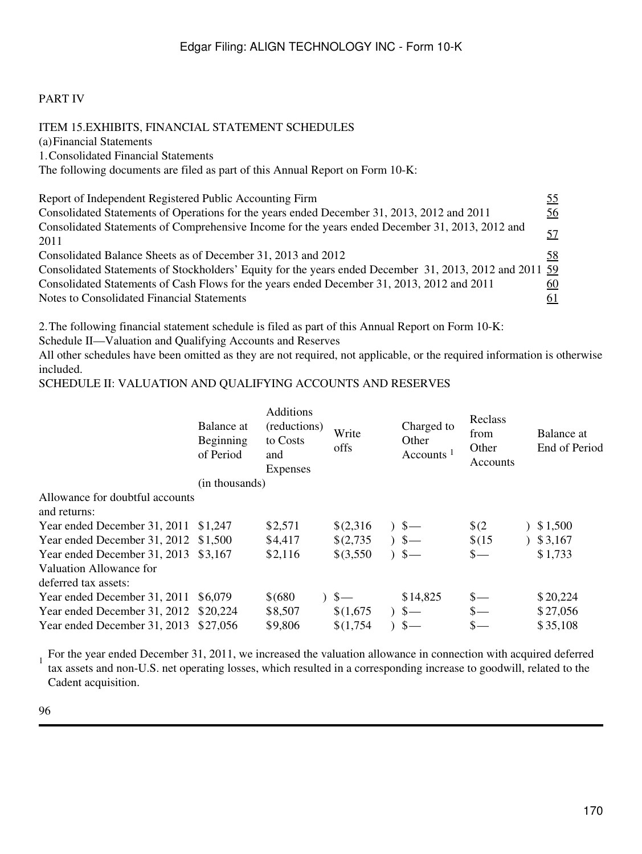## PART IV

ITEM 15.EXHIBITS, FINANCIAL STATEMENT SCHEDULES (a)Financial Statements 1.Consolidated Financial Statements The following documents are filed as part of this Annual Report on Form 10-K: Report of Independent Registered Public Accounting Firm [55](#page-100-0) Consolidated Statements of Operations for the years ended December 31, 2013, 2012 and 2011 [56](#page-102-0) Consolidated Statements of Comprehensive Income for the years ended December 31, 2013, 2012 and [57](#page-104-0)<br>2011 Consolidated Balance Sheets as of December 31, 2013 and 2012 [58](#page-104-1) Consolidated Statements of Stockholders' Equity for the years ended December 31, 2013, 2012 and 2011 [59](#page-105-0) Consolidated Statements of Cash Flows for the years ended December 31, 2013, 2012 and 2011 [60](#page-107-0) Notes to Consolidated Financial Statements [61](#page-108-0)

2.The following financial statement schedule is filed as part of this Annual Report on Form 10-K:

Schedule II—Valuation and Qualifying Accounts and Reserves

All other schedules have been omitted as they are not required, not applicable, or the required information is otherwise included.

#### SCHEDULE II: VALUATION AND QUALIFYING ACCOUNTS AND RESERVES

|                                                 | Balance at<br>Beginning<br>of Period | <b>Additions</b><br>(reductions)<br>to Costs<br>and<br><b>Expenses</b> | Write<br>offs | Charged to<br>Other<br>Accounts <sup>1</sup> | Reclass<br>from<br>Other<br>Accounts | Balance at<br>End of Period |
|-------------------------------------------------|--------------------------------------|------------------------------------------------------------------------|---------------|----------------------------------------------|--------------------------------------|-----------------------------|
|                                                 | (in thousands)                       |                                                                        |               |                                              |                                      |                             |
| Allowance for doubtful accounts<br>and returns: |                                      |                                                                        |               |                                              |                                      |                             |
| Year ended December 31, 2011 \$1,247            |                                      | \$2,571                                                                | \$(2,316)     | $3 -$                                        | $\sqrt{2}$                           | 3,500                       |
| Year ended December 31, 2012 \$1,500            |                                      | \$4,417                                                                | \$(2,735)     | $5-$                                         | \$(15)                               | 3,167                       |
| Year ended December 31, 2013 \$3,167            |                                      | \$2,116                                                                | $$$ (3,550)   | $3 -$                                        | $\frac{\ }{s-}$                      | \$1,733                     |
| Valuation Allowance for<br>deferred tax assets: |                                      |                                                                        |               |                                              |                                      |                             |
| Year ended December 31, 2011                    | \$6,079                              | \$ (680)                                                               | $3 -$         | \$14,825                                     | $S-$                                 | \$20,224                    |
| Year ended December 31, 2012 \$20,224           |                                      | \$8,507                                                                | \$(1,675)     | $3 -$                                        |                                      | \$27,056                    |
| Year ended December 31, 2013                    | \$27,056                             | \$9,806                                                                | \$(1,754)     | $3 -$                                        | $_{\rm s-}$                          | \$35,108                    |
|                                                 |                                      |                                                                        |               |                                              |                                      |                             |

For the year ended December 31, 2011, we increased the valuation allowance in connection with acquired deferred tax assets and non-U.S. net operating losses, which resulted in a corresponding increase to goodwill, related to the Cadent acquisition.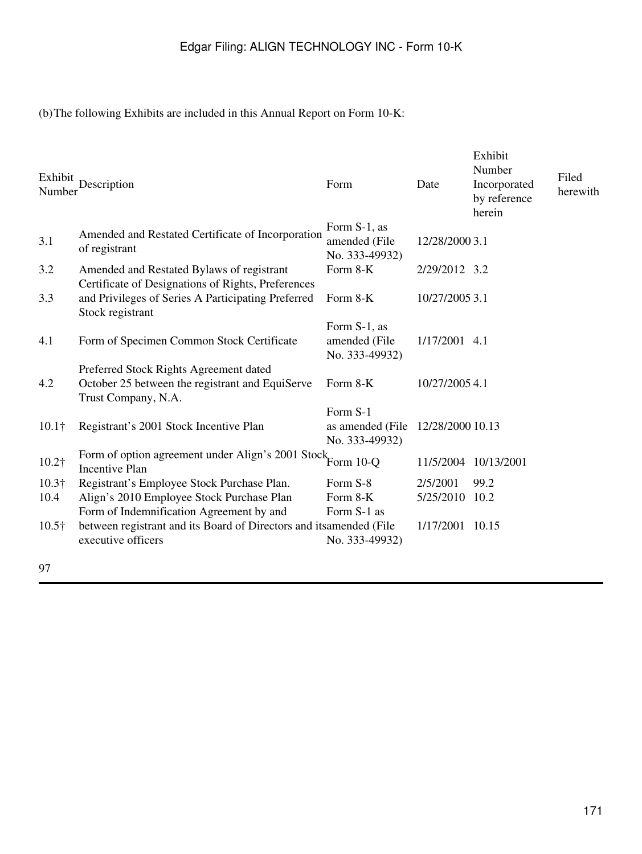(b)The following Exhibits are included in this Annual Report on Form 10-K:

| Exhibit<br>Number | Description                                                                                     | Form                                            | Date             | Exhibit<br>Number<br>Incorporated<br>by reference<br>herein | Filed<br>herewith |
|-------------------|-------------------------------------------------------------------------------------------------|-------------------------------------------------|------------------|-------------------------------------------------------------|-------------------|
| 3.1               | Amended and Restated Certificate of Incorporation<br>of registrant                              | Form S-1, as<br>amended (File<br>No. 333-49932) | 12/28/2000 3.1   |                                                             |                   |
| 3.2               | Amended and Restated Bylaws of registrant<br>Certificate of Designations of Rights, Preferences | Form 8-K                                        | 2/29/2012 3.2    |                                                             |                   |
| 3.3               | and Privileges of Series A Participating Preferred<br>Stock registrant                          | Form 8-K                                        | 10/27/2005 3.1   |                                                             |                   |
| 4.1               | Form of Specimen Common Stock Certificate                                                       | Form S-1, as<br>amended (File<br>No. 333-49932) | 1/17/2001 4.1    |                                                             |                   |
|                   | Preferred Stock Rights Agreement dated                                                          |                                                 |                  |                                                             |                   |
| 4.2               | October 25 between the registrant and EquiServe<br>Trust Company, N.A.                          | Form 8-K                                        | 10/27/2005 4.1   |                                                             |                   |
| $10.1\dagger$     | Registrant's 2001 Stock Incentive Plan                                                          | Form S-1<br>as amended (File)<br>No. 333-49932) | 12/28/2000 10.13 |                                                             |                   |
| 10.2†             | Form of option agreement under Align's 2001 Stock Form 10-Q<br><b>Incentive Plan</b>            |                                                 | 11/5/2004        | 10/13/2001                                                  |                   |
| $10.3\dagger$     | Registrant's Employee Stock Purchase Plan.                                                      | Form S-8                                        | 2/5/2001         | 99.2                                                        |                   |
| 10.4              | Align's 2010 Employee Stock Purchase Plan                                                       | Form 8-K                                        | 5/25/2010        | 10.2                                                        |                   |
|                   | Form of Indemnification Agreement by and                                                        | Form S-1 as                                     |                  |                                                             |                   |
| $10.5\dagger$     | between registrant and its Board of Directors and itsamended (File<br>executive officers        | No. 333-49932)                                  | 1/17/2001 10.15  |                                                             |                   |
|                   |                                                                                                 |                                                 |                  |                                                             |                   |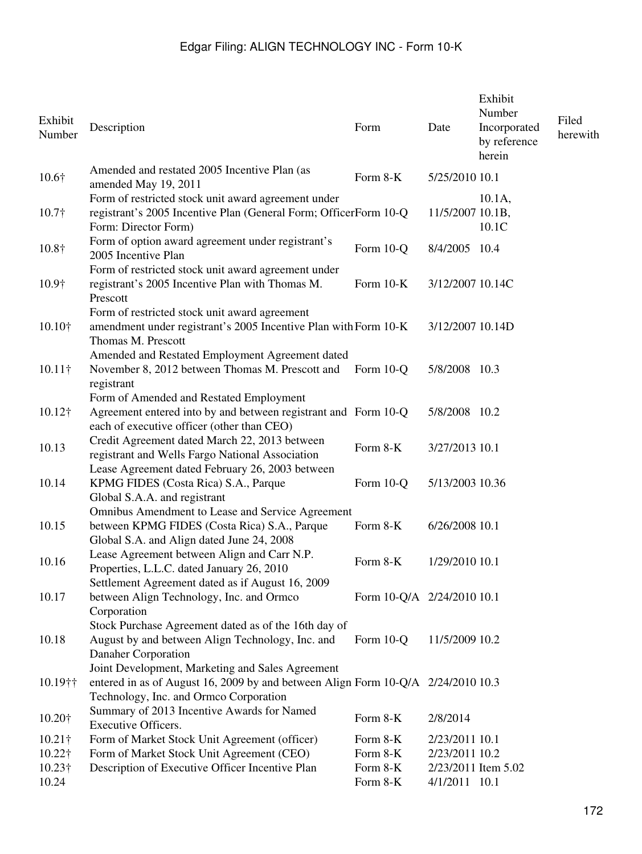| Exhibit<br>Number                                   | Description                                                                                                                                                                    | Form                                         | Date                                              | Exhibit<br>Number<br>Incorporated<br>by reference<br>herein | Filed<br>herewith |
|-----------------------------------------------------|--------------------------------------------------------------------------------------------------------------------------------------------------------------------------------|----------------------------------------------|---------------------------------------------------|-------------------------------------------------------------|-------------------|
| 10.6†                                               | Amended and restated 2005 Incentive Plan (as<br>amended May 19, 2011                                                                                                           | Form 8-K                                     | 5/25/2010 10.1                                    |                                                             |                   |
| $10.7\dagger$                                       | Form of restricted stock unit award agreement under<br>registrant's 2005 Incentive Plan (General Form; OfficerForm 10-Q<br>Form: Director Form)                                |                                              | 11/5/2007 10.1B,                                  | $10.1A$ ,<br>10.1C                                          |                   |
| 10.8†                                               | Form of option award agreement under registrant's<br>2005 Incentive Plan                                                                                                       | Form 10-Q                                    | 8/4/2005 10.4                                     |                                                             |                   |
| 10.9†                                               | Form of restricted stock unit award agreement under<br>registrant's 2005 Incentive Plan with Thomas M.<br>Prescott                                                             | Form $10-K$                                  | 3/12/2007 10.14C                                  |                                                             |                   |
| 10.10†                                              | Form of restricted stock unit award agreement<br>amendment under registrant's 2005 Incentive Plan with Form 10-K<br>Thomas M. Prescott                                         |                                              | 3/12/2007 10.14D                                  |                                                             |                   |
| $10.11\dagger$                                      | Amended and Restated Employment Agreement dated<br>November 8, 2012 between Thomas M. Prescott and<br>registrant                                                               | Form 10-Q                                    | 5/8/2008 10.3                                     |                                                             |                   |
| $10.12\dagger$                                      | Form of Amended and Restated Employment<br>Agreement entered into by and between registrant and Form 10-Q<br>each of executive officer (other than CEO)                        |                                              | 5/8/2008 10.2                                     |                                                             |                   |
| 10.13                                               | Credit Agreement dated March 22, 2013 between<br>registrant and Wells Fargo National Association                                                                               | Form 8-K                                     | 3/27/2013 10.1                                    |                                                             |                   |
| 10.14                                               | Lease Agreement dated February 26, 2003 between<br>KPMG FIDES (Costa Rica) S.A., Parque<br>Global S.A.A. and registrant                                                        | Form 10-Q                                    | 5/13/2003 10.36                                   |                                                             |                   |
| 10.15                                               | Omnibus Amendment to Lease and Service Agreement<br>between KPMG FIDES (Costa Rica) S.A., Parque<br>Global S.A. and Align dated June 24, 2008                                  | Form 8-K                                     | 6/26/2008 10.1                                    |                                                             |                   |
| 10.16                                               | Lease Agreement between Align and Carr N.P.<br>Properties, L.L.C. dated January 26, 2010<br>Settlement Agreement dated as if August 16, 2009                                   | Form 8-K                                     | 1/29/2010 10.1                                    |                                                             |                   |
| 10.17                                               | between Align Technology, Inc. and Ormco<br>Corporation                                                                                                                        | Form 10-Q/A 2/24/2010 10.1                   |                                                   |                                                             |                   |
| 10.18                                               | Stock Purchase Agreement dated as of the 16th day of<br>August by and between Align Technology, Inc. and<br>Danaher Corporation                                                | Form 10-Q                                    | 11/5/2009 10.2                                    |                                                             |                   |
| 10.19††                                             | Joint Development, Marketing and Sales Agreement<br>entered in as of August 16, 2009 by and between Align Form 10-Q/A 2/24/2010 10.3<br>Technology, Inc. and Ormco Corporation |                                              |                                                   |                                                             |                   |
| 10.20+                                              | Summary of 2013 Incentive Awards for Named<br>Executive Officers.                                                                                                              | Form 8-K                                     | 2/8/2014                                          |                                                             |                   |
| $10.21\dagger$<br>10.22†<br>$10.23\dagger$<br>10.24 | Form of Market Stock Unit Agreement (officer)<br>Form of Market Stock Unit Agreement (CEO)<br>Description of Executive Officer Incentive Plan                                  | Form 8-K<br>Form 8-K<br>Form 8-K<br>Form 8-K | 2/23/2011 10.1<br>2/23/2011 10.2<br>4/1/2011 10.1 | 2/23/2011 Item 5.02                                         |                   |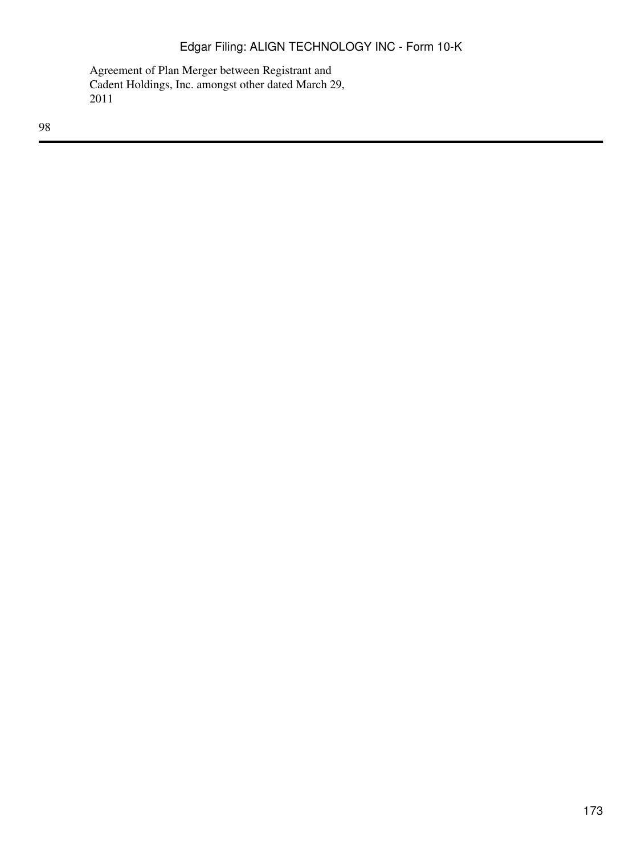Agreement of Plan Merger between Registrant and Cadent Holdings, Inc. amongst other dated March 29, 2011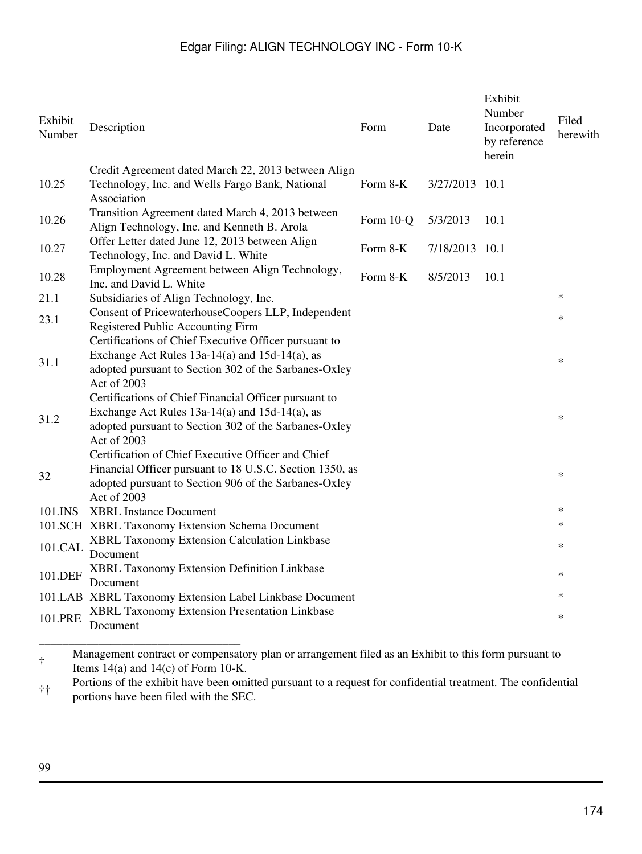| Exhibit<br>Number | Description                                                                                                                                                                            | Form      | Date      | Exhibit<br>Number<br>Incorporated<br>by reference<br>herein | Filed<br>herewith |
|-------------------|----------------------------------------------------------------------------------------------------------------------------------------------------------------------------------------|-----------|-----------|-------------------------------------------------------------|-------------------|
|                   | Credit Agreement dated March 22, 2013 between Align                                                                                                                                    |           |           |                                                             |                   |
| 10.25             | Technology, Inc. and Wells Fargo Bank, National<br>Association                                                                                                                         | Form 8-K  | 3/27/2013 | 10.1                                                        |                   |
| 10.26             | Transition Agreement dated March 4, 2013 between<br>Align Technology, Inc. and Kenneth B. Arola                                                                                        | Form 10-Q | 5/3/2013  | 10.1                                                        |                   |
| 10.27             | Offer Letter dated June 12, 2013 between Align<br>Technology, Inc. and David L. White                                                                                                  | Form 8-K  | 7/18/2013 | 10.1                                                        |                   |
| 10.28             | Employment Agreement between Align Technology,<br>Inc. and David L. White                                                                                                              | Form 8-K  | 8/5/2013  | 10.1                                                        |                   |
| 21.1              | Subsidiaries of Align Technology, Inc.                                                                                                                                                 |           |           |                                                             | $\ast$            |
| 23.1              | Consent of PricewaterhouseCoopers LLP, Independent<br>Registered Public Accounting Firm                                                                                                |           |           |                                                             | $\ast$            |
| 31.1              | Certifications of Chief Executive Officer pursuant to<br>Exchange Act Rules 13a-14(a) and 15d-14(a), as<br>adopted pursuant to Section 302 of the Sarbanes-Oxley<br>Act of 2003        |           |           |                                                             | $\ast$            |
| 31.2              | Certifications of Chief Financial Officer pursuant to<br>Exchange Act Rules $13a-14(a)$ and $15d-14(a)$ , as<br>adopted pursuant to Section 302 of the Sarbanes-Oxley<br>Act of 2003   |           |           |                                                             | $\ast$            |
| 32                | Certification of Chief Executive Officer and Chief<br>Financial Officer pursuant to 18 U.S.C. Section 1350, as<br>adopted pursuant to Section 906 of the Sarbanes-Oxley<br>Act of 2003 |           |           |                                                             | $\ast$            |
| 101.INS           | <b>XBRL</b> Instance Document                                                                                                                                                          |           |           |                                                             | $\ast$            |
|                   | 101.SCH XBRL Taxonomy Extension Schema Document                                                                                                                                        |           |           |                                                             | ∗                 |
| 101.CAL           | XBRL Taxonomy Extension Calculation Linkbase<br>Document                                                                                                                               |           |           |                                                             | $\ast$            |
| 101.DEF           | XBRL Taxonomy Extension Definition Linkbase<br>Document                                                                                                                                |           |           |                                                             | $\ast$            |
|                   | 101.LAB XBRL Taxonomy Extension Label Linkbase Document                                                                                                                                |           |           |                                                             | $\ast$            |
| 101.PRE           | XBRL Taxonomy Extension Presentation Linkbase<br>Document                                                                                                                              |           |           |                                                             | $\ast$            |
|                   |                                                                                                                                                                                        |           |           |                                                             |                   |

† Management contract or compensatory plan or arrangement filed as an Exhibit to this form pursuant to Items 14(a) and 14(c) of Form 10-K.

†† Portions of the exhibit have been omitted pursuant to a request for confidential treatment. The confidential portions have been filed with the SEC.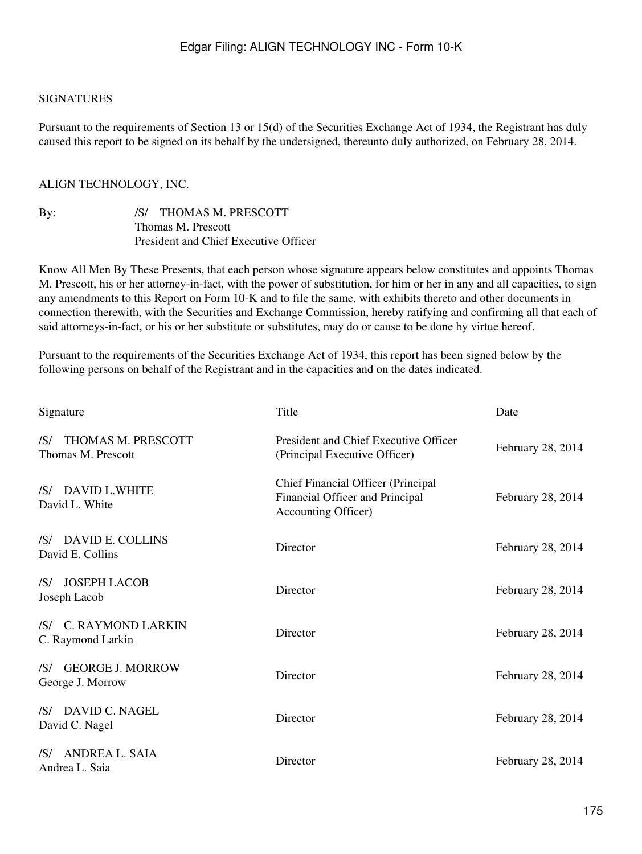#### SIGNATURES

Pursuant to the requirements of Section 13 or 15(d) of the Securities Exchange Act of 1934, the Registrant has duly caused this report to be signed on its behalf by the undersigned, thereunto duly authorized, on February 28, 2014.

### ALIGN TECHNOLOGY, INC.

| By: | /S/ THOMAS M. PRESCOTT                |
|-----|---------------------------------------|
|     | Thomas M. Prescott                    |
|     | President and Chief Executive Officer |

Know All Men By These Presents, that each person whose signature appears below constitutes and appoints Thomas M. Prescott, his or her attorney-in-fact, with the power of substitution, for him or her in any and all capacities, to sign any amendments to this Report on Form 10-K and to file the same, with exhibits thereto and other documents in connection therewith, with the Securities and Exchange Commission, hereby ratifying and confirming all that each of said attorneys-in-fact, or his or her substitute or substitutes, may do or cause to be done by virtue hereof.

Pursuant to the requirements of the Securities Exchange Act of 1934, this report has been signed below by the following persons on behalf of the Registrant and in the capacities and on the dates indicated.

| Signature                                          | Title                                                                                        | Date              |
|----------------------------------------------------|----------------------------------------------------------------------------------------------|-------------------|
| THOMAS M. PRESCOTT<br>/S/<br>Thomas M. Prescott    | President and Chief Executive Officer<br>(Principal Executive Officer)                       | February 28, 2014 |
| /S/ DAVID L.WHITE<br>David L. White                | Chief Financial Officer (Principal<br>Financial Officer and Principal<br>Accounting Officer) | February 28, 2014 |
| /S/ DAVID E. COLLINS<br>David E. Collins           | Director                                                                                     | February 28, 2014 |
| <b>JOSEPH LACOB</b><br>/S/<br>Joseph Lacob         | Director                                                                                     | February 28, 2014 |
| /S/ C. RAYMOND LARKIN<br>C. Raymond Larkin         | Director                                                                                     | February 28, 2014 |
| <b>GEORGE J. MORROW</b><br>/S/<br>George J. Morrow | Director                                                                                     | February 28, 2014 |
| /S/ DAVID C. NAGEL<br>David C. Nagel               | Director                                                                                     | February 28, 2014 |
| <b>ANDREA L. SAIA</b><br>/S/<br>Andrea L. Saia     | Director                                                                                     | February 28, 2014 |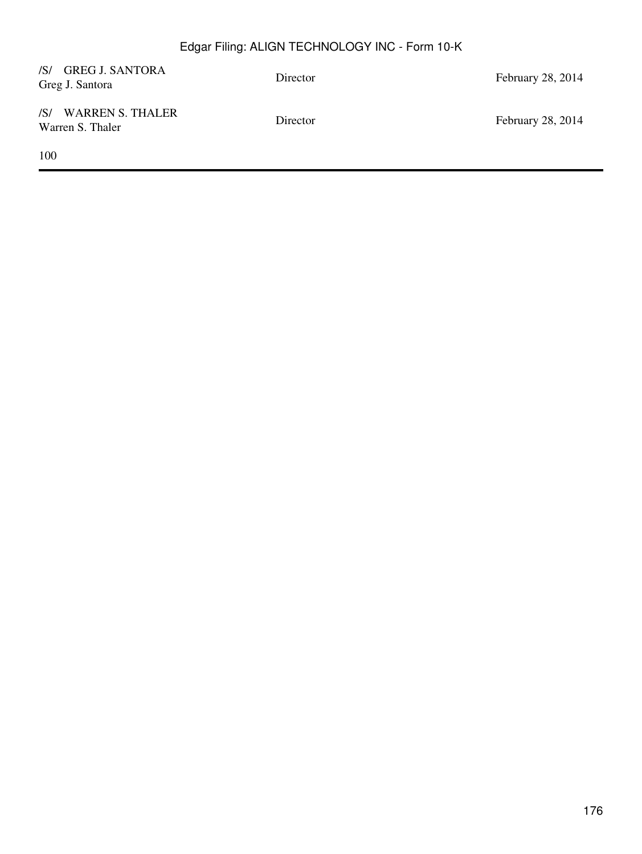| /S/ GREG J. SANTORA<br>Greg J. Santora   | Director | February 28, 2014 |
|------------------------------------------|----------|-------------------|
| /S/ WARREN S. THALER<br>Warren S. Thaler | Director | February 28, 2014 |
| 100                                      |          |                   |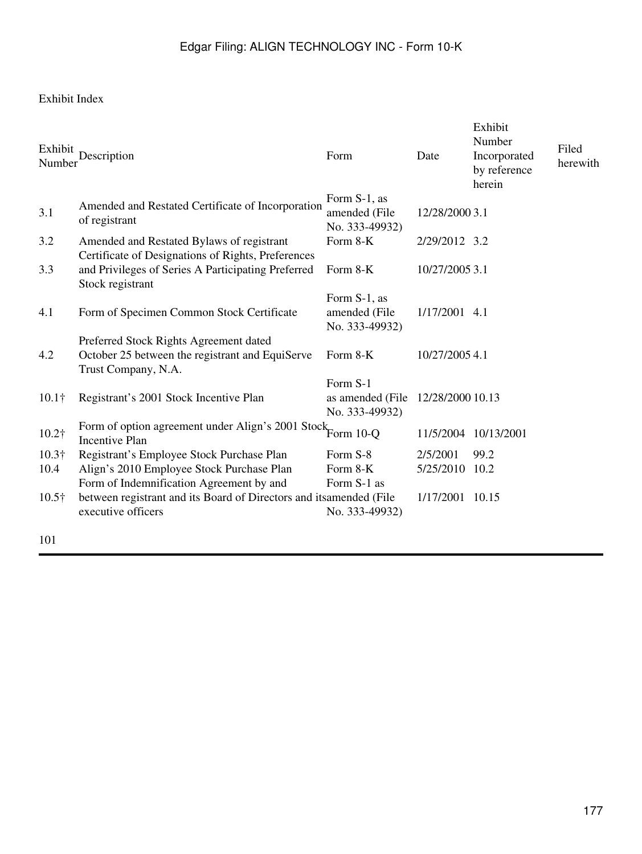## Exhibit Index

| Exhibit<br>Number | Description                                                                                                                           | Form                                            | Date             | Exhibit<br>Number<br>Incorporated<br>by reference<br>herein | Filed<br>herewith |
|-------------------|---------------------------------------------------------------------------------------------------------------------------------------|-------------------------------------------------|------------------|-------------------------------------------------------------|-------------------|
| 3.1               | Amended and Restated Certificate of Incorporation<br>of registrant                                                                    | Form S-1, as<br>amended (File<br>No. 333-49932) | 12/28/2000 3.1   |                                                             |                   |
| 3.2               | Amended and Restated Bylaws of registrant<br>Certificate of Designations of Rights, Preferences                                       | Form 8-K                                        | 2/29/2012 3.2    |                                                             |                   |
| 3.3               | and Privileges of Series A Participating Preferred<br>Stock registrant                                                                | Form 8-K                                        | 10/27/2005 3.1   |                                                             |                   |
| 4.1               | Form of Specimen Common Stock Certificate                                                                                             | Form S-1, as<br>amended (File<br>No. 333-49932) | 1/17/2001 4.1    |                                                             |                   |
| 4.2               | Preferred Stock Rights Agreement dated<br>October 25 between the registrant and EquiServe<br>Trust Company, N.A.                      | Form 8-K                                        | 10/27/2005 4.1   |                                                             |                   |
| $10.1\dagger$     | Registrant's 2001 Stock Incentive Plan                                                                                                | Form S-1<br>as amended (File)<br>No. 333-49932) | 12/28/2000 10.13 |                                                             |                   |
| 10.2†             | Form of option agreement under Align's 2001 Stock Form 10-Q<br><b>Incentive Plan</b>                                                  |                                                 | 11/5/2004        | 10/13/2001                                                  |                   |
| $10.3\dagger$     | Registrant's Employee Stock Purchase Plan                                                                                             | Form S-8                                        | 2/5/2001         | 99.2                                                        |                   |
| 10.4              | Align's 2010 Employee Stock Purchase Plan                                                                                             | Form 8-K                                        | 5/25/2010 10.2   |                                                             |                   |
| $10.5\dagger$     | Form of Indemnification Agreement by and<br>between registrant and its Board of Directors and its amended (File<br>executive officers | Form S-1 as<br>No. 333-49932)                   | 1/17/2001 10.15  |                                                             |                   |
| 101               |                                                                                                                                       |                                                 |                  |                                                             |                   |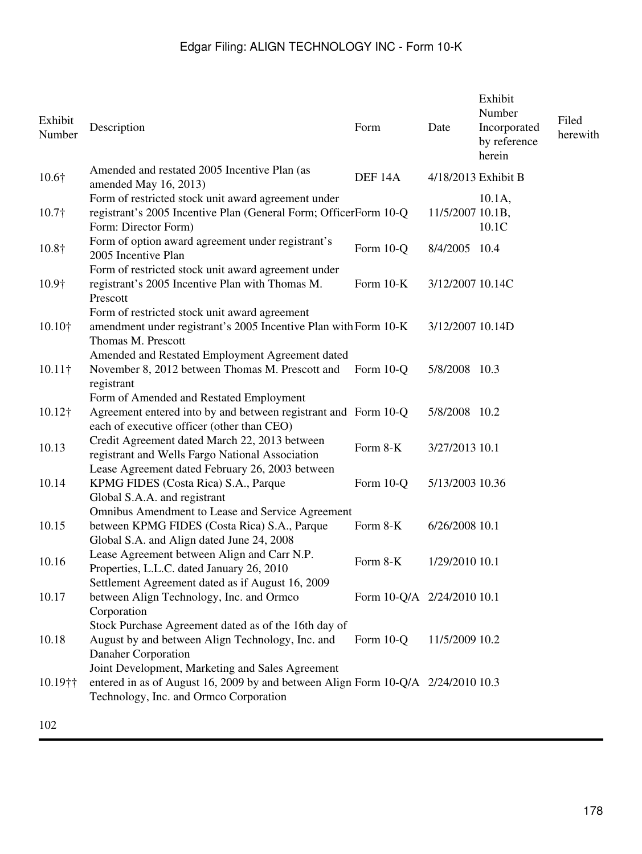| Exhibit<br>Number | Description                                                                                                                                                                         | Form                       | Date             | Exhibit<br>Number<br>Incorporated<br>by reference<br>herein | Filed<br>herewith |
|-------------------|-------------------------------------------------------------------------------------------------------------------------------------------------------------------------------------|----------------------------|------------------|-------------------------------------------------------------|-------------------|
| 10.6†             | Amended and restated 2005 Incentive Plan (as<br>amended May 16, 2013)                                                                                                               | DEF <sub>14A</sub>         |                  | 4/18/2013 Exhibit B                                         |                   |
| $10.7\dagger$     | Form of restricted stock unit award agreement under<br>registrant's 2005 Incentive Plan (General Form; OfficerForm 10-Q<br>Form: Director Form)                                     |                            | 11/5/2007 10.1B, | $10.1A$ ,<br>10.1C                                          |                   |
| 10.8†             | Form of option award agreement under registrant's<br>2005 Incentive Plan                                                                                                            | Form 10-Q                  | 8/4/2005 10.4    |                                                             |                   |
| 10.9†             | Form of restricted stock unit award agreement under<br>registrant's 2005 Incentive Plan with Thomas M.<br>Prescott                                                                  | Form 10-K                  | 3/12/2007 10.14C |                                                             |                   |
| 10.10†            | Form of restricted stock unit award agreement<br>amendment under registrant's 2005 Incentive Plan with Form 10-K<br>Thomas M. Prescott                                              |                            | 3/12/2007 10.14D |                                                             |                   |
| $10.11\dagger$    | Amended and Restated Employment Agreement dated<br>November 8, 2012 between Thomas M. Prescott and<br>registrant                                                                    | Form 10-Q                  | 5/8/2008 10.3    |                                                             |                   |
| 10.12†            | Form of Amended and Restated Employment<br>Agreement entered into by and between registrant and Form 10-Q<br>each of executive officer (other than CEO)                             |                            | 5/8/2008 10.2    |                                                             |                   |
| 10.13             | Credit Agreement dated March 22, 2013 between<br>registrant and Wells Fargo National Association<br>Lease Agreement dated February 26, 2003 between                                 | Form 8-K                   | 3/27/2013 10.1   |                                                             |                   |
| 10.14             | KPMG FIDES (Costa Rica) S.A., Parque<br>Global S.A.A. and registrant                                                                                                                | Form 10-Q                  | 5/13/2003 10.36  |                                                             |                   |
| 10.15             | Omnibus Amendment to Lease and Service Agreement<br>between KPMG FIDES (Costa Rica) S.A., Parque<br>Global S.A. and Align dated June 24, 2008                                       | Form 8-K                   | 6/26/2008 10.1   |                                                             |                   |
| 10.16             | Lease Agreement between Align and Carr N.P.<br>Properties, L.L.C. dated January 26, 2010<br>Settlement Agreement dated as if August 16, 2009                                        | Form 8-K                   | 1/29/2010 10.1   |                                                             |                   |
| 10.17             | between Align Technology, Inc. and Ormco<br>Corporation                                                                                                                             | Form 10-Q/A 2/24/2010 10.1 |                  |                                                             |                   |
| 10.18             | Stock Purchase Agreement dated as of the 16th day of<br>August by and between Align Technology, Inc. and<br>Danaher Corporation<br>Joint Development, Marketing and Sales Agreement | Form 10-Q                  | 11/5/2009 10.2   |                                                             |                   |
| 10.19††           | entered in as of August 16, 2009 by and between Align Form 10-Q/A 2/24/2010 10.3<br>Technology, Inc. and Ormco Corporation                                                          |                            |                  |                                                             |                   |
|                   |                                                                                                                                                                                     |                            |                  |                                                             |                   |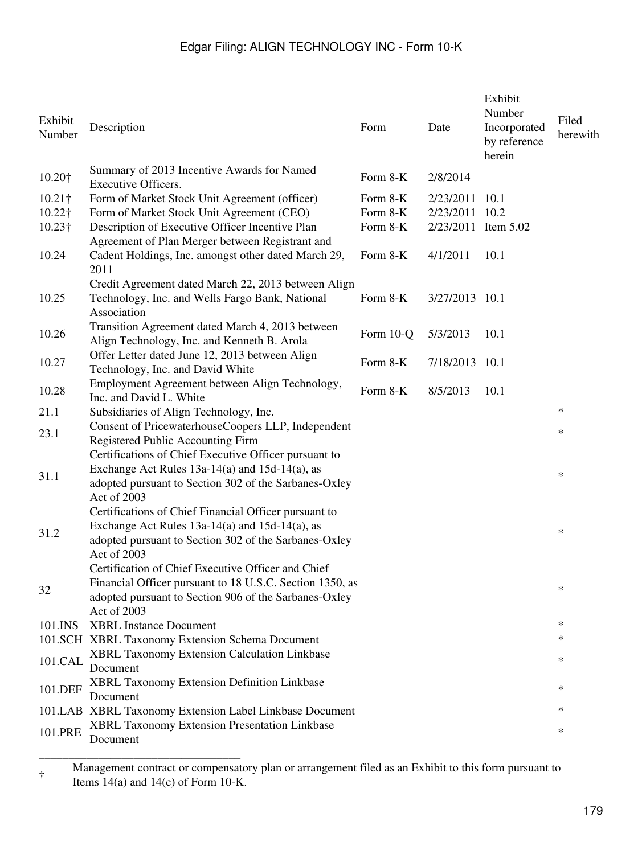| Exhibit<br>Number | Description                                                                                                                                                                            | Form      | Date                | Exhibit<br>Number<br>Incorporated<br>by reference<br>herein | Filed<br>herewith |
|-------------------|----------------------------------------------------------------------------------------------------------------------------------------------------------------------------------------|-----------|---------------------|-------------------------------------------------------------|-------------------|
| 10.20+            | Summary of 2013 Incentive Awards for Named<br><b>Executive Officers.</b>                                                                                                               | Form 8-K  | 2/8/2014            |                                                             |                   |
| $10.21\dagger$    | Form of Market Stock Unit Agreement (officer)                                                                                                                                          | Form 8-K  | 2/23/2011           | 10.1                                                        |                   |
| $10.22\dagger$    | Form of Market Stock Unit Agreement (CEO)                                                                                                                                              | Form 8-K  | 2/23/2011           | 10.2                                                        |                   |
| $10.23\dagger$    | Description of Executive Officer Incentive Plan                                                                                                                                        | Form 8-K  | 2/23/2011 Item 5.02 |                                                             |                   |
| 10.24             | Agreement of Plan Merger between Registrant and<br>Cadent Holdings, Inc. amongst other dated March 29,<br>2011                                                                         | Form 8-K  | 4/1/2011            | 10.1                                                        |                   |
| 10.25             | Credit Agreement dated March 22, 2013 between Align<br>Technology, Inc. and Wells Fargo Bank, National<br>Association                                                                  | Form 8-K  | 3/27/2013 10.1      |                                                             |                   |
| 10.26             | Transition Agreement dated March 4, 2013 between<br>Align Technology, Inc. and Kenneth B. Arola                                                                                        | Form 10-Q | 5/3/2013            | 10.1                                                        |                   |
| 10.27             | Offer Letter dated June 12, 2013 between Align<br>Technology, Inc. and David White                                                                                                     | Form 8-K  | 7/18/2013           | 10.1                                                        |                   |
| 10.28             | Employment Agreement between Align Technology,<br>Inc. and David L. White                                                                                                              | Form 8-K  | 8/5/2013            | 10.1                                                        |                   |
| 21.1              | Subsidiaries of Align Technology, Inc.                                                                                                                                                 |           |                     |                                                             | $\ast$            |
| 23.1              | Consent of PricewaterhouseCoopers LLP, Independent<br>Registered Public Accounting Firm                                                                                                |           |                     |                                                             | $\ast$            |
| 31.1              | Certifications of Chief Executive Officer pursuant to<br>Exchange Act Rules $13a-14(a)$ and $15d-14(a)$ , as<br>adopted pursuant to Section 302 of the Sarbanes-Oxley<br>Act of 2003   |           |                     |                                                             | $\ast$            |
| 31.2              | Certifications of Chief Financial Officer pursuant to<br>Exchange Act Rules $13a-14(a)$ and $15d-14(a)$ , as<br>adopted pursuant to Section 302 of the Sarbanes-Oxley<br>Act of 2003   |           |                     |                                                             | $\ast$            |
| 32                | Certification of Chief Executive Officer and Chief<br>Financial Officer pursuant to 18 U.S.C. Section 1350, as<br>adopted pursuant to Section 906 of the Sarbanes-Oxley<br>Act of 2003 |           |                     |                                                             | $\ast$            |
| 101.INS           | <b>XBRL Instance Document</b>                                                                                                                                                          |           |                     |                                                             | $\ast$            |
|                   | 101.SCH XBRL Taxonomy Extension Schema Document                                                                                                                                        |           |                     |                                                             | $\ast$            |
| 101.CAL           | XBRL Taxonomy Extension Calculation Linkbase<br>Document                                                                                                                               |           |                     |                                                             | $\ast$            |
| 101.DEF           | XBRL Taxonomy Extension Definition Linkbase<br>Document                                                                                                                                |           |                     |                                                             | $\ast$            |
|                   | 101.LAB XBRL Taxonomy Extension Label Linkbase Document                                                                                                                                |           |                     |                                                             | ∗                 |
| 101.PRE           | XBRL Taxonomy Extension Presentation Linkbase<br>Document                                                                                                                              |           |                     |                                                             | $\ast$            |

<sup>†</sup> Management contract or compensatory plan or arrangement filed as an Exhibit to this form pursuant to Items  $14(a)$  and  $14(c)$  of Form 10-K.

\_\_\_\_\_\_\_\_\_\_\_\_\_\_\_\_\_\_\_\_\_\_\_\_\_\_\_\_\_\_\_\_\_\_